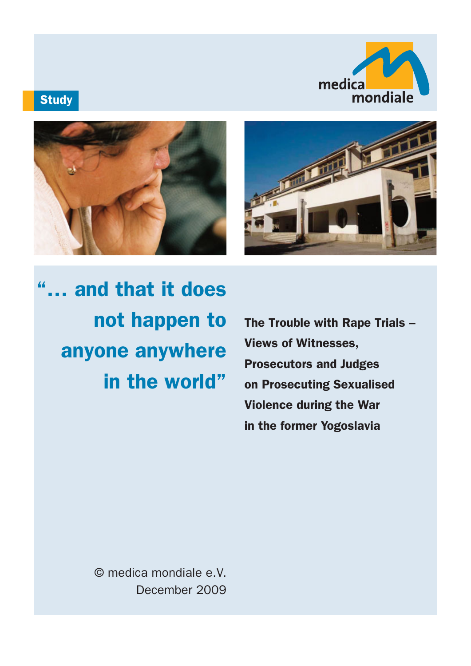

# **Study**





"… and that it does not happen to anyone anywhere in the world"

The Trouble with Rape Trials – Views of Witnesses, Prosecutors and Judges on Prosecuting Sexualised Violence during the War in the former Yogoslavia

© medica mondiale e.V. December 2009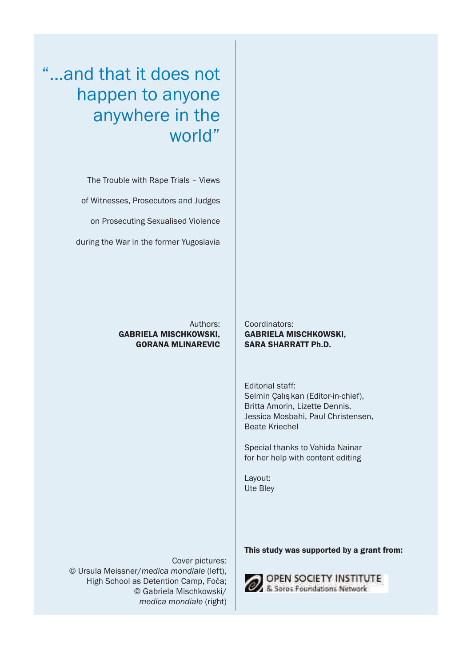"...and that it does not happen to anyone anywhere in the world"

> The Trouble with Rape Trials – Views of Witnesses, Prosecutors and Judges on Prosecuting Sexualised Violence during the War in the former Yugoslavia

> > Authors: GABRIELA MISCHKOWSKI, GORANA MLINAREVIC

Coordinators: GABRIELA MISCHKOWSKI, SARA SHARRATT Ph.D.

Editorial staff: Selmin Çalış kan (Editor-in-chief), Britta Amorin, Lizette Dennis, Jessica Mosbahi, Paul Christensen, Beate Kriechel

Special thanks to Vahida Nainar for her help with content editing

Layout: Ute Bley

Cover pictures: © Ursula Meissner/*medica mondiale* (left), High School as Detention Camp, Foča; © Gabriela Mischkowski/ *medica mondiale* (right)

This study was supported by a grant from:

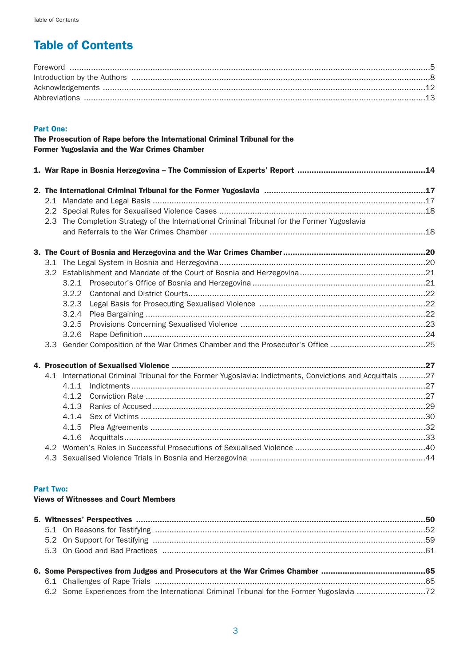# Table of Contents

## Part One:

|               | The Prosecution of Rape before the International Criminal Tribunal for the<br><b>Former Yugoslavia and the War Crimes Chamber</b> |  |
|---------------|-----------------------------------------------------------------------------------------------------------------------------------|--|
|               |                                                                                                                                   |  |
|               |                                                                                                                                   |  |
|               |                                                                                                                                   |  |
| $2.2^{\circ}$ |                                                                                                                                   |  |
|               | 2.3 The Completion Strategy of the International Criminal Tribunal for the Former Yugoslavia                                      |  |
|               |                                                                                                                                   |  |
|               |                                                                                                                                   |  |
|               |                                                                                                                                   |  |
|               |                                                                                                                                   |  |
|               |                                                                                                                                   |  |
|               |                                                                                                                                   |  |
|               | 3.2.3                                                                                                                             |  |
|               | 3.2.4                                                                                                                             |  |
|               | 3.2.5                                                                                                                             |  |
|               | 3.2.6                                                                                                                             |  |
|               | 3.3 Gender Composition of the War Crimes Chamber and the Prosecutor's Office 25                                                   |  |
|               |                                                                                                                                   |  |
|               | 4.1 International Criminal Tribunal for the Former Yugoslavia: Indictments, Convictions and Acquittals 27                         |  |
|               | 411                                                                                                                               |  |
|               |                                                                                                                                   |  |
|               | 4.1.3                                                                                                                             |  |
|               | 4.1.4                                                                                                                             |  |
|               | 4.1.5                                                                                                                             |  |
|               | 4.1.6                                                                                                                             |  |
|               |                                                                                                                                   |  |
|               |                                                                                                                                   |  |

# Part Two:

# Views of Witnesses and Court Members

|  | 6.2 Some Experiences from the International Criminal Tribunal for the Former Yugoslavia 72 |  |  |  |  |
|--|--------------------------------------------------------------------------------------------|--|--|--|--|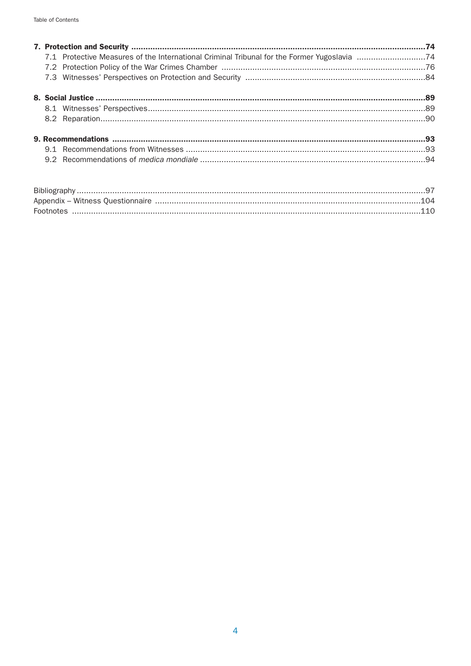| Footnotes |  |
|-----------|--|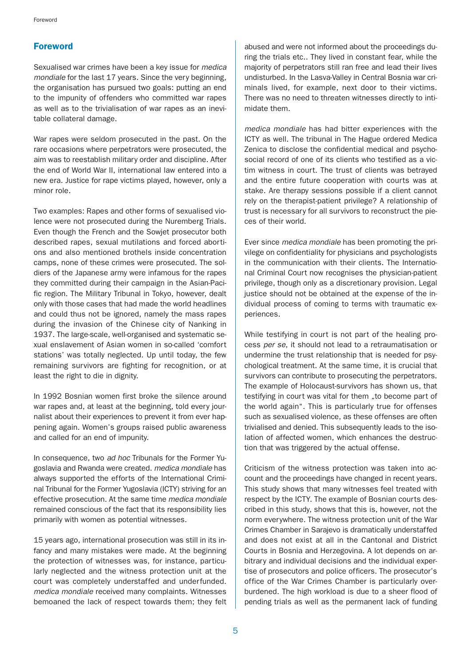# Foreword

Sexualised war crimes have been a key issue for medica mondiale for the last 17 years. Since the very beginning, the organisation has pursued two goals: putting an end to the impunity of offenders who committed war rapes as well as to the trivialisation of war rapes as an inevitable collateral damage.

War rapes were seldom prosecuted in the past. On the rare occasions where perpetrators were prosecuted, the aim was to reestablish military order and discipline. After the end of World War II, international law entered into a new era. Justice for rape victims played, however, only a minor role.

Two examples: Rapes and other forms of sexualised violence were not prosecuted during the Nuremberg Trials. Even though the French and the Sowjet prosecutor both described rapes, sexual mutilations and forced abortions and also mentioned brothels inside concentration camps, none of these crimes were prosecuted. The soldiers of the Japanese army were infamous for the rapes they committed during their campaign in the Asian-Pacific region. The Military Tribunal in Tokyo, however, dealt only with those cases that had made the world headlines and could thus not be ignored, namely the mass rapes during the invasion of the Chinese city of Nanking in 1937. The large-scale, well-organised and systematic sexual enslavement of Asian women in so-called 'comfort stations' was totally neglected. Up until today, the few remaining survivors are fighting for recognition, or at least the right to die in dignity.

In 1992 Bosnian women first broke the silence around war rapes and, at least at the beginning, told every journalist about their experiences to prevent it from ever happening again. Women's groups raised public awareness and called for an end of impunity.

In consequence, two ad hoc Tribunals for the Former Yugoslavia and Rwanda were created. medica mondiale has always supported the efforts of the International Criminal Tribunal for the Former Yugoslavia (ICTY) striving for an effective prosecution. At the same time medica mondiale remained conscious of the fact that its responsibility lies primarily with women as potential witnesses.

15 years ago, international prosecution was still in its infancy and many mistakes were made. At the beginning the protection of witnesses was, for instance, particularly neglected and the witness protection unit at the court was completely understaffed and underfunded. medica mondiale received many complaints. Witnesses bemoaned the lack of respect towards them; they felt abused and were not informed about the proceedings during the trials etc.. They lived in constant fear, while the majority of perpetrators still ran free and lead their lives undisturbed. In the Lasva-Valley in Central Bosnia war criminals lived, for example, next door to their victims. There was no need to threaten witnesses directly to intimidate them.

medica mondiale has had bitter experiences with the ICTY as well. The tribunal in The Hague ordered Medica Zenica to disclose the confidential medical and psychosocial record of one of its clients who testified as a victim witness in court. The trust of clients was betrayed and the entire future cooperation with courts was at stake. Are therapy sessions possible if a client cannot rely on the therapist-patient privilege? A relationship of trust is necessary for all survivors to reconstruct the pieces of their world.

Ever since medica mondiale has been promoting the privilege on confidentiality for physicians and psychologists in the communication with their clients. The International Criminal Court now recognises the physician-patient privilege, though only as a discretionary provision. Legal justice should not be obtained at the expense of the individual process of coming to terms with traumatic experiences.

While testifying in court is not part of the healing process per se, it should not lead to a retraumatisation or undermine the trust relationship that is needed for psychological treatment. At the same time, it is crucial that survivors can contribute to prosecuting the perpetrators. The example of Holocaust-survivors has shown us, that testifying in court was vital for them "to become part of the world again". This is particularly true for offenses such as sexualised violence, as these offenses are often trivialised and denied. This subsequently leads to the isolation of affected women, which enhances the destruction that was triggered by the actual offense.

Criticism of the witness protection was taken into account and the proceedings have changed in recent years. This study shows that many witnesses feel treated with respect by the ICTY. The example of Bosnian courts described in this study, shows that this is, however, not the norm everywhere. The witness protection unit of the War Crimes Chamber in Sarajevo is dramatically understaffed and does not exist at all in the Cantonal and District Courts in Bosnia and Herzegovina. A lot depends on arbitrary and individual decisions and the individual expertise of prosecutors and police officers. The prosecutor's office of the War Crimes Chamber is particularly overburdened. The high workload is due to a sheer flood of pending trials as well as the permanent lack of funding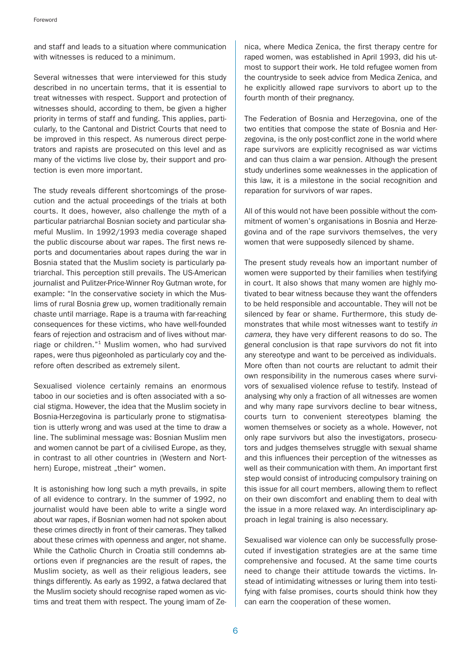and staff and leads to a situation where communication with witnesses is reduced to a minimum.

Several witnesses that were interviewed for this study described in no uncertain terms, that it is essential to treat witnesses with respect. Support and protection of witnesses should, according to them, be given a higher priority in terms of staff and funding. This applies, particularly, to the Cantonal and District Courts that need to be improved in this respect. As numerous direct perpetrators and rapists are prosecuted on this level and as many of the victims live close by, their support and protection is even more important.

The study reveals different shortcomings of the prosecution and the actual proceedings of the trials at both courts. It does, however, also challenge the myth of a particular patriarchal Bosnian society and particular shameful Muslim. In 1992/1993 media coverage shaped the public discourse about war rapes. The first news reports and documentaries about rapes during the war in Bosnia stated that the Muslim society is particularly patriarchal. This perception still prevails. The US-American journalist and Pulitzer-Price-Winner Roy Gutman wrote, for example: "In the conservative society in which the Muslims of rural Bosnia grew up, women traditionally remain chaste until marriage. Rape is a trauma with far-reaching consequences for these victims, who have well-founded fears of rejection and ostracism and of lives without marriage or children."1 Muslim women, who had survived rapes, were thus pigeonholed as particularly coy and therefore often described as extremely silent.

Sexualised violence certainly remains an enormous taboo in our societies and is often associated with a social stigma. However, the idea that the Muslim society in Bosnia-Herzegovina is particularly prone to stigmatisation is utterly wrong and was used at the time to draw a line. The subliminal message was: Bosnian Muslim men and women cannot be part of a civilised Europe, as they, in contrast to all other countries in (Western and Northern) Europe, mistreat "their" women.

It is astonishing how long such a myth prevails, in spite of all evidence to contrary. In the summer of 1992, no journalist would have been able to write a single word about war rapes, if Bosnian women had not spoken about these crimes directly in front of their cameras. They talked about these crimes with openness and anger, not shame. While the Catholic Church in Croatia still condemns abortions even if pregnancies are the result of rapes, the Muslim society, as well as their religious leaders, see things differently. As early as 1992, a fatwa declared that the Muslim society should recognise raped women as victims and treat them with respect. The young imam of Zenica, where Medica Zenica, the first therapy centre for raped women, was established in April 1993, did his utmost to support their work. He told refugee women from the countryside to seek advice from Medica Zenica, and he explicitly allowed rape survivors to abort up to the fourth month of their pregnancy.

The Federation of Bosnia and Herzegovina, one of the two entities that compose the state of Bosnia and Herzegovina, is the only post-conflict zone in the world where rape survivors are explicitly recognised as war victims and can thus claim a war pension. Although the present study underlines some weaknesses in the application of this law, it is a milestone in the social recognition and reparation for survivors of war rapes.

All of this would not have been possible without the commitment of women's organisations in Bosnia and Herzegovina and of the rape survivors themselves, the very women that were supposedly silenced by shame.

The present study reveals how an important number of women were supported by their families when testifying in court. It also shows that many women are highly motivated to bear witness because they want the offenders to be held responsible and accountable. They will not be silenced by fear or shame. Furthermore, this study demonstrates that while most witnesses want to testify in camera, they have very different reasons to do so. The general conclusion is that rape survivors do not fit into any stereotype and want to be perceived as individuals. More often than not courts are reluctant to admit their own responsibility in the numerous cases where survivors of sexualised violence refuse to testify. Instead of analysing why only a fraction of all witnesses are women and why many rape survivors decline to bear witness, courts turn to convenient stereotypes blaming the women themselves or society as a whole. However, not only rape survivors but also the investigators, prosecutors and judges themselves struggle with sexual shame and this influences their perception of the witnesses as well as their communication with them. An important first step would consist of introducing compulsory training on this issue for all court members, allowing them to reflect on their own discomfort and enabling them to deal with the issue in a more relaxed way. An interdisciplinary approach in legal training is also necessary.

Sexualised war violence can only be successfully prosecuted if investigation strategies are at the same time comprehensive and focused. At the same time courts need to change their attitude towards the victims. Instead of intimidating witnesses or luring them into testifying with false promises, courts should think how they can earn the cooperation of these women.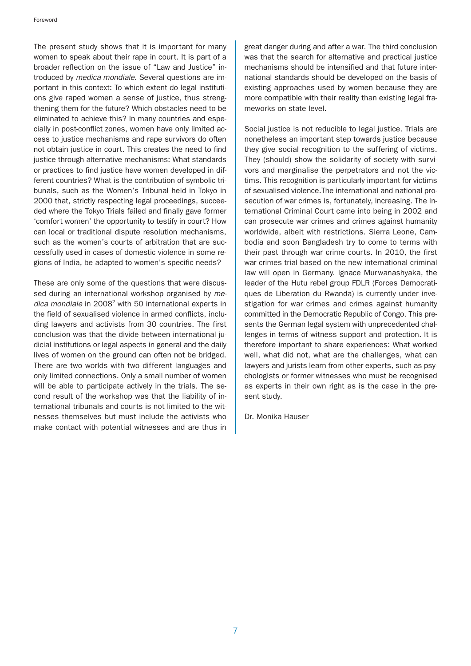The present study shows that it is important for many women to speak about their rape in court. It is part of a broader reflection on the issue of "Law and Justice" introduced by medica mondiale. Several questions are important in this context: To which extent do legal institutions give raped women a sense of justice, thus strengthening them for the future? Which obstacles need to be eliminated to achieve this? In many countries and especially in post-conflict zones, women have only limited access to justice mechanisms and rape survivors do often not obtain justice in court. This creates the need to find justice through alternative mechanisms: What standards or practices to find justice have women developed in different countries? What is the contribution of symbolic tribunals, such as the Women's Tribunal held in Tokyo in 2000 that, strictly respecting legal proceedings, succeeded where the Tokyo Trials failed and finally gave former 'comfort women' the opportunity to testify in court? How can local or traditional dispute resolution mechanisms, such as the women's courts of arbitration that are successfully used in cases of domestic violence in some regions of India, be adapted to women's specific needs?

These are only some of the questions that were discussed during an international workshop organised by medica mondiale in  $2008<sup>2</sup>$  with 50 international experts in the field of sexualised violence in armed conflicts, including lawyers and activists from 30 countries. The first conclusion was that the divide between international judicial institutions or legal aspects in general and the daily lives of women on the ground can often not be bridged. There are two worlds with two different languages and only limited connections. Only a small number of women will be able to participate actively in the trials. The second result of the workshop was that the liability of international tribunals and courts is not limited to the witnesses themselves but must include the activists who make contact with potential witnesses and are thus in

great danger during and after a war. The third conclusion was that the search for alternative and practical justice mechanisms should be intensified and that future international standards should be developed on the basis of existing approaches used by women because they are more compatible with their reality than existing legal frameworks on state level.

Social justice is not reducible to legal justice. Trials are nonetheless an important step towards justice because they give social recognition to the suffering of victims. They (should) show the solidarity of society with survivors and marginalise the perpetrators and not the victims. This recognition is particularly important for victims of sexualised violence.The international and national prosecution of war crimes is, fortunately, increasing. The International Criminal Court came into being in 2002 and can prosecute war crimes and crimes against humanity worldwide, albeit with restrictions. Sierra Leone, Cambodia and soon Bangladesh try to come to terms with their past through war crime courts. In 2010, the first war crimes trial based on the new international criminal law will open in Germany. Ignace Murwanashyaka, the leader of the Hutu rebel group FDLR (Forces Democratiques de Liberation du Rwanda) is currently under investigation for war crimes and crimes against humanity committed in the Democratic Republic of Congo. This presents the German legal system with unprecedented challenges in terms of witness support and protection. It is therefore important to share experiences: What worked well, what did not, what are the challenges, what can lawyers and jurists learn from other experts, such as psychologists or former witnesses who must be recognised as experts in their own right as is the case in the present study.

Dr. Monika Hauser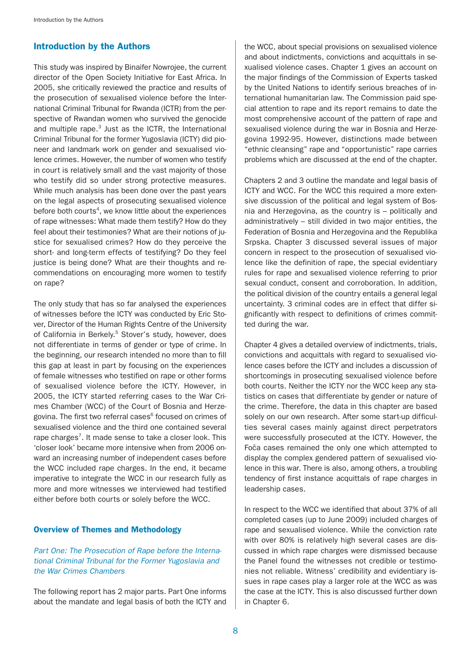# Introduction by the Authors

This study was inspired by Binaifer Nowrojee, the current director of the Open Society Initiative for East Africa. In 2005, she critically reviewed the practice and results of the prosecution of sexualised violence before the International Criminal Tribunal for Rwanda (ICTR) from the perspective of Rwandan women who survived the genocide and multiple rape. $3$  Just as the ICTR, the International Criminal Tribunal for the former Yugoslavia (ICTY) did pioneer and landmark work on gender and sexualised violence crimes. However, the number of women who testify in court is relatively small and the vast majority of those who testify did so under strong protective measures. While much analysis has been done over the past years on the legal aspects of prosecuting sexualised violence before both courts<sup>4</sup>, we know little about the experiences of rape witnesses: What made them testify? How do they feel about their testimonies? What are their notions of justice for sexualised crimes? How do they perceive the short- and long-term effects of testifying? Do they feel justice is being done? What are their thoughts and recommendations on encouraging more women to testify on rape?

The only study that has so far analysed the experiences of witnesses before the ICTY was conducted by Eric Stover, Director of the Human Rights Centre of the University of California in Berkely.<sup>5</sup> Stover's study, however, does not differentiate in terms of gender or type of crime. In the beginning, our research intended no more than to fill this gap at least in part by focusing on the experiences of female witnesses who testified on rape or other forms of sexualised violence before the ICTY. However, in 2005, the ICTY started referring cases to the War Crimes Chamber (WCC) of the Court of Bosnia and Herzegovina. The first two referral cases<sup>6</sup> focused on crimes of sexualised violence and the third one contained several rape charges<sup>7</sup>. It made sense to take a closer look. This 'closer look' became more intensive when from 2006 onward an increasing number of independent cases before the WCC included rape charges. In the end, it became imperative to integrate the WCC in our research fully as more and more witnesses we interviewed had testified either before both courts or solely before the WCC.

### Overview of Themes and Methodology

# Part One: The Prosecution of Rape before the International Criminal Tribunal for the Former Yugoslavia and the War Crimes Chambers

The following report has 2 major parts. Part One informs about the mandate and legal basis of both the ICTY and the WCC, about special provisions on sexualised violence and about indictments, convictions and acquittals in sexualised violence cases. Chapter 1 gives an account on the major findings of the Commission of Experts tasked by the United Nations to identify serious breaches of international humanitarian law. The Commission paid special attention to rape and its report remains to date the most comprehensive account of the pattern of rape and sexualised violence during the war in Bosnia and Herzegovina 1992-95. However, distinctions made between "ethnic cleansing" rape and "opportunistic" rape carries problems which are discussed at the end of the chapter.

Chapters 2 and 3 outline the mandate and legal basis of ICTY and WCC. For the WCC this required a more extensive discussion of the political and legal system of Bosnia and Herzegovina, as the country is – politically and administratively – still divided in two major entities, the Federation of Bosnia and Herzegovina and the Republika Srpska. Chapter 3 discussed several issues of major concern in respect to the prosecution of sexualised violence like the definition of rape, the special evidentiary rules for rape and sexualised violence referring to prior sexual conduct, consent and corroboration. In addition, the political division of the country entails a general legal uncertainty. 3 criminal codes are in effect that differ significantly with respect to definitions of crimes committed during the war.

Chapter 4 gives a detailed overview of indictments, trials, convictions and acquittals with regard to sexualised violence cases before the ICTY and includes a discussion of shortcomings in prosecuting sexualised violence before both courts. Neither the ICTY nor the WCC keep any statistics on cases that differentiate by gender or nature of the crime. Therefore, the data in this chapter are based solely on our own research. After some start-up difficulties several cases mainly against direct perpetrators were successfully prosecuted at the ICTY. However, the Foča cases remained the only one which attempted to display the complex gendered pattern of sexualised violence in this war. There is also, among others, a troubling tendency of first instance acquittals of rape charges in leadership cases.

In respect to the WCC we identified that about 37% of all completed cases (up to June 2009) included charges of rape and sexualised violence. While the conviction rate with over 80% is relatively high several cases are discussed in which rape charges were dismissed because the Panel found the witnesses not credible or testimonies not reliable. Witness' credibility and evidentiary issues in rape cases play a larger role at the WCC as was the case at the ICTY. This is also discussed further down in Chapter 6.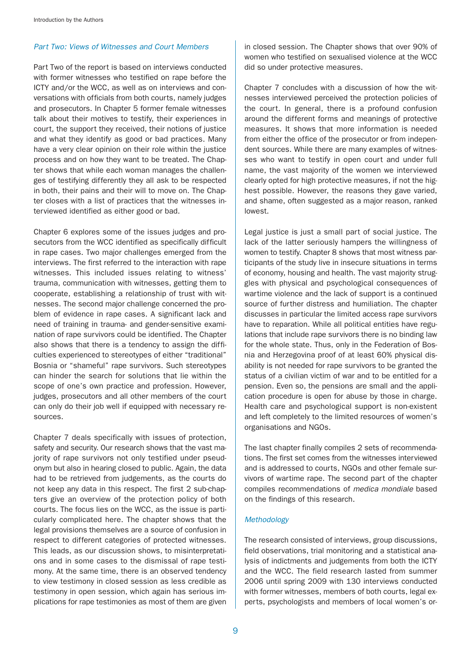### Part Two: Views of Witnesses and Court Members

Part Two of the report is based on interviews conducted with former witnesses who testified on rape before the ICTY and/or the WCC, as well as on interviews and conversations with officials from both courts, namely judges and prosecutors. In Chapter 5 former female witnesses talk about their motives to testify, their experiences in court, the support they received, their notions of justice and what they identify as good or bad practices. Many have a very clear opinion on their role within the justice process and on how they want to be treated. The Chapter shows that while each woman manages the challenges of testifying differently they all ask to be respected in both, their pains and their will to move on. The Chapter closes with a list of practices that the witnesses interviewed identified as either good or bad.

Chapter 6 explores some of the issues judges and prosecutors from the WCC identified as specifically difficult in rape cases. Two major challenges emerged from the interviews. The first referred to the interaction with rape witnesses. This included issues relating to witness' trauma, communication with witnesses, getting them to cooperate, establishing a relationship of trust with witnesses. The second major challenge concerned the problem of evidence in rape cases. A significant lack and need of training in trauma- and gender-sensitive examination of rape survivors could be identified. The Chapter also shows that there is a tendency to assign the difficulties experienced to stereotypes of either "traditional" Bosnia or "shameful" rape survivors. Such stereotypes can hinder the search for solutions that lie within the scope of one's own practice and profession. However, judges, prosecutors and all other members of the court can only do their job well if equipped with necessary resources.

Chapter 7 deals specifically with issues of protection, safety and security. Our research shows that the vast majority of rape survivors not only testified under pseudonym but also in hearing closed to public. Again, the data had to be retrieved from judgements, as the courts do not keep any data in this respect. The first 2 sub-chapters give an overview of the protection policy of both courts. The focus lies on the WCC, as the issue is particularly complicated here. The chapter shows that the legal provisions themselves are a source of confusion in respect to different categories of protected witnesses. This leads, as our discussion shows, to misinterpretations and in some cases to the dismissal of rape testimony. At the same time, there is an observed tendency to view testimony in closed session as less credible as testimony in open session, which again has serious implications for rape testimonies as most of them are given

in closed session. The Chapter shows that over 90% of women who testified on sexualised violence at the WCC did so under protective measures.

Chapter 7 concludes with a discussion of how the witnesses interviewed perceived the protection policies of the court. In general, there is a profound confusion around the different forms and meanings of protective measures. It shows that more information is needed from either the office of the prosecutor or from independent sources. While there are many examples of witnesses who want to testify in open court and under full name, the vast majority of the women we interviewed clearly opted for high protective measures, if not the highest possible. However, the reasons they gave varied, and shame, often suggested as a major reason, ranked lowest.

Legal justice is just a small part of social justice. The lack of the latter seriously hampers the willingness of women to testify. Chapter 8 shows that most witness participants of the study live in insecure situations in terms of economy, housing and health. The vast majority struggles with physical and psychological consequences of wartime violence and the lack of support is a continued source of further distress and humiliation. The chapter discusses in particular the limited access rape survivors have to reparation. While all political entities have regulations that include rape survivors there is no binding law for the whole state. Thus, only in the Federation of Bosnia and Herzegovina proof of at least 60% physical disability is not needed for rape survivors to be granted the status of a civilian victim of war and to be entitled for a pension. Even so, the pensions are small and the application procedure is open for abuse by those in charge. Health care and psychological support is non-existent and left completely to the limited resources of women's organisations and NGOs.

The last chapter finally compiles 2 sets of recommendations. The first set comes from the witnesses interviewed and is addressed to courts, NGOs and other female survivors of wartime rape. The second part of the chapter compiles recommendations of medica mondiale based on the findings of this research.

#### Methodology

The research consisted of interviews, group discussions, field observations, trial monitoring and a statistical analysis of indictments and judgements from both the ICTY and the WCC. The field research lasted from summer 2006 until spring 2009 with 130 interviews conducted with former witnesses, members of both courts, legal experts, psychologists and members of local women's or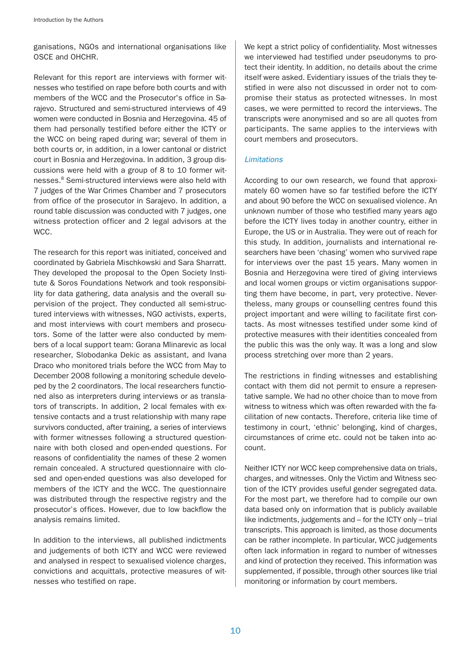ganisations, NGOs and international organisations like OSCE and OHCHR.

Relevant for this report are interviews with former witnesses who testified on rape before both courts and with members of the WCC and the Prosecutor's office in Sarajevo. Structured and semi-structured interviews of 49 women were conducted in Bosnia and Herzegovina. 45 of them had personally testified before either the ICTY or the WCC on being raped during war; several of them in both courts or, in addition, in a lower cantonal or district court in Bosnia and Herzegovina. In addition, 3 group discussions were held with a group of 8 to 10 former witnesses.8 Semi-structured interviews were also held with 7 judges of the War Crimes Chamber and 7 prosecutors from office of the prosecutor in Sarajevo. In addition, a round table discussion was conducted with 7 judges, one witness protection officer and 2 legal advisors at the WCC.

The research for this report was initiated, conceived and coordinated by Gabriela Mischkowski and Sara Sharratt. They developed the proposal to the Open Society Institute & Soros Foundations Network and took responsibility for data gathering, data analysis and the overall supervision of the project. They conducted all semi-structured interviews with witnesses, NGO activists, experts, and most interviews with court members and prosecutors. Some of the latter were also conducted by members of a local support team: Gorana Mlinarevic as local researcher, Slobodanka Dekic as assistant, and Ivana Draco who monitored trials before the WCC from May to December 2008 following a monitoring schedule developed by the 2 coordinators. The local researchers functioned also as interpreters during interviews or as translators of transcripts. In addition, 2 local females with extensive contacts and a trust relationship with many rape survivors conducted, after training, a series of interviews with former witnesses following a structured questionnaire with both closed and open-ended questions. For reasons of confidentiality the names of these 2 women remain concealed. A structured questionnaire with closed and open-ended questions was also developed for members of the ICTY and the WCC. The questionnaire was distributed through the respective registry and the prosecutor's offices. However, due to low backflow the analysis remains limited.

In addition to the interviews, all published indictments and judgements of both ICTY and WCC were reviewed and analysed in respect to sexualised violence charges, convictions and acquittals, protective measures of witnesses who testified on rape.

We kept a strict policy of confidentiality. Most witnesses we interviewed had testified under pseudonyms to protect their identity. In addition, no details about the crime itself were asked. Evidentiary issues of the trials they testified in were also not discussed in order not to compromise their status as protected witnesses. In most cases, we were permitted to record the interviews. The transcripts were anonymised and so are all quotes from participants. The same applies to the interviews with court members and prosecutors.

## **Limitations**

According to our own research, we found that approximately 60 women have so far testified before the ICTY and about 90 before the WCC on sexualised violence. An unknown number of those who testified many years ago before the ICTY lives today in another country, either in Europe, the US or in Australia. They were out of reach for this study. In addition, journalists and international researchers have been 'chasing' women who survived rape for interviews over the past 15 years. Many women in Bosnia and Herzegovina were tired of giving interviews and local women groups or victim organisations supporting them have become, in part, very protective. Nevertheless, many groups or counselling centres found this project important and were willing to facilitate first contacts. As most witnesses testified under some kind of protective measures with their identities concealed from the public this was the only way. It was a long and slow process stretching over more than 2 years.

The restrictions in finding witnesses and establishing contact with them did not permit to ensure a representative sample. We had no other choice than to move from witness to witness which was often rewarded with the facilitation of new contacts. Therefore, criteria like time of testimony in court, 'ethnic' belonging, kind of charges, circumstances of crime etc. could not be taken into account.

Neither ICTY nor WCC keep comprehensive data on trials, charges, and witnesses. Only the Victim and Witness section of the ICTY provides useful gender segregated data. For the most part, we therefore had to compile our own data based only on information that is publicly available like indictments, judgements and – for the ICTY only – trial transcripts. This approach is limited, as those documents can be rather incomplete. In particular, WCC judgements often lack information in regard to number of witnesses and kind of protection they received. This information was supplemented, if possible, through other sources like trial monitoring or information by court members.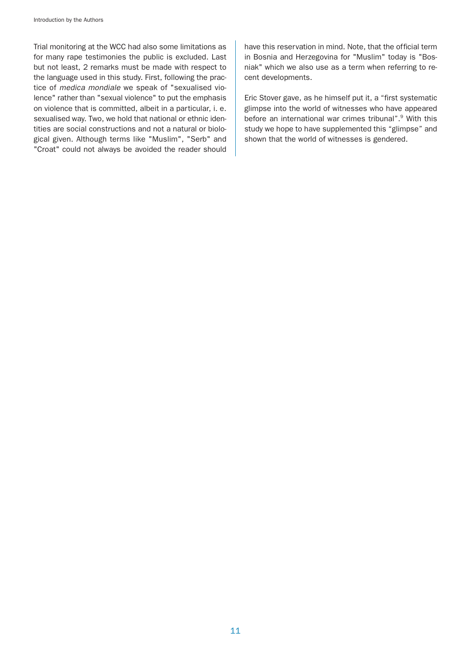Trial monitoring at the WCC had also some limitations as for many rape testimonies the public is excluded. Last but not least, 2 remarks must be made with respect to the language used in this study. First, following the practice of medica mondiale we speak of "sexualised violence" rather than "sexual violence" to put the emphasis on violence that is committed, albeit in a particular, i. e. sexualised way. Two, we hold that national or ethnic identities are social constructions and not a natural or biological given. Although terms like "Muslim", "Serb" and "Croat" could not always be avoided the reader should

have this reservation in mind. Note, that the official term in Bosnia and Herzegovina for "Muslim" today is "Bosniak" which we also use as a term when referring to recent developments.

Eric Stover gave, as he himself put it, a "first systematic glimpse into the world of witnesses who have appeared before an international war crimes tribunal".<sup>9</sup> With this study we hope to have supplemented this "glimpse" and shown that the world of witnesses is gendered.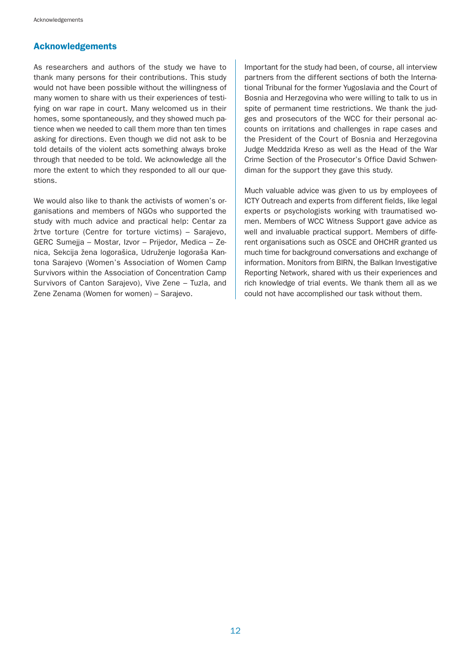# Acknowledgements

As researchers and authors of the study we have to thank many persons for their contributions. This study would not have been possible without the willingness of many women to share with us their experiences of testifying on war rape in court. Many welcomed us in their homes, some spontaneously, and they showed much patience when we needed to call them more than ten times asking for directions. Even though we did not ask to be told details of the violent acts something always broke through that needed to be told. We acknowledge all the more the extent to which they responded to all our questions.

We would also like to thank the activists of women's organisations and members of NGOs who supported the study with much advice and practical help: Centar za žrtve torture (Centre for torture victims) – Sarajevo, GERC Sumejja – Mostar, Izvor – Prijedor, Medica – Zenica, Sekcija žena logorašica, Udruženje logoraša Kantona Sarajevo (Women's Association of Women Camp Survivors within the Association of Concentration Camp Survivors of Canton Sarajevo), Vive Zene – Tuzla, and Zene Zenama (Women for women) – Sarajevo.

Important for the study had been, of course, all interview partners from the different sections of both the International Tribunal for the former Yugoslavia and the Court of Bosnia and Herzegovina who were willing to talk to us in spite of permanent time restrictions. We thank the judges and prosecutors of the WCC for their personal accounts on irritations and challenges in rape cases and the President of the Court of Bosnia and Herzegovina Judge Meddzida Kreso as well as the Head of the War Crime Section of the Prosecutor's Office David Schwendiman for the support they gave this study.

Much valuable advice was given to us by employees of ICTY Outreach and experts from different fields, like legal experts or psychologists working with traumatised women. Members of WCC Witness Support gave advice as well and invaluable practical support. Members of different organisations such as OSCE and OHCHR granted us much time for background conversations and exchange of information. Monitors from BIRN, the Balkan Investigative Reporting Network, shared with us their experiences and rich knowledge of trial events. We thank them all as we could not have accomplished our task without them.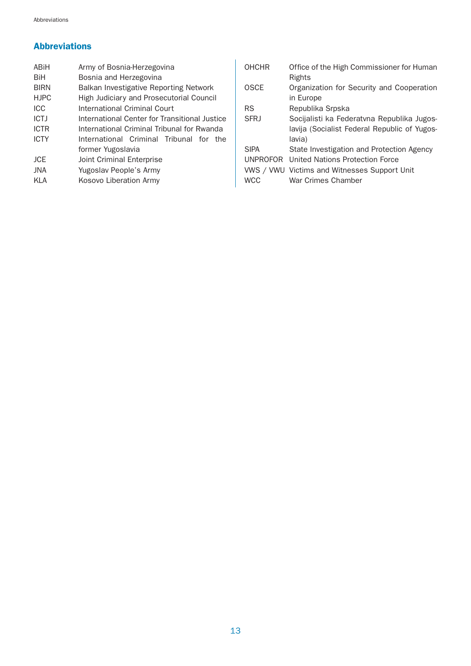# Abbreviations

| ABiH        | Army of Bosnia-Herzegovina                    |  |  |  |  |  |
|-------------|-----------------------------------------------|--|--|--|--|--|
| <b>BiH</b>  | Bosnia and Herzegovina                        |  |  |  |  |  |
| <b>BIRN</b> | Balkan Investigative Reporting Network        |  |  |  |  |  |
| <b>HJPC</b> | High Judiciary and Prosecutorial Council      |  |  |  |  |  |
| <b>ICC</b>  | International Criminal Court                  |  |  |  |  |  |
| <b>ICTJ</b> | International Center for Transitional Justice |  |  |  |  |  |
| <b>ICTR</b> | International Criminal Tribunal for Rwanda    |  |  |  |  |  |
| <b>ICTY</b> | International Criminal Tribunal for the       |  |  |  |  |  |
|             | former Yugoslavia                             |  |  |  |  |  |
| <b>JCE</b>  | Joint Criminal Enterprise                     |  |  |  |  |  |
| <b>JNA</b>  | Yugoslav People's Army                        |  |  |  |  |  |
| KI A        | Kosovo Liberation Army                        |  |  |  |  |  |

| Office of the High Commissioner for Human<br>Rights                |
|--------------------------------------------------------------------|
| Organization for Security and Cooperation<br>in Europe             |
| Republika Srpska                                                   |
| Socijalisti ka Federatvna Republika Jugos-                         |
| lavija (Socialist Federal Republic of Yugos-<br>lavia)             |
| State Investigation and Protection Agency                          |
| United Nations Protection Force                                    |
| VWS / VWU Victims and Witnesses Support Unit<br>War Crimes Chamber |
|                                                                    |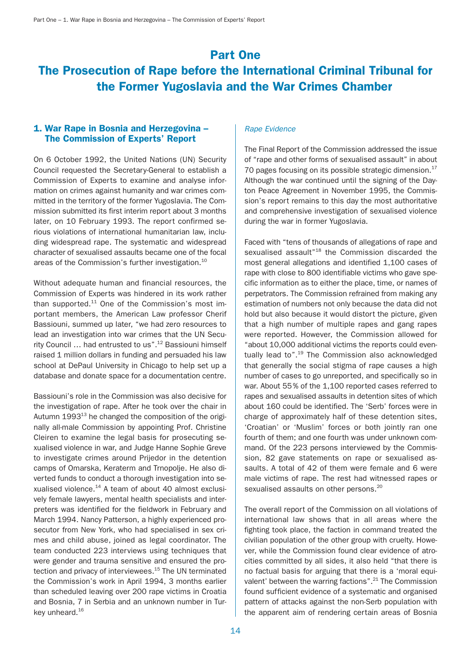# Part One

# The Prosecution of Rape before the International Criminal Tribunal for the Former Yugoslavia and the War Crimes Chamber

# 1. War Rape in Bosnia and Herzegovina – The Commission of Experts' Report

On 6 October 1992, the United Nations (UN) Security Council requested the Secretary-General to establish a Commission of Experts to examine and analyse information on crimes against humanity and war crimes committed in the territory of the former Yugoslavia. The Commission submitted its first interim report about 3 months later, on 10 February 1993. The report confirmed serious violations of international humanitarian law, including widespread rape. The systematic and widespread character of sexualised assaults became one of the focal areas of the Commission's further investigation.<sup>10</sup>

Without adequate human and financial resources, the Commission of Experts was hindered in its work rather than supported. $11$  One of the Commission's most important members, the American Law professor Cherif Bassiouni, summed up later, "we had zero resources to lead an investigation into war crimes that the UN Security Council … had entrusted to us".12 Bassiouni himself raised 1 million dollars in funding and persuaded his law school at DePaul University in Chicago to help set up a database and donate space for a documentation centre.

Bassiouni's role in the Commission was also decisive for the investigation of rape. After he took over the chair in Autumn  $1993^{13}$  he changed the composition of the originally all-male Commission by appointing Prof. Christine Cleiren to examine the legal basis for prosecuting sexualised violence in war, and Judge Hanne Sophie Greve to investigate crimes around Prijedor in the detention camps of Omarska, Keraterm and Trnopolje. He also diverted funds to conduct a thorough investigation into sexualised violence.14 A team of about 40 almost exclusively female lawyers, mental health specialists and interpreters was identified for the fieldwork in February and March 1994. Nancy Patterson, a highly experienced prosecutor from New York, who had specialised in sex crimes and child abuse, joined as legal coordinator. The team conducted 223 interviews using techniques that were gender and trauma sensitive and ensured the protection and privacy of interviewees.<sup>15</sup> The UN terminated the Commission's work in April 1994, 3 months earlier than scheduled leaving over 200 rape victims in Croatia and Bosnia, 7 in Serbia and an unknown number in Turkey unheard.<sup>16</sup>

#### Rape Evidence

The Final Report of the Commission addressed the issue of "rape and other forms of sexualised assault" in about 70 pages focusing on its possible strategic dimension. $17$ Although the war continued until the signing of the Dayton Peace Agreement in November 1995, the Commission's report remains to this day the most authoritative and comprehensive investigation of sexualised violence during the war in former Yugoslavia.

Faced with "tens of thousands of allegations of rape and sexualised assault<sup>"18</sup> the Commission discarded the most general allegations and identified 1,100 cases of rape with close to 800 identifiable victims who gave specific information as to either the place, time, or names of perpetrators. The Commission refrained from making any estimation of numbers not only because the data did not hold but also because it would distort the picture, given that a high number of multiple rapes and gang rapes were reported. However, the Commission allowed for "about 10,000 additional victims the reports could eventually lead to".<sup>19</sup> The Commission also acknowledged that generally the social stigma of rape causes a high number of cases to go unreported, and specifically so in war. About 55% of the 1,100 reported cases referred to rapes and sexualised assaults in detention sites of which about 160 could be identified. The 'Serb' forces were in charge of approximately half of these detention sites, 'Croatian' or 'Muslim' forces or both jointly ran one fourth of them; and one fourth was under unknown command. Of the 223 persons interviewed by the Commission, 82 gave statements on rape or sexualised assaults. A total of 42 of them were female and 6 were male victims of rape. The rest had witnessed rapes or sexualised assaults on other persons.<sup>20</sup>

The overall report of the Commission on all violations of international law shows that in all areas where the fighting took place, the faction in command treated the civilian population of the other group with cruelty. However, while the Commission found clear evidence of atrocities committed by all sides, it also held "that there is no factual basis for arguing that there is a 'moral equivalent' between the warring factions".<sup>21</sup> The Commission found sufficient evidence of a systematic and organised pattern of attacks against the non-Serb population with the apparent aim of rendering certain areas of Bosnia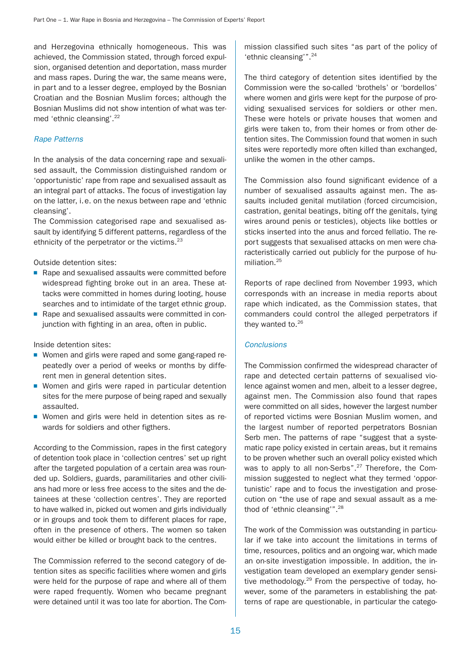and Herzegovina ethnically homogeneous. This was achieved, the Commission stated, through forced expulsion, organised detention and deportation, mass murder and mass rapes. During the war, the same means were, in part and to a lesser degree, employed by the Bosnian Croatian and the Bosnian Muslim forces; although the Bosnian Muslims did not show intention of what was termed 'ethnic cleansing'.22

## Rape Patterns

In the analysis of the data concerning rape and sexualised assault, the Commission distinguished random or 'opportunistic' rape from rape and sexualised assault as an integral part of attacks. The focus of investigation lay on the latter, i.e. on the nexus between rape and 'ethnic cleansing'.

The Commission categorised rape and sexualised assault by identifying 5 different patterns, regardless of the ethnicity of the perpetrator or the victims.<sup>23</sup>

Outside detention sites:

- Rape and sexualised assaults were committed before widespread fighting broke out in an area. These attacks were committed in homes during looting, house searches and to intimidate of the target ethnic group.
- Rape and sexualised assaults were committed in conjunction with fighting in an area, often in public.

Inside detention sites:

- Women and girls were raped and some gang-raped repeatedly over a period of weeks or months by different men in general detention sites.
- Women and girls were raped in particular detention sites for the mere purpose of being raped and sexually assaulted.
- Women and girls were held in detention sites as rewards for soldiers and other figthers.

According to the Commission, rapes in the first category of detention took place in 'collection centres' set up right after the targeted population of a certain area was rounded up. Soldiers, guards, paramilitaries and other civilians had more or less free access to the sites and the detainees at these 'collection centres'. They are reported to have walked in, picked out women and girls individually or in groups and took them to different places for rape, often in the presence of others. The women so taken would either be killed or brought back to the centres.

The Commission referred to the second category of detention sites as specific facilities where women and girls were held for the purpose of rape and where all of them were raped frequently. Women who became pregnant were detained until it was too late for abortion. The Commission classified such sites "as part of the policy of 'ethnic cleansing'".<sup>24</sup>

The third category of detention sites identified by the Commission were the so-called 'brothels' or 'bordellos' where women and girls were kept for the purpose of providing sexualised services for soldiers or other men. These were hotels or private houses that women and girls were taken to, from their homes or from other detention sites. The Commission found that women in such sites were reportedly more often killed than exchanged, unlike the women in the other camps.

The Commission also found significant evidence of a number of sexualised assaults against men. The assaults included genital mutilation (forced circumcision, castration, genital beatings, biting off the genitals, tying wires around penis or testicles), objects like bottles or sticks inserted into the anus and forced fellatio. The report suggests that sexualised attacks on men were characteristically carried out publicly for the purpose of humiliation.25

Reports of rape declined from November 1993, which corresponds with an increase in media reports about rape which indicated, as the Commission states, that commanders could control the alleged perpetrators if they wanted to.<sup>26</sup>

# **Conclusions**

The Commission confirmed the widespread character of rape and detected certain patterns of sexualised violence against women and men, albeit to a lesser degree, against men. The Commission also found that rapes were committed on all sides, however the largest number of reported victims were Bosnian Muslim women, and the largest number of reported perpetrators Bosnian Serb men. The patterns of rape "suggest that a systematic rape policy existed in certain areas, but it remains to be proven whether such an overall policy existed which was to apply to all non-Serbs".<sup>27</sup> Therefore, the Commission suggested to neglect what they termed 'opportunistic' rape and to focus the investigation and prosecution on "the use of rape and sexual assault as a method of 'ethnic cleansing'".<sup>28</sup>

The work of the Commission was outstanding in particular if we take into account the limitations in terms of time, resources, politics and an ongoing war, which made an on-site investigation impossible. In addition, the investigation team developed an exemplary gender sensitive methodology.<sup>29</sup> From the perspective of today, however, some of the parameters in establishing the patterns of rape are questionable, in particular the catego-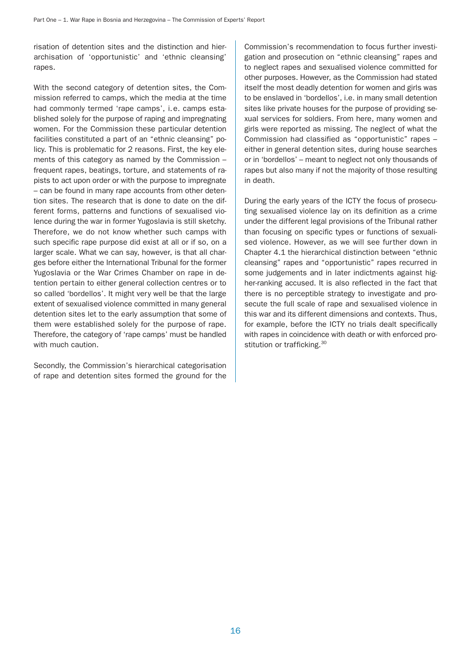risation of detention sites and the distinction and hierarchisation of 'opportunistic' and 'ethnic cleansing' rapes.

With the second category of detention sites, the Commission referred to camps, which the media at the time had commonly termed 'rape camps', i.e. camps established solely for the purpose of raping and impregnating women. For the Commission these particular detention facilities constituted a part of an "ethnic cleansing" policy. This is problematic for 2 reasons. First, the key elements of this category as named by the Commission – frequent rapes, beatings, torture, and statements of rapists to act upon order or with the purpose to impregnate – can be found in many rape accounts from other detention sites. The research that is done to date on the different forms, patterns and functions of sexualised violence during the war in former Yugoslavia is still sketchy. Therefore, we do not know whether such camps with such specific rape purpose did exist at all or if so, on a larger scale. What we can say, however, is that all charges before either the International Tribunal for the former Yugoslavia or the War Crimes Chamber on rape in detention pertain to either general collection centres or to so called 'bordellos'. It might very well be that the large extent of sexualised violence committed in many general detention sites let to the early assumption that some of them were established solely for the purpose of rape. Therefore, the category of 'rape camps' must be handled with much caution.

Secondly, the Commission's hierarchical categorisation of rape and detention sites formed the ground for the

Commission's recommendation to focus further investigation and prosecution on "ethnic cleansing" rapes and to neglect rapes and sexualised violence committed for other purposes. However, as the Commission had stated itself the most deadly detention for women and girls was to be enslaved in 'bordellos', i.e. in many small detention sites like private houses for the purpose of providing sexual services for soldiers. From here, many women and girls were reported as missing. The neglect of what the Commission had classified as "opportunistic" rapes – either in general detention sites, during house searches or in 'bordellos' – meant to neglect not only thousands of rapes but also many if not the majority of those resulting in death.

During the early years of the ICTY the focus of prosecuting sexualised violence lay on its definition as a crime under the different legal provisions of the Tribunal rather than focusing on specific types or functions of sexualised violence. However, as we will see further down in Chapter 4.1 the hierarchical distinction between "ethnic cleansing" rapes and "opportunistic" rapes recurred in some judgements and in later indictments against higher-ranking accused. It is also reflected in the fact that there is no perceptible strategy to investigate and prosecute the full scale of rape and sexualised violence in this war and its different dimensions and contexts. Thus, for example, before the ICTY no trials dealt specifically with rapes in coincidence with death or with enforced prostitution or trafficking.<sup>30</sup>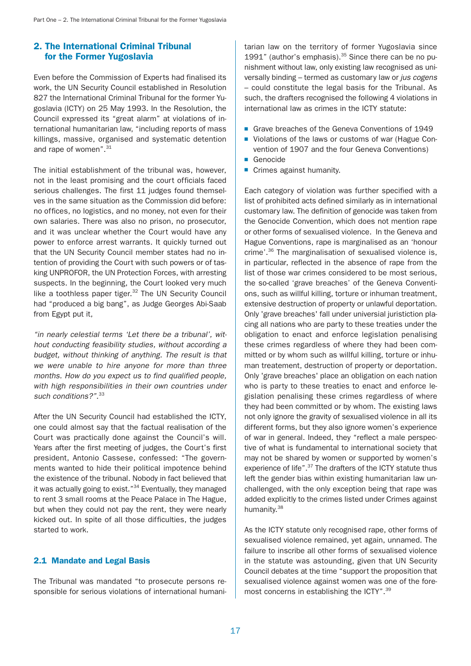# 2. The International Criminal Tribunal for the Former Yugoslavia

Even before the Commission of Experts had finalised its work, the UN Security Council established in Resolution 827 the International Criminal Tribunal for the former Yugoslavia (ICTY) on 25 May 1993. In the Resolution, the Council expressed its "great alarm" at violations of international humanitarian law, "including reports of mass killings, massive, organised and systematic detention and rape of women".<sup>31</sup>

The initial establishment of the tribunal was, however, not in the least promising and the court officials faced serious challenges. The first 11 judges found themselves in the same situation as the Commission did before: no offices, no logistics, and no money, not even for their own salaries. There was also no prison, no prosecutor, and it was unclear whether the Court would have any power to enforce arrest warrants. It quickly turned out that the UN Security Council member states had no intention of providing the Court with such powers or of tasking UNPROFOR, the UN Protection Forces, with arresting suspects. In the beginning, the Court looked very much like a toothless paper tiger.<sup>32</sup> The UN Security Council had "produced a big bang", as Judge Georges Abi-Saab from Egypt put it,

"in nearly celestial terms 'Let there be a tribunal', without conducting feasibility studies, without according a budget, without thinking of anything. The result is that we were unable to hire anyone for more than three months. How do you expect us to find qualified people, with high responsibilities in their own countries under such conditions?".<sup>33</sup>

After the UN Security Council had established the ICTY, one could almost say that the factual realisation of the Court was practically done against the Council's will. Years after the first meeting of judges, the Court's first president, Antonio Cassese, confessed: "The governments wanted to hide their political impotence behind the existence of the tribunal. Nobody in fact believed that it was actually going to exist."<sup>34</sup> Eventually, they managed to rent 3 small rooms at the Peace Palace in The Hague, but when they could not pay the rent, they were nearly kicked out. In spite of all those difficulties, the judges started to work.

### 2.1 Mandate and Legal Basis

The Tribunal was mandated "to prosecute persons responsible for serious violations of international humanitarian law on the territory of former Yugoslavia since 1991" (author's emphasis). $35$  Since there can be no punishment without law, only existing law recognised as universally binding – termed as customary law or jus cogens – could constitute the legal basis for the Tribunal. As such, the drafters recognised the following 4 violations in international law as crimes in the ICTY statute:

- Grave breaches of the Geneva Conventions of 1949
- Violations of the laws or customs of war (Hague Convention of 1907 and the four Geneva Conventions)
- Genocide
- Crimes against humanity.

Each category of violation was further specified with a list of prohibited acts defined similarly as in international customary law. The definition of genocide was taken from the Genocide Convention, which does not mention rape or other forms of sexualised violence. In the Geneva and Hague Conventions, rape is marginalised as an 'honour crime'.36 The marginalisation of sexualised violence is, in particular, reflected in the absence of rape from the list of those war crimes considered to be most serious, the so-called 'grave breaches' of the Geneva Conventions, such as willful killing, torture or inhuman treatment, extensive destruction of property or unlawful deportation. Only 'grave breaches' fall under universial juristiction placing all nations who are party to these treaties under the obligation to enact and enforce legislation penalising these crimes regardless of where they had been committed or by whom such as willful killing, torture or inhuman treatement, destruction of property or deportation. Only 'grave breaches' place an obligation on each nation who is party to these treaties to enact and enforce legislation penalising these crimes regardless of where they had been committed or by whom. The existing laws not only ignore the gravity of sexualised violence in all its different forms, but they also ignore women's experience of war in general. Indeed, they "reflect a male perspective of what is fundamental to international society that may not be shared by women or supported by women's experience of life".<sup>37</sup> The drafters of the ICTY statute thus left the gender bias within existing humanitarian law unchallenged, with the only exception being that rape was added explicitly to the crimes listed under Crimes against humanity.<sup>38</sup>

As the ICTY statute only recognised rape, other forms of sexualised violence remained, yet again, unnamed. The failure to inscribe all other forms of sexualised violence in the statute was astounding, given that UN Security Council debates at the time "support the proposition that sexualised violence against women was one of the foremost concerns in establishing the ICTY".39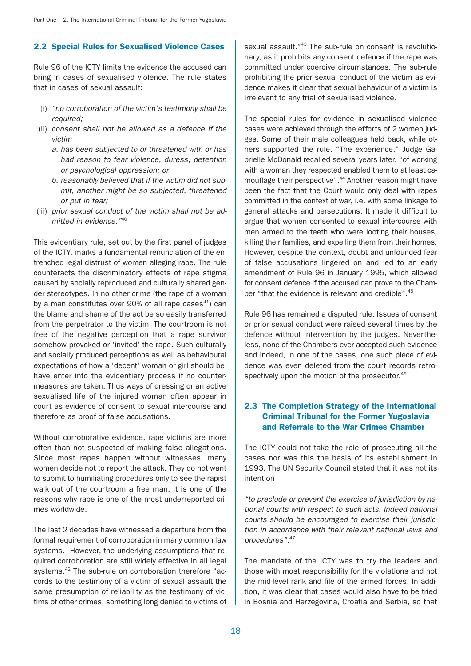# 2.2 Special Rules for Sexualised Violence Cases

Rule 96 of the ICTY limits the evidence the accused can bring in cases of sexualised violence. The rule states that in cases of sexual assault:

- (i) "no corroboration of the victim's testimony shall be required;
- (ii) consent shall not be allowed as a defence if the victim
	- a. has been subjected to or threatened with or has had reason to fear violence, duress, detention or psychological oppression; or
	- b. reasonably believed that if the victim did not submit, another might be so subjected, threatened or put in fear;
- (iii) prior sexual conduct of the victim shall not be admitted in evidence."<sup>40</sup>

This evidentiary rule, set out by the first panel of judges of the ICTY, marks a fundamental renunciation of the entrenched legal distrust of women alleging rape. The rule counteracts the discriminatory effects of rape stigma caused by socially reproduced and culturally shared gender stereotypes. In no other crime (the rape of a woman by a man constitutes over 90% of all rape cases $41$ ) can the blame and shame of the act be so easily transferred from the perpetrator to the victim. The courtroom is not free of the negative perception that a rape survivor somehow provoked or 'invited' the rape. Such culturally and socially produced perceptions as well as behavioural expectations of how a 'decent' woman or girl should behave enter into the evidentiary process if no countermeasures are taken. Thus ways of dressing or an active sexualised life of the injured woman often appear in court as evidence of consent to sexual intercourse and therefore as proof of false accusations.

Without corroborative evidence, rape victims are more often than not suspected of making false allegations. Since most rapes happen without witnesses, many women decide not to report the attack. They do not want to submit to humiliating procedures only to see the rapist walk out of the courtroom a free man. It is one of the reasons why rape is one of the most underreported crimes worldwide.

The last 2 decades have witnessed a departure from the formal requirement of corroboration in many common law systems. However, the underlying assumptions that required corroboration are still widely effective in all legal systems.42 The sub-rule on corroboration therefore "accords to the testimony of a victim of sexual assault the same presumption of reliability as the testimony of victims of other crimes, something long denied to victims of sexual assault."<sup>43</sup> The sub-rule on consent is revolutionary, as it prohibits any consent defence if the rape was committed under coercive circumstances. The sub-rule prohibiting the prior sexual conduct of the victim as evidence makes it clear that sexual behaviour of a victim is irrelevant to any trial of sexualised violence.

The special rules for evidence in sexualised violence cases were achieved through the efforts of 2 women judges. Some of their male colleagues held back, while others supported the rule. "The experience," Judge Gabrielle McDonald recalled several years later, "of working with a woman they respected enabled them to at least camouflage their perspective".<sup>44</sup> Another reason might have been the fact that the Court would only deal with rapes committed in the context of war, i.e. with some linkage to general attacks and persecutions. It made it difficult to argue that women consented to sexual intercourse with men armed to the teeth who were looting their houses, killing their families, and expelling them from their homes. However, despite the context, doubt and unfounded fear of false accusations lingered on and led to an early amendment of Rule 96 in January 1995, which allowed for consent defence if the accused can prove to the Chamber "that the evidence is relevant and credible".45

Rule 96 has remained a disputed rule. Issues of consent or prior sexual conduct were raised several times by the defence without intervention by the judges. Nevertheless, none of the Chambers ever accepted such evidence and indeed, in one of the cases, one such piece of evidence was even deleted from the court records retrospectively upon the motion of the prosecutor.<sup>46</sup>

# 2.3 The Completion Strategy of the International Criminal Tribunal for the Former Yugoslavia and Referrals to the War Crimes Chamber

The ICTY could not take the role of prosecuting all the cases nor was this the basis of its establishment in 1993. The UN Security Council stated that it was not its intention

"to preclude or prevent the exercise of jurisdiction by national courts with respect to such acts. Indeed national courts should be encouraged to exercise their jurisdiction in accordance with their relevant national laws and procedures".<sup>47</sup>

The mandate of the ICTY was to try the leaders and those with most responsibility for the violations and not the mid-level rank and file of the armed forces. In addition, it was clear that cases would also have to be tried in Bosnia and Herzegovina, Croatia and Serbia, so that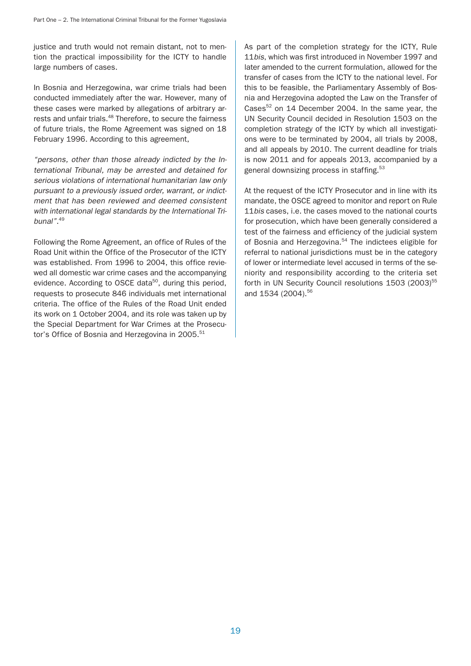justice and truth would not remain distant, not to mention the practical impossibility for the ICTY to handle large numbers of cases.

In Bosnia and Herzegowina, war crime trials had been conducted immediately after the war. However, many of these cases were marked by allegations of arbitrary arrests and unfair trials.<sup>48</sup> Therefore, to secure the fairness of future trials, the Rome Agreement was signed on 18 February 1996. According to this agreement,

"persons, other than those already indicted by the International Tribunal, may be arrested and detained for serious violations of international humanitarian law only pursuant to a previously issued order, warrant, or indictment that has been reviewed and deemed consistent with international legal standards by the International Tribunal".<sup>49</sup>

Following the Rome Agreement, an office of Rules of the Road Unit within the Office of the Prosecutor of the ICTY was established. From 1996 to 2004, this office reviewed all domestic war crime cases and the accompanying evidence. According to OSCE data<sup>50</sup>, during this period, requests to prosecute 846 individuals met international criteria. The office of the Rules of the Road Unit ended its work on 1 October 2004, and its role was taken up by the Special Department for War Crimes at the Prosecutor's Office of Bosnia and Herzegovina in 2005.<sup>51</sup>

As part of the completion strategy for the ICTY, Rule 11bis, which was first introduced in November 1997 and later amended to the current formulation, allowed for the transfer of cases from the ICTY to the national level. For this to be feasible, the Parliamentary Assembly of Bosnia and Herzegovina adopted the Law on the Transfer of Cases $52$  on 14 December 2004. In the same year, the UN Security Council decided in Resolution 1503 on the completion strategy of the ICTY by which all investigations were to be terminated by 2004, all trials by 2008, and all appeals by 2010. The current deadline for trials is now 2011 and for appeals 2013, accompanied by a general downsizing process in staffing.<sup>53</sup>

At the request of the ICTY Prosecutor and in line with its mandate, the OSCE agreed to monitor and report on Rule 11bis cases, i.e. the cases moved to the national courts for prosecution, which have been generally considered a test of the fairness and efficiency of the judicial system of Bosnia and Herzegovina.<sup>54</sup> The indictees eligible for referral to national jurisdictions must be in the category of lower or intermediate level accused in terms of the seniority and responsibility according to the criteria set forth in UN Security Council resolutions 1503 (2003)<sup>55</sup> and 1534 (2004).<sup>56</sup>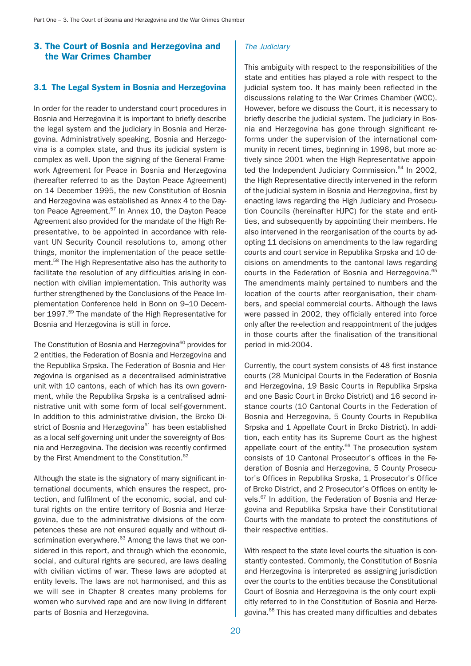# 3. The Court of Bosnia and Herzegovina and the War Crimes Chamber

## 3.1 The Legal System in Bosnia and Herzegovina

In order for the reader to understand court procedures in Bosnia and Herzegovina it is important to briefly describe the legal system and the judiciary in Bosnia and Herzegovina. Administratively speaking, Bosnia and Herzegovina is a complex state, and thus its judicial system is complex as well. Upon the signing of the General Framework Agreement for Peace in Bosnia and Herzegovina (hereafter referred to as the Dayton Peace Agreement) on 14 December 1995, the new Constitution of Bosnia and Herzegovina was established as Annex 4 to the Dayton Peace Agreement.<sup>57</sup> In Annex 10, the Dayton Peace Agreement also provided for the mandate of the High Representative, to be appointed in accordance with relevant UN Security Council resolutions to, among other things, monitor the implementation of the peace settlement.58 The High Representative also has the authority to facilitate the resolution of any difficulties arising in connection with civilian implementation. This authority was further strengthened by the Conclusions of the Peace Implementation Conference held in Bonn on 9–10 December 1997.<sup>59</sup> The mandate of the High Representative for Bosnia and Herzegovina is still in force.

The Constitution of Bosnia and Herzegovina<sup>60</sup> provides for 2 entities, the Federation of Bosnia and Herzegovina and the Republika Srpska. The Federation of Bosnia and Herzegovina is organised as a decentralised administrative unit with 10 cantons, each of which has its own government, while the Republika Srpska is a centralised administrative unit with some form of local self-government. In addition to this administrative division, the Brcko District of Bosnia and Herzegovina<sup>61</sup> has been established as a local self-governing unit under the sovereignty of Bosnia and Herzegovina. The decision was recently confirmed by the First Amendment to the Constitution.<sup>62</sup>

Although the state is the signatory of many significant international documents, which ensures the respect, protection, and fulfilment of the economic, social, and cultural rights on the entire territory of Bosnia and Herzegovina, due to the administrative divisions of the competences these are not ensured equally and without discrimination everywhere.<sup>63</sup> Among the laws that we considered in this report, and through which the economic, social, and cultural rights are secured, are laws dealing with civilian victims of war. These laws are adopted at entity levels. The laws are not harmonised, and this as we will see in Chapter 8 creates many problems for women who survived rape and are now living in different parts of Bosnia and Herzegovina.

# The Judiciary

This ambiguity with respect to the responsibilities of the state and entities has played a role with respect to the judicial system too. It has mainly been reflected in the discussions relating to the War Crimes Chamber (WCC). However, before we discuss the Court, it is necessary to briefly describe the judicial system. The judiciary in Bosnia and Herzegovina has gone through significant reforms under the supervision of the international community in recent times, beginning in 1996, but more actively since 2001 when the High Representative appointed the Independent Judiciary Commission. $64$  In 2002, the High Representative directly intervened in the reform of the judicial system in Bosnia and Herzegovina, first by enacting laws regarding the High Judiciary and Prosecution Councils (hereinafter HJPC) for the state and entities, and subsequently by appointing their members. He also intervened in the reorganisation of the courts by adopting 11 decisions on amendments to the law regarding courts and court service in Republika Srpska and 10 decisions on amendments to the cantonal laws regarding courts in the Federation of Bosnia and Herzegovina.<sup>65</sup> The amendments mainly pertained to numbers and the location of the courts after reorganisation, their chambers, and special commercial courts. Although the laws were passed in 2002, they officially entered into force only after the re-election and reappointment of the judges in those courts after the finalisation of the transitional period in mid-2004.

Currently, the court system consists of 48 first instance courts (28 Municipal Courts in the Federation of Bosnia and Herzegovina, 19 Basic Courts in Republika Srpska and one Basic Court in Brcko District) and 16 second instance courts (10 Cantonal Courts in the Federation of Bosnia and Herzegovina, 5 County Courts in Republika Srpska and 1 Appellate Court in Brcko District). In addition, each entity has its Supreme Court as the highest appellate court of the entity.<sup>66</sup> The prosecution system consists of 10 Cantonal Prosecutor's offices in the Federation of Bosnia and Herzegovina, 5 County Prosecutor's Offices in Republika Srpska, 1 Prosecutor's Office of Brcko District, and 2 Prosecutor's Offices on entity levels.67 In addition, the Federation of Bosnia and Herzegovina and Republika Srpska have their Constitutional Courts with the mandate to protect the constitutions of their respective entities.

With respect to the state level courts the situation is constantly contested. Commonly, the Constitution of Bosnia and Herzegovina is interpreted as assigning jurisdiction over the courts to the entities because the Constitutional Court of Bosnia and Herzegovina is the only court explicitly referred to in the Constitution of Bosnia and Herzegovina.68 This has created many difficulties and debates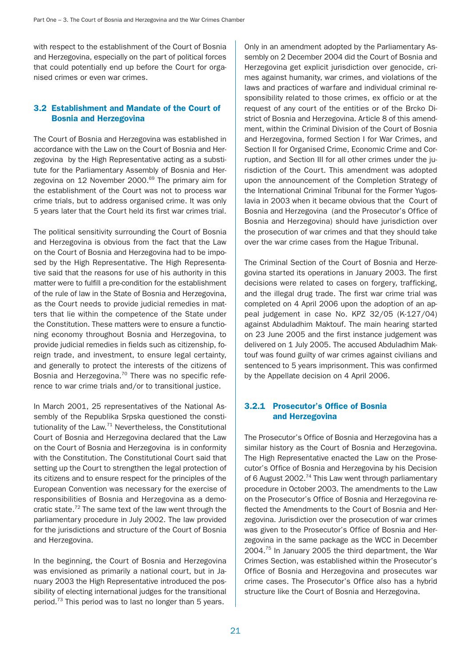with respect to the establishment of the Court of Bosnia and Herzegovina, especially on the part of political forces that could potentially end up before the Court for organised crimes or even war crimes.

# 3.2 Establishment and Mandate of the Court of Bosnia and Herzegovina

The Court of Bosnia and Herzegovina was established in accordance with the Law on the Court of Bosnia and Herzegovina by the High Representative acting as a substitute for the Parliamentary Assembly of Bosnia and Herzegovina on 12 November 2000. $69$  The primary aim for the establishment of the Court was not to process war crime trials, but to address organised crime. It was only 5 years later that the Court held its first war crimes trial.

The political sensitivity surrounding the Court of Bosnia and Herzegovina is obvious from the fact that the Law on the Court of Bosnia and Herzegovina had to be imposed by the High Representative. The High Representative said that the reasons for use of his authority in this matter were to fulfill a pre-condition for the establishment of the rule of law in the State of Bosnia and Herzegovina, as the Court needs to provide judicial remedies in matters that lie within the competence of the State under the Constitution. These matters were to ensure a functioning economy throughout Bosnia and Herzegovina, to provide judicial remedies in fields such as citizenship, foreign trade, and investment, to ensure legal certainty, and generally to protect the interests of the citizens of Bosnia and Herzegovina.<sup>70</sup> There was no specific reference to war crime trials and/or to transitional justice.

In March 2001, 25 representatives of the National Assembly of the Republika Srpska questioned the constitutionality of the Law.<sup>71</sup> Nevertheless, the Constitutional Court of Bosnia and Herzegovina declared that the Law on the Court of Bosnia and Herzegovina is in conformity with the Constitution. The Constitutional Court said that setting up the Court to strengthen the legal protection of its citizens and to ensure respect for the principles of the European Convention was necessary for the exercise of responsibilities of Bosnia and Herzegovina as a democratic state.<sup>72</sup> The same text of the law went through the parliamentary procedure in July 2002. The law provided for the jurisdictions and structure of the Court of Bosnia and Herzegovina.

In the beginning, the Court of Bosnia and Herzegovina was envisioned as primarily a national court, but in January 2003 the High Representative introduced the possibility of electing international judges for the transitional period.73 This period was to last no longer than 5 years.

Only in an amendment adopted by the Parliamentary Assembly on 2 December 2004 did the Court of Bosnia and Herzegovina get explicit jurisdiction over genocide, crimes against humanity, war crimes, and violations of the laws and practices of warfare and individual criminal responsibility related to those crimes, ex officio or at the request of any court of the entities or of the Brcko District of Bosnia and Herzegovina. Article 8 of this amendment, within the Criminal Division of the Court of Bosnia and Herzegovina, formed Section I for War Crimes, and Section II for Organised Crime, Economic Crime and Corruption, and Section III for all other crimes under the jurisdiction of the Court. This amendment was adopted upon the announcement of the Completion Strategy of the International Criminal Tribunal for the Former Yugoslavia in 2003 when it became obvious that the Court of Bosnia and Herzegovina (and the Prosecutor's Office of Bosnia and Herzegovina) should have jurisdiction over the prosecution of war crimes and that they should take over the war crime cases from the Hague Tribunal.

The Criminal Section of the Court of Bosnia and Herzegovina started its operations in January 2003. The first decisions were related to cases on forgery, trafficking, and the illegal drug trade. The first war crime trial was completed on 4 April 2006 upon the adoption of an appeal judgement in case No. KPZ 32/05 (K-127/04) against Abduladhim Maktouf. The main hearing started on 23 June 2005 and the first instance judgement was delivered on 1 July 2005. The accused Abduladhim Maktouf was found guilty of war crimes against civilians and sentenced to 5 years imprisonment. This was confirmed by the Appellate decision on 4 April 2006.

# 3.2.1 Prosecutor's Office of Bosnia and Herzegovina

The Prosecutor's Office of Bosnia and Herzegovina has a similar history as the Court of Bosnia and Herzegovina. The High Representative enacted the Law on the Prosecutor's Office of Bosnia and Herzegovina by his Decision of 6 August 2002.<sup>74</sup> This Law went through parliamentary procedure in October 2003. The amendments to the Law on the Prosecutor's Office of Bosnia and Herzegovina reflected the Amendments to the Court of Bosnia and Herzegovina. Jurisdiction over the prosecution of war crimes was given to the Prosecutor's Office of Bosnia and Herzegovina in the same package as the WCC in December 2004.75 In January 2005 the third department, the War Crimes Section, was established within the Prosecutor's Office of Bosnia and Herzegovina and prosecutes war crime cases. The Prosecutor's Office also has a hybrid structure like the Court of Bosnia and Herzegovina.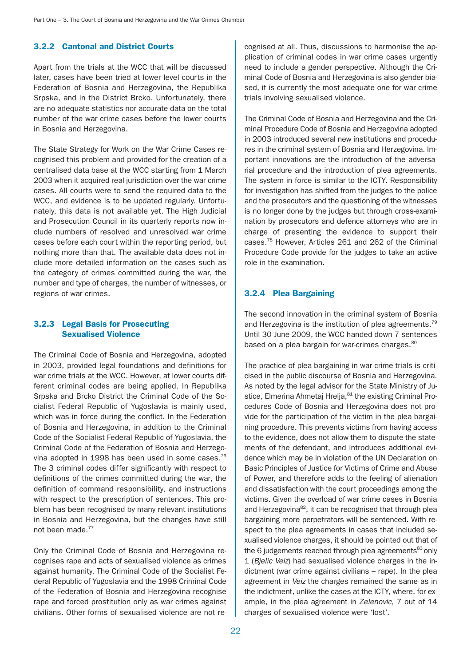# 3.2.2 Cantonal and District Courts

Apart from the trials at the WCC that will be discussed later, cases have been tried at lower level courts in the Federation of Bosnia and Herzegovina, the Republika Srpska, and in the District Brcko. Unfortunately, there are no adequate statistics nor accurate data on the total number of the war crime cases before the lower courts in Bosnia and Herzegovina.

The State Strategy for Work on the War Crime Cases recognised this problem and provided for the creation of a centralised data base at the WCC starting from 1 March 2003 when it acquired real jurisdiction over the war crime cases. All courts were to send the required data to the WCC, and evidence is to be updated regularly. Unfortunately, this data is not available yet. The High Judicial and Prosecution Council in its quarterly reports now include numbers of resolved and unresolved war crime cases before each court within the reporting period, but nothing more than that. The available data does not include more detailed information on the cases such as the category of crimes committed during the war, the number and type of charges, the number of witnesses, or regions of war crimes.

# 3.2.3 Legal Basis for Prosecuting Sexualised Violence

The Criminal Code of Bosnia and Herzegovina, adopted in 2003, provided legal foundations and definitions for war crime trials at the WCC. However, at lower courts different criminal codes are being applied. In Republika Srpska and Brcko District the Criminal Code of the Socialist Federal Republic of Yugoslavia is mainly used, which was in force during the conflict. In the Federation of Bosnia and Herzegovina, in addition to the Criminal Code of the Socialist Federal Republic of Yugoslavia, the Criminal Code of the Federation of Bosnia and Herzegovina adopted in 1998 has been used in some cases.<sup>76</sup> The 3 criminal codes differ significantly with respect to definitions of the crimes committed during the war, the definition of command responsibility, and instructions with respect to the prescription of sentences. This problem has been recognised by many relevant institutions in Bosnia and Herzegovina, but the changes have still not been made.<sup>77</sup>

Only the Criminal Code of Bosnia and Herzegovina recognises rape and acts of sexualised violence as crimes against humanity. The Criminal Code of the Socialist Federal Republic of Yugoslavia and the 1998 Criminal Code of the Federation of Bosnia and Herzegovina recognise rape and forced prostitution only as war crimes against civilians. Other forms of sexualised violence are not recognised at all. Thus, discussions to harmonise the application of criminal codes in war crime cases urgently need to include a gender perspective. Although the Criminal Code of Bosnia and Herzegovina is also gender biased, it is currently the most adequate one for war crime trials involving sexualised violence.

The Criminal Code of Bosnia and Herzegovina and the Criminal Procedure Code of Bosnia and Herzegovina adopted in 2003 introduced several new institutions and procedures in the criminal system of Bosnia and Herzegovina. Important innovations are the introduction of the adversarial procedure and the introduction of plea agreements. The system in force is similar to the ICTY. Responsibility for investigation has shifted from the judges to the police and the prosecutors and the questioning of the witnesses is no longer done by the judges but through cross-examination by prosecutors and defence attorneys who are in charge of presenting the evidence to support their cases.78 However, Articles 261 and 262 of the Criminal Procedure Code provide for the judges to take an active role in the examination.

# 3.2.4 Plea Bargaining

The second innovation in the criminal system of Bosnia and Herzegovina is the institution of plea agreements.<sup>79</sup> Until 30 June 2009, the WCC handed down 7 sentences based on a plea bargain for war-crimes charges.<sup>80</sup>

The practice of plea bargaining in war crime trials is criticised in the public discourse of Bosnia and Herzegovina. As noted by the legal advisor for the State Ministry of Justice, Elmerina Ahmetaj Hrelja, <sup>81</sup> the existing Criminal Procedures Code of Bosnia and Herzegovina does not provide for the participation of the victim in the plea bargaining procedure. This prevents victims from having access to the evidence, does not allow them to dispute the statements of the defendant, and introduces additional evidence which may be in violation of the UN Declaration on Basic Principles of Justice for Victims of Crime and Abuse of Power, and therefore adds to the feeling of alienation and dissatisfaction with the court proceedings among the victims. Given the overload of war crime cases in Bosnia and Herzegovina<sup>82</sup>, it can be recognised that through plea bargaining more perpetrators will be sentenced. With respect to the plea agreements in cases that included sexualised violence charges, it should be pointed out that of the 6 judgements reached through plea agreements $^{83}$  only 1 (Bjelic Veiz) had sexualised violence charges in the indictment (war crime against civilians – rape). In the plea agreement in Veiz the charges remained the same as in the indictment, unlike the cases at the ICTY, where, for example, in the plea agreement in Zelenovic, 7 out of 14 charges of sexualised violence were 'lost'.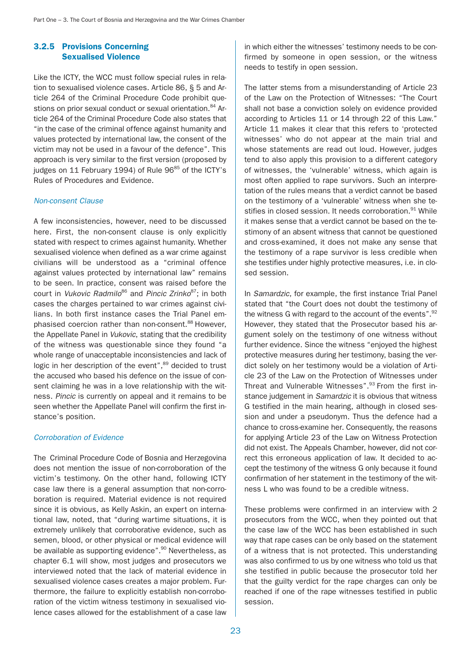# 3.2.5 Provisions Concerning Sexualised Violence

Like the ICTY, the WCC must follow special rules in relation to sexualised violence cases. Article 86, § 5 and Article 264 of the Criminal Procedure Code prohibit questions on prior sexual conduct or sexual orientation.<sup>84</sup> Article 264 of the Criminal Procedure Code also states that "in the case of the criminal offence against humanity and values protected by international law, the consent of the victim may not be used in a favour of the defence". This approach is very similar to the first version (proposed by judges on 11 February 1994) of Rule 96<sup>85</sup> of the ICTY's Rules of Procedures and Evidence.

#### Non-consent Clause

A few inconsistencies, however, need to be discussed here. First, the non-consent clause is only explicitly stated with respect to crimes against humanity. Whether sexualised violence when defined as a war crime against civilians will be understood as a "criminal offence against values protected by international law" remains to be seen. In practice, consent was raised before the court in Vukovic Radmilo<sup>86</sup> and Pincic Zrinko<sup>87</sup>; in both cases the charges pertained to war crimes against civilians. In both first instance cases the Trial Panel emphasised coercion rather than non-consent.<sup>88</sup> However, the Appellate Panel in Vukovic, stating that the credibility of the witness was questionable since they found "a whole range of unacceptable inconsistencies and lack of logic in her description of the event",<sup>89</sup> decided to trust the accused who based his defence on the issue of consent claiming he was in a love relationship with the witness. Pincic is currently on appeal and it remains to be seen whether the Appellate Panel will confirm the first instance's position.

### Corroboration of Evidence

The Criminal Procedure Code of Bosnia and Herzegovina does not mention the issue of non-corroboration of the victim's testimony. On the other hand, following ICTY case law there is a general assumption that non-corroboration is required. Material evidence is not required since it is obvious, as Kelly Askin, an expert on international law, noted, that "during wartime situations, it is extremely unlikely that corroborative evidence, such as semen, blood, or other physical or medical evidence will be available as supporting evidence".<sup>90</sup> Nevertheless, as chapter 6.1 will show, most judges and prosecutors we interviewed noted that the lack of material evidence in sexualised violence cases creates a major problem. Furthermore, the failure to explicitly establish non-corroboration of the victim witness testimony in sexualised violence cases allowed for the establishment of a case law

in which either the witnesses' testimony needs to be confirmed by someone in open session, or the witness needs to testify in open session.

The latter stems from a misunderstanding of Article 23 of the Law on the Protection of Witnesses: "The Court shall not base a conviction solely on evidence provided according to Articles 11 or 14 through 22 of this Law." Article 11 makes it clear that this refers to 'protected witnesses' who do not appear at the main trial and whose statements are read out loud. However, judges tend to also apply this provision to a different category of witnesses, the 'vulnerable' witness, which again is most often applied to rape survivors. Such an interpretation of the rules means that a verdict cannot be based on the testimony of a 'vulnerable' witness when she testifies in closed session. It needs corroboration.<sup>91</sup> While it makes sense that a verdict cannot be based on the testimony of an absent witness that cannot be questioned and cross-examined, it does not make any sense that the testimony of a rape survivor is less credible when she testifies under highly protective measures, i.e. in closed session.

In Samardzic, for example, the first instance Trial Panel stated that "the Court does not doubt the testimony of the witness G with regard to the account of the events".<sup>92</sup> However, they stated that the Prosecutor based his argument solely on the testimony of one witness without further evidence. Since the witness "enjoyed the highest protective measures during her testimony, basing the verdict solely on her testimony would be a violation of Article 23 of the Law on the Protection of Witnesses under Threat and Vulnerable Witnesses".<sup>93</sup> From the first instance judgement in Samardzic it is obvious that witness G testified in the main hearing, although in closed session and under a pseudonym. Thus the defence had a chance to cross-examine her. Consequently, the reasons for applying Article 23 of the Law on Witness Protection did not exist. The Appeals Chamber, however, did not correct this erroneous application of law. It decided to accept the testimony of the witness G only because it found confirmation of her statement in the testimony of the witness L who was found to be a credible witness.

These problems were confirmed in an interview with 2 prosecutors from the WCC, when they pointed out that the case law of the WCC has been established in such way that rape cases can be only based on the statement of a witness that is not protected. This understanding was also confirmed to us by one witness who told us that she testified in public because the prosecutor told her that the guilty verdict for the rape charges can only be reached if one of the rape witnesses testified in public session.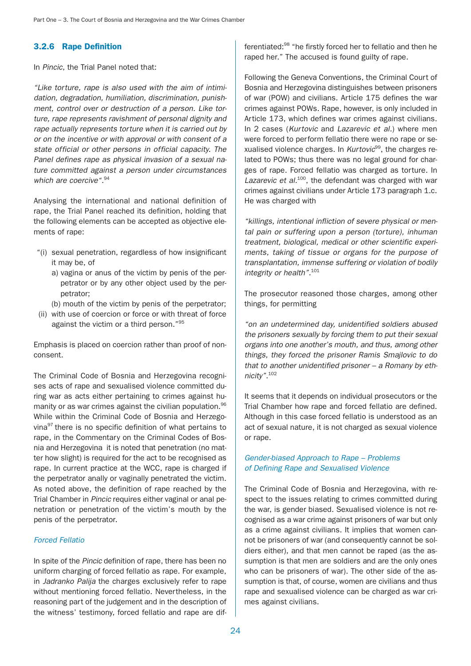# 3.2.6 Rape Definition

In Pincic, the Trial Panel noted that:

"Like torture, rape is also used with the aim of intimidation, degradation, humiliation, discrimination, punishment, control over or destruction of a person. Like torture, rape represents ravishment of personal dignity and rape actually represents torture when it is carried out by or on the incentive or with approval or with consent of a state official or other persons in official capacity. The Panel defines rape as physical invasion of a sexual nature committed against a person under circumstances which are coercive<sup>".94</sup>

Analysing the international and national definition of rape, the Trial Panel reached its definition, holding that the following elements can be accepted as objective elements of rape:

- "(i) sexual penetration, regardless of how insignificant it may be, of
	- a) vagina or anus of the victim by penis of the perpetrator or by any other object used by the perpetrator;
- (b) mouth of the victim by penis of the perpetrator; (ii) with use of coercion or force or with threat of force
- against the victim or a third person."95

Emphasis is placed on coercion rather than proof of nonconsent.

The Criminal Code of Bosnia and Herzegovina recognises acts of rape and sexualised violence committed during war as acts either pertaining to crimes against humanity or as war crimes against the civilian population.<sup>96</sup> While within the Criminal Code of Bosnia and Herzegovina97 there is no specific definition of what pertains to rape, in the Commentary on the Criminal Codes of Bosnia and Herzegovina it is noted that penetration (no matter how slight) is required for the act to be recognised as rape. In current practice at the WCC, rape is charged if the perpetrator anally or vaginally penetrated the victim. As noted above, the definition of rape reached by the Trial Chamber in Pincic requires either vaginal or anal penetration or penetration of the victim's mouth by the penis of the perpetrator.

#### Forced Fellatio

In spite of the Pincic definition of rape, there has been no uniform charging of forced fellatio as rape. For example, in Jadranko Palija the charges exclusively refer to rape without mentioning forced fellatio. Nevertheless, in the reasoning part of the judgement and in the description of the witness' testimony, forced fellatio and rape are differentiated:98 "he firstly forced her to fellatio and then he raped her." The accused is found guilty of rape.

Following the Geneva Conventions, the Criminal Court of Bosnia and Herzegovina distinguishes between prisoners of war (POW) and civilians. Article 175 defines the war crimes against POWs. Rape, however, is only included in Article 173, which defines war crimes against civilians. In 2 cases (Kurtovic and Lazarevic et al.) where men were forced to perform fellatio there were no rape or sexualised violence charges. In  $Kurtovic<sup>99</sup>$ , the charges related to POWs; thus there was no legal ground for charges of rape. Forced fellatio was charged as torture. In Lazarevic et  $al.^{100}$ , the defendant was charged with war crimes against civilians under Article 173 paragraph 1.c. He was charged with

"killings, intentional infliction of severe physical or mental pain or suffering upon a person (torture), inhuman treatment, biological, medical or other scientific experiments, taking of tissue or organs for the purpose of transplantation, immense suffering or violation of bodily integrity or health".<sup>101</sup>

The prosecutor reasoned those charges, among other things, for permitting

"on an undetermined day, unidentified soldiers abused the prisoners sexually by forcing them to put their sexual organs into one another's mouth, and thus, among other things, they forced the prisoner Ramis Smajlovic to do that to another unidentified prisoner – a Romany by ethnicity".<sup>102</sup>

It seems that it depends on individual prosecutors or the Trial Chamber how rape and forced fellatio are defined. Although in this case forced fellatio is understood as an act of sexual nature, it is not charged as sexual violence or rape.

### Gender-biased Approach to Rape – Problems of Defining Rape and Sexualised Violence

The Criminal Code of Bosnia and Herzegovina, with respect to the issues relating to crimes committed during the war, is gender biased. Sexualised violence is not recognised as a war crime against prisoners of war but only as a crime against civilians. It implies that women cannot be prisoners of war (and consequently cannot be soldiers either), and that men cannot be raped (as the assumption is that men are soldiers and are the only ones who can be prisoners of war). The other side of the assumption is that, of course, women are civilians and thus rape and sexualised violence can be charged as war crimes against civilians.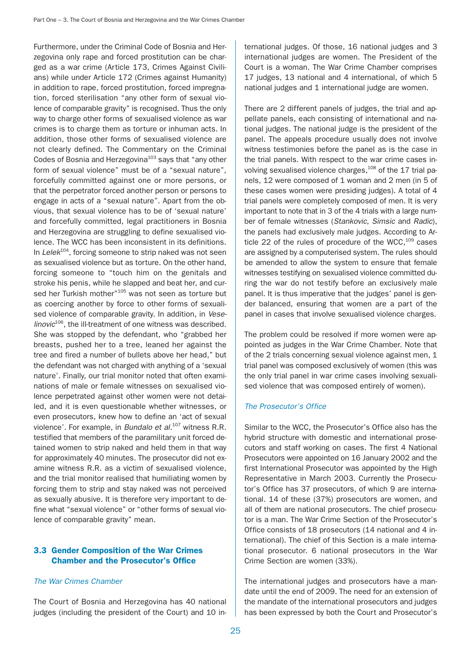Furthermore, under the Criminal Code of Bosnia and Herzegovina only rape and forced prostitution can be charged as a war crime (Article 173, Crimes Against Civilians) while under Article 172 (Crimes against Humanity) in addition to rape, forced prostitution, forced impregnation, forced sterilisation "any other form of sexual violence of comparable gravity" is recognised. Thus the only way to charge other forms of sexualised violence as war crimes is to charge them as torture or inhuman acts. In addition, those other forms of sexualised violence are not clearly defined. The Commentary on the Criminal Codes of Bosnia and Herzegovina<sup>103</sup> says that "any other form of sexual violence" must be of a "sexual nature", forcefully committed against one or more persons, or that the perpetrator forced another person or persons to engage in acts of a "sexual nature". Apart from the obvious, that sexual violence has to be of 'sexual nature' and forcefully committed, legal practitioners in Bosnia and Herzegovina are struggling to define sexualised violence. The WCC has been inconsistent in its definitions. In Lele $k^{104}$ , forcing someone to strip naked was not seen as sexualised violence but as torture. On the other hand, forcing someone to "touch him on the genitals and stroke his penis, while he slapped and beat her, and cursed her Turkish mother"<sup>105</sup> was not seen as torture but as coercing another by force to other forms of sexualised violence of comparable gravity. In addition, in Vese $linovic<sup>106</sup>$ , the ill-treatment of one witness was described. She was stopped by the defendant, who "grabbed her breasts, pushed her to a tree, leaned her against the tree and fired a number of bullets above her head," but the defendant was not charged with anything of a 'sexual nature'. Finally, our trial monitor noted that often examinations of male or female witnesses on sexualised violence perpetrated against other women were not detailed, and it is even questionable whether witnesses, or even prosecutors, knew how to define an 'act of sexual violence'. For example, in Bundalo et al.<sup>107</sup> witness R.R. testified that members of the paramilitary unit forced detained women to strip naked and held them in that way for approximately 40 minutes. The prosecutor did not examine witness R.R. as a victim of sexualised violence, and the trial monitor realised that humiliating women by forcing them to strip and stay naked was not perceived as sexually abusive. It is therefore very important to define what "sexual violence" or "other forms of sexual violence of comparable gravity" mean.

# 3.3 Gender Composition of the War Crimes Chamber and the Prosecutor's Office

#### The War Crimes Chamber

The Court of Bosnia and Herzegovina has 40 national judges (including the president of the Court) and 10 international judges. Of those, 16 national judges and 3 international judges are women. The President of the Court is a woman. The War Crime Chamber comprises 17 judges, 13 national and 4 international, of which 5 national judges and 1 international judge are women.

There are 2 different panels of judges, the trial and appellate panels, each consisting of international and national judges. The national judge is the president of the panel. The appeals procedure usually does not involve witness testimonies before the panel as is the case in the trial panels. With respect to the war crime cases involving sexualised violence charges.<sup>108</sup> of the 17 trial panels, 12 were composed of 1 woman and 2 men (in 5 of these cases women were presiding judges). A total of 4 trial panels were completely composed of men. It is very important to note that in 3 of the 4 trials with a large number of female witnesses (Stankovic, Simsic and Radic), the panels had exclusively male judges. According to Article 22 of the rules of procedure of the WCC, $109$  cases are assigned by a computerised system. The rules should be amended to allow the system to ensure that female witnesses testifying on sexualised violence committed during the war do not testify before an exclusively male panel. It is thus imperative that the judges' panel is gender balanced, ensuring that women are a part of the panel in cases that involve sexualised violence charges.

The problem could be resolved if more women were appointed as judges in the War Crime Chamber. Note that of the 2 trials concerning sexual violence against men, 1 trial panel was composed exclusively of women (this was the only trial panel in war crime cases involving sexualised violence that was composed entirely of women).

#### The Prosecutor's Office

Similar to the WCC, the Prosecutor's Office also has the hybrid structure with domestic and international prosecutors and staff working on cases. The first 4 National Prosecutors were appointed on 16 January 2002 and the first International Prosecutor was appointed by the High Representative in March 2003. Currently the Prosecutor's Office has 37 prosecutors, of which 9 are international. 14 of these (37%) prosecutors are women, and all of them are national prosecutors. The chief prosecutor is a man. The War Crime Section of the Prosecutor's Office consists of 18 prosecutors (14 national and 4 international). The chief of this Section is a male international prosecutor. 6 national prosecutors in the War Crime Section are women (33%).

The international judges and prosecutors have a mandate until the end of 2009. The need for an extension of the mandate of the international prosecutors and judges has been expressed by both the Court and Prosecutor's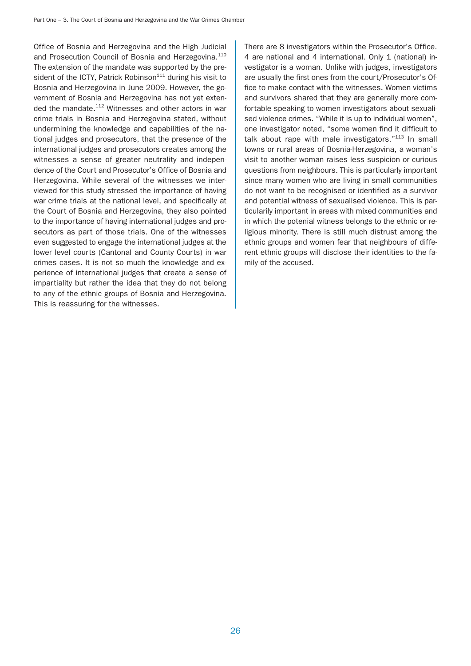Office of Bosnia and Herzegovina and the High Judicial and Prosecution Council of Bosnia and Herzegovina.<sup>110</sup> The extension of the mandate was supported by the president of the ICTY, Patrick Robinson $111$  during his visit to Bosnia and Herzegovina in June 2009. However, the government of Bosnia and Herzegovina has not yet extended the mandate.<sup>112</sup> Witnesses and other actors in war crime trials in Bosnia and Herzegovina stated, without undermining the knowledge and capabilities of the national judges and prosecutors, that the presence of the international judges and prosecutors creates among the witnesses a sense of greater neutrality and independence of the Court and Prosecutor's Office of Bosnia and Herzegovina. While several of the witnesses we interviewed for this study stressed the importance of having war crime trials at the national level, and specifically at the Court of Bosnia and Herzegovina, they also pointed to the importance of having international judges and prosecutors as part of those trials. One of the witnesses even suggested to engage the international judges at the lower level courts (Cantonal and County Courts) in war crimes cases. It is not so much the knowledge and experience of international judges that create a sense of impartiality but rather the idea that they do not belong to any of the ethnic groups of Bosnia and Herzegovina. This is reassuring for the witnesses.

There are 8 investigators within the Prosecutor's Office. 4 are national and 4 international. Only 1 (national) investigator is a woman. Unlike with judges, investigators are usually the first ones from the court/Prosecutor's Office to make contact with the witnesses. Women victims and survivors shared that they are generally more comfortable speaking to women investigators about sexualised violence crimes. "While it is up to individual women", one investigator noted, "some women find it difficult to talk about rape with male investigators."<sup>113</sup> In small towns or rural areas of Bosnia-Herzegovina, a woman's visit to another woman raises less suspicion or curious questions from neighbours. This is particularly important since many women who are living in small communities do not want to be recognised or identified as a survivor and potential witness of sexualised violence. This is particularily important in areas with mixed communities and in which the potenial witness belongs to the ethnic or religious minority. There is still much distrust among the ethnic groups and women fear that neighbours of different ethnic groups will disclose their identities to the family of the accused.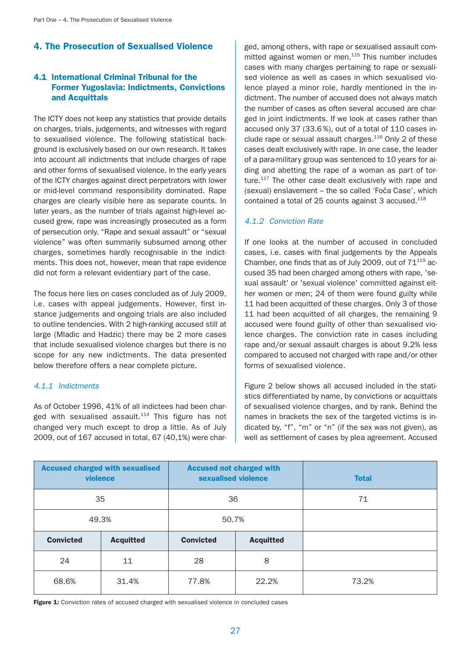# 4. The Prosecution of Sexualised Violence

# 4.1 International Criminal Tribunal for the Former Yugoslavia: Indictments, Convictions and Acquittals

The ICTY does not keep any statistics that provide details on charges, trials, judgements, and witnesses with regard to sexualised violence. The following statistical background is exclusively based on our own research. It takes into account all indictments that include charges of rape and other forms of sexualised violence. In the early years of the ICTY charges against direct perpetrators with lower or mid-level command responsibility dominated. Rape charges are clearly visible here as separate counts. In later years, as the number of trials against high-level accused grew, rape was increasingly prosecuted as a form of persecution only. "Rape and sexual assault" or "sexual violence" was often summarily subsumed among other charges, sometimes hardly recognisable in the indictments. This does not, however, mean that rape evidence did not form a relevant evidentiary part of the case.

The focus here lies on cases concluded as of July 2009, i.e. cases with appeal judgements. However, first instance judgements and ongoing trials are also included to outline tendencies. With 2 high-ranking accused still at large (Mladic and Hadzic) there may be 2 more cases that include sexualised violence charges but there is no scope for any new indictments. The data presented below therefore offers a near complete picture.

# 4.1.1 Indictments

As of October 1996, 41% of all indictees had been charged with sexualised assault. $114$  This figure has not changed very much except to drop a little. As of July 2009, out of 167 accused in total, 67 (40,1%) were charged, among others, with rape or sexualised assault committed against women or men. $115$  This number includes cases with many charges pertaining to rape or sexualised violence as well as cases in which sexualised violence played a minor role, hardly mentioned in the indictment. The number of accused does not always match the number of cases as often several accused are charged in joint indictments. If we look at cases rather than accused only 37 (33.6 %), out of a total of 110 cases include rape or sexual assault charges.<sup>116</sup> Only 2 of these cases dealt exclusively with rape. In one case, the leader of a para-military group was sentenced to 10 years for aiding and abetting the rape of a woman as part of torture.<sup>117</sup> The other case dealt exclusively with rape and (sexual) enslavement – the so called 'Foča Case', which contained a total of 25 counts against 3 accused.<sup>118</sup>

# 4.1.2 Conviction Rate

If one looks at the number of accused in concluded cases, i.e. cases with final judgements by the Appeals Chamber, one finds that as of July 2009, out of  $71^{119}$  accused 35 had been charged among others with rape, 'sexual assault' or 'sexual violence' committed against either women or men; 24 of them were found guilty while 11 had been acquitted of these charges. Only 3 of those 11 had been acquitted of all charges, the remaining 9 accused were found guilty of other than sexualised violence charges. The conviction rate in cases including rape and/or sexual assault charges is about 9.2% less compared to accused not charged with rape and/or other forms of sexualised violence.

Figure 2 below shows all accused included in the statistics differentiated by name, by convictions or acquittals of sexualised violence charges, and by rank. Behind the names in brackets the sex of the targeted victims is indicated by, "f", "m" or "n" (if the sex was not given), as well as settlement of cases by plea agreement. Accused

| <b>Accused charged with sexualised</b><br>violence |       | <b>Accused not charged with</b><br>sexualised violence |                  | <b>Total</b> |
|----------------------------------------------------|-------|--------------------------------------------------------|------------------|--------------|
| 35                                                 |       | 36                                                     |                  | 71           |
| 49.3%                                              |       | 50.7%                                                  |                  |              |
| <b>Convicted</b><br><b>Acquitted</b>               |       | <b>Convicted</b>                                       | <b>Acquitted</b> |              |
| 24                                                 | 11    | 28                                                     | 8                |              |
| 68.6%                                              | 31.4% | 77.8%                                                  | 22.2%            | 73.2%        |

Figure 1: Conviction rates of accused charged with sexualised violence in concluded cases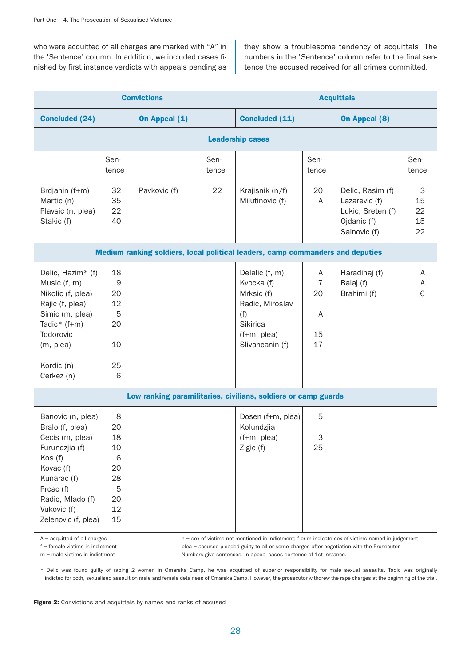who were acquitted of all charges are marked with "A" in the 'Sentence' column. In addition, we included cases finished by first instance verdicts with appeals pending as

they show a troublesome tendency of acquittals. The numbers in the 'Sentence' column refer to the final sentence the accused received for all crimes committed.

| <b>Convictions</b>                                                                                                                                                                      |                                                             |               | <b>Acquittals</b> |                                                                                                                    |                                            |                                                                                       |                           |  |
|-----------------------------------------------------------------------------------------------------------------------------------------------------------------------------------------|-------------------------------------------------------------|---------------|-------------------|--------------------------------------------------------------------------------------------------------------------|--------------------------------------------|---------------------------------------------------------------------------------------|---------------------------|--|
| <b>Concluded (24)</b>                                                                                                                                                                   |                                                             | On Appeal (1) |                   | <b>Concluded (11)</b>                                                                                              |                                            | <b>On Appeal (8)</b>                                                                  |                           |  |
|                                                                                                                                                                                         | <b>Leadership cases</b>                                     |               |                   |                                                                                                                    |                                            |                                                                                       |                           |  |
|                                                                                                                                                                                         | Sen-<br>tence                                               |               | Sen-<br>tence     |                                                                                                                    | Sen-<br>tence                              |                                                                                       | Sen-<br>tence             |  |
| Brdjanin (f+m)<br>Martic (n)<br>Plavsic (n, plea)<br>Stakic (f)                                                                                                                         | 32<br>35<br>22<br>40                                        | Pavkovic (f)  | 22                | Krajisnik (n/f)<br>Milutinovic (f)                                                                                 | 20<br>A                                    | Delic, Rasim (f)<br>Lazarevic (f)<br>Lukic, Sreten (f)<br>Ojdanic (f)<br>Sainovic (f) | 3<br>15<br>22<br>15<br>22 |  |
|                                                                                                                                                                                         |                                                             |               |                   | Medium ranking soldiers, local political leaders, camp commanders and deputies                                     |                                            |                                                                                       |                           |  |
| Delic, Hazim* (f)<br>Music (f, m)<br>Nikolic (f, plea)<br>Rajic (f, plea)<br>Simic (m, plea)<br>Tadic* $(f+m)$<br>Todorovic<br>(m, plea)<br>Kordic (n)<br>Cerkez (n)                    | 18<br>9<br>20<br>12<br>5<br>20<br>10<br>25<br>6             |               |                   | Delalic (f, m)<br>Kvocka (f)<br>Mrksic (f)<br>Radic, Miroslav<br>(f)<br>Sikirica<br>(f+m, plea)<br>Slivancanin (f) | A<br>$\overline{7}$<br>20<br>A<br>15<br>17 | Haradinaj (f)<br>Balaj (f)<br>Brahimi (f)                                             | A<br>Α<br>6               |  |
|                                                                                                                                                                                         |                                                             |               |                   | Low ranking paramilitaries, civilians, soldiers or camp guards                                                     |                                            |                                                                                       |                           |  |
| Banovic (n, plea)<br>Bralo (f, plea)<br>Cecis (m, plea)<br>Furundzjia (f)<br>Kos (f)<br>Kovac (f)<br>Kunarac (f)<br>Prcac (f)<br>Radic, Mlado (f)<br>Vukovic (f)<br>Zelenovic (f, plea) | 8<br>20<br>18<br>10<br>6<br>20<br>28<br>5<br>20<br>12<br>15 |               |                   | Dosen (f+m, plea)<br>Kolundzjia<br>$(f+m,$ plea)<br>Zigic (f)                                                      | 5<br>$\ensuremath{\mathsf{3}}$<br>25       |                                                                                       |                           |  |

A = acquitted of all charges how n = sex of victims not mentioned in indictment; f or m indicate sex of victims named in judgement f = female victims in indictment plea = accused pleaded guilty to all or some charges after negotiation with the Prosecutor m = male victims in indictment  $\blacksquare$  Numbers give sentences, in appeal cases sentence of 1st instance.

\* Delic was found guilty of raping 2 women in Omarska Camp, he was acquitted of superior responsibility for male sexual assaults. Tadic was originally indicted for both, sexualised assault on male and female detainees of Omarska Camp. However, the prosecutor withdrew the rape charges at the beginning of the trial.

Figure 2: Convictions and acquittals by names and ranks of accused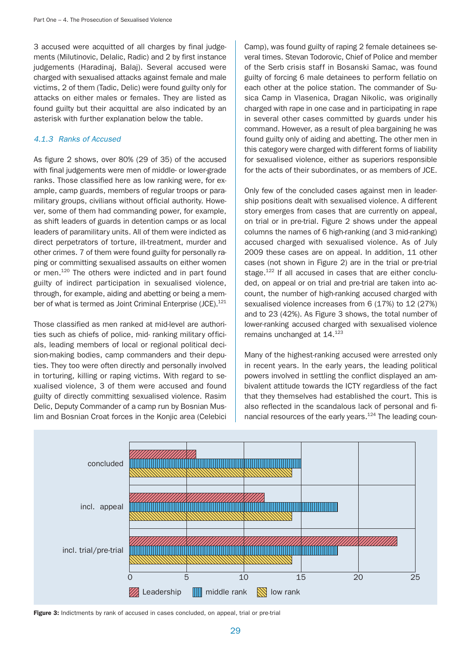3 accused were acquitted of all charges by final judgements (Milutinovic, Delalic, Radic) and 2 by first instance judgements (Haradinaj, Balaj). Several accused were charged with sexualised attacks against female and male victims, 2 of them (Tadic, Delic) were found guilty only for attacks on either males or females. They are listed as found guilty but their acquittal are also indicated by an asterisk with further explanation below the table.

## 4.1.3 Ranks of Accused

As figure 2 shows, over 80% (29 of 35) of the accused with final judgements were men of middle- or lower-grade ranks. Those classified here as low ranking were, for example, camp guards, members of regular troops or paramilitary groups, civilians without official authority. However, some of them had commanding power, for example, as shift leaders of guards in detention camps or as local leaders of paramilitary units. All of them were indicted as direct perpetrators of torture, ill-treatment, murder and other crimes. 7 of them were found guilty for personally raping or committing sexualised assaults on either women or men.120 The others were indicted and in part found guilty of indirect participation in sexualised violence, through, for example, aiding and abetting or being a member of what is termed as Joint Criminal Enterprise (JCE).<sup>121</sup>

Those classified as men ranked at mid-level are authorities such as chiefs of police, mid- ranking military officials, leading members of local or regional political decision-making bodies, camp commanders and their deputies. They too were often directly and personally involved in torturing, killing or raping victims. With regard to sexualised violence, 3 of them were accused and found guilty of directly committing sexualised violence. Rasim Delic, Deputy Commander of a camp run by Bosnian Muslim and Bosnian Croat forces in the Konjic area (Celebici Camp), was found guilty of raping 2 female detainees several times. Stevan Todorovic, Chief of Police and member of the Serb crisis staff in Bosanski Samac, was found guilty of forcing 6 male detainees to perform fellatio on each other at the police station. The commander of Susica Camp in Vlasenica, Dragan Nikolic, was originally charged with rape in one case and in participating in rape in several other cases committed by guards under his command. However, as a result of plea bargaining he was found guilty only of aiding and abetting. The other men in this category were charged with different forms of liability for sexualised violence, either as superiors responsible for the acts of their subordinates, or as members of JCE.

Only few of the concluded cases against men in leadership positions dealt with sexualised violence. A different story emerges from cases that are currently on appeal, on trial or in pre-trial. Figure 2 shows under the appeal columns the names of 6 high-ranking (and 3 mid-ranking) accused charged with sexualised violence. As of July 2009 these cases are on appeal. In addition, 11 other cases (not shown in Figure 2) are in the trial or pre-trial stage.<sup>122</sup> If all accused in cases that are either concluded, on appeal or on trial and pre-trial are taken into account, the number of high-ranking accused charged with sexualised violence increases from 6 (17%) to 12 (27%) and to 23 (42%). As Figure 3 shows, the total number of lower-ranking accused charged with sexualised violence remains unchanged at 14.123

Many of the highest-ranking accused were arrested only in recent years. In the early years, the leading political powers involved in settling the conflict displayed an ambivalent attitude towards the ICTY regardless of the fact that they themselves had established the court. This is also reflected in the scandalous lack of personal and financial resources of the early years.<sup>124</sup> The leading coun-



Figure 3: Indictments by rank of accused in cases concluded, on appeal, trial or pre-trial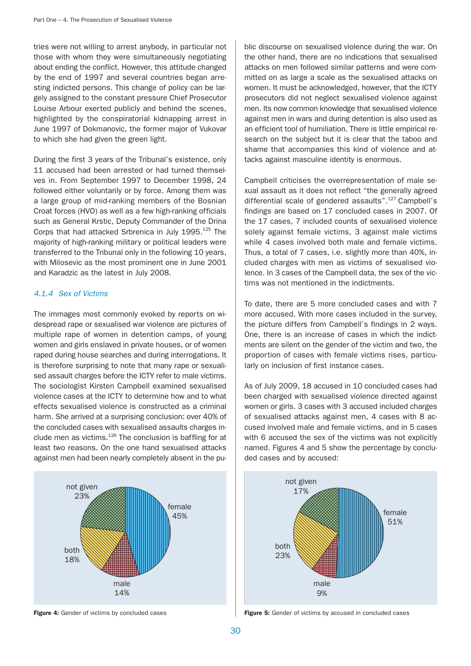tries were not willing to arrest anybody, in particular not those with whom they were simultaneously negotiating about ending the conflict. However, this attitude changed by the end of 1997 and several countries began arresting indicted persons. This change of policy can be largely assigned to the constant pressure Chief Prosecutor Louise Arbour exerted publicly and behind the scenes, highlighted by the conspiratorial kidnapping arrest in June 1997 of Dokmanovic, the former major of Vukovar to which she had given the green light.

During the first 3 years of the Tribunal's existence, only 11 accused had been arrested or had turned themselves in. From September 1997 to December 1998, 24 followed either voluntarily or by force. Among them was a large group of mid-ranking members of the Bosnian Croat forces (HVO) as well as a few high-ranking officials such as General Krstic, Deputy Commander of the Drina Corps that had attacked Srbrenica in July 1995.<sup>125</sup> The majority of high-ranking military or political leaders were transferred to the Tribunal only in the following 10 years, with Milosevic as the most prominent one in June 2001 and Karadzic as the latest in July 2008.

## 4.1.4 Sex of Victims

The immages most commonly evoked by reports on widespread rape or sexualised war violence are pictures of multiple rape of women in detention camps, of young women and girls enslaved in private houses, or of women raped during house searches and during interrogations. It is therefore surprising to note that many rape or sexualised assault charges before the ICTY refer to male victims. The sociologist Kirsten Campbell examined sexualised violence cases at the ICTY to determine how and to what effects sexualised violence is constructed as a criminal harm. She arrived at a surprising conclusion: over 40% of the concluded cases with sexualised assaults charges include men as victims.126 The conclusion is baffling for at least two reasons. On the one hand sexualised attacks against men had been nearly completely absent in the pu-



blic discourse on sexualised violence during the war. On the other hand, there are no indications that sexualised attacks on men followed similar patterns and were committed on as large a scale as the sexualised attacks on women. It must be acknowledged, however, that the ICTY prosecutors did not neglect sexualised violence against men. Its now common knowledge that sexualised violence against men in wars and during detention is also used as an efficient tool of humiliation. There is little empirical research on the subject but it is clear that the taboo and shame that accompanies this kind of violence and attacks against masculine identity is enormous.

Campbell criticises the overrepresentation of male sexual assault as it does not reflect "the generally agreed differential scale of gendered assaults".127 Campbell's findings are based on 17 concluded cases in 2007. Of the 17 cases, 7 included counts of sexualised violence solely against female victims, 3 against male victims while 4 cases involved both male and female victims. Thus, a total of 7 cases, i.e. slightly more than 40%, included charges with men as victims of sexualised violence. In 3 cases of the Campbell data, the sex of the victims was not mentioned in the indictments.

To date, there are 5 more concluded cases and with 7 more accused. With more cases included in the survey, the picture differs from Campbell's findings in 2 ways. One, there is an increase of cases in which the indictments are silent on the gender of the victim and two, the proportion of cases with female victims rises, particularly on inclusion of first instance cases.

As of July 2009, 18 accused in 10 concluded cases had been charged with sexualised violence directed against women or girls. 3 cases with 3 accused included charges of sexualised attacks against men, 4 cases with 8 accused involved male and female victims, and in 5 cases with 6 accused the sex of the victims was not explicitly named. Figures 4 and 5 show the percentage by concluded cases and by accused:



Figure 4: Gender of victims by concluded cases Figure 5: Gender of victims by accused in concluded cases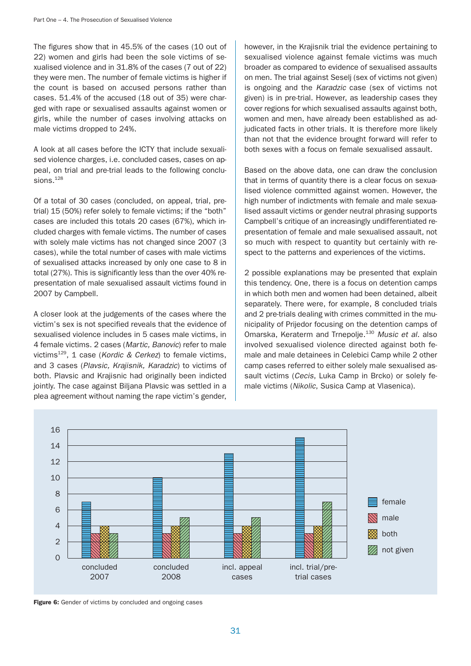The figures show that in 45.5% of the cases (10 out of 22) women and girls had been the sole victims of sexualised violence and in 31.8% of the cases (7 out of 22) they were men. The number of female victims is higher if the count is based on accused persons rather than cases. 51.4% of the accused (18 out of 35) were charged with rape or sexualised assaults against women or girls, while the number of cases involving attacks on male victims dropped to 24%.

A look at all cases before the ICTY that include sexualised violence charges, i.e. concluded cases, cases on appeal, on trial and pre-trial leads to the following conclusions.<sup>128</sup>

Of a total of 30 cases (concluded, on appeal, trial, pretrial) 15 (50%) refer solely to female victims; if the "both" cases are included this totals 20 cases (67%), which included charges with female victims. The number of cases with solely male victims has not changed since 2007 (3 cases), while the total number of cases with male victims of sexualised attacks increased by only one case to 8 in total (27%). This is significantly less than the over 40% representation of male sexualised assault victims found in 2007 by Campbell.

A closer look at the judgements of the cases where the victim's sex is not specified reveals that the evidence of sexualised violence includes in 5 cases male victims, in 4 female victims. 2 cases (Martic, Banovic) refer to male victims<sup>129</sup>, 1 case (Kordic & Cerkez) to female victims, and 3 cases (Plavsic, Krajisnik, Karadzic) to victims of both. Plavsic and Krajisnic had originally been indicted jointly. The case against Biljana Plavsic was settled in a plea agreement without naming the rape victim's gender,

however, in the Krajisnik trial the evidence pertaining to sexualised violence against female victims was much broader as compared to evidence of sexualised assaults on men. The trial against Seselj (sex of victims not given) is ongoing and the Karadzic case (sex of victims not given) is in pre-trial. However, as leadership cases they cover regions for which sexualised assaults against both, women and men, have already been established as adjudicated facts in other trials. It is therefore more likely than not that the evidence brought forward will refer to both sexes with a focus on female sexualised assault.

Based on the above data, one can draw the conclusion that in terms of quantity there is a clear focus on sexualised violence committed against women. However, the high number of indictments with female and male sexualised assault victims or gender neutral phrasing supports Campbell's critique of an increasingly undifferentiated representation of female and male sexualised assault, not so much with respect to quantity but certainly with respect to the patterns and experiences of the victims.

2 possible explanations may be presented that explain this tendency. One, there is a focus on detention camps in which both men and women had been detained, albeit separately. There were, for example, 8 concluded trials and 2 pre-trials dealing with crimes committed in the municipality of Prijedor focusing on the detention camps of Omarska, Keraterm and Trnepolje.<sup>130</sup> Music et al. also involved sexualised violence directed against both female and male detainees in Celebici Camp while 2 other camp cases referred to either solely male sexualised assault victims (Cecis, Luka Camp in Brcko) or solely female victims (Nikolic, Susica Camp at Vlasenica).



Figure 6: Gender of victims by concluded and ongoing cases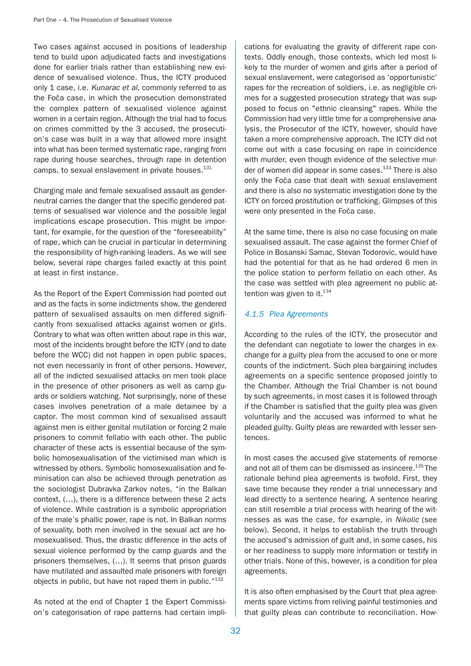Two cases against accused in positions of leadership tend to build upon adjudicated facts and investigations done for earlier trials rather than establishing new evidence of sexualised violence. Thus, the ICTY produced only 1 case, i.e. Kunarac et al, commonly referred to as the Foča case, in which the prosecution demonstrated the complex pattern of sexualised violence against women in a certain region. Although the trial had to focus on crimes committed by the 3 accused, the prosecution's case was built in a way that allowed more insight into what has been termed systematic rape, ranging from rape during house searches, through rape in detention camps, to sexual enslavement in private houses.<sup>131</sup>

Charging male and female sexualised assault as genderneutral carries the danger that the specific gendered patterns of sexualised war violence and the possible legal implications escape prosecution. This might be important, for example, for the question of the "foreseeability" of rape, which can be crucial in particular in determining the responsibility of high-ranking leaders. As we will see below, several rape charges failed exactly at this point at least in first instance.

As the Report of the Expert Commission had pointed out and as the facts in some indictments show, the gendered pattern of sexualised assaults on men differed significantly from sexualised attacks against women or girls. Contrary to what was often written about rape in this war, most of the incidents brought before the ICTY (and to date before the WCC) did not happen in open public spaces, not even necessarily in front of other persons. However, all of the indicted sexualised attacks on men took place in the presence of other prisoners as well as camp guards or soldiers watching. Not surprisingly, none of these cases involves penetration of a male detainee by a captor. The most common kind of sexualised assault against men is either genital mutilation or forcing 2 male prisoners to commit fellatio with each other. The public character of these acts is essential because of the symbolic homosexualisation of the victimised man which is witnessed by others. Symbolic homosexualisation and feminisation can also be achieved through penetration as the sociologist Dubravka Zarkov notes, "in the Balkan context, (…), there is a difference between these 2 acts of violence. While castration is a symbolic appropriation of the male's phallic power, rape is not. In Balkan norms of sexuality, both men involved in the sexual act are homosexualised. Thus, the drastic difference in the acts of sexual violence performed by the camp guards and the prisoners themselves, (…). It seems that prison guards have mutilated and assaulted male prisoners with foreign objects in public, but have not raped them in public."<sup>132</sup>

As noted at the end of Chapter 1 the Expert Commission's categorisation of rape patterns had certain implications for evaluating the gravity of different rape contexts. Oddly enough, those contexts, which led most likely to the murder of women and girls after a period of sexual enslavement, were categorised as 'opportunistic' rapes for the recreation of soldiers, i.e. as negligible crimes for a suggested prosecution strategy that was supposed to focus on "ethnic cleansing" rapes. While the Commission had very little time for a comprehensive analysis, the Prosecutor of the ICTY, however, should have taken a more comprehensive approach. The ICTY did not come out with a case focusing on rape in coincidence with murder, even though evidence of the selective murder of women did appear in some cases.<sup>133</sup> There is also only the Foča case that dealt with sexual enslavement and there is also no systematic investigation done by the ICTY on forced prostitution or trafficking. Glimpses of this were only presented in the Foča case.

At the same time, there is also no case focusing on male sexualised assault. The case against the former Chief of Police in Bosanski Samac, Stevan Todorovic, would have had the potential for that as he had ordered 6 men in the police station to perform fellatio on each other. As the case was settled with plea agreement no public attention was given to it.<sup>134</sup>

# 4.1.5 Plea Agreements

According to the rules of the ICTY, the prosecutor and the defendant can negotiate to lower the charges in exchange for a guilty plea from the accused to one or more counts of the indictment. Such plea bargaining includes agreements on a specific sentence proposed jointly to the Chamber. Although the Trial Chamber is not bound by such agreements, in most cases it is followed through if the Chamber is satisfied that the guilty plea was given voluntarily and the accused was informed to what he pleaded guilty. Guilty pleas are rewarded with lesser sentences.

In most cases the accused give statements of remorse and not all of them can be dismissed as insincere.<sup>135</sup> The rationale behind plea agreements is twofold. First, they save time because they render a trial unnecessary and lead directly to a sentence hearing. A sentence hearing can still resemble a trial process with hearing of the witnesses as was the case, for example, in Nikolic (see below). Second, it helps to establish the truth through the accused's admission of guilt and, in some cases, his or her readiness to supply more information or testify in other trials. None of this, however, is a condition for plea agreements.

It is also often emphasised by the Court that plea agreements spare victims from reliving painful testimonies and that guilty pleas can contribute to reconciliation. How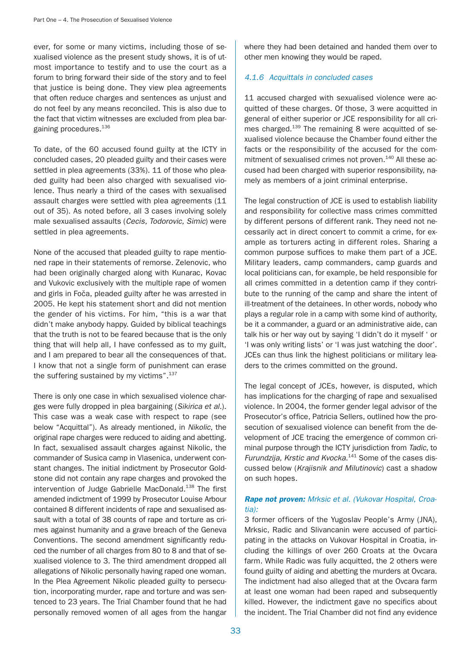ever, for some or many victims, including those of sexualised violence as the present study shows, it is of utmost importance to testify and to use the court as a forum to bring forward their side of the story and to feel that justice is being done. They view plea agreements that often reduce charges and sentences as unjust and do not feel by any means reconciled. This is also due to the fact that victim witnesses are excluded from plea bargaining procedures.136

To date, of the 60 accused found guilty at the ICTY in concluded cases, 20 pleaded guilty and their cases were settled in plea agreements (33%). 11 of those who pleaded guilty had been also charged with sexualised violence. Thus nearly a third of the cases with sexualised assault charges were settled with plea agreements (11 out of 35). As noted before, all 3 cases involving solely male sexualised assaults (Cecis, Todorovic, Simic) were settled in plea agreements.

None of the accused that pleaded guilty to rape mentioned rape in their statements of remorse. Zelenovic, who had been originally charged along with Kunarac, Kovac and Vukovic exclusively with the multiple rape of women and girls in Foča, pleaded guilty after he was arrested in 2005. He kept his statement short and did not mention the gender of his victims. For him, "this is a war that didn't make anybody happy. Guided by biblical teachings that the truth is not to be feared because that is the only thing that will help all, I have confessed as to my guilt, and I am prepared to bear all the consequences of that. I know that not a single form of punishment can erase the suffering sustained by my victims".<sup>137</sup>

There is only one case in which sexualised violence charges were fully dropped in plea bargaining (Sikirica et al.). This case was a weak case with respect to rape (see below "Acquittal"). As already mentioned, in Nikolic, the original rape charges were reduced to aiding and abetting. In fact, sexualised assault charges against Nikolic, the commander of Susica camp in Vlasenica, underwent constant changes. The initial indictment by Prosecutor Goldstone did not contain any rape charges and provoked the intervention of Judge Gabrielle MacDonald.<sup>138</sup> The first amended indictment of 1999 by Prosecutor Louise Arbour contained 8 different incidents of rape and sexualised assault with a total of 38 counts of rape and torture as crimes against humanity and a grave breach of the Geneva Conventions. The second amendment significantly reduced the number of all charges from 80 to 8 and that of sexualised violence to 3. The third amendment dropped all allegations of Nikolic personally having raped one woman. In the Plea Agreement Nikolic pleaded guilty to persecution, incorporating murder, rape and torture and was sentenced to 23 years. The Trial Chamber found that he had personally removed women of all ages from the hangar where they had been detained and handed them over to other men knowing they would be raped.

# 4.1.6 Acquittals in concluded cases

11 accused charged with sexualised violence were acquitted of these charges. Of those, 3 were acquitted in general of either superior or JCE responsibility for all crimes charged.<sup>139</sup> The remaining 8 were acquitted of sexualised violence because the Chamber found either the facts or the responsibility of the accused for the commitment of sexualised crimes not proven.<sup>140</sup> All these accused had been charged with superior responsibility, namely as members of a joint criminal enterprise.

The legal construction of JCE is used to establish liability and responsibility for collective mass crimes committed by different persons of different rank. They need not necessarily act in direct concert to commit a crime, for example as torturers acting in different roles. Sharing a common purpose suffices to make them part of a JCE. Military leaders, camp commanders, camp guards and local politicians can, for example, be held responsible for all crimes committed in a detention camp if they contribute to the running of the camp and share the intent of ill-treatment of the detainees. In other words, nobody who plays a regular role in a camp with some kind of authority, be it a commander, a guard or an administrative aide, can talk his or her way out by saying 'I didn't do it myself ' or 'I was only writing lists' or 'I was just watching the door'. JCEs can thus link the highest politicians or military leaders to the crimes committed on the ground.

The legal concept of JCEs, however, is disputed, which has implications for the charging of rape and sexualised violence. In 2004, the former gender legal advisor of the Prosecutor's office, Patricia Sellers, outlined how the prosecution of sexualised violence can benefit from the development of JCE tracing the emergence of common criminal purpose through the ICTY jurisdiction from Tadic, to Furundzija, Krstic and Kvocka.<sup>141</sup> Some of the cases discussed below (Krajisnik and Milutinovic) cast a shadow on such hopes.

# Rape not proven: Mrksic et al. (Vukovar Hospital, Croatia):

3 former officers of the Yugoslav People's Army (JNA), Mrksic, Radic and Slivancanin were accused of participating in the attacks on Vukovar Hospital in Croatia, including the killings of over 260 Croats at the Ovcara farm. While Radic was fully acquitted, the 2 others were found guilty of aiding and abetting the murders at Ovcara. The indictment had also alleged that at the Ovcara farm at least one woman had been raped and subsequently killed. However, the indictment gave no specifics about the incident. The Trial Chamber did not find any evidence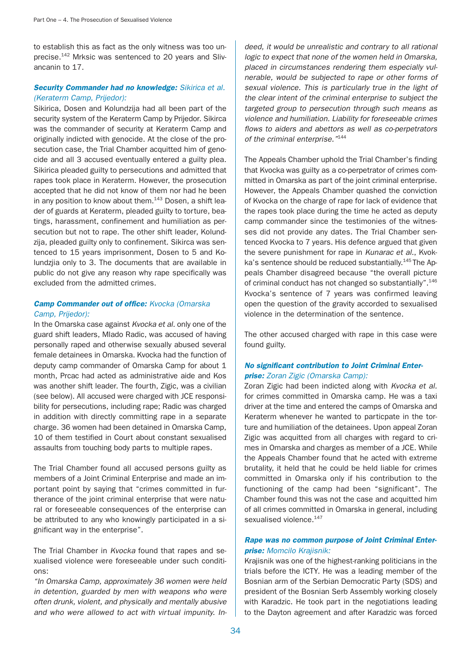to establish this as fact as the only witness was too unprecise.<sup>142</sup> Mrksic was sentenced to 20 years and Slivancanin to 17.

## Security Commander had no knowledge: Sikirica et al. (Keraterm Camp, Prijedor):

Sikirica, Dosen and Kolundzija had all been part of the security system of the Keraterm Camp by Prijedor. Sikirca was the commander of security at Keraterm Camp and originally indicted with genocide. At the close of the prosecution case, the Trial Chamber acquitted him of genocide and all 3 accused eventually entered a guilty plea. Sikirica pleaded guilty to persecutions and admitted that rapes took place in Keraterm. However, the prosecution accepted that he did not know of them nor had he been in any position to know about them. $143$  Dosen, a shift leader of guards at Keraterm, pleaded guilty to torture, beatings, harassment, confinement and humiliation as persecution but not to rape. The other shift leader, Kolundzija, pleaded guilty only to confinement. Sikirca was sentenced to 15 years imprisonment, Dosen to 5 and Kolundzjia only to 3. The documents that are available in public do not give any reason why rape specifically was excluded from the admitted crimes.

## **Camp Commander out of office: Kvocka (Omarska** Camp, Prijedor):

In the Omarska case against Kvocka et al. only one of the guard shift leaders, Mlado Radic, was accused of having personally raped and otherwise sexually abused several female detainees in Omarska. Kvocka had the function of deputy camp commander of Omarska Camp for about 1 month, Prcac had acted as administrative aide and Kos was another shift leader. The fourth, Zigic, was a civilian (see below). All accused were charged with JCE responsibility for persecutions, including rape; Radic was charged in addition with directly committing rape in a separate charge. 36 women had been detained in Omarska Camp, 10 of them testified in Court about constant sexualised assaults from touching body parts to multiple rapes.

The Trial Chamber found all accused persons guilty as members of a Joint Criminal Enterprise and made an important point by saying that "crimes committed in furtherance of the joint criminal enterprise that were natural or foreseeable consequences of the enterprise can be attributed to any who knowingly participated in a significant way in the enterprise".

The Trial Chamber in Kvocka found that rapes and sexualised violence were foreseeable under such conditions:

"In Omarska Camp, approximately 36 women were held in detention, guarded by men with weapons who were often drunk, violent, and physically and mentally abusive and who were allowed to act with virtual impunity. Indeed, it would be unrealistic and contrary to all rational logic to expect that none of the women held in Omarska, placed in circumstances rendering them especially vulnerable, would be subjected to rape or other forms of sexual violence. This is particularly true in the light of the clear intent of the criminal enterprise to subject the targeted group to persecution through such means as violence and humiliation. Liability for foreseeable crimes flows to aiders and abettors as well as co-perpetrators of the criminal enterprise."<sup>144</sup>

The Appeals Chamber uphold the Trial Chamber's finding that Kvocka was guilty as a co-perpetrator of crimes committed in Omarska as part of the joint criminal enterprise. However, the Appeals Chamber quashed the conviction of Kvocka on the charge of rape for lack of evidence that the rapes took place during the time he acted as deputy camp commander since the testimonies of the witnesses did not provide any dates. The Trial Chamber sentenced Kvocka to 7 years. His defence argued that given the severe punishment for rape in Kunarac et al., Kvokka's sentence should be reduced substantially.<sup>145</sup> The Appeals Chamber disagreed because "the overall picture of criminal conduct has not changed so substantially".<sup>146</sup> Kvocka's sentence of 7 years was confirmed leaving open the question of the gravity accorded to sexualised violence in the determination of the sentence.

The other accused charged with rape in this case were found guilty.

# No significant contribution to Joint Criminal Enterprise: Zoran Zigic (Omarska Camp):

Zoran Zigic had been indicted along with Kvocka et al. for crimes committed in Omarska camp. He was a taxi driver at the time and entered the camps of Omarska and Keraterm whenever he wanted to particpate in the torture and humiliation of the detainees. Upon appeal Zoran Zigic was acquitted from all charges with regard to crimes in Omarska and charges as member of a JCE. While the Appeals Chamber found that he acted with extreme brutality, it held that he could be held liable for crimes committed in Omarska only if his contribution to the functioning of the camp had been "significant". The Chamber found this was not the case and acquitted him of all crimes committed in Omarska in general, including sexualised violence.<sup>147</sup>

### Rape was no common purpose of Joint Criminal Enterprise: Momcilo Krajisnik:

Krajisnik was one of the highest-ranking politicians in the trials before the ICTY. He was a leading member of the Bosnian arm of the Serbian Democratic Party (SDS) and president of the Bosnian Serb Assembly working closely with Karadzic. He took part in the negotiations leading to the Dayton agreement and after Karadzic was forced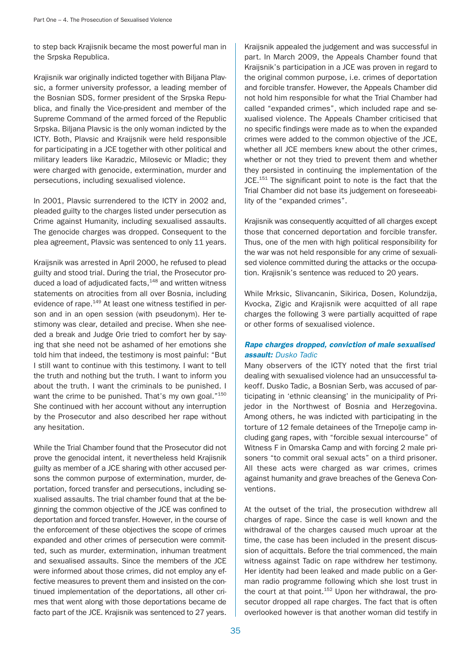to step back Krajisnik became the most powerful man in the Srpska Republica.

Krajisnik war originally indicted together with Biljana Plavsic, a former university professor, a leading member of the Bosnian SDS, former president of the Srpska Republica, and finally the Vice-president and member of the Supreme Command of the armed forced of the Republic Srpska. Biljana Plavsic is the only woman indicted by the ICTY. Both, Plavsic and Kraijsnik were held responsible for participating in a JCE together with other political and military leaders like Karadzic, Milosevic or Mladic; they were charged with genocide, extermination, murder and persecutions, including sexualised violence.

In 2001, Plavsic surrendered to the ICTY in 2002 and, pleaded guilty to the charges listed under persecution as Crime against Humanity, including sexualised assaults. The genocide charges was dropped. Consequent to the plea agreement, Plavsic was sentenced to only 11 years.

Kraijsnik was arrested in April 2000, he refused to plead guilty and stood trial. During the trial, the Prosecutor produced a load of adjudicated facts,<sup>148</sup> and written witness statements on atrocities from all over Bosnia, including evidence of rape.<sup>149</sup> At least one witness testified in person and in an open session (with pseudonym). Her testimony was clear, detailed and precise. When she needed a break and Judge Orie tried to comfort her by saying that she need not be ashamed of her emotions she told him that indeed, the testimony is most painful: "But I still want to continue with this testimony. I want to tell the truth and nothing but the truth. I want to inform you about the truth. I want the criminals to be punished. I want the crime to be punished. That's my own goal."<sup>150</sup> She continued with her account without any interruption by the Prosecutor and also described her rape without any hesitation.

While the Trial Chamber found that the Prosecutor did not prove the genocidal intent, it nevertheless held Krajisnik guilty as member of a JCE sharing with other accused persons the common purpose of extermination, murder, deportation, forced transfer and persecutions, including sexualised assaults. The trial chamber found that at the beginning the common objective of the JCE was confined to deportation and forced transfer. However, in the course of the enforcement of these objectives the scope of crimes expanded and other crimes of persecution were committed, such as murder, extermination, inhuman treatment and sexualised assaults. Since the members of the JCE were informed about those crimes, did not employ any effective measures to prevent them and insisted on the continued implementation of the deportations, all other crimes that went along with those deportations became de facto part of the JCE. Krajisnik was sentenced to 27 years.

Kraijsnik appealed the judgement and was successful in part. In March 2009, the Appeals Chamber found that Kraijsnik's participation in a JCE was proven in regard to the original common purpose, i.e. crimes of deportation and forcible transfer. However, the Appeals Chamber did not hold him responsible for what the Trial Chamber had called "expanded crimes", which included rape and sexualised violence. The Appeals Chamber criticised that no specific findings were made as to when the expanded crimes were added to the common objective of the JCE, whether all JCE members knew about the other crimes, whether or not they tried to prevent them and whether they persisted in continuing the implementation of the JCE.<sup>151</sup> The significant point to note is the fact that the Trial Chamber did not base its judgement on foreseeability of the "expanded crimes".

Krajisnik was consequently acquitted of all charges except those that concerned deportation and forcible transfer. Thus, one of the men with high political responsibility for the war was not held responsible for any crime of sexualised violence committed during the attacks or the occupation. Krajisnik's sentence was reduced to 20 years.

While Mrksic, Slivancanin, Sikirica, Dosen, Kolundzija, Kvocka, Zigic and Krajisnik were acquitted of all rape charges the following 3 were partially acquitted of rape or other forms of sexualised violence.

# Rape charges dropped, conviction of male sexualised assault: Dusko Tadic

Many observers of the ICTY noted that the first trial dealing with sexualised violence had an unsuccessful takeoff. Dusko Tadic, a Bosnian Serb, was accused of participating in 'ethnic cleansing' in the municipality of Prijedor in the Northwest of Bosnia and Herzegovina. Among others, he was indicted with participating in the torture of 12 female detainees of the Trnepolje camp including gang rapes, with "forcible sexual intercourse" of Witness F in Omarska Camp and with forcing 2 male prisoners "to commit oral sexual acts" on a third prisoner. All these acts were charged as war crimes, crimes against humanity and grave breaches of the Geneva Conventions.

At the outset of the trial, the prosecution withdrew all charges of rape. Since the case is well known and the withdrawal of the charges caused much uproar at the time, the case has been included in the present discussion of acquittals. Before the trial commenced, the main witness against Tadic on rape withdrew her testimony. Her identity had been leaked and made public on a German radio programme following which she lost trust in the court at that point.<sup>152</sup> Upon her withdrawal, the prosecutor dropped all rape charges. The fact that is often overlooked however is that another woman did testify in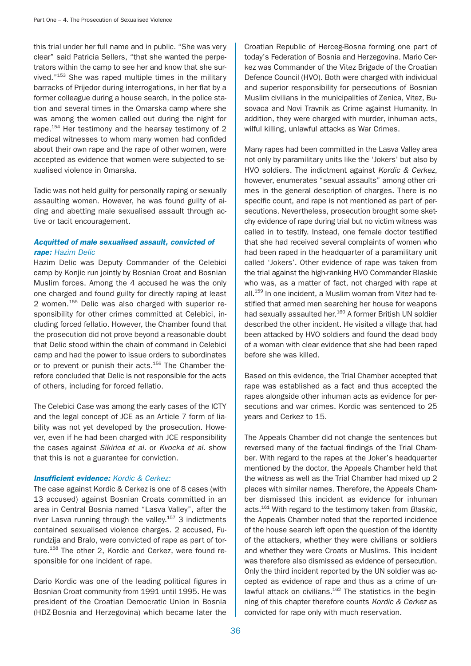this trial under her full name and in public. "She was very clear" said Patricia Sellers, "that she wanted the perpetrators within the camp to see her and know that she survived."153 She was raped multiple times in the military barracks of Prijedor during interrogations, in her flat by a former colleague during a house search, in the police station and several times in the Omarska camp where she was among the women called out during the night for rape.<sup>154</sup> Her testimony and the hearsay testimony of 2 medical witnesses to whom many women had confided about their own rape and the rape of other women, were accepted as evidence that women were subjected to sexualised violence in Omarska.

Tadic was not held guilty for personally raping or sexually assaulting women. However, he was found guilty of aiding and abetting male sexualised assault through active or tacit encouragement.

## Acquitted of male sexualised assault, convicted of rape: Hazim Delic

Hazim Delic was Deputy Commander of the Celebici camp by Konjic run jointly by Bosnian Croat and Bosnian Muslim forces. Among the 4 accused he was the only one charged and found guilty for directly raping at least 2 women.155 Delic was also charged with superior responsibility for other crimes committed at Celebici, including forced fellatio. However, the Chamber found that the prosecution did not prove beyond a reasonable doubt that Delic stood within the chain of command in Celebici camp and had the power to issue orders to subordinates or to prevent or punish their acts.<sup>156</sup> The Chamber therefore concluded that Delic is not responsible for the acts of others, including for forced fellatio.

The Celebici Case was among the early cases of the ICTY and the legal concept of JCE as an Article 7 form of liability was not yet developed by the prosecution. However, even if he had been charged with JCE responsibility the cases against Sikirica et al. or Kvocka et al. show that this is not a guarantee for conviction.

### **Insufficient evidence:** Kordic & Cerkez:

The case against Kordic & Cerkez is one of 8 cases (with 13 accused) against Bosnian Croats committed in an area in Central Bosnia named "Lasva Valley", after the river Lasva running through the valley.<sup>157</sup> 3 indictments contained sexualised violence charges. 2 accused, Furundzija and Bralo, were convicted of rape as part of torture.<sup>158</sup> The other 2, Kordic and Cerkez, were found responsible for one incident of rape.

Dario Kordic was one of the leading political figures in Bosnian Croat community from 1991 until 1995. He was president of the Croatian Democratic Union in Bosnia (HDZ-Bosnia and Herzegovina) which became later the Croatian Republic of Herceg-Bosna forming one part of today's Federation of Bosnia and Herzegovina. Mario Cerkez was Commander of the Vitez Brigade of the Croatian Defence Council (HVO). Both were charged with individual and superior responsibility for persecutions of Bosnian Muslim civilians in the municipalities of Zenica, Vitez, Busovaca and Novi Travnik as Crime against Humanity. In addition, they were charged with murder, inhuman acts, wilful killing, unlawful attacks as War Crimes.

Many rapes had been committed in the Lasva Valley area not only by paramilitary units like the 'Jokers' but also by HVO soldiers. The indictment against Kordic & Cerkez, however, enumerates "sexual assaults" among other crimes in the general description of charges. There is no specific count, and rape is not mentioned as part of persecutions. Nevertheless, prosecution brought some sketchy evidence of rape during trial but no victim witness was called in to testify. Instead, one female doctor testified that she had received several complaints of women who had been raped in the headquarter of a paramilitary unit called 'Jokers'. Other evidence of rape was taken from the trial against the high-ranking HVO Commander Blaskic who was, as a matter of fact, not charged with rape at all.<sup>159</sup> In one incident, a Muslim woman from Vitez had testified that armed men searching her house for weapons had sexually assaulted her.<sup>160</sup> A former British UN soldier described the other incident. He visited a village that had been attacked by HVO soldiers and found the dead body of a woman with clear evidence that she had been raped before she was killed.

Based on this evidence, the Trial Chamber accepted that rape was established as a fact and thus accepted the rapes alongside other inhuman acts as evidence for persecutions and war crimes. Kordic was sentenced to 25 years and Cerkez to 15.

The Appeals Chamber did not change the sentences but reversed many of the factual findings of the Trial Chamber. With regard to the rapes at the Joker's headquarter mentioned by the doctor, the Appeals Chamber held that the witness as well as the Trial Chamber had mixed up 2 places with similar names. Therefore, the Appeals Chamber dismissed this incident as evidence for inhuman acts.<sup>161</sup> With regard to the testimony taken from Blaskic, the Appeals Chamber noted that the reported incidence of the house search left open the question of the identity of the attackers, whether they were civilians or soldiers and whether they were Croats or Muslims. This incident was therefore also dismissed as evidence of persecution. Only the third incident reported by the UN soldier was accepted as evidence of rape and thus as a crime of unlawful attack on civilians. $162$  The statistics in the beginning of this chapter therefore counts Kordic & Cerkez as convicted for rape only with much reservation.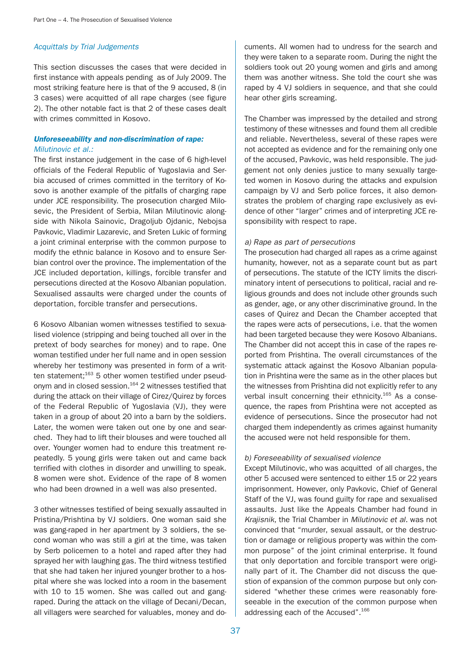## Acquittals by Trial Judgements

This section discusses the cases that were decided in first instance with appeals pending as of July 2009. The most striking feature here is that of the 9 accused, 8 (in 3 cases) were acquitted of all rape charges (see figure 2). The other notable fact is that 2 of these cases dealt with crimes committed in Kosovo.

## Unforeseeability and non-discrimination of rape: Milutinovic et al.:

The first instance judgement in the case of 6 high-level officials of the Federal Republic of Yugoslavia and Serbia accused of crimes committed in the territory of Kosovo is another example of the pitfalls of charging rape under JCE responsibility. The prosecution charged Milosevic, the President of Serbia, Milan Milutinovic alongside with Nikola Sainovic, Dragoljub Ojdanic, Nebojsa Pavkovic, Vladimir Lazarevic, and Sreten Lukic of forming a joint criminal enterprise with the common purpose to modify the ethnic balance in Kosovo and to ensure Serbian control over the province. The implementation of the JCE included deportation, killings, forcible transfer and persecutions directed at the Kosovo Albanian population. Sexualised assaults were charged under the counts of deportation, forcible transfer and persecutions.

6 Kosovo Albanian women witnesses testified to sexualised violence (stripping and being touched all over in the pretext of body searches for money) and to rape. One woman testified under her full name and in open session whereby her testimony was presented in form of a written statement;<sup>163</sup> 5 other women testified under pseudonym and in closed session.<sup>164</sup> 2 witnesses testified that during the attack on their village of Cirez/Quirez by forces of the Federal Republic of Yugoslavia (VJ), they were taken in a group of about 20 into a barn by the soldiers. Later, the women were taken out one by one and searched. They had to lift their blouses and were touched all over. Younger women had to endure this treatment repeatedly. 5 young girls were taken out and came back terrified with clothes in disorder and unwilling to speak. 8 women were shot. Evidence of the rape of 8 women who had been drowned in a well was also presented.

3 other witnesses testified of being sexually assaulted in Pristina/Prishtina by VJ soldiers. One woman said she was gang-raped in her apartment by 3 soldiers, the second woman who was still a girl at the time, was taken by Serb policemen to a hotel and raped after they had sprayed her with laughing gas. The third witness testified that she had taken her injured younger brother to a hospital where she was locked into a room in the basement with 10 to 15 women. She was called out and gangraped. During the attack on the village of Decani/Decan, all villagers were searched for valuables, money and documents. All women had to undress for the search and they were taken to a separate room. During the night the soldiers took out 20 young women and girls and among them was another witness. She told the court she was raped by 4 VJ soldiers in sequence, and that she could hear other girls screaming.

The Chamber was impressed by the detailed and strong testimony of these witnesses and found them all credible and reliable. Nevertheless, several of these rapes were not accepted as evidence and for the remaining only one of the accused, Pavkovic, was held responsible. The judgement not only denies justice to many sexually targeted women in Kosovo during the attacks and expulsion campaign by VJ and Serb police forces, it also demonstrates the problem of charging rape exclusively as evidence of other "larger" crimes and of interpreting JCE responsibility with respect to rape.

## a) Rape as part of persecutions

The prosecution had charged all rapes as a crime against humanity, however, not as a separate count but as part of persecutions. The statute of the ICTY limits the discriminatory intent of persecutions to political, racial and religious grounds and does not include other grounds such as gender, age, or any other discriminative ground. In the cases of Quirez and Decan the Chamber accepted that the rapes were acts of persecutions, i.e. that the women had been targeted because they were Kosovo Albanians. The Chamber did not accept this in case of the rapes reported from Prishtina. The overall circumstances of the systematic attack against the Kosovo Albanian population in Prishtina were the same as in the other places but the witnesses from Prishtina did not explicitly refer to any verbal insult concerning their ethnicity.<sup>165</sup> As a consequence, the rapes from Prishtina were not accepted as evidence of persecutions. Since the prosecutor had not charged them independently as crimes against humanity the accused were not held responsible for them.

## b) Foreseeability of sexualised violence

Except Milutinovic, who was acquitted of all charges, the other 5 accused were sentenced to either 15 or 22 years imprisonment. However, only Pavkovic, Chief of General Staff of the VJ, was found guilty for rape and sexualised assaults. Just like the Appeals Chamber had found in Krajisnik, the Trial Chamber in Milutinovic et al. was not convinced that "murder, sexual assault, or the destruction or damage or religious property was within the common purpose" of the joint criminal enterprise. It found that only deportation and forcible transport were originally part of it. The Chamber did not discuss the question of expansion of the common purpose but only considered "whether these crimes were reasonably foreseeable in the execution of the common purpose when addressing each of the Accused".<sup>166</sup>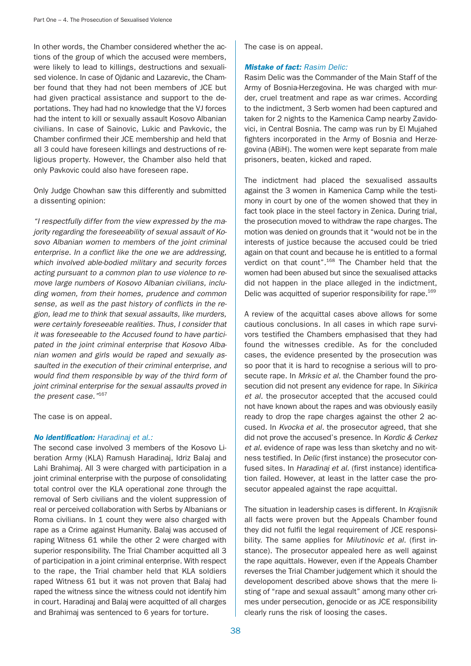In other words, the Chamber considered whether the actions of the group of which the accused were members, were likely to lead to killings, destructions and sexualised violence. In case of Ojdanic and Lazarevic, the Chamber found that they had not been members of JCE but had given practical assistance and support to the deportations. They had had no knowledge that the VJ forces had the intent to kill or sexually assault Kosovo Albanian civilians. In case of Sainovic, Lukic and Pavkovic, the Chamber confirmed their JCE membership and held that all 3 could have foreseen killings and destructions of religious property. However, the Chamber also held that only Pavkovic could also have foreseen rape.

Only Judge Chowhan saw this differently and submitted a dissenting opinion:

"I respectfully differ from the view expressed by the majority regarding the foreseeability of sexual assault of Kosovo Albanian women to members of the joint criminal enterprise. In a conflict like the one we are addressing, which involved able-bodied military and security forces acting pursuant to a common plan to use violence to remove large numbers of Kosovo Albanian civilians, including women, from their homes, prudence and common sense, as well as the past history of conflicts in the region, lead me to think that sexual assaults, like murders, were certainly foreseeable realities. Thus, I consider that it was foreseeable to the Accused found to have participated in the joint criminal enterprise that Kosovo Albanian women and girls would be raped and sexually assaulted in the execution of their criminal enterprise, and would find them responsible by way of the third form of joint criminal enterprise for the sexual assaults proved in the present case."167

The case is on appeal.

#### No *identification:* Haradinaj et al.:

The second case involved 3 members of the Kosovo Liberation Army (KLA) Ramush Haradinaj, Idriz Balaj and Lahi Brahimaj. All 3 were charged with participation in a joint criminal enterprise with the purpose of consolidating total control over the KLA operational zone through the removal of Serb civilians and the violent suppression of real or perceived collaboration with Serbs by Albanians or Roma civilians. In 1 count they were also charged with rape as a Crime against Humanity. Balaj was accused of raping Witness 61 while the other 2 were charged with superior responsibility. The Trial Chamber acquitted all 3 of participation in a joint criminal enterprise. With respect to the rape, the Trial chamber held that KLA soldiers raped Witness 61 but it was not proven that Balaj had raped the witness since the witness could not identify him in court. Haradinaj and Balaj were acquitted of all charges and Brahimaj was sentenced to 6 years for torture.

The case is on appeal.

## **Mistake of fact: Rasim Delic:**

Rasim Delic was the Commander of the Main Staff of the Army of Bosnia-Herzegovina. He was charged with murder, cruel treatment and rape as war crimes. According to the indictment, 3 Serb women had been captured and taken for 2 nights to the Kamenica Camp nearby Zavidovici, in Central Bosnia. The camp was run by El Mujahed fighters incorporated in the Army of Bosnia and Herzegovina (ABiH). The women were kept separate from male prisoners, beaten, kicked and raped.

The indictment had placed the sexualised assaults against the 3 women in Kamenica Camp while the testimony in court by one of the women showed that they in fact took place in the steel factory in Zenica. During trial, the prosecution moved to withdraw the rape charges. The motion was denied on grounds that it "would not be in the interests of justice because the accused could be tried again on that count and because he is entitled to a formal verdict on that count".168 The Chamber held that the women had been abused but since the sexualised attacks did not happen in the place alleged in the indictment, Delic was acquitted of superior responsibility for rape.<sup>169</sup>

A review of the acquittal cases above allows for some cautious conclusions. In all cases in which rape survivors testified the Chambers emphasised that they had found the witnesses credible. As for the concluded cases, the evidence presented by the prosecution was so poor that it is hard to recognise a serious will to prosecute rape. In Mrksic et al. the Chamber found the prosecution did not present any evidence for rape. In Sikirica et al. the prosecutor accepted that the accused could not have known about the rapes and was obviously easily ready to drop the rape charges against the other 2 accused. In Kvocka et al. the prosecutor agreed, that she did not prove the accused's presence. In Kordic & Cerkez et al. evidence of rape was less than sketchy and no witness testified. In Delic (first instance) the prosecutor confused sites. In Haradinaj et al. (first instance) identification failed. However, at least in the latter case the prosecutor appealed against the rape acquittal.

The situation in leadership cases is different. In Krajisnik all facts were proven but the Appeals Chamber found they did not fulfil the legal requirement of JCE responsibility. The same applies for Milutinovic et al. (first instance). The prosecutor appealed here as well against the rape aquittals. However, even if the Appeals Chamber reverses the Trial Chamber judgement which it should the developoment described above shows that the mere listing of "rape and sexual assault" among many other crimes under persecution, genocide or as JCE responsibility clearly runs the risk of loosing the cases.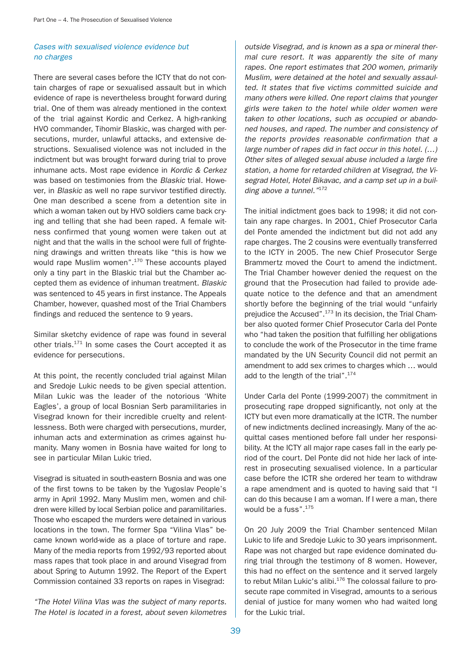## Cases with sexualised violence evidence but no charges

There are several cases before the ICTY that do not contain charges of rape or sexualised assault but in which evidence of rape is nevertheless brought forward during trial. One of them was already mentioned in the context of the trial against Kordic and Cerkez. A high-ranking HVO commander, Tihomir Blaskic, was charged with persecutions, murder, unlawful attacks, and extensive destructions. Sexualised violence was not included in the indictment but was brought forward during trial to prove inhumane acts. Most rape evidence in Kordic & Cerkez was based on testimonies from the Blaskic trial. However, in Blaskic as well no rape survivor testified directly. One man described a scene from a detention site in which a woman taken out by HVO soldiers came back crying and telling that she had been raped. A female witness confirmed that young women were taken out at night and that the walls in the school were full of frightening drawings and written threats like "this is how we would rape Muslim women".<sup>170</sup> These accounts played only a tiny part in the Blaskic trial but the Chamber accepted them as evidence of inhuman treatment. Blaskic was sentenced to 45 years in first instance. The Appeals Chamber, however, quashed most of the Trial Chambers findings and reduced the sentence to 9 years.

Similar sketchy evidence of rape was found in several other trials.<sup>171</sup> In some cases the Court accepted it as evidence for persecutions.

At this point, the recently concluded trial against Milan and Sredoje Lukic needs to be given special attention. Milan Lukic was the leader of the notorious 'White Eagles', a group of local Bosnian Serb paramilitaries in Visegrad known for their incredible cruelty and relentlessness. Both were charged with persecutions, murder, inhuman acts and extermination as crimes against humanity. Many women in Bosnia have waited for long to see in particular Milan Lukic tried.

Visegrad is situated in south-eastern Bosnia and was one of the first towns to be taken by the Yugoslav People's army in April 1992. Many Muslim men, women and children were killed by local Serbian police and paramilitaries. Those who escaped the murders were detained in various locations in the town. The former Spa "Vilina Vlas" became known world-wide as a place of torture and rape. Many of the media reports from 1992/93 reported about mass rapes that took place in and around Visegrad from about Spring to Autumn 1992. The Report of the Expert Commission contained 33 reports on rapes in Visegrad:

"The Hotel Vilina Vlas was the subject of many reports. The Hotel is located in a forest, about seven kilometres

outside Visegrad, and is known as a spa or mineral thermal cure resort. It was apparently the site of many rapes. One report estimates that 200 women, primarily Muslim, were detained at the hotel and sexually assaulted. It states that five victims committed suicide and many others were killed. One report claims that younger girls were taken to the hotel while older women were taken to other locations, such as occupied or abandoned houses, and raped. The number and consistency of the reports provides reasonable confirmation that a large number of rapes did in fact occur in this hotel. (…) Other sites of alleged sexual abuse included a large fire station, a home for retarded children at Visegrad, the Visegrad Hotel, Hotel Bikavac, and a camp set up in a building above a tunnel."<sup>172</sup>

The initial indictment goes back to 1998; it did not contain any rape charges. In 2001, Chief Prosecutor Carla del Ponte amended the indictment but did not add any rape charges. The 2 cousins were eventually transferred to the ICTY in 2005. The new Chief Prosecutor Serge Brammertz moved the Court to amend the indictment. The Trial Chamber however denied the request on the ground that the Prosecution had failed to provide adequate notice to the defence and that an amendment shortly before the beginning of the trial would "unfairly prejudice the Accused".<sup>173</sup> In its decision, the Trial Chamber also quoted former Chief Prosecutor Carla del Ponte who "had taken the position that fulfilling her obligations to conclude the work of the Prosecutor in the time frame mandated by the UN Security Council did not permit an amendment to add sex crimes to charges which … would add to the length of the trial".174

Under Carla del Ponte (1999-2007) the commitment in prosecuting rape dropped significantly, not only at the ICTY but even more dramatically at the ICTR. The number of new indictments declined increasingly. Many of the acquittal cases mentioned before fall under her responsibility. At the ICTY all major rape cases fall in the early period of the court. Del Ponte did not hide her lack of interest in prosecuting sexualised violence. In a particular case before the ICTR she ordered her team to withdraw a rape amendment and is quoted to having said that "I can do this because I am a woman. If I were a man, there would be a fuss".<sup>175</sup>

On 20 July 2009 the Trial Chamber sentenced Milan Lukic to life and Sredoje Lukic to 30 years imprisonment. Rape was not charged but rape evidence dominated during trial through the testimony of 8 women. However, this had no effect on the sentence and it served largely to rebut Milan Lukic's alibi. $176$  The colossal failure to prosecute rape commited in Visegrad, amounts to a serious denial of justice for many women who had waited long for the Lukic trial.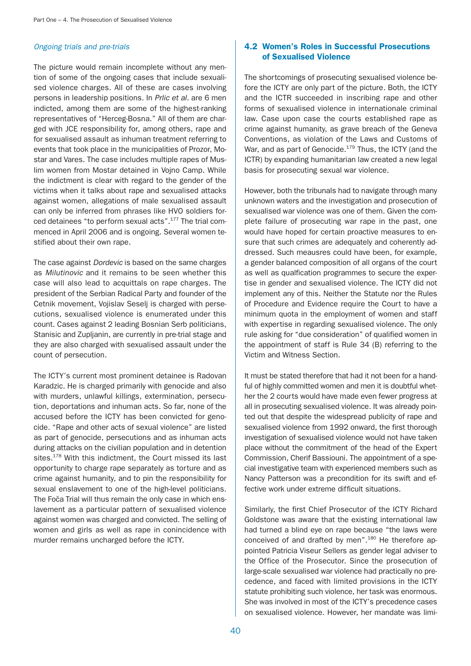#### Ongoing trials and pre-trials

The picture would remain incomplete without any mention of some of the ongoing cases that include sexualised violence charges. All of these are cases involving persons in leadership positions. In Prlic et al. are 6 men indicted, among them are some of the highest-ranking representatives of "Herceg-Bosna." All of them are charged with JCE responsibility for, among others, rape and for sexualised assault as inhuman treatment referring to events that took place in the municipalities of Prozor, Mostar and Vares. The case includes multiple rapes of Muslim women from Mostar detained in Vojno Camp. While the indictment is clear with regard to the gender of the victims when it talks about rape and sexualised attacks against women, allegations of male sexualised assault can only be inferred from phrases like HVO soldiers forced detainees "to perform sexual acts".177 The trial commenced in April 2006 and is ongoing. Several women testified about their own rape.

The case against *Dordevic* is based on the same charges as Milutinovic and it remains to be seen whether this case will also lead to acquittals on rape charges. The president of the Serbian Radical Party and founder of the Cetnik movement, Vojislav Seselj is charged with persecutions, sexualised violence is enumerated under this count. Cases against 2 leading Bosnian Serb politicians, Stanisic and Zupljanin, are currently in pre-trial stage and they are also charged with sexualised assault under the count of persecution.

The ICTY's current most prominent detainee is Radovan Karadzic. He is charged primarily with genocide and also with murders, unlawful killings, extermination, persecution, deportations and inhuman acts. So far, none of the accused before the ICTY has been convicted for genocide. "Rape and other acts of sexual violence" are listed as part of genocide, persecutions and as inhuman acts during attacks on the civilian population and in detention sites.<sup>178</sup> With this indictment, the Court missed its last opportunity to charge rape separately as torture and as crime against humanity, and to pin the responsibility for sexual enslavement to one of the high-level politicians. The Foča Trial will thus remain the only case in which enslavement as a particular pattern of sexualised violence against women was charged and convicted. The selling of women and girls as well as rape in conincidence with murder remains uncharged before the ICTY.

## 4.2 Women's Roles in Successful Prosecutions of Sexualised Violence

The shortcomings of prosecuting sexualised violence before the ICTY are only part of the picture. Both, the ICTY and the ICTR succeeded in inscribing rape and other forms of sexualised violence in internationale criminal law. Case upon case the courts established rape as crime against humanity, as grave breach of the Geneva Conventions, as violation of the Laws and Customs of War, and as part of Genocide.<sup>179</sup> Thus, the ICTY (and the ICTR) by expanding humanitarian law created a new legal basis for prosecuting sexual war violence.

However, both the tribunals had to navigate through many unknown waters and the investigation and prosecution of sexualised war violence was one of them. Given the complete failure of prosecuting war rape in the past, one would have hoped for certain proactive measures to ensure that such crimes are adequately and coherently addressed. Such meausres could have been, for example, a gender balanced composition of all organs of the court as well as qualfication programmes to secure the expertise in gender and sexualised violence. The ICTY did not implement any of this. Neither the Statute nor the Rules of Procedure and Evidence require the Court to have a minimum quota in the employment of women and staff with expertise in regarding sexualised violence. The only rule asking for "due consideration" of qualified women in the appointment of staff is Rule 34 (B) referring to the Victim and Witness Section.

It must be stated therefore that had it not been for a handful of highly committed women and men it is doubtful whether the 2 courts would have made even fewer progress at all in prosecuting sexualised violence. It was already pointed out that despite the widespread publicity of rape and sexualised violence from 1992 onward, the first thorough investigation of sexualised violence would not have taken place without the commitment of the head of the Expert Commission, Cherif Bassiouni. The appointment of a special investigative team with experienced members such as Nancy Patterson was a precondition for its swift and effective work under extreme difficult situations.

Similarly, the first Chief Prosecutor of the ICTY Richard Goldstone was aware that the existing international law had turned a blind eye on rape because "the laws were conceived of and drafted by men".<sup>180</sup> He therefore appointed Patricia Viseur Sellers as gender legal adviser to the Office of the Prosecutor. Since the prosecution of large-scale sexualised war violence had practically no precedence, and faced with limited provisions in the ICTY statute prohibiting such violence, her task was enormous. She was involved in most of the ICTY's precedence cases on sexualised violence. However, her mandate was limi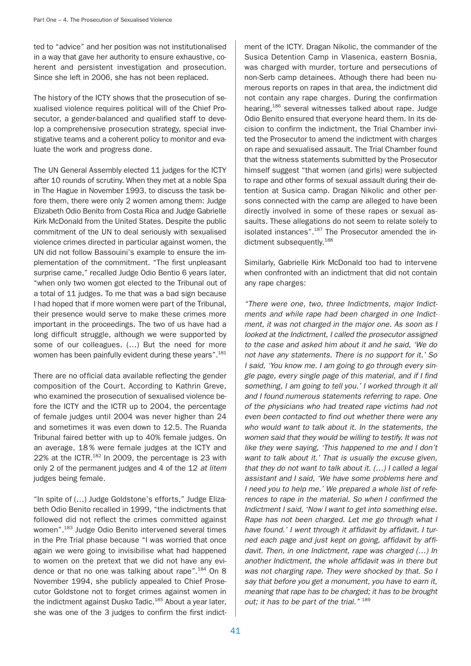ted to "advice" and her position was not institutionalised in a way that gave her authority to ensure exhaustive, coherent and persistent investigation and prosecution. Since she left in 2006, she has not been replaced.

The history of the ICTY shows that the prosecution of sexualised violence requires political will of the Chief Prosecutor, a gender-balanced and qualified staff to develop a comprehensive prosecution strategy, special investigative teams and a coherent policy to monitor and evaluate the work and progress done.

The UN General Assembly elected 11 judges for the ICTY after 10 rounds of scrutiny. When they met at a noble Spa in The Hague in November 1993, to discuss the task before them, there were only 2 women among them: Judge Elizabeth Odio Benito from Costa Rica and Judge Gabrielle Kirk McDonald from the United States. Despite the public commitment of the UN to deal seriously with sexualised violence crimes directed in particular against women, the UN did not follow Bassouini's example to ensure the implementation of the commitment. "The first unpleasant surprise came," recalled Judge Odio Bentio 6 years later, "when only two women got elected to the Tribunal out of a total of 11 judges. To me that was a bad sign because I had hoped that if more women were part of the Tribunal, their presence would serve to make these crimes more important in the proceedings. The two of us have had a long difficult struggle, although we were supported by some of our colleagues. (…) But the need for more women has been painfully evident during these vears".<sup>181</sup>

There are no official data available reflecting the gender composition of the Court. According to Kathrin Greve, who examined the prosecution of sexualised violence before the ICTY and the ICTR up to 2004, the percentage of female judges until 2004 was never higher than 24 and sometimes it was even down to 12.5. The Ruanda Tribunal faired better with up to 40% female judges. On an average, 18 % were female judges at the ICTY and 22% at the ICTR.<sup>182</sup> In 2009, the percentage is 23 with only 2 of the permanent judges and 4 of the 12 at litem judges being female.

"In spite of (…) Judge Goldstone's efforts," Judge Elizabeth Odio Benito recalled in 1999, "the indictments that followed did not reflect the crimes committed against women".183 Judge Odio Benito intervened several times in the Pre Trial phase because "I was worried that once again we were going to invisibilise what had happened to women on the pretext that we did not have any evidence or that no one was talking about rape".<sup>184</sup> On 8 November 1994, she publicly appealed to Chief Prosecutor Goldstone not to forget crimes against women in the indictment against Dusko Tadic.<sup>185</sup> About a year later, she was one of the 3 judges to confirm the first indictment of the ICTY. Dragan Nikolic, the commander of the Susica Detention Camp in Vlasenica, eastern Bosnia, was charged with murder, torture and persecutions of non-Serb camp detainees. Athough there had been numerous reports on rapes in that area, the indictment did not contain any rape charges. During the confirmation hearing,<sup>186</sup> several witnesses talked about rape. Judge Odio Benito ensured that everyone heard them. In its decision to confirm the indictment, the Trial Chamber invited the Prosecutor to amend the indictment with charges on rape and sexualised assault. The Trial Chamber found that the witness statements submitted by the Prosecutor himself suggest "that women (and girls) were subjected to rape and other forms of sexual assault during their detention at Susica camp. Dragan Nikolic and other persons connected with the camp are alleged to have been directly involved in some of these rapes or sexual assaults. These allegations do not seem to relate solely to isolated instances".<sup>187</sup> The Prosecutor amended the indictment subsequently.<sup>188</sup>

Similarly, Gabrielle Kirk McDonald too had to intervene when confronted with an indictment that did not contain any rape charges:

"There were one, two, three Indictments, major Indictments and while rape had been charged in one Indictment, it was not charged in the major one. As soon as I looked at the Indictment, I called the prosecutor assigned to the case and asked him about it and he said, 'We do not have any statements. There is no support for it.' So I said, 'You know me. I am going to go through every single page, every single page of this material, and if I find something, I am going to tell you.' I worked through it all and I found numerous statements referring to rape. One of the physicians who had treated rape victims had not even been contacted to find out whether there were any who would want to talk about it. In the statements, the women said that they would be willing to testify. It was not like they were saying, 'This happened to me and I don't want to talk about it.' That is usually the excuse given, that they do not want to talk about it. (…) I called a legal assistant and I said, 'We have some problems here and I need you to help me.' We prepared a whole list of references to rape in the material. So when I confirmed the Indictment I said, 'Now I want to get into something else. Rape has not been charged. Let me go through what I have found.' I went through it affidavit by affidavit. I turned each page and just kept on going, affidavit by affidavit. Then, in one Indictment, rape was charged (…) In another Indictment, the whole affidavit was in there but was not charging rape. They were shocked by that. So I say that before you get a monument, you have to earn it, meaning that rape has to be charged; it has to be brought out; it has to be part of the trial." 189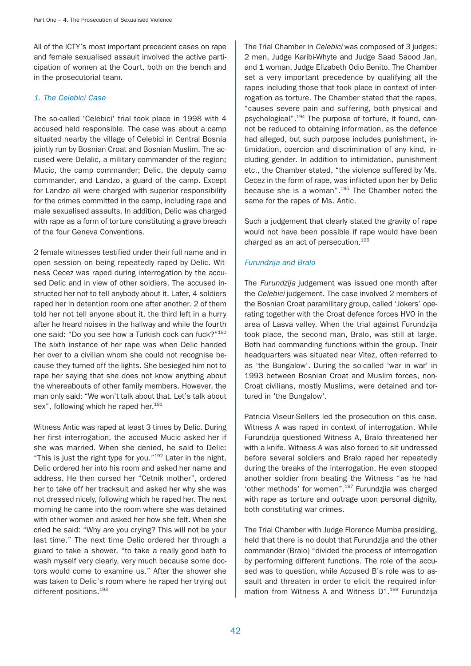All of the ICTY's most important precedent cases on rape and female sexualised assault involved the active participation of women at the Court, both on the bench and in the prosecutorial team.

## 1. The Celebici Case

The so-called 'Celebici' trial took place in 1998 with 4 accused held responsible. The case was about a camp situated nearby the village of Celebici in Central Bosnia jointly run by Bosnian Croat and Bosnian Muslim. The accused were Delalic, a military commander of the region; Mucic, the camp commander; Delic, the deputy camp commander, and Landzo, a guard of the camp. Except for Landzo all were charged with superior responsibility for the crimes committed in the camp, including rape and male sexualised assaults. In addition, Delic was charged with rape as a form of torture constituting a grave breach of the four Geneva Conventions.

2 female witnesses testified under their full name and in open session on being repeatedly raped by Delic. Witness Cecez was raped during interrogation by the accused Delic and in view of other soldiers. The accused instructed her not to tell anybody about it. Later, 4 soldiers raped her in detention room one after another. 2 of them told her not tell anyone about it, the third left in a hurry after he heard noises in the hallway and while the fourth one said: "Do you see how a Turkish cock can fuck?"190 The sixth instance of her rape was when Delic handed her over to a civilian whom she could not recognise because they turned off the lights. She besieged him not to rape her saying that she does not know anything about the whereabouts of other family members. However, the man only said: "We won't talk about that. Let's talk about sex", following which he raped her.<sup>191</sup>

Witness Antic was raped at least 3 times by Delic. During her first interrogation, the accused Mucic asked her if she was married. When she denied, he said to Delic: "This is just the right type for you."192 Later in the night, Delic ordered her into his room and asked her name and address. He then cursed her "Cetnik mother", ordered her to take off her tracksuit and asked her why she was not dressed nicely, following which he raped her. The next morning he came into the room where she was detained with other women and asked her how she felt. When she cried he said: "Why are you crying? This will not be your last time." The next time Delic ordered her through a guard to take a shower, "to take a really good bath to wash myself very clearly, very much because some doctors would come to examine us." After the shower she was taken to Delic's room where he raped her trying out different positions.<sup>193</sup>

The Trial Chamber in Celebici was composed of 3 judges; 2 men, Judge Karibi-Whyte and Judge Saad Saood Jan, and 1 woman, Judge Elizabeth Odio Benito. The Chamber set a very important precedence by qualifying all the rapes including those that took place in context of interrogation as torture. The Chamber stated that the rapes, "causes severe pain and suffering, both physical and psychological".<sup>194</sup> The purpose of torture, it found, cannot be reduced to obtaining information, as the defence had alleged, but such purpose includes punishment, intimidation, coercion and discrimination of any kind, including gender. In addition to intimidation, punishment etc., the Chamber stated, "the violence suffered by Ms. Cecez in the form of rape, was inflicted upon her by Delic because she is a woman".195 The Chamber noted the same for the rapes of Ms. Antic.

Such a judgement that clearly stated the gravity of rape would not have been possible if rape would have been charged as an act of persecution.<sup>196</sup>

# Furundzija and Bralo

The Furundzija judgement was issued one month after the Celebici judgement. The case involved 2 members of the Bosnian Croat paramilitary group, called 'Jokers' operating together with the Croat defence forces HVO in the area of Lasva valley. When the trial against Furundzija took place, the second man, Bralo, was still at large. Both had commanding functions within the group. Their headquarters was situated near Vitez, often referred to as 'the Bungalow'. During the so-called 'war in war' in 1993 between Bosnian Croat and Muslim forces, non-Croat civilians, mostly Muslims, were detained and tortured in 'the Bungalow'.

Patricia Viseur-Sellers led the prosecution on this case. Witness A was raped in context of interrogation. While Furundzija questioned Witness A, Bralo threatened her with a knife. Witness A was also forced to sit undressed before several soldiers and Bralo raped her repeatedly during the breaks of the interrogation. He even stopped another soldier from beating the Witness "as he had 'other methods' for women".197 Furundzjia was charged with rape as torture and outrage upon personal dignity, both constituting war crimes.

The Trial Chamber with Judge Florence Mumba presiding, held that there is no doubt that Furundzija and the other commander (Bralo) "divided the process of interrogation by performing different functions. The role of the accused was to question, while Accused B's role was to assault and threaten in order to elicit the required information from Witness A and Witness D".<sup>198</sup> Furundzija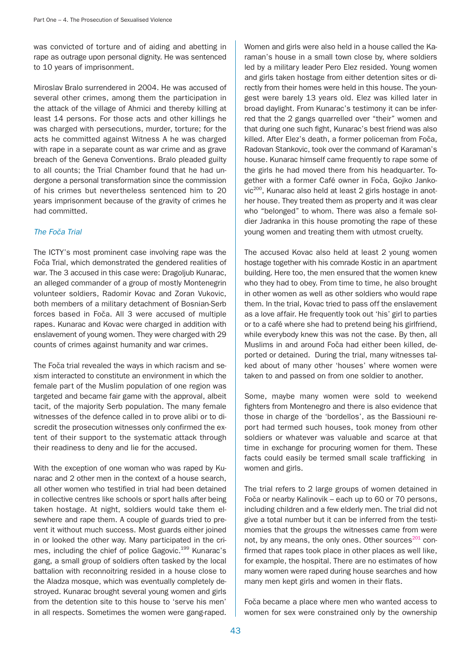was convicted of torture and of aiding and abetting in rape as outrage upon personal dignity. He was sentenced to 10 years of imprisonment.

Miroslav Bralo surrendered in 2004. He was accused of several other crimes, among them the participation in the attack of the village of Ahmici and thereby killing at least 14 persons. For those acts and other killings he was charged with persecutions, murder, torture; for the acts he committed against Witness A he was charged with rape in a separate count as war crime and as grave breach of the Geneva Conventions. Bralo pleaded guilty to all counts; the Trial Chamber found that he had undergone a personal transformation since the commission of his crimes but nevertheless sentenced him to 20 years imprisonment because of the gravity of crimes he had committed.

#### The Foča Trial

The ICTY's most prominent case involving rape was the Foča Trial, which demonstrated the gendered realities of war. The 3 accused in this case were: Dragoljub Kunarac, an alleged commander of a group of mostly Montenegrin volunteer soldiers, Radomir Kovac and Zoran Vukovic, both members of a military detachment of Bosnian-Serb forces based in Foča. All 3 were accused of multiple rapes. Kunarac and Kovac were charged in addition with enslavement of young women. They were charged with 29 counts of crimes against humanity and war crimes.

The Foča trial revealed the ways in which racism and sexism interacted to constitute an environment in which the female part of the Muslim population of one region was targeted and became fair game with the approval, albeit tacit, of the majority Serb population. The many female witnesses of the defence called in to prove alibi or to discredit the prosecution witnesses only confirmed the extent of their support to the systematic attack through their readiness to deny and lie for the accused.

With the exception of one woman who was raped by Kunarac and 2 other men in the context of a house search, all other women who testified in trial had been detained in collective centres like schools or sport halls after being taken hostage. At night, soldiers would take them elsewhere and rape them. A couple of guards tried to prevent it without much success. Most guards either joined in or looked the other way. Many participated in the crimes, including the chief of police Gagovic.<sup>199</sup> Kunarac's gang, a small group of soldiers often tasked by the local battalion with reconnoitring resided in a house close to the Aladza mosque, which was eventually completely destroyed. Kunarac brought several young women and girls from the detention site to this house to 'serve his men' in all respects. Sometimes the women were gang-raped.

Women and girls were also held in a house called the Karaman's house in a small town close by, where soldiers led by a military leader Pero Elez resided. Young women and girls taken hostage from either detention sites or directly from their homes were held in this house. The youngest were barely 13 years old. Elez was killed later in broad daylight. From Kunarac's testimony it can be inferred that the 2 gangs quarrelled over "their" women and that during one such fight, Kunarac's best friend was also killed. After Elez's death, a former policeman from Foča. Radovan Stankovic, took over the command of Karaman's house. Kunarac himself came frequently to rape some of the girls he had moved there from his headquarter. Together with a former Café owner in Foča, Gojko Jankovic<sup>200</sup>, Kunarac also held at least 2 girls hostage in another house. They treated them as property and it was clear who "belonged" to whom. There was also a female soldier Jadranka in this house promoting the rape of these young women and treating them with utmost cruelty.

The accused Kovac also held at least 2 young women hostage together with his comrade Kostic in an apartment building. Here too, the men ensured that the women knew who they had to obey. From time to time, he also brought in other women as well as other soldiers who would rape them. In the trial, Kovac tried to pass off the enslavement as a love affair. He frequently took out 'his' girl to parties or to a café where she had to pretend being his girlfriend, while everybody knew this was not the case. By then, all Muslims in and around Foča had either been killed, deported or detained. During the trial, many witnesses talked about of many other 'houses' where women were taken to and passed on from one soldier to another.

Some, maybe many women were sold to weekend fighters from Montenegro and there is also evidence that those in charge of the 'bordellos', as the Bassiouni report had termed such houses, took money from other soldiers or whatever was valuable and scarce at that time in exchange for procuring women for them. These facts could easily be termed small scale trafficking in women and girls.

The trial refers to 2 large groups of women detained in Foča or nearby Kalinovik – each up to 60 or 70 persons, including children and a few elderly men. The trial did not give a total number but it can be inferred from the testimomies that the groups the witnesses came from were not, by any means, the only ones. Other sources<sup>201</sup> confirmed that rapes took place in other places as well like, for example, the hospital. There are no estimates of how many women were raped during house searches and how many men kept girls and women in their flats.

Foča became a place where men who wanted access to women for sex were constrained only by the ownership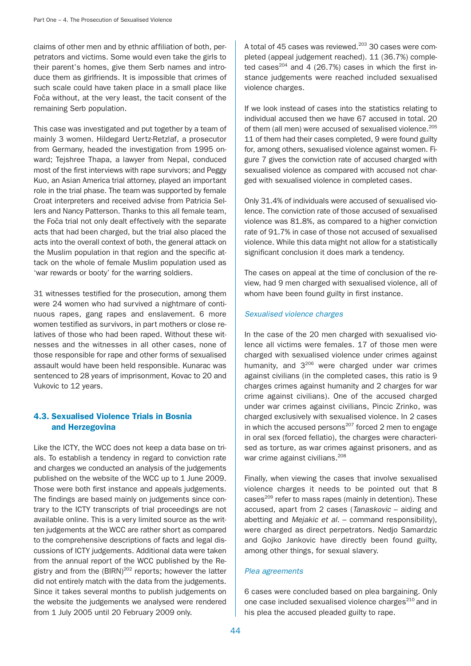claims of other men and by ethnic affiliation of both, perpetrators and victims. Some would even take the girls to their parent's homes, give them Serb names and introduce them as girlfriends. It is impossible that crimes of such scale could have taken place in a small place like Foča without, at the very least, the tacit consent of the remaining Serb population.

This case was investigated and put together by a team of mainly 3 women. Hildegard Uertz-Retzlaf, a prosecutor from Germany, headed the investigation from 1995 onward; Tejshree Thapa, a lawyer from Nepal, conduced most of the first interviews with rape survivors; and Peggy Kuo, an Asian America trial attorney, played an important role in the trial phase. The team was supported by female Croat interpreters and received advise from Patricia Sellers and Nancy Patterson. Thanks to this all female team, the Foča trial not only dealt effectively with the separate acts that had been charged, but the trial also placed the acts into the overall context of both, the general attack on the Muslim population in that region and the specific attack on the whole of female Muslim population used as 'war rewards or booty' for the warring soldiers.

31 witnesses testified for the prosecution, among them were 24 women who had survived a nightmare of continuous rapes, gang rapes and enslavement. 6 more women testified as survivors, in part mothers or close relatives of those who had been raped. Without these witnesses and the witnesses in all other cases, none of those responsible for rape and other forms of sexualised assault would have been held responsible. Kunarac was sentenced to 28 years of imprisonment, Kovac to 20 and Vukovic to 12 years.

# 4.3. Sexualised Violence Trials in Bosnia and Herzegovina

Like the ICTY, the WCC does not keep a data base on trials. To establish a tendency in regard to conviction rate and charges we conducted an analysis of the judgements published on the website of the WCC up to 1 June 2009. Those were both first instance and appeals judgements. The findings are based mainly on judgements since contrary to the ICTY transcripts of trial proceedings are not available online. This is a very limited source as the written judgements at the WCC are rather short as compared to the comprehensive descriptions of facts and legal discussions of ICTY judgements. Additional data were taken from the annual report of the WCC published by the Registry and from the  $(BIRN)^{202}$  reports; however the latter did not entirely match with the data from the judgements. Since it takes several months to publish judgements on the website the judgements we analysed were rendered from 1 July 2005 until 20 February 2009 only.

A total of 45 cases was reviewed.<sup>203</sup> 30 cases were completed (appeal judgement reached). 11 (36.7%) completed cases $^{204}$  and 4 (26.7%) cases in which the first instance judgements were reached included sexualised violence charges.

If we look instead of cases into the statistics relating to individual accused then we have 67 accused in total. 20 of them (all men) were accused of sexualised violence.<sup>205</sup> 11 of them had their cases completed, 9 were found guilty for, among others, sexualised violence against women. Figure 7 gives the conviction rate of accused charged with sexualised violence as compared with accused not charged with sexualised violence in completed cases.

Only 31.4% of individuals were accused of sexualised violence. The conviction rate of those accused of sexualised violence was 81.8%, as compared to a higher conviction rate of 91.7% in case of those not accused of sexualised violence. While this data might not allow for a statistically significant conclusion it does mark a tendency.

The cases on appeal at the time of conclusion of the review, had 9 men charged with sexualised violence, all of whom have been found guilty in first instance.

## Sexualised violence charges

In the case of the 20 men charged with sexualised violence all victims were females. 17 of those men were charged with sexualised violence under crimes against humanity, and 3<sup>206</sup> were charged under war crimes against civilians (in the completed cases, this ratio is 9 charges crimes against humanity and 2 charges for war crime against civilians). One of the accused charged under war crimes against civilians, Pincic Zrinko, was charged exclusively with sexualised violence. In 2 cases in which the accused persons $207$  forced 2 men to engage in oral sex (forced fellatio), the charges were characterised as torture, as war crimes against prisoners, and as war crime against civilians.<sup>208</sup>

Finally, when viewing the cases that involve sexualised violence charges it needs to be pointed out that 8 cases $^{209}$  refer to mass rapes (mainly in detention). These accused, apart from 2 cases (Tanaskovic – aiding and abetting and Mejakic et al. – command responsibility), were charged as direct perpetrators. Nedjo Samardzic and Gojko Jankovic have directly been found guilty, among other things, for sexual slavery.

## Plea agreements

6 cases were concluded based on plea bargaining. Only one case included sexualised violence charges<sup>210</sup> and in his plea the accused pleaded guilty to rape.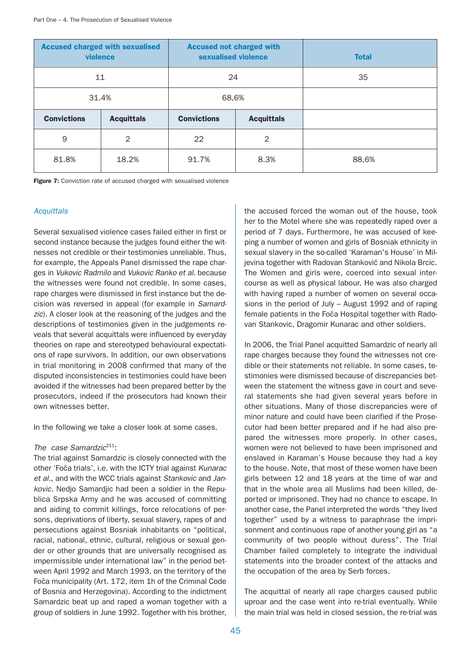| <b>Accused charged with sexualised</b><br>violence |                   | <b>Accused not charged with</b><br>sexualised violence |                   | <b>Total</b> |
|----------------------------------------------------|-------------------|--------------------------------------------------------|-------------------|--------------|
| 11                                                 |                   | 24                                                     |                   | 35           |
| 31.4%                                              |                   | 68,6%                                                  |                   |              |
| <b>Convictions</b>                                 | <b>Acquittals</b> | <b>Convictions</b>                                     | <b>Acquittals</b> |              |
| 9                                                  | 2                 | 22                                                     | $\mathcal{P}$     |              |
| 81.8%                                              | 18.2%             | 91.7%                                                  | 8.3%              | 88,6%        |

Figure 7: Conviction rate of accused charged with sexualised violence

## **Acquittals**

Several sexualised violence cases failed either in first or second instance because the judges found either the witnesses not credible or their testimonies unreliable. Thus, for example, the Appeals Panel dismissed the rape charges in Vukovic Radmilo and Vukovic Ranko et al. because the witnesses were found not credible. In some cases, rape charges were dismissed in first instance but the decision was reversed in appeal (for example in Samardzic). A closer look at the reasoning of the judges and the descriptions of testimonies given in the judgements reveals that several acquittals were influenced by everyday theories on rape and stereotyped behavioural expectations of rape survivors. In addition, our own observations in trial monitoring in 2008 confirmed that many of the disputed inconsistencies in testimonies could have been avoided if the witnesses had been prepared better by the prosecutors, indeed if the prosecutors had known their own witnesses better.

In the following we take a closer look at some cases.

#### The case Samardzi $c^{211}$ :

The trial against Samardzic is closely connected with the other 'Foča trials', i.e. with the ICTY trial against Kunarac et al., and with the WCC trials against Stankovic and Jankovic. Nedjo Samardjic had been a soldier in the Republica Srpska Army and he was accused of committing and aiding to commit killings, force relocations of persons, deprivations of liberty, sexual slavery, rapes of and persecutions against Bosniak inhabitants on "political, racial, national, ethnic, cultural, religious or sexual gender or other grounds that are universally recognised as impermissible under international law" in the period between April 1992 and March 1993, on the territory of the Foča municipality (Art. 172, item 1h of the Criminal Code of Bosnia and Herzegovina). According to the indictment Samardzic beat up and raped a woman together with a group of soldiers in June 1992. Together with his brother,

the accused forced the woman out of the house, took her to the Motel where she was repeatedly raped over a period of 7 days. Furthermore, he was accused of keeping a number of women and girls of Bosniak ethnicity in sexual slavery in the so-called 'Karaman's House' in Miljevina together with Radovan Stanković and Nikola Brcic. The Women and girls were, coerced into sexual intercourse as well as physical labour. He was also charged with having raped a number of women on several occasions in the period of July – August 1992 and of raping female patients in the Foča Hospital together with Radovan Stankovic, Dragomir Kunarac and other soldiers.

In 2006, the Trial Panel acquitted Samardzic of nearly all rape charges because they found the witnesses not credible or their statements not reliable. In some cases, testimonies were dismissed because of discrepancies between the statement the witness gave in court and several statements she had given several years before in other situations. Many of those discrepancies were of minor nature and could have been clarified if the Prosecutor had been better prepared and if he had also prepared the witnesses more properly. In other cases, women were not believed to have been imprisoned and enslaved in Karaman's House because they had a key to the house. Note, that most of these women have been girls between 12 and 18 years at the time of war and that in the whole area all Muslims had been killed, deported or imprisoned. They had no chance to escape. In another case, the Panel interpreted the words "they lived together" used by a witness to paraphrase the imprisonment and continuous rape of another young girl as "a community of two people without duress". The Trial Chamber failed completely to integrate the individual statements into the broader context of the attacks and the occupation of the area by Serb forces.

The acquittal of nearly all rape charges caused public uproar and the case went into re-trial eventually. While the main trial was held in closed session, the re-trial was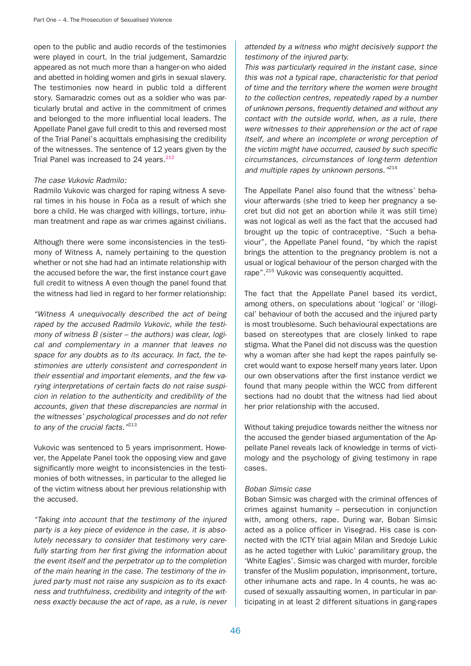open to the public and audio records of the testimonies were played in court. In the trial judgement, Samardzic appeared as not much more than a hanger-on who aided and abetted in holding women and girls in sexual slavery. The testimonies now heard in public told a different story. Samaradzic comes out as a soldier who was particularly brutal and active in the commitment of crimes and belonged to the more influential local leaders. The Appellate Panel gave full credit to this and reversed most of the Trial Panel's acquittals emphasising the credibility of the witnesses. The sentence of 12 years given by the Trial Panel was increased to 24 years. $212$ 

#### The case Vukovic Radmilo:

Radmilo Vukovic was charged for raping witness A several times in his house in Foča as a result of which she bore a child. He was charged with killings, torture, inhuman treatment and rape as war crimes against civilians.

Although there were some inconsistencies in the testimony of Witness A, namely pertaining to the question whether or not she had had an intimate relationship with the accused before the war, the first instance court gave full credit to witness A even though the panel found that the witness had lied in regard to her former relationship:

"Witness A unequivocally described the act of being raped by the accused Radmilo Vukovic, while the testimony of witness B (sister – the authors) was clear, logical and complementary in a manner that leaves no space for any doubts as to its accuracy. In fact, the testimonies are utterly consistent and correspondent in their essential and important elements, and the few varying interpretations of certain facts do not raise suspicion in relation to the authenticity and credibility of the accounts, given that these discrepancies are normal in the witnesses' psychological processes and do not refer to any of the crucial facts."<sup>213</sup>

Vukovic was sentenced to 5 years imprisonment. However, the Appelate Panel took the opposing view and gave significantly more weight to inconsistencies in the testimonies of both witnesses, in particular to the alleged lie of the victim witness about her previous relationship with the accused.

"Taking into account that the testimony of the injured party is a key piece of evidence in the case, it is absolutely necessary to consider that testimony very carefully starting from her first giving the information about the event itself and the perpetrator up to the completion of the main hearing in the case. The testimony of the injured party must not raise any suspicion as to its exactness and truthfulness, credibility and integrity of the witness exactly because the act of rape, as a rule, is never

# attended by a witness who might decisively support the testimony of the injured party.

This was particularly required in the instant case, since this was not a typical rape, characteristic for that period of time and the territory where the women were brought to the collection centres, repeatedly raped by a number of unknown persons, frequently detained and without any contact with the outside world, when, as a rule, there were witnesses to their apprehension or the act of rape itself, and where an incomplete or wrong perception of the victim might have occurred, caused by such specific circumstances, circumstances of long-term detention and multiple rapes by unknown persons."<sup>214</sup>

The Appellate Panel also found that the witness' behaviour afterwards (she tried to keep her pregnancy a secret but did not get an abortion while it was still time) was not logical as well as the fact that the accused had brought up the topic of contraceptive. "Such a behaviour", the Appellate Panel found, "by which the rapist brings the attention to the pregnancy problem is not a usual or logical behaviour of the person charged with the rape".<sup>215</sup> Vukovic was consequently acquitted.

The fact that the Appellate Panel based its verdict, among others, on speculations about 'logical' or 'illogical' behaviour of both the accused and the injured party is most troublesome. Such behavioural expectations are based on stereotypes that are closely linked to rape stigma. What the Panel did not discuss was the question why a woman after she had kept the rapes painfully secret would want to expose herself many years later. Upon our own observations after the first instance verdict we found that many people within the WCC from different sections had no doubt that the witness had lied about her prior relationship with the accused.

Without taking prejudice towards neither the witness nor the accused the gender biased argumentation of the Appellate Panel reveals lack of knowledge in terms of victimology and the psychology of giving testimony in rape cases.

## Boban Simsic case

Boban Simsic was charged with the criminal offences of crimes against humanity – persecution in conjunction with, among others, rape. During war, Boban Simsic acted as a police officer in Visegrad. His case is connected with the ICTY trial again Milan and Sredoje Lukic as he acted together with Lukic' paramilitary group, the 'White Eagles'. Simsic was charged with murder, forcible transfer of the Muslim population, imprisonment, torture, other inhumane acts and rape. In 4 counts, he was accused of sexually assaulting women, in particular in participating in at least 2 different situations in gang-rapes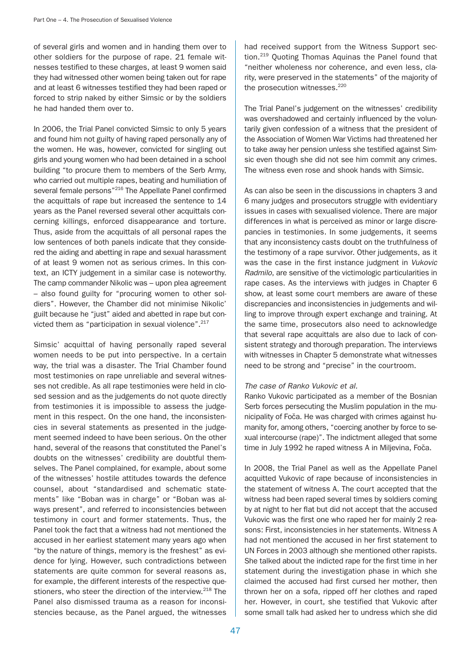of several girls and women and in handing them over to other soldiers for the purpose of rape. 21 female witnesses testified to these charges, at least 9 women said they had witnessed other women being taken out for rape and at least 6 witnesses testified they had been raped or forced to strip naked by either Simsic or by the soldiers he had handed them over to.

In 2006, the Trial Panel convicted Simsic to only 5 years and found him not guilty of having raped personally any of the women. He was, however, convicted for singling out girls and young women who had been detained in a school building "to procure them to members of the Serb Army, who carried out multiple rapes, beating and humiliation of several female persons"<sup>216</sup> The Appellate Panel confirmed the acquittals of rape but increased the sentence to 14 years as the Panel reversed several other acquittals concerning killings, enforced disappearance and torture. Thus, aside from the acquittals of all personal rapes the low sentences of both panels indicate that they considered the aiding and abetting in rape and sexual harassment of at least 9 women not as serious crimes. In this context, an ICTY judgement in a similar case is noteworthy. The camp commander Nikolic was – upon plea agreement – also found guilty for "procuring women to other soldiers". However, the Chamber did not minimise Nikolic' guilt because he "just" aided and abetted in rape but convicted them as "participation in sexual violence".<sup>217</sup>

Simsic' acquittal of having personally raped several women needs to be put into perspective. In a certain way, the trial was a disaster. The Trial Chamber found most testimonies on rape unreliable and several witnesses not credible. As all rape testimonies were held in closed session and as the judgements do not quote directly from testimonies it is impossible to assess the judgement in this respect. On the one hand, the inconsistencies in several statements as presented in the judgement seemed indeed to have been serious. On the other hand, several of the reasons that constituted the Panel's doubts on the witnesses' credibility are doubtful themselves. The Panel complained, for example, about some of the witnesses' hostile attitudes towards the defence counsel, about "standardised and schematic statements" like "Boban was in charge" or "Boban was always present", and referred to inconsistencies between testimony in court and former statements. Thus, the Panel took the fact that a witness had not mentioned the accused in her earliest statement many years ago when "by the nature of things, memory is the freshest" as evidence for lying. However, such contradictions between statements are quite common for several reasons as, for example, the different interests of the respective questioners, who steer the direction of the interview.<sup>218</sup> The Panel also dismissed trauma as a reason for inconsistencies because, as the Panel argued, the witnesses

had received support from the Witness Support section.219 Quoting Thomas Aquinas the Panel found that "neither wholeness nor coherence, and even less, clarity, were preserved in the statements" of the majority of the prosecution witnesses.<sup>220</sup>

The Trial Panel's judgement on the witnesses' credibility was overshadowed and certainly influenced by the voluntarily given confession of a witness that the president of the Association of Women War Victims had threatened her to take away her pension unless she testified against Simsic even though she did not see him commit any crimes. The witness even rose and shook hands with Simsic.

As can also be seen in the discussions in chapters 3 and 6 many judges and prosecutors struggle with evidentiary issues in cases with sexualised violence. There are major differences in what is perceived as minor or large discrepancies in testimonies. In some judgements, it seems that any inconsistency casts doubt on the truthfulness of the testimony of a rape survivor. Other judgements, as it was the case in the first instance judgment in Vukovic Radmilo, are sensitive of the victimologic particularities in rape cases. As the interviews with judges in Chapter 6 show, at least some court members are aware of these discrepancies and inconsistencies in judgements and willing to improve through expert exchange and training. At the same time, prosecutors also need to acknowledge that several rape acquittals are also due to lack of consistent strategy and thorough preparation. The interviews with witnesses in Chapter 5 demonstrate what witnesses need to be strong and "precise" in the courtroom.

#### The case of Ranko Vukovic et al.

Ranko Vukovic participated as a member of the Bosnian Serb forces persecuting the Muslim population in the municipality of Foča. He was charged with crimes against humanity for, among others, "coercing another by force to sexual intercourse (rape)". The indictment alleged that some time in July 1992 he raped witness A in Miljevina, Foča.

In 2008, the Trial Panel as well as the Appellate Panel acquitted Vukovic of rape because of inconsistencies in the statement of witness A. The court accepted that the witness had been raped several times by soldiers coming by at night to her flat but did not accept that the accused Vukovic was the first one who raped her for mainly 2 reasons: First, inconsistencies in her statements. Witness A had not mentioned the accused in her first statement to UN Forces in 2003 although she mentioned other rapists. She talked about the indicted rape for the first time in her statement during the investigation phase in which she claimed the accused had first cursed her mother, then thrown her on a sofa, ripped off her clothes and raped her. However, in court, she testified that Vukovic after some small talk had asked her to undress which she did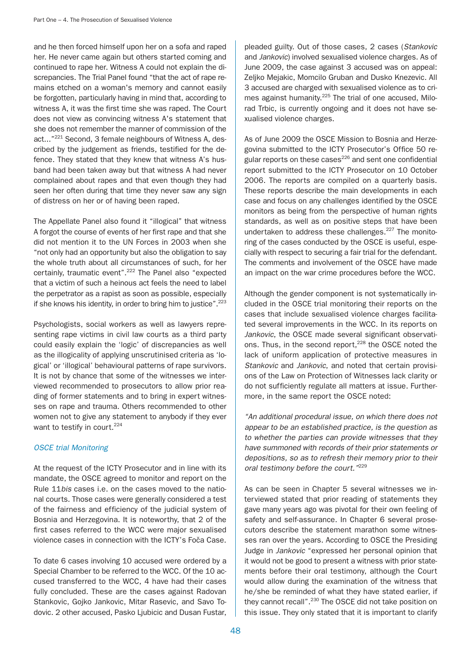and he then forced himself upon her on a sofa and raped her. He never came again but others started coming and continued to rape her. Witness A could not explain the discrepancies. The Trial Panel found "that the act of rape remains etched on a woman's memory and cannot easily be forgotten, particularly having in mind that, according to witness A, it was the first time she was raped. The Court does not view as convincing witness A's statement that she does not remember the manner of commission of the act..."<sup>221</sup> Second, 3 female neighbours of Witness A, described by the judgement as friends, testified for the defence. They stated that they knew that witness A's husband had been taken away but that witness A had never complained about rapes and that even though they had seen her often during that time they never saw any sign of distress on her or of having been raped.

The Appellate Panel also found it "illogical" that witness A forgot the course of events of her first rape and that she did not mention it to the UN Forces in 2003 when she "not only had an opportunity but also the obligation to say the whole truth about all circumstances of such, for her certainly, traumatic event".<sup>222</sup> The Panel also "expected that a victim of such a heinous act feels the need to label the perpetrator as a rapist as soon as possible, especially if she knows his identity, in order to bring him to justice".<sup>223</sup>

Psychologists, social workers as well as lawyers representing rape victims in civil law courts as a third party could easily explain the 'logic' of discrepancies as well as the illogicality of applying unscrutinised criteria as 'logical' or 'illogical' behavioural patterns of rape survivors. It is not by chance that some of the witnesses we interviewed recommended to prosecutors to allow prior reading of former statements and to bring in expert witnesses on rape and trauma. Others recommended to other women not to give any statement to anybody if they ever want to testify in court.<sup>224</sup>

## OSCE trial Monitoring

At the request of the ICTY Prosecutor and in line with its mandate, the OSCE agreed to monitor and report on the Rule 11bis cases i.e. on the cases moved to the national courts. Those cases were generally considered a test of the fairness and efficiency of the judicial system of Bosnia and Herzegovina. It is noteworthy, that 2 of the first cases referred to the WCC were major sexualised violence cases in connection with the ICTY's Foča Case.

To date 6 cases involving 10 accused were ordered by a Special Chamber to be referred to the WCC. Of the 10 accused transferred to the WCC, 4 have had their cases fully concluded. These are the cases against Radovan Stankovic, Gojko Jankovic, Mitar Rasevic, and Savo Todovic. 2 other accused, Pasko Ljubicic and Dusan Fustar,

pleaded guilty. Out of those cases, 2 cases (Stankovic and Jankovic) involved sexualised violence charges. As of June 2009, the case against 3 accused was on appeal: Zeljko Mejakic, Momcilo Gruban and Dusko Knezevic. All 3 accused are charged with sexualised violence as to crimes against humanity.<sup>225</sup> The trial of one accused, Milorad Trbic, is currently ongoing and it does not have sexualised violence charges.

As of June 2009 the OSCE Mission to Bosnia and Herzegovina submitted to the ICTY Prosecutor's Office 50 regular reports on these cases<sup>226</sup> and sent one confidential report submitted to the ICTY Prosecutor on 10 October 2006. The reports are compiled on a quarterly basis. These reports describe the main developments in each case and focus on any challenges identified by the OSCE monitors as being from the perspective of human rights standards, as well as on positive steps that have been undertaken to address these challenges.<sup>227</sup> The monitoring of the cases conducted by the OSCE is useful, especially with respect to securing a fair trial for the defendant. The comments and involvement of the OSCE have made an impact on the war crime procedures before the WCC.

Although the gender component is not systematically included in the OSCE trial monitoring their reports on the cases that include sexualised violence charges facilitated several improvements in the WCC. In its reports on Jankovic, the OSCE made several significant observations. Thus, in the second report,<sup>228</sup> the OSCE noted the lack of uniform application of protective measures in Stankovic and Jankovic, and noted that certain provisions of the Law on Protection of Witnesses lack clarity or do not sufficiently regulate all matters at issue. Furthermore, in the same report the OSCE noted:

"An additional procedural issue, on which there does not appear to be an established practice, is the question as to whether the parties can provide witnesses that they have summoned with records of their prior statements or depositions, so as to refresh their memory prior to their oral testimony before the court."<sup>229</sup>

As can be seen in Chapter 5 several witnesses we interviewed stated that prior reading of statements they gave many years ago was pivotal for their own feeling of safety and self-assurance. In Chapter 6 several prosecutors describe the statement marathon some witnesses ran over the years. According to OSCE the Presiding Judge in Jankovic "expressed her personal opinion that it would not be good to present a witness with prior statements before their oral testimony, although the Court would allow during the examination of the witness that he/she be reminded of what they have stated earlier, if they cannot recall".230 The OSCE did not take position on this issue. They only stated that it is important to clarify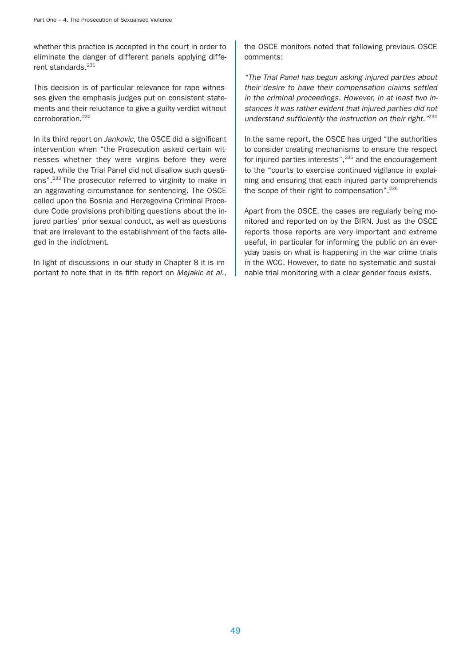whether this practice is accepted in the court in order to eliminate the danger of different panels applying different standards<sup>231</sup>

This decision is of particular relevance for rape witnesses given the emphasis judges put on consistent statements and their reluctance to give a guilty verdict without corroboration.232

In its third report on Jankovic, the OSCE did a significant intervention when "the Prosecution asked certain witnesses whether they were virgins before they were raped, while the Trial Panel did not disallow such questions".233 The prosecutor referred to virginity to make in an aggravating circumstance for sentencing. The OSCE called upon the Bosnia and Herzegovina Criminal Procedure Code provisions prohibiting questions about the injured parties' prior sexual conduct, as well as questions that are irrelevant to the establishment of the facts alleged in the indictment.

In light of discussions in our study in Chapter 8 it is important to note that in its fifth report on Mejakic et al., the OSCE monitors noted that following previous OSCE comments:

"The Trial Panel has begun asking injured parties about their desire to have their compensation claims settled in the criminal proceedings. However, in at least two instances it was rather evident that injured parties did not understand sufficiently the instruction on their right."<sup>234</sup>

In the same report, the OSCE has urged "the authorities to consider creating mechanisms to ensure the respect for injured parties interests",<sup>235</sup> and the encouragement to the "courts to exercise continued vigilance in explaining and ensuring that each injured party comprehends the scope of their right to compensation".<sup>236</sup>

Apart from the OSCE, the cases are regularly being monitored and reported on by the BIRN. Just as the OSCE reports those reports are very important and extreme useful, in particular for informing the public on an everyday basis on what is happening in the war crime trials in the WCC. However, to date no systematic and sustainable trial monitoring with a clear gender focus exists.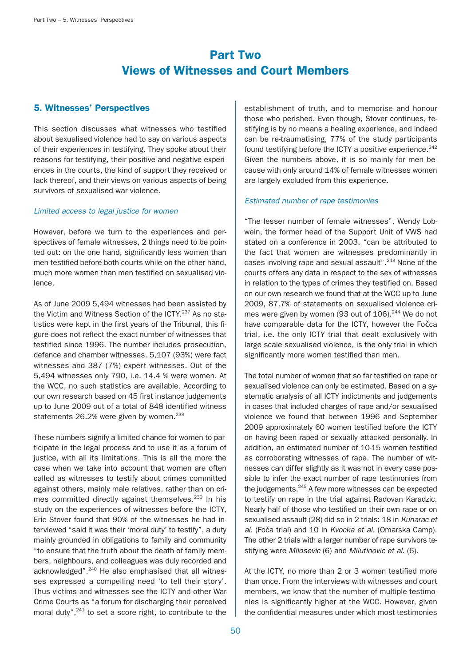# Part Two Views of Witnesses and Court Members

# 5. Witnesses' Perspectives

This section discusses what witnesses who testified about sexualised violence had to say on various aspects of their experiences in testifying. They spoke about their reasons for testifying, their positive and negative experiences in the courts, the kind of support they received or lack thereof, and their views on various aspects of being survivors of sexualised war violence.

## Limited access to legal justice for women

However, before we turn to the experiences and perspectives of female witnesses, 2 things need to be pointed out: on the one hand, significantly less women than men testified before both courts while on the other hand, much more women than men testified on sexualised violence.

As of June 2009 5,494 witnesses had been assisted by the Victim and Witness Section of the ICTY.<sup>237</sup> As no statistics were kept in the first years of the Tribunal, this figure does not reflect the exact number of witnesses that testified since 1996. The number includes prosecution, defence and chamber witnesses. 5,107 (93%) were fact witnesses and 387 (7%) expert witnesses. Out of the 5,494 witnesses only 790, i.e. 14.4 % were women. At the WCC, no such statistics are available. According to our own research based on 45 first instance judgements up to June 2009 out of a total of 848 identified witness statements 26.2% were given by women.<sup>238</sup>

These numbers signify a limited chance for women to participate in the legal process and to use it as a forum of justice, with all its limitations. This is all the more the case when we take into account that women are often called as witnesses to testify about crimes committed against others, mainly male relatives, rather than on crimes committed directly against themselves.<sup>239</sup> In his study on the experiences of witnesses before the ICTY, Eric Stover found that 90% of the witnesses he had interviewed "said it was their 'moral duty' to testify", a duty mainly grounded in obligations to family and community "to ensure that the truth about the death of family members, neighbours, and colleagues was duly recorded and acknowledged".<sup>240</sup> He also emphasised that all witnesses expressed a compelling need 'to tell their story'. Thus victims and witnesses see the ICTY and other War Crime Courts as "a forum for discharging their perceived moral duty",<sup>241</sup> to set a score right, to contribute to the

establishment of truth, and to memorise and honour those who perished. Even though, Stover continues, testifying is by no means a healing experience, and indeed can be re-traumatising, 77% of the study participants found testifying before the ICTY a positive experience.<sup>242</sup> Given the numbers above, it is so mainly for men because with only around 14% of female witnesses women are largely excluded from this experience.

## Estimated number of rape testimonies

"The lesser number of female witnesses", Wendy Lobwein, the former head of the Support Unit of VWS had stated on a conference in 2003, "can be attributed to the fact that women are witnesses predominantly in cases involving rape and sexual assault".<sup>243</sup> None of the courts offers any data in respect to the sex of witnesses in relation to the types of crimes they testified on. Based on our own research we found that at the WCC up to June 2009, 87.7% of statements on sexualised violence crimes were given by women (93 out of  $106$ ).<sup>244</sup> We do not have comparable data for the ICTY, however the Fočca trial, i.e. the only ICTY trial that dealt exclusively with large scale sexualised violence, is the only trial in which significantly more women testified than men.

The total number of women that so far testified on rape or sexualised violence can only be estimated. Based on a systematic analysis of all ICTY indictments and judgements in cases that included charges of rape and/or sexualised violence we found that between 1996 and September 2009 approximately 60 women testified before the ICTY on having been raped or sexually attacked personally. In addition, an estimated number of 10-15 women testified as corroborating witnesses of rape. The number of witnesses can differ slightly as it was not in every case possible to infer the exact number of rape testimonies from the judgements.<sup>245</sup> A few more witnesses can be expected to testify on rape in the trial against Radovan Karadzic. Nearly half of those who testified on their own rape or on sexualised assault (28) did so in 2 trials: 18 in Kunarac et al. (Foča trial) and 10 in Kvocka et al. (Omarska Camp). The other 2 trials with a larger number of rape survivors testifying were Milosevic (6) and Milutinovic et al. (6).

At the ICTY, no more than 2 or 3 women testified more than once. From the interviews with witnesses and court members, we know that the number of multiple testimonies is significantly higher at the WCC. However, given the confidential measures under which most testimonies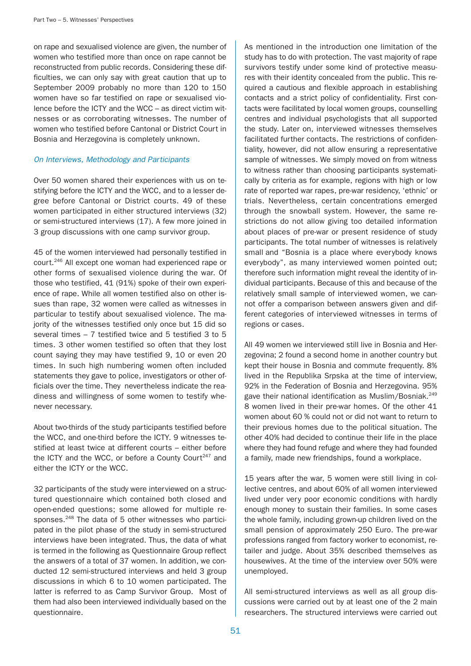on rape and sexualised violence are given, the number of women who testified more than once on rape cannot be reconstructed from public records. Considering these difficulties, we can only say with great caution that up to September 2009 probably no more than 120 to 150 women have so far testified on rape or sexualised violence before the ICTY and the WCC – as direct victim witnesses or as corroborating witnesses. The number of women who testified before Cantonal or District Court in Bosnia and Herzegovina is completely unknown.

## On Interviews, Methodology and Participants

Over 50 women shared their experiences with us on testifying before the ICTY and the WCC, and to a lesser degree before Cantonal or District courts. 49 of these women participated in either structured interviews (32) or semi-structured interviews (17). A few more joined in 3 group discussions with one camp survivor group.

45 of the women interviewed had personally testified in court.246 All except one woman had experienced rape or other forms of sexualised violence during the war. Of those who testified, 41 (91%) spoke of their own experience of rape. While all women testified also on other issues than rape, 32 women were called as witnesses in particular to testify about sexualised violence. The majority of the witnesses testified only once but 15 did so several times – 7 testified twice and 5 testified 3 to 5 times. 3 other women testified so often that they lost count saying they may have testified 9, 10 or even 20 times. In such high numbering women often included statements they gave to police, investigators or other officials over the time. They nevertheless indicate the readiness and willingness of some women to testify whenever necessary.

About two-thirds of the study participants testified before the WCC, and one-third before the ICTY. 9 witnesses testified at least twice at different courts – either before the ICTY and the WCC, or before a County Court<sup>247</sup> and either the ICTY or the WCC.

32 participants of the study were interviewed on a structured questionnaire which contained both closed and open-ended questions; some allowed for multiple responses.<sup>248</sup> The data of 5 other witnesses who participated in the pilot phase of the study in semi-structured interviews have been integrated. Thus, the data of what is termed in the following as Questionnaire Group reflect the answers of a total of 37 women. In addition, we conducted 12 semi-structured interviews and held 3 group discussions in which 6 to 10 women participated. The latter is referred to as Camp Survivor Group. Most of them had also been interviewed individually based on the questionnaire.

As mentioned in the introduction one limitation of the study has to do with protection. The vast majority of rape survivors testify under some kind of protective measures with their identity concealed from the public. This required a cautious and flexible approach in establishing contacts and a strict policy of confidentiality. First contacts were facilitated by local women groups, counselling centres and individual psychologists that all supported the study. Later on, interviewed witnesses themselves facilitated further contacts. The restrictions of confidentiality, however, did not allow ensuring a representative sample of witnesses. We simply moved on from witness to witness rather than choosing participants systematically by criteria as for example, regions with high or low rate of reported war rapes, pre-war residency, 'ethnic' or trials. Nevertheless, certain concentrations emerged through the snowball system. However, the same restrictions do not allow giving too detailed information about places of pre-war or present residence of study participants. The total number of witnesses is relatively small and "Bosnia is a place where everybody knows everybody", as many interviewed women pointed out; therefore such information might reveal the identity of individual participants. Because of this and because of the relatively small sample of interviewed women, we cannot offer a comparison between answers given and different categories of interviewed witnesses in terms of regions or cases.

All 49 women we interviewed still live in Bosnia and Herzegovina; 2 found a second home in another country but kept their house in Bosnia and commute frequently. 8% lived in the Republika Srpska at the time of interview, 92% in the Federation of Bosnia and Herzegovina. 95% gave their national identification as Muslim/Bosniak.<sup>249</sup> 8 women lived in their pre-war homes. Of the other 41 women about 60 % could not or did not want to return to their previous homes due to the political situation. The other 40% had decided to continue their life in the place where they had found refuge and where they had founded a family, made new friendships, found a workplace.

15 years after the war, 5 women were still living in collective centres, and about 60% of all women interviewed lived under very poor economic conditions with hardly enough money to sustain their families. In some cases the whole family, including grown-up children lived on the small pension of approximately 250 Euro. The pre-war professions ranged from factory worker to economist, retailer and judge. About 35% described themselves as housewives. At the time of the interview over 50% were unemployed.

All semi-structured interviews as well as all group discussions were carried out by at least one of the 2 main researchers. The structured interviews were carried out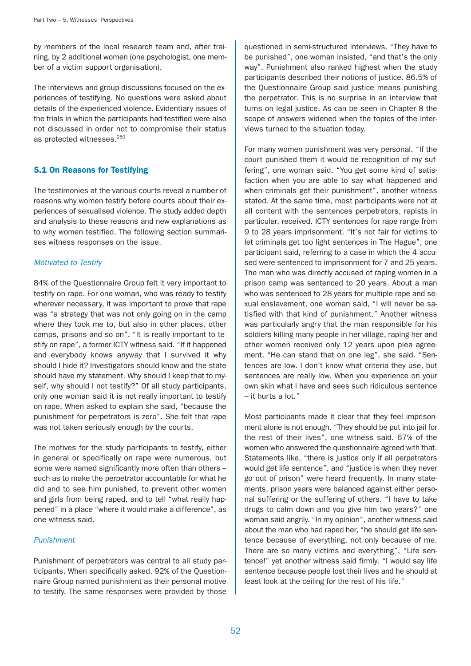by members of the local research team and, after training, by 2 additional women (one psychologist, one member of a victim support organisation).

The interviews and group discussions focused on the experiences of testifying. No questions were asked about details of the experienced violence. Evidentiary issues of the trials in which the participants had testified were also not discussed in order not to compromise their status as protected witnesses.<sup>250</sup>

## 5.1 On Reasons for Testifying

The testimonies at the various courts reveal a number of reasons why women testify before courts about their experiences of sexualised violence. The study added depth and analysis to these reasons and new explanations as to why women testified. The following section summarises witness responses on the issue.

## Motivated to Testify

84% of the Questionnaire Group felt it very important to testify on rape. For one woman, who was ready to testify wherever necessary, it was important to prove that rape was "a strategy that was not only going on in the camp where they took me to, but also in other places, other camps, prisons and so on". "It is really important to testify on rape", a former ICTY witness said. "If it happened and everybody knows anyway that I survived it why should I hide it? Investigators should know and the state should have my statement. Why should I keep that to myself, why should I not testify?" Of all study participants, only one woman said it is not really important to testify on rape. When asked to explain she said, "because the punishment for perpetrators is zero". She felt that rape was not taken seriously enough by the courts.

The motives for the study participants to testify, either in general or specifically on rape were numerous, but some were named significantly more often than others – such as to make the perpetrator accountable for what he did and to see him punished, to prevent other women and girls from being raped, and to tell "what really happened" in a place "where it would make a difference", as one witness said.

## Punishment

Punishment of perpetrators was central to all study participants. When specifically asked, 92% of the Questionnaire Group named punishment as their personal motive to testify. The same responses were provided by those

questioned in semi-structured interviews. "They have to be punished", one woman insisted, "and that's the only way". Punishment also ranked highest when the study participants described their notions of justice. 86.5% of the Questionnaire Group said justice means punishing the perpetrator. This is no surprise in an interview that turns on legal justice. As can be seen in Chapter 8 the scope of answers widened when the topics of the interviews turned to the situation today.

For many women punishment was very personal. "If the court punished them it would be recognition of my suffering", one woman said. "You get some kind of satisfaction when you are able to say what happened and when criminals get their punishment", another witness stated. At the same time, most participants were not at all content with the sentences perpetrators, rapists in particular, received. ICTY sentences for rape range from 9 to 28 years imprisonment. "It's not fair for victims to let criminals get too light sentences in The Hague", one participant said, referring to a case in which the 4 accused were sentenced to imprisonment for 7 and 25 years. The man who was directly accused of raping women in a prison camp was sentenced to 20 years. About a man who was sentenced to 28 years for multiple rape and sexual enslavement, one woman said, "I will never be satisfied with that kind of punishment." Another witness was particularly angry that the man responsible for his soldiers killing many people in her village, raping her and other women received only 12 years upon plea agreement. "He can stand that on one leg", she said. "Sentences are low. I don't know what criteria they use, but sentences are really low. When you experience on your own skin what I have and sees such ridiculous sentence – it hurts a lot."

Most participants made it clear that they feel imprisonment alone is not enough. "They should be put into jail for the rest of their lives", one witness said. 67% of the women who answered the questionnaire agreed with that. Statements like, "there is justice only if all perpetrators would get life sentence", and "justice is when they never go out of prison" were heard frequently. In many statements, prison years were balanced against either personal suffering or the suffering of others. "I have to take drugs to calm down and you give him two years?" one woman said angrily. "In my opinion", another witness said about the man who had raped her, "he should get life sentence because of everything, not only because of me. There are so many victims and everything". "Life sentence!" yet another witness said firmly. "I would say life sentence because people lost their lives and he should at least look at the ceiling for the rest of his life."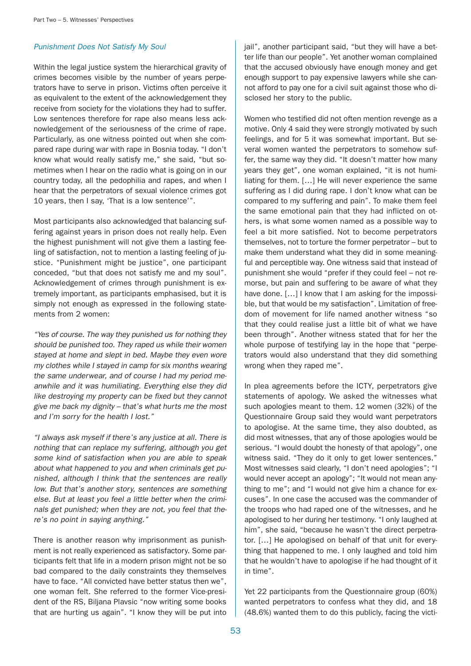## Punishment Does Not Satisfy My Soul

Within the legal justice system the hierarchical gravity of crimes becomes visible by the number of years perpetrators have to serve in prison. Victims often perceive it as equivalent to the extent of the acknowledgement they receive from society for the violations they had to suffer. Low sentences therefore for rape also means less acknowledgement of the seriousness of the crime of rape. Particularly, as one witness pointed out when she compared rape during war with rape in Bosnia today. "I don't know what would really satisfy me," she said, "but sometimes when I hear on the radio what is going on in our country today, all the pedophilia and rapes, and when I hear that the perpetrators of sexual violence crimes got 10 years, then I say, 'That is a low sentence'".

Most participants also acknowledged that balancing suffering against years in prison does not really help. Even the highest punishment will not give them a lasting feeling of satisfaction, not to mention a lasting feeling of justice. "Punishment might be justice", one participant conceded, "but that does not satisfy me and my soul". Acknowledgement of crimes through punishment is extremely important, as participants emphasised, but it is simply not enough as expressed in the following statements from 2 women:

"Yes of course. The way they punished us for nothing they should be punished too. They raped us while their women stayed at home and slept in bed. Maybe they even wore my clothes while I stayed in camp for six months wearing the same underwear, and of course I had my period meanwhile and it was humiliating. Everything else they did like destroying my property can be fixed but they cannot give me back my dignity – that's what hurts me the most and I'm sorry for the health I lost."

"I always ask myself if there's any justice at all. There is nothing that can replace my suffering, although you get some kind of satisfaction when you are able to speak about what happened to you and when criminals get punished, although I think that the sentences are really low. But that's another story, sentences are something else. But at least you feel a little better when the criminals get punished; when they are not, you feel that there's no point in saying anything."

There is another reason why imprisonment as punishment is not really experienced as satisfactory. Some participants felt that life in a modern prison might not be so bad compared to the daily constraints they themselves have to face. "All convicted have better status then we", one woman felt. She referred to the former Vice-president of the RS, Biljana Plavsic "now writing some books that are hurting us again". "I know they will be put into

jail", another participant said, "but they will have a better life than our people". Yet another woman complained that the accused obviously have enough money and get enough support to pay expensive lawyers while she cannot afford to pay one for a civil suit against those who disclosed her story to the public.

Women who testified did not often mention revenge as a motive. Only 4 said they were strongly motivated by such feelings, and for 5 it was somewhat important. But several women wanted the perpetrators to somehow suffer, the same way they did. "It doesn't matter how many years they get", one woman explained, "it is not humiliating for them. […] He will never experience the same suffering as I did during rape. I don't know what can be compared to my suffering and pain". To make them feel the same emotional pain that they had inflicted on others, is what some women named as a possible way to feel a bit more satisfied. Not to become perpetrators themselves, not to torture the former perpetrator – but to make them understand what they did in some meaningful and perceptible way. One witness said that instead of punishment she would "prefer if they could feel – not remorse, but pain and suffering to be aware of what they have done. [...] I know that I am asking for the impossible, but that would be my satisfaction". Limitation of freedom of movement for life named another witness "so that they could realise just a little bit of what we have been through". Another witness stated that for her the whole purpose of testifying lay in the hope that "perpetrators would also understand that they did something wrong when they raped me".

In plea agreements before the ICTY, perpetrators give statements of apology. We asked the witnesses what such apologies meant to them. 12 women (32%) of the Questionnaire Group said they would want perpetrators to apologise. At the same time, they also doubted, as did most witnesses, that any of those apologies would be serious. "I would doubt the honesty of that apology", one witness said. "They do it only to get lower sentences." Most witnesses said clearly, "I don't need apologies"; "I would never accept an apology"; "It would not mean anything to me"; and "I would not give him a chance for excuses". In one case the accused was the commander of the troops who had raped one of the witnesses, and he apologised to her during her testimony. "I only laughed at him", she said, "because he wasn't the direct perpetrator. […] He apologised on behalf of that unit for everything that happened to me. I only laughed and told him that he wouldn't have to apologise if he had thought of it in time".

Yet 22 participants from the Questionnaire group (60%) wanted perpetrators to confess what they did, and 18 (48.6%) wanted them to do this publicly, facing the victi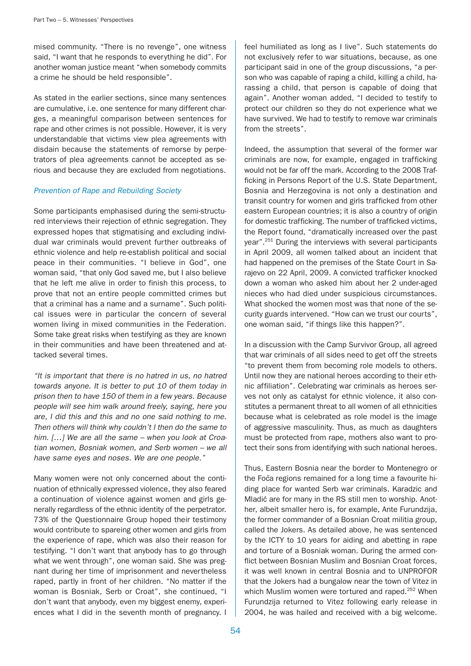mised community. "There is no revenge", one witness said, "I want that he responds to everything he did". For another woman justice meant "when somebody commits a crime he should be held responsible".

As stated in the earlier sections, since many sentences are cumulative, i.e. one sentence for many different charges, a meaningful comparison between sentences for rape and other crimes is not possible. However, it is very understandable that victims view plea agreements with disdain because the statements of remorse by perpetrators of plea agreements cannot be accepted as serious and because they are excluded from negotiations.

#### Prevention of Rape and Rebuilding Society

Some participants emphasised during the semi-structured interviews their rejection of ethnic segregation. They expressed hopes that stigmatising and excluding individual war criminals would prevent further outbreaks of ethnic violence and help re-establish political and social peace in their communities. "I believe in God", one woman said, "that only God saved me, but I also believe that he left me alive in order to finish this process, to prove that not an entire people committed crimes but that a criminal has a name and a surname". Such political issues were in particular the concern of several women living in mixed communities in the Federation. Some take great risks when testifying as they are known in their communities and have been threatened and attacked several times.

"It is important that there is no hatred in us, no hatred towards anyone. It is better to put 10 of them today in prison then to have 150 of them in a few years. Because people will see him walk around freely, saying, here you are, I did this and this and no one said nothing to me. Then others will think why couldn't I then do the same to him. [...] We are all the same – when you look at Croatian women, Bosniak women, and Serb women – we all have same eyes and noses. We are one people."

Many women were not only concerned about the continuation of ethnically expressed violence, they also feared a continuation of violence against women and girls generally regardless of the ethnic identity of the perpetrator. 73% of the Questionnaire Group hoped their testimony would contribute to spareing other women and girls from the experience of rape, which was also their reason for testifying. "I don't want that anybody has to go through what we went through", one woman said. She was pregnant during her time of imprisonment and nevertheless raped, partly in front of her children. "No matter if the woman is Bosniak, Serb or Croat", she continued, "I don't want that anybody, even my biggest enemy, experiences what I did in the seventh month of pregnancy. I feel humiliated as long as I live". Such statements do not exclusively refer to war situations, because, as one participant said in one of the group discussions, "a person who was capable of raping a child, killing a child, harassing a child, that person is capable of doing that again". Another woman added, "I decided to testify to protect our children so they do not experience what we have survived. We had to testify to remove war criminals from the streets".

Indeed, the assumption that several of the former war criminals are now, for example, engaged in trafficking would not be far off the mark. According to the 2008 Trafficking in Persons Report of the U.S. State Department, Bosnia and Herzegovina is not only a destination and transit country for women and girls trafficked from other eastern European countries; it is also a country of origin for domestic trafficking. The number of trafficked victims, the Report found, "dramatically increased over the past year".251 During the interviews with several participants in April 2009, all women talked about an incident that had happened on the premises of the State Court in Sarajevo on 22 April, 2009. A convicted trafficker knocked down a woman who asked him about her 2 under-aged nieces who had died under suspicious circumstances. What shocked the women most was that none of the security guards intervened. "How can we trust our courts", one woman said, "if things like this happen?".

In a discussion with the Camp Survivor Group, all agreed that war criminals of all sides need to get off the streets "to prevent them from becoming role models to others. Until now they are national heroes according to their ethnic affiliation". Celebrating war criminals as heroes serves not only as catalyst for ethnic violence, it also constitutes a permanent threat to all women of all ethnicities because what is celebrated as role model is the image of aggressive masculinity. Thus, as much as daughters must be protected from rape, mothers also want to protect their sons from identifying with such national heroes.

Thus, Eastern Bosnia near the border to Montenegro or the Foča regions remained for a long time a favourite hiding place for wanted Serb war criminals. Karadzic and Mladić are for many in the RS still men to worship. Another, albeit smaller hero is, for example, Ante Furundzija, the former commander of a Bosnian Croat militia group, called the Jokers. As detailed above, he was sentenced by the ICTY to 10 years for aiding and abetting in rape and torture of a Bosniak woman. During the armed conflict between Bosnian Muslim and Bosnian Croat forces, it was well known in central Bosnia and to UNPROFOR that the Jokers had a bungalow near the town of Vitez in which Muslim women were tortured and raped.<sup>252</sup> When Furundzija returned to Vitez following early release in 2004, he was hailed and received with a big welcome.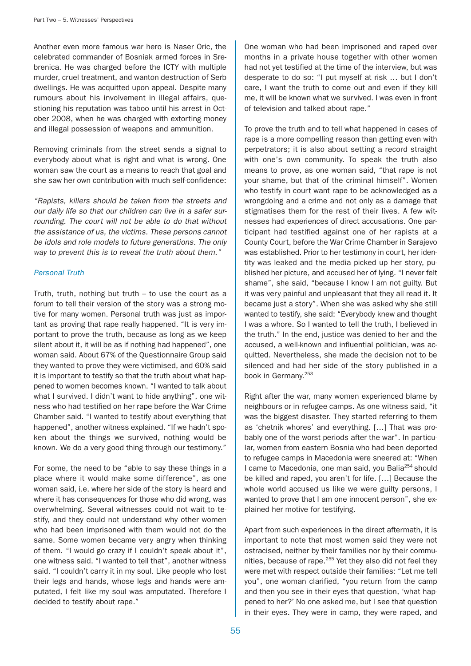Another even more famous war hero is Naser Oric, the celebrated commander of Bosniak armed forces in Srebrenica. He was charged before the ICTY with multiple murder, cruel treatment, and wanton destruction of Serb dwellings. He was acquitted upon appeal. Despite many rumours about his involvement in illegal affairs, questioning his reputation was taboo until his arrest in October 2008, when he was charged with extorting money and illegal possession of weapons and ammunition.

Removing criminals from the street sends a signal to everybody about what is right and what is wrong. One woman saw the court as a means to reach that goal and she saw her own contribution with much self-confidence:

"Rapists, killers should be taken from the streets and our daily life so that our children can live in a safer surrounding. The court will not be able to do that without the assistance of us, the victims. These persons cannot be idols and role models to future generations. The only way to prevent this is to reveal the truth about them."

## Personal Truth

Truth, truth, nothing but truth – to use the court as a forum to tell their version of the story was a strong motive for many women. Personal truth was just as important as proving that rape really happened. "It is very important to prove the truth, because as long as we keep silent about it, it will be as if nothing had happened", one woman said. About 67% of the Questionnaire Group said they wanted to prove they were victimised, and 60% said it is important to testify so that the truth about what happened to women becomes known. "I wanted to talk about what I survived. I didn't want to hide anything", one witness who had testified on her rape before the War Crime Chamber said. "I wanted to testify about everything that happened", another witness explained. "If we hadn't spoken about the things we survived, nothing would be known. We do a very good thing through our testimony."

For some, the need to be "able to say these things in a place where it would make some difference", as one woman said, i.e. where her side of the story is heard and where it has consequences for those who did wrong, was overwhelming. Several witnesses could not wait to testify, and they could not understand why other women who had been imprisoned with them would not do the same. Some women became very angry when thinking of them. "I would go crazy if I couldn't speak about it", one witness said. "I wanted to tell that", another witness said. "I couldn't carry it in my soul. Like people who lost their legs and hands, whose legs and hands were amputated, I felt like my soul was amputated. Therefore I decided to testify about rape."

One woman who had been imprisoned and raped over months in a private house together with other women had not yet testified at the time of the interview, but was desperate to do so: "I put myself at risk … but I don't care, I want the truth to come out and even if they kill me, it will be known what we survived. I was even in front of television and talked about rape."

To prove the truth and to tell what happened in cases of rape is a more compelling reason than getting even with perpetrators; it is also about setting a record straight with one's own community. To speak the truth also means to prove, as one woman said, "that rape is not your shame, but that of the criminal himself". Women who testify in court want rape to be acknowledged as a wrongdoing and a crime and not only as a damage that stigmatises them for the rest of their lives. A few witnesses had experiences of direct accusations. One participant had testified against one of her rapists at a County Court, before the War Crime Chamber in Sarajevo was established. Prior to her testimony in court, her identity was leaked and the media picked up her story, published her picture, and accused her of lying. "I never felt shame", she said, "because I know I am not guilty. But it was very painful and unpleasant that they all read it. It became just a story". When she was asked why she still wanted to testify, she said: "Everybody knew and thought I was a whore. So I wanted to tell the truth, I believed in the truth." In the end, justice was denied to her and the accused, a well-known and influential politician, was acquitted. Nevertheless, she made the decision not to be silenced and had her side of the story published in a book in Germany.<sup>253</sup>

Right after the war, many women experienced blame by neighbours or in refugee camps. As one witness said, "it was the biggest disaster. They started referring to them as 'chetnik whores' and everything. […] That was probably one of the worst periods after the war". In particular, women from eastern Bosnia who had been deported to refugee camps in Macedonia were sneered at: "When I came to Macedonia, one man said, you Balia<sup>254</sup> should be killed and raped, you aren't for life. […] Because the whole world accused us like we were guilty persons, I wanted to prove that I am one innocent person", she explained her motive for testifying.

Apart from such experiences in the direct aftermath, it is important to note that most women said they were not ostracised, neither by their families nor by their communities, because of rape.<sup>255</sup> Yet they also did not feel they were met with respect outside their families: "Let me tell you", one woman clarified, "you return from the camp and then you see in their eyes that question, 'what happened to her?' No one asked me, but I see that question in their eyes. They were in camp, they were raped, and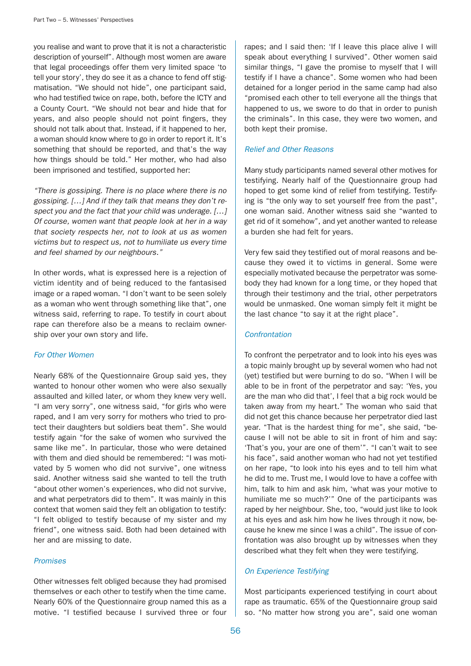you realise and want to prove that it is not a characteristic description of yourself". Although most women are aware that legal proceedings offer them very limited space 'to tell your story', they do see it as a chance to fend off stigmatisation. "We should not hide", one participant said, who had testified twice on rape, both, before the ICTY and a County Court. "We should not bear and hide that for years, and also people should not point fingers, they should not talk about that. Instead, if it happened to her, a woman should know where to go in order to report it. It's something that should be reported, and that's the way how things should be told." Her mother, who had also been imprisoned and testified, supported her:

"There is gossiping. There is no place where there is no gossiping. […] And if they talk that means they don't respect you and the fact that your child was underage. […] Of course, women want that people look at her in a way that society respects her, not to look at us as women victims but to respect us, not to humiliate us every time and feel shamed by our neighbours."

In other words, what is expressed here is a rejection of victim identity and of being reduced to the fantasised image or a raped woman. "I don't want to be seen solely as a woman who went through something like that", one witness said, referring to rape. To testify in court about rape can therefore also be a means to reclaim ownership over your own story and life.

## For Other Women

Nearly 68% of the Questionnaire Group said yes, they wanted to honour other women who were also sexually assaulted and killed later, or whom they knew very well. "I am very sorry", one witness said, "for girls who were raped, and I am very sorry for mothers who tried to protect their daughters but soldiers beat them". She would testify again "for the sake of women who survived the same like me". In particular, those who were detained with them and died should be remembered: "I was motivated by 5 women who did not survive", one witness said. Another witness said she wanted to tell the truth "about other women's experiences, who did not survive, and what perpetrators did to them". It was mainly in this context that women said they felt an obligation to testify: "I felt obliged to testify because of my sister and my friend", one witness said. Both had been detained with her and are missing to date.

#### Promises

Other witnesses felt obliged because they had promised themselves or each other to testify when the time came. Nearly 60% of the Questionnaire group named this as a motive. "I testified because I survived three or four

rapes; and I said then: 'If I leave this place alive I will speak about everything I survived". Other women said similar things, "I gave the promise to myself that I will testify if I have a chance". Some women who had been detained for a longer period in the same camp had also "promised each other to tell everyone all the things that happened to us, we swore to do that in order to punish the criminals". In this case, they were two women, and both kept their promise.

## Relief and Other Reasons

Many study participants named several other motives for testifying. Nearly half of the Questionnaire group had hoped to get some kind of relief from testifying. Testifying is "the only way to set yourself free from the past", one woman said. Another witness said she "wanted to get rid of it somehow", and yet another wanted to release a burden she had felt for years.

Very few said they testified out of moral reasons and because they owed it to victims in general. Some were especially motivated because the perpetrator was somebody they had known for a long time, or they hoped that through their testimony and the trial, other perpetrators would be unmasked. One woman simply felt it might be the last chance "to say it at the right place".

#### **Confrontation**

To confront the perpetrator and to look into his eyes was a topic mainly brought up by several women who had not (yet) testified but were burning to do so. "When I will be able to be in front of the perpetrator and say: 'Yes, you are the man who did that', I feel that a big rock would be taken away from my heart." The woman who said that did not get this chance because her perpetrator died last year. "That is the hardest thing for me", she said, "because I will not be able to sit in front of him and say: 'That's you, your are one of them'". "I can't wait to see his face", said another woman who had not yet testified on her rape, "to look into his eyes and to tell him what he did to me. Trust me, I would love to have a coffee with him, talk to him and ask him, 'what was your motive to humiliate me so much?'" One of the participants was raped by her neighbour. She, too, "would just like to look at his eyes and ask him how he lives through it now, because he knew me since I was a child". The issue of confrontation was also brought up by witnesses when they described what they felt when they were testifying.

## On Experience Testifying

Most participants experienced testifying in court about rape as traumatic. 65% of the Questionnaire group said so. "No matter how strong you are", said one woman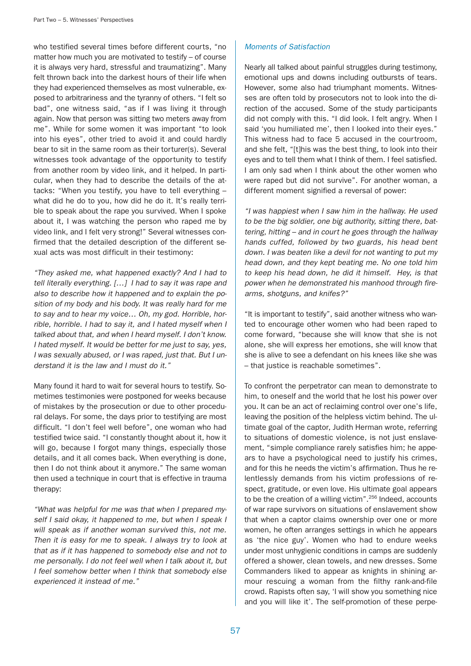who testified several times before different courts, "no matter how much you are motivated to testify – of course it is always very hard, stressful and traumatizing". Many felt thrown back into the darkest hours of their life when they had experienced themselves as most vulnerable, exposed to arbitrariness and the tyranny of others. "I felt so bad", one witness said, "as if I was living it through again. Now that person was sitting two meters away from me". While for some women it was important "to look into his eyes", other tried to avoid it and could hardly bear to sit in the same room as their torturer(s). Several witnesses took advantage of the opportunity to testify from another room by video link, and it helped. In particular, when they had to describe the details of the attacks: "When you testify, you have to tell everything – what did he do to you, how did he do it. It's really terrible to speak about the rape you survived. When I spoke about it, I was watching the person who raped me by video link, and I felt very strong!" Several witnesses confirmed that the detailed description of the different sexual acts was most difficult in their testimony:

"They asked me, what happened exactly? And I had to tell literally everything. […] I had to say it was rape and also to describe how it happened and to explain the position of my body and his body. It was really hard for me to say and to hear my voice… Oh, my god. Horrible, horrible, horrible. I had to say it, and I hated myself when I talked about that, and when I heard myself. I don't know. I hated myself. It would be better for me just to say, yes, I was sexually abused, or I was raped, just that. But I understand it is the law and I must do it."

Many found it hard to wait for several hours to testify. Sometimes testimonies were postponed for weeks because of mistakes by the prosecution or due to other procedural delays. For some, the days prior to testifying are most difficult. "I don't feel well before", one woman who had testified twice said. "I constantly thought about it, how it will go, because I forgot many things, especially those details, and it all comes back. When everything is done, then I do not think about it anymore." The same woman then used a technique in court that is effective in trauma therapy:

"What was helpful for me was that when I prepared myself I said okay, it happened to me, but when I speak I will speak as if another woman survived this, not me. Then it is easy for me to speak. I always try to look at that as if it has happened to somebody else and not to me personally. I do not feel well when I talk about it, but I feel somehow better when I think that somebody else experienced it instead of me."

## Moments of Satisfaction

Nearly all talked about painful struggles during testimony, emotional ups and downs including outbursts of tears. However, some also had triumphant moments. Witnesses are often told by prosecutors not to look into the direction of the accused. Some of the study participants did not comply with this. "I did look. I felt angry. When I said 'you humiliated me', then I looked into their eyes." This witness had to face 5 accused in the courtroom, and she felt, "[t]his was the best thing, to look into their eyes and to tell them what I think of them. I feel satisfied. I am only sad when I think about the other women who were raped but did not survive". For another woman, a different moment signified a reversal of power:

"I was happiest when I saw him in the hallway. He used to be the big soldier, one big authority, sitting there, battering, hitting – and in court he goes through the hallway hands cuffed, followed by two guards, his head bent down. I was beaten like a devil for not wanting to put my head down, and they kept beating me. No one told him to keep his head down, he did it himself. Hey, is that power when he demonstrated his manhood through firearms, shotguns, and knifes?"

"It is important to testify", said another witness who wanted to encourage other women who had been raped to come forward, "because she will know that she is not alone, she will express her emotions, she will know that she is alive to see a defendant on his knees like she was – that justice is reachable sometimes".

To confront the perpetrator can mean to demonstrate to him, to oneself and the world that he lost his power over you. It can be an act of reclaiming control over one's life, leaving the position of the helpless victim behind. The ultimate goal of the captor, Judith Herman wrote, referring to situations of domestic violence, is not just enslavement, "simple compliance rarely satisfies him; he appears to have a psychological need to justify his crimes, and for this he needs the victim's affirmation. Thus he relentlessly demands from his victim professions of respect, gratitude, or even love. His ultimate goal appears to be the creation of a willing victim".<sup>256</sup> Indeed, accounts of war rape survivors on situations of enslavement show that when a captor claims ownership over one or more women, he often arranges settings in which he appears as 'the nice guy'. Women who had to endure weeks under most unhygienic conditions in camps are suddenly offered a shower, clean towels, and new dresses. Some Commanders liked to appear as knights in shining armour rescuing a woman from the filthy rank-and-file crowd. Rapists often say, 'I will show you something nice and you will like it'. The self-promotion of these perpe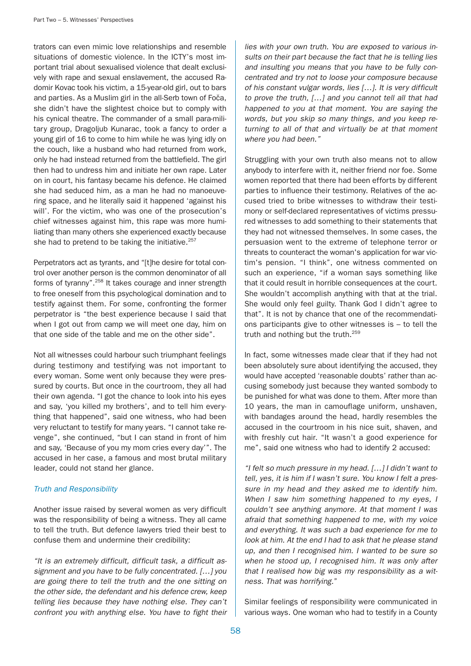trators can even mimic love relationships and resemble situations of domestic violence. In the ICTY's most important trial about sexualised violence that dealt exclusively with rape and sexual enslavement, the accused Radomir Kovac took his victim, a 15-year-old girl, out to bars and parties. As a Muslim girl in the all-Serb town of Foča, she didn't have the slightest choice but to comply with his cynical theatre. The commander of a small para-military group, Dragoljub Kunarac, took a fancy to order a young girl of 16 to come to him while he was lying idly on the couch, like a husband who had returned from work, only he had instead returned from the battlefield. The girl then had to undress him and initiate her own rape. Later on in court, his fantasy became his defence. He claimed she had seduced him, as a man he had no manoeuvering space, and he literally said it happened 'against his will'. For the victim, who was one of the prosecution's chief witnesses against him, this rape was more humiliating than many others she experienced exactly because she had to pretend to be taking the initiative. $257$ 

Perpetrators act as tyrants, and "[t]he desire for total control over another person is the common denominator of all forms of tyranny".258 It takes courage and inner strength to free oneself from this psychological domination and to testify against them. For some, confronting the former perpetrator is "the best experience because I said that when I got out from camp we will meet one day, him on that one side of the table and me on the other side".

Not all witnesses could harbour such triumphant feelings during testimony and testifying was not important to every woman. Some went only because they were pressured by courts. But once in the courtroom, they all had their own agenda. "I got the chance to look into his eyes and say, 'you killed my brothers', and to tell him everything that happened", said one witness, who had been very reluctant to testify for many years. "I cannot take revenge", she continued, "but I can stand in front of him and say, 'Because of you my mom cries every day'". The accused in her case, a famous and most brutal military leader, could not stand her glance.

#### Truth and Responsibility

Another issue raised by several women as very difficult was the responsibility of being a witness. They all came to tell the truth. But defence lawyers tried their best to confuse them and undermine their credibility:

"It is an extremely difficult, difficult task, a difficult assignment and you have to be fully concentrated. […] you are going there to tell the truth and the one sitting on the other side, the defendant and his defence crew, keep telling lies because they have nothing else. They can't confront you with anything else. You have to fight their lies with your own truth. You are exposed to various insults on their part because the fact that he is telling lies and insulting you means that you have to be fully concentrated and try not to loose your composure because of his constant vulgar words, lies […]. It is very difficult to prove the truth, […] and you cannot tell all that had happened to you at that moment. You are saying the words, but you skip so many things, and you keep returning to all of that and virtually be at that moment where you had been."

Struggling with your own truth also means not to allow anybody to interfere with it, neither friend nor foe. Some women reported that there had been efforts by different parties to influence their testimony. Relatives of the accused tried to bribe witnesses to withdraw their testimony or self-declared representatives of victims pressured witnesses to add something to their statements that they had not witnessed themselves. In some cases, the persuasion went to the extreme of telephone terror or threats to counteract the woman's application for war victim's pension. "I think", one witness commented on such an experience, "if a woman says something like that it could result in horrible consequences at the court. She wouldn't accomplish anything with that at the trial. She would only feel guilty. Thank God I didn't agree to that". It is not by chance that one of the recommendations participants give to other witnesses is – to tell the truth and nothing but the truth.<sup>259</sup>

In fact, some witnesses made clear that if they had not been absolutely sure about identifying the accused, they would have accepted 'reasonable doubts' rather than accusing somebody just because they wanted sombody to be punished for what was done to them. After more than 10 years, the man in camouflage uniform, unshaven, with bandages around the head, hardly resembles the accused in the courtroom in his nice suit, shaven, and with freshly cut hair. "It wasn't a good experience for me", said one witness who had to identify 2 accused:

"I felt so much pressure in my head. […] I didn't want to tell, yes, it is him if I wasn't sure. You know I felt a pressure in my head and they asked me to identify him. When I saw him something happened to my eyes, I couldn't see anything anymore. At that moment I was afraid that something happened to me, with my voice and everything. It was such a bad experience for me to look at him. At the end I had to ask that he please stand up, and then I recognised him. I wanted to be sure so when he stood up, I recognised him. It was only after that I realised how big was my responsibility as a witness. That was horrifying."

Similar feelings of responsibility were communicated in various ways. One woman who had to testify in a County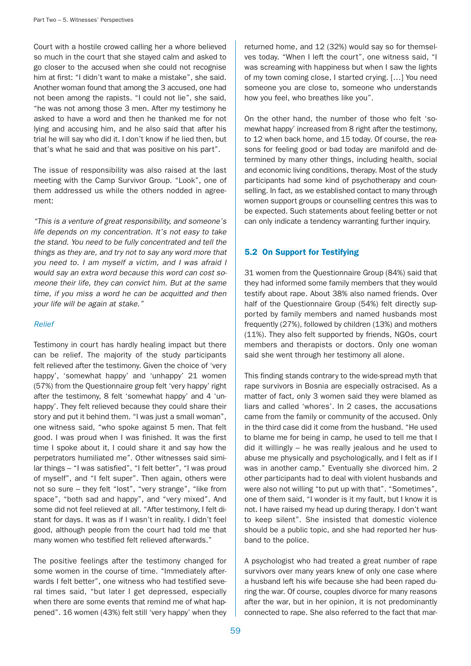Court with a hostile crowed calling her a whore believed so much in the court that she stayed calm and asked to go closer to the accused when she could not recognise him at first: "I didn't want to make a mistake", she said. Another woman found that among the 3 accused, one had not been among the rapists. "I could not lie", she said, "he was not among those 3 men. After my testimony he asked to have a word and then he thanked me for not lying and accusing him, and he also said that after his trial he will say who did it. I don't know if he lied then, but that's what he said and that was positive on his part".

The issue of responsibility was also raised at the last meeting with the Camp Survivor Group. "Look", one of them addressed us while the others nodded in agreement:

"This is a venture of great responsibility, and someone's life depends on my concentration. It's not easy to take the stand. You need to be fully concentrated and tell the things as they are, and try not to say any word more that you need to. I am myself a victim, and I was afraid I would say an extra word because this word can cost someone their life, they can convict him. But at the same time, if you miss a word he can be acquitted and then your life will be again at stake."

#### Relief

Testimony in court has hardly healing impact but there can be relief. The majority of the study participants felt relieved after the testimony. Given the choice of 'very happy', 'somewhat happy' and 'unhappy' 21 women (57%) from the Questionnaire group felt 'very happy' right after the testimony, 8 felt 'somewhat happy' and 4 'unhappy'. They felt relieved because they could share their story and put it behind them. "I was just a small woman", one witness said, "who spoke against 5 men. That felt good. I was proud when I was finished. It was the first time I spoke about it, I could share it and say how the perpetrators humiliated me". Other witnesses said similar things – "I was satisfied", "I felt better", "I was proud of myself", and "I felt super". Then again, others were not so sure – they felt "lost", "very strange", "like from space", "both sad and happy", and "very mixed". And some did not feel relieved at all. "After testimony, I felt distant for days. It was as if I wasn't in reality. I didn't feel good, although people from the court had told me that many women who testified felt relieved afterwards."

The positive feelings after the testimony changed for some women in the course of time. "Immediately afterwards I felt better", one witness who had testified several times said, "but later I get depressed, especially when there are some events that remind me of what happened". 16 women (43%) felt still 'very happy' when they

returned home, and 12 (32%) would say so for themselves today. "When I left the court", one witness said, "I was screaming with happiness but when I saw the lights of my town coming close, I started crying. […] You need someone you are close to, someone who understands how you feel, who breathes like you".

On the other hand, the number of those who felt 'somewhat happy' increased from 8 right after the testimony, to 12 when back home, and 15 today. Of course, the reasons for feeling good or bad today are manifold and determined by many other things, including health, social and economic living conditions, therapy. Most of the study participants had some kind of psychotherapy and counselling. In fact, as we established contact to many through women support groups or counselling centres this was to be expected. Such statements about feeling better or not can only indicate a tendency warranting further inquiry.

# 5.2 On Support for Testifying

31 women from the Questionnaire Group (84%) said that they had informed some family members that they would testify about rape. About 38% also named friends. Over half of the Questionnaire Group (54%) felt directly supported by family members and named husbands most frequently (27%), followed by children (13%) and mothers (11%). They also felt supported by friends, NGOs, court members and therapists or doctors. Only one woman said she went through her testimony all alone.

This finding stands contrary to the wide-spread myth that rape survivors in Bosnia are especially ostracised. As a matter of fact, only 3 women said they were blamed as liars and called 'whores'. In 2 cases, the accusations came from the family or community of the accused. Only in the third case did it come from the husband. "He used to blame me for being in camp, he used to tell me that I did it willingly – he was really jealous and he used to abuse me physically and psychologically, and I felt as if I was in another camp." Eventually she divorced him. 2 other participants had to deal with violent husbands and were also not willing "to put up with that". "Sometimes", one of them said, "I wonder is it my fault, but I know it is not. I have raised my head up during therapy. I don't want to keep silent". She insisted that domestic violence should be a public topic, and she had reported her husband to the police.

A psychologist who had treated a great number of rape survivors over many years knew of only one case where a husband left his wife because she had been raped during the war. Of course, couples divorce for many reasons after the war, but in her opinion, it is not predominantly connected to rape. She also referred to the fact that mar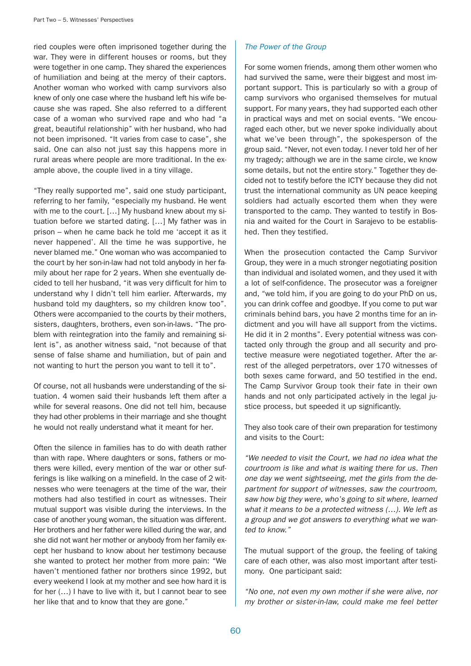ried couples were often imprisoned together during the war. They were in different houses or rooms, but they were together in one camp. They shared the experiences of humiliation and being at the mercy of their captors. Another woman who worked with camp survivors also knew of only one case where the husband left his wife because she was raped. She also referred to a different case of a woman who survived rape and who had "a great, beautiful relationship" with her husband, who had not been imprisoned. "It varies from case to case", she said. One can also not just say this happens more in rural areas where people are more traditional. In the example above, the couple lived in a tiny village.

"They really supported me", said one study participant, referring to her family, "especially my husband. He went with me to the court. […] My husband knew about my situation before we started dating. […] My father was in prison – when he came back he told me 'accept it as it never happened'. All the time he was supportive, he never blamed me." One woman who was accompanied to the court by her son-in-law had not told anybody in her family about her rape for 2 years. When she eventually decided to tell her husband, "it was very difficult for him to understand why I didn't tell him earlier. Afterwards, my husband told my daughters, so my children know too". Others were accompanied to the courts by their mothers, sisters, daughters, brothers, even son-in-laws. "The problem with reintegration into the family and remaining silent is", as another witness said, "not because of that sense of false shame and humiliation, but of pain and not wanting to hurt the person you want to tell it to".

Of course, not all husbands were understanding of the situation. 4 women said their husbands left them after a while for several reasons. One did not tell him, because they had other problems in their marriage and she thought he would not really understand what it meant for her.

Often the silence in families has to do with death rather than with rape. Where daughters or sons, fathers or mothers were killed, every mention of the war or other sufferings is like walking on a minefield. In the case of 2 witnesses who were teenagers at the time of the war, their mothers had also testified in court as witnesses. Their mutual support was visible during the interviews. In the case of another young woman, the situation was different. Her brothers and her father were killed during the war, and she did not want her mother or anybody from her family except her husband to know about her testimony because she wanted to protect her mother from more pain: "We haven't mentioned father nor brothers since 1992, but every weekend I look at my mother and see how hard it is for her (…) I have to live with it, but I cannot bear to see her like that and to know that they are gone."

# The Power of the Group

For some women friends, among them other women who had survived the same, were their biggest and most important support. This is particularly so with a group of camp survivors who organised themselves for mutual support. For many years, they had supported each other in practical ways and met on social events. "We encouraged each other, but we never spoke individually about what we've been through", the spokesperson of the group said. "Never, not even today. I never told her of her my tragedy; although we are in the same circle, we know some details, but not the entire story." Together they decided not to testify before the ICTY because they did not trust the international community as UN peace keeping soldiers had actually escorted them when they were transported to the camp. They wanted to testify in Bosnia and waited for the Court in Sarajevo to be established. Then they testified.

When the prosecution contacted the Camp Survivor Group, they were in a much stronger negotiating position than individual and isolated women, and they used it with a lot of self-confidence. The prosecutor was a foreigner and, "we told him, if you are going to do your PhD on us, you can drink coffee and goodbye. If you come to put war criminals behind bars, you have 2 months time for an indictment and you will have all support from the victims. He did it in 2 months". Every potential witness was contacted only through the group and all security and protective measure were negotiated together. After the arrest of the alleged perpetrators, over 170 witnesses of both sexes came forward, and 50 testified in the end. The Camp Survivor Group took their fate in their own hands and not only participated actively in the legal justice process, but speeded it up significantly.

They also took care of their own preparation for testimony and visits to the Court:

"We needed to visit the Court, we had no idea what the courtroom is like and what is waiting there for us. Then one day we went sightseeing, met the girls from the department for support of witnesses, saw the courtroom, saw how big they were, who's going to sit where, learned what it means to be a protected witness (…). We left as a group and we got answers to everything what we wanted to know."

The mutual support of the group, the feeling of taking care of each other, was also most important after testimony. One participant said:

"No one, not even my own mother if she were alive, nor my brother or sister-in-law, could make me feel better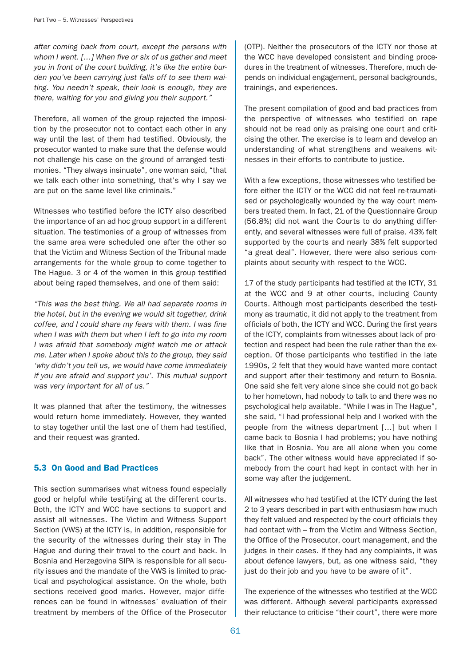after coming back from court, except the persons with whom I went. [...] When five or six of us gather and meet you in front of the court building, it's like the entire burden you've been carrying just falls off to see them waiting. You needn't speak, their look is enough, they are there, waiting for you and giving you their support."

Therefore, all women of the group rejected the imposition by the prosecutor not to contact each other in any way until the last of them had testified. Obviously, the prosecutor wanted to make sure that the defense would not challenge his case on the ground of arranged testimonies. "They always insinuate", one woman said, "that we talk each other into something, that's why I say we are put on the same level like criminals."

Witnesses who testified before the ICTY also described the importance of an ad hoc group support in a different situation. The testimonies of a group of witnesses from the same area were scheduled one after the other so that the Victim and Witness Section of the Tribunal made arrangements for the whole group to come together to The Hague. 3 or 4 of the women in this group testified about being raped themselves, and one of them said:

"This was the best thing. We all had separate rooms in the hotel, but in the evening we would sit together, drink coffee, and I could share my fears with them. I was fine when I was with them but when I left to go into my room I was afraid that somebody might watch me or attack me. Later when I spoke about this to the group, they said 'why didn't you tell us, we would have come immediately if you are afraid and support you'. This mutual support was very important for all of us."

It was planned that after the testimony, the witnesses would return home immediately. However, they wanted to stay together until the last one of them had testified, and their request was granted.

## 5.3 On Good and Bad Practices

This section summarises what witness found especially good or helpful while testifying at the different courts. Both, the ICTY and WCC have sections to support and assist all witnesses. The Victim and Witness Support Section (VWS) at the ICTY is, in addition, responsible for the security of the witnesses during their stay in The Hague and during their travel to the court and back. In Bosnia and Herzegovina SIPA is responsible for all security issues and the mandate of the VWS is limited to practical and psychological assistance. On the whole, both sections received good marks. However, major differences can be found in witnesses' evaluation of their treatment by members of the Office of the Prosecutor

(OTP). Neither the prosecutors of the ICTY nor those at the WCC have developed consistent and binding procedures in the treatment of witnesses. Therefore, much depends on individual engagement, personal backgrounds, trainings, and experiences.

The present compilation of good and bad practices from the perspective of witnesses who testified on rape should not be read only as praising one court and criticising the other. The exercise is to learn and develop an understanding of what strengthens and weakens witnesses in their efforts to contribute to justice.

With a few exceptions, those witnesses who testified before either the ICTY or the WCC did not feel re-traumatised or psychologically wounded by the way court members treated them. In fact, 21 of the Questionnaire Group (56.8%) did not want the Courts to do anything differently, and several witnesses were full of praise. 43% felt supported by the courts and nearly 38% felt supported "a great deal". However, there were also serious complaints about security with respect to the WCC.

17 of the study participants had testified at the ICTY, 31 at the WCC and 9 at other courts, including County Courts. Although most participants described the testimony as traumatic, it did not apply to the treatment from officials of both, the ICTY and WCC. During the first years of the ICTY, complaints from witnesses about lack of protection and respect had been the rule rather than the exception. Of those participants who testified in the late 1990s, 2 felt that they would have wanted more contact and support after their testimony and return to Bosnia. One said she felt very alone since she could not go back to her hometown, had nobody to talk to and there was no psychological help available. "While I was in The Hague", she said, "I had professional help and I worked with the people from the witness department […] but when I came back to Bosnia I had problems; you have nothing like that in Bosnia. You are all alone when you come back". The other witness would have appreciated if somebody from the court had kept in contact with her in some way after the judgement.

All witnesses who had testified at the ICTY during the last 2 to 3 years described in part with enthusiasm how much they felt valued and respected by the court officials they had contact with – from the Victim and Witness Section, the Office of the Prosecutor, court management, and the judges in their cases. If they had any complaints, it was about defence lawyers, but, as one witness said, "they just do their job and you have to be aware of it".

The experience of the witnesses who testified at the WCC was different. Although several participants expressed their reluctance to criticise "their court", there were more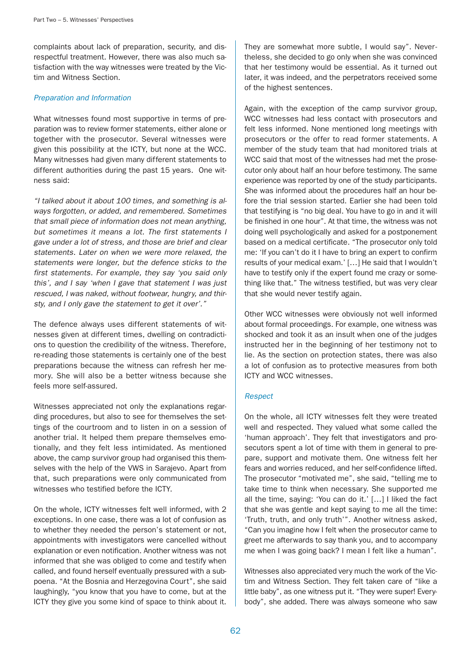complaints about lack of preparation, security, and disrespectful treatment. However, there was also much satisfaction with the way witnesses were treated by the Victim and Witness Section.

## Preparation and Information

What witnesses found most supportive in terms of preparation was to review former statements, either alone or together with the prosecutor. Several witnesses were given this possibility at the ICTY, but none at the WCC. Many witnesses had given many different statements to different authorities during the past 15 years. One witness said:

"I talked about it about 100 times, and something is always forgotten, or added, and remembered. Sometimes that small piece of information does not mean anything, but sometimes it means a lot. The first statements I gave under a lot of stress, and those are brief and clear statements. Later on when we were more relaxed, the statements were longer, but the defence sticks to the first statements. For example, they say 'you said only this', and I say 'when I gave that statement I was just rescued, I was naked, without footwear, hungry, and thirsty, and I only gave the statement to get it over'."

The defence always uses different statements of witnesses given at different times, dwelling on contradictions to question the credibility of the witness. Therefore, re-reading those statements is certainly one of the best preparations because the witness can refresh her memory. She will also be a better witness because she feels more self-assured.

Witnesses appreciated not only the explanations regarding procedures, but also to see for themselves the settings of the courtroom and to listen in on a session of another trial. It helped them prepare themselves emotionally, and they felt less intimidated. As mentioned above, the camp survivor group had organised this themselves with the help of the VWS in Sarajevo. Apart from that, such preparations were only communicated from witnesses who testified before the ICTY.

On the whole, ICTY witnesses felt well informed, with 2 exceptions. In one case, there was a lot of confusion as to whether they needed the person's statement or not, appointments with investigators were cancelled without explanation or even notification. Another witness was not informed that she was obliged to come and testify when called, and found herself eventually pressured with a subpoena. "At the Bosnia and Herzegovina Court", she said laughingly, "you know that you have to come, but at the ICTY they give you some kind of space to think about it.

They are somewhat more subtle, I would say". Nevertheless, she decided to go only when she was convinced that her testimony would be essential. As it turned out later, it was indeed, and the perpetrators received some of the highest sentences.

Again, with the exception of the camp survivor group, WCC witnesses had less contact with prosecutors and felt less informed. None mentioned long meetings with prosecutors or the offer to read former statements. A member of the study team that had monitored trials at WCC said that most of the witnesses had met the prosecutor only about half an hour before testimony. The same experience was reported by one of the study participants. She was informed about the procedures half an hour before the trial session started. Earlier she had been told that testifying is "no big deal. You have to go in and it will be finished in one hour". At that time, the witness was not doing well psychologically and asked for a postponement based on a medical certificate. "The prosecutor only told me: 'If you can't do it I have to bring an expert to confirm results of your medical exam.' […] He said that I wouldn't have to testify only if the expert found me crazy or something like that." The witness testified, but was very clear that she would never testify again.

Other WCC witnesses were obviously not well informed about formal proceedings. For example, one witness was shocked and took it as an insult when one of the judges instructed her in the beginning of her testimony not to lie. As the section on protection states, there was also a lot of confusion as to protective measures from both ICTY and WCC witnesses.

#### Respect

On the whole, all ICTY witnesses felt they were treated well and respected. They valued what some called the 'human approach'. They felt that investigators and prosecutors spent a lot of time with them in general to prepare, support and motivate them. One witness felt her fears and worries reduced, and her self-confidence lifted. The prosecutor "motivated me", she said, "telling me to take time to think when necessary. She supported me all the time, saying: 'You can do it.' […] I liked the fact that she was gentle and kept saying to me all the time: 'Truth, truth, and only truth'". Another witness asked, "Can you imagine how I felt when the prosecutor came to greet me afterwards to say thank you, and to accompany me when I was going back? I mean I felt like a human".

Witnesses also appreciated very much the work of the Victim and Witness Section. They felt taken care of "like a little baby", as one witness put it. "They were super! Everybody", she added. There was always someone who saw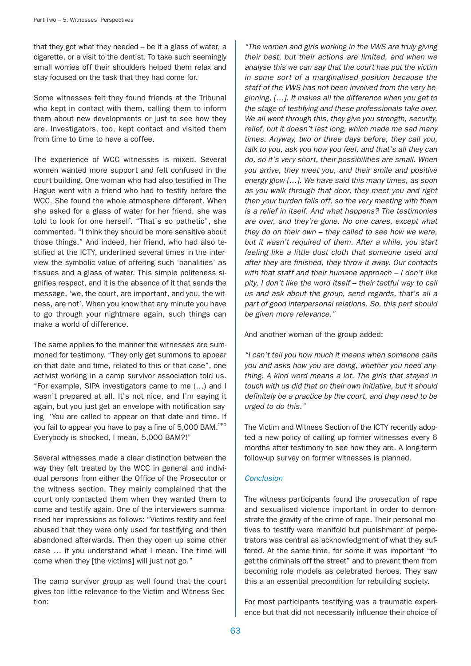that they got what they needed – be it a glass of water, a cigarette, or a visit to the dentist. To take such seemingly small worries off their shoulders helped them relax and stay focused on the task that they had come for.

Some witnesses felt they found friends at the Tribunal who kept in contact with them, calling them to inform them about new developments or just to see how they are. Investigators, too, kept contact and visited them from time to time to have a coffee.

The experience of WCC witnesses is mixed. Several women wanted more support and felt confused in the court building. One woman who had also testified in The Hague went with a friend who had to testify before the WCC. She found the whole atmosphere different. When she asked for a glass of water for her friend, she was told to look for one herself. "That's so pathetic", she commented. "I think they should be more sensitive about those things." And indeed, her friend, who had also testified at the ICTY, underlined several times in the interview the symbolic value of offering such 'banalities' as tissues and a glass of water. This simple politeness signifies respect, and it is the absence of it that sends the message, 'we, the court, are important, and you, the witness, are not'. When you know that any minute you have to go through your nightmare again, such things can make a world of difference.

The same applies to the manner the witnesses are summoned for testimony. "They only get summons to appear on that date and time, related to this or that case", one activist working in a camp survivor association told us. "For example, SIPA investigators came to me (…) and I wasn't prepared at all. It's not nice, and I'm saying it again, but you just get an envelope with notification saying 'You are called to appear on that date and time. If you fail to appear you have to pay a fine of 5,000 BAM.<sup>260</sup> Everybody is shocked, I mean, 5,000 BAM?!"

Several witnesses made a clear distinction between the way they felt treated by the WCC in general and individual persons from either the Office of the Prosecutor or the witness section. They mainly complained that the court only contacted them when they wanted them to come and testify again. One of the interviewers summarised her impressions as follows: "Victims testify and feel abused that they were only used for testifying and then abandoned afterwards. Then they open up some other case … if you understand what I mean. The time will come when they [the victims] will just not go."

The camp survivor group as well found that the court gives too little relevance to the Victim and Witness Section:

"The women and girls working in the VWS are truly giving their best, but their actions are limited, and when we analyse this we can say that the court has put the victim in some sort of a marginalised position because the staff of the VWS has not been involved from the very beginning, […]. It makes all the difference when you get to the stage of testifying and these professionals take over. We all went through this, they give you strength, security, relief, but it doesn't last long, which made me sad many times. Anyway, two or three days before, they call you, talk to you, ask you how you feel, and that's all they can do, so it's very short, their possibilities are small. When you arrive, they meet you, and their smile and positive energy glow […]. We have said this many times, as soon as you walk through that door, they meet you and right then your burden falls off, so the very meeting with them is a relief in itself. And what happens? The testimonies are over, and they're gone. No one cares, except what they do on their own – they called to see how we were, but it wasn't required of them. After a while, you start feeling like a little dust cloth that someone used and after they are finished, they throw it away. Our contacts with that staff and their humane approach - I don't like pity, I don't like the word itself – their tactful way to call us and ask about the group, send regards, that's all a part of good interpersonal relations. So, this part should be given more relevance."

And another woman of the group added:

"I can't tell you how much it means when someone calls you and asks how you are doing, whether you need anything. A kind word means a lot. The girls that stayed in touch with us did that on their own initiative, but it should definitely be a practice by the court, and they need to be urged to do this."

The Victim and Witness Section of the ICTY recently adopted a new policy of calling up former witnesses every 6 months after testimony to see how they are. A long-term follow-up survey on former witnesses is planned.

#### Conclusion

The witness participants found the prosecution of rape and sexualised violence important in order to demonstrate the gravity of the crime of rape. Their personal motives to testify were manifold but punishment of perpetrators was central as acknowledgment of what they suffered. At the same time, for some it was important "to get the criminals off the street" and to prevent them from becoming role models as celebrated heroes. They saw this a an essential precondition for rebuilding society.

For most participants testifying was a traumatic experience but that did not necessarily influence their choice of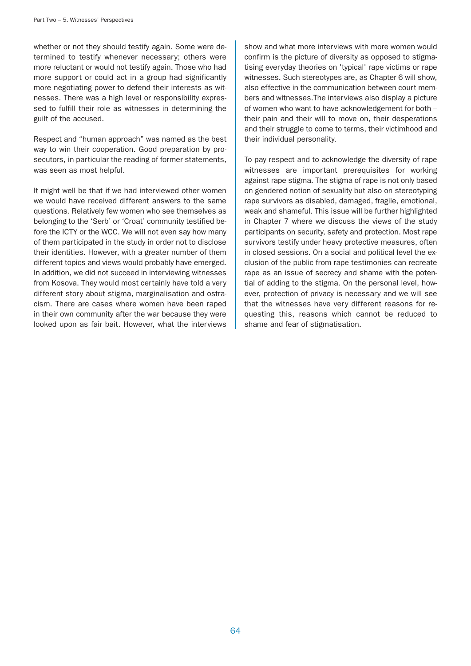whether or not they should testify again. Some were determined to testify whenever necessary; others were more reluctant or would not testify again. Those who had more support or could act in a group had significantly more negotiating power to defend their interests as witnesses. There was a high level or responsibility expressed to fulfill their role as witnesses in determining the guilt of the accused.

Respect and "human approach" was named as the best way to win their cooperation. Good preparation by prosecutors, in particular the reading of former statements, was seen as most helpful.

It might well be that if we had interviewed other women we would have received different answers to the same questions. Relatively few women who see themselves as belonging to the 'Serb' or 'Croat' community testified before the ICTY or the WCC. We will not even say how many of them participated in the study in order not to disclose their identities. However, with a greater number of them different topics and views would probably have emerged. In addition, we did not succeed in interviewing witnesses from Kosova. They would most certainly have told a very different story about stigma, marginalisation and ostracism. There are cases where women have been raped in their own community after the war because they were looked upon as fair bait. However, what the interviews

show and what more interviews with more women would confirm is the picture of diversity as opposed to stigmatising everyday theories on 'typical' rape victims or rape witnesses. Such stereotypes are, as Chapter 6 will show, also effective in the communication between court members and witnesses.The interviews also display a picture of women who want to have acknowledgement for both – their pain and their will to move on, their desperations and their struggle to come to terms, their victimhood and their individual personality.

To pay respect and to acknowledge the diversity of rape witnesses are important prerequisites for working against rape stigma. The stigma of rape is not only based on gendered notion of sexuality but also on stereotyping rape survivors as disabled, damaged, fragile, emotional, weak and shameful. This issue will be further highlighted in Chapter 7 where we discuss the views of the study participants on security, safety and protection. Most rape survivors testify under heavy protective measures, often in closed sessions. On a social and political level the exclusion of the public from rape testimonies can recreate rape as an issue of secrecy and shame with the potential of adding to the stigma. On the personal level, however, protection of privacy is necessary and we will see that the witnesses have very different reasons for requesting this, reasons which cannot be reduced to shame and fear of stigmatisation.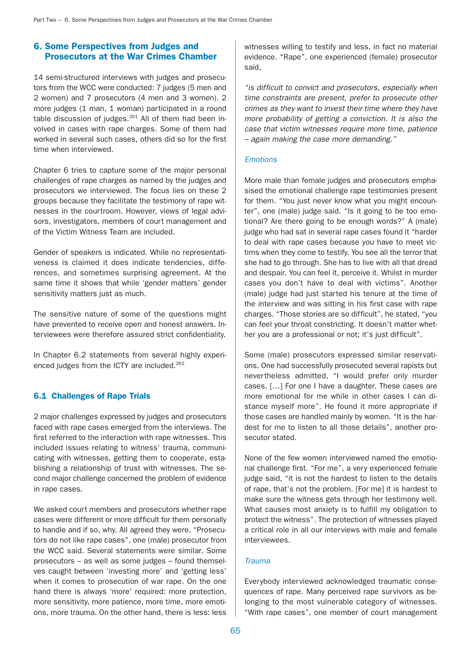# 6. Some Perspectives from Judges and Prosecutors at the War Crimes Chamber

14 semi-structured interviews with judges and prosecutors from the WCC were conducted: 7 judges (5 men and 2 women) and 7 prosecutors (4 men and 3 women). 2 more judges (1 man, 1 woman) participated in a round table discussion of judges. $^{261}$  All of them had been involved in cases with rape charges. Some of them had worked in several such cases, others did so for the first time when interviewed.

Chapter 6 tries to capture some of the major personal challenges of rape charges as named by the judges and prosecutors we interviewed. The focus lies on these 2 groups because they facilitate the testimony of rape witnesses in the courtroom. However, views of legal advisors, investigators, members of court management and of the Victim Witness Team are included.

Gender of speakers is indicated. While no representativeness is claimed it does indicate tendencies, differences, and sometimes surprising agreement. At the same time it shows that while 'gender matters' gender sensitivity matters just as much.

The sensitive nature of some of the questions might have prevented to receive open and honest answers. Interviewees were therefore assured strict confidentiality.

In Chapter 6.2 statements from several highly experienced judges from the ICTY are included.<sup>262</sup>

# 6.1 Challenges of Rape Trials

2 major challenges expressed by judges and prosecutors faced with rape cases emerged from the interviews. The first referred to the interaction with rape witnesses. This included issues relating to witness' trauma, communicating with witnesses, getting them to cooperate, establishing a relationship of trust with witnesses. The second major challenge concerned the problem of evidence in rape cases.

We asked court members and prosecutors whether rape cases were different or more difficult for them personally to handle and if so, why. All agreed they were. "Prosecutors do not like rape cases", one (male) prosecutor from the WCC said. Several statements were similar. Some prosecutors – as well as some judges – found themselves caught between 'investing more' and 'getting less' when it comes to prosecution of war rape. On the one hand there is always 'more' required: more protection, more sensitivity, more patience, more time, more emotions, more trauma. On the other hand, there is less: less witnesses willing to testify and less, in fact no material evidence. "Rape", one experienced (female) prosecutor said,

"is difficult to convict and prosecutors, especially when time constraints are present, prefer to prosecute other crimes as they want to invest their time where they have more probability of getting a conviction. It is also the case that victim witnesses require more time, patience – again making the case more demanding."

## Emotions

More male than female judges and prosecutors emphasised the emotional challenge rape testimonies present for them. "You just never know what you might encounter", one (male) judge said. "Is it going to be too emotional? Are there going to be enough words?" A (male) judge who had sat in several rape cases found it "harder to deal with rape cases because you have to meet victims when they come to testify. You see all the terror that she had to go through. She has to live with all that dread and despair. You can feel it, perceive it. Whilst in murder cases you don't have to deal with victims". Another (male) judge had just started his tenure at the time of the interview and was sitting in his first case with rape charges. "Those stories are so difficult", he stated, "you can feel your throat constricting. It doesn't matter whether you are a professional or not; it's just difficult".

Some (male) prosecutors expressed similar reservations. One had successfully prosecuted several rapists but nevertheless admitted, "I would prefer only murder cases. […] For one I have a daughter. These cases are more emotional for me while in other cases I can distance myself more". He found it more appropriate if those cases are handled mainly by women. "It is the hardest for me to listen to all those details", another prosecutor stated.

None of the few women interviewed named the emotional challenge first. "For me", a very experienced female judge said, "it is not the hardest to listen to the details of rape, that's not the problem. [For me] it is hardest to make sure the witness gets through her testimony well. What causes most anxiety is to fulfill my obligation to protect the witness". The protection of witnesses played a critical role in all our interviews with male and female interviewees.

#### **Trauma**

Everybody interviewed acknowledged traumatic consequences of rape. Many perceived rape survivors as belonging to the most vulnerable category of witnesses. "With rape cases", one member of court management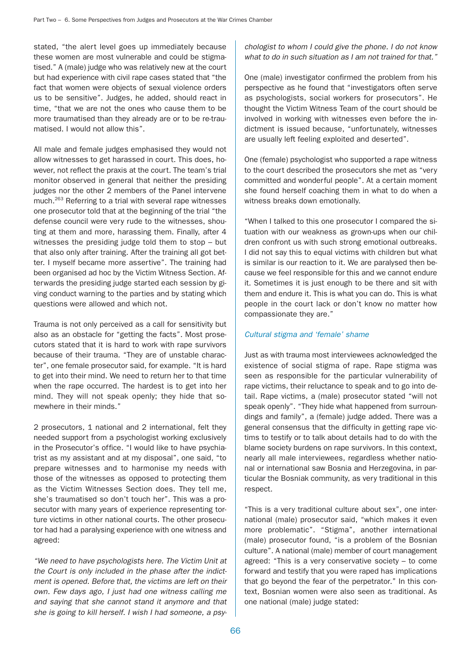stated, "the alert level goes up immediately because these women are most vulnerable and could be stigmatised." A (male) judge who was relatively new at the court but had experience with civil rape cases stated that "the fact that women were objects of sexual violence orders us to be sensitive". Judges, he added, should react in time, "that we are not the ones who cause them to be more traumatised than they already are or to be re-traumatised. I would not allow this".

All male and female judges emphasised they would not allow witnesses to get harassed in court. This does, however, not reflect the praxis at the court. The team's trial monitor observed in general that neither the presiding judges nor the other 2 members of the Panel intervene much.263 Referring to a trial with several rape witnesses one prosecutor told that at the beginning of the trial "the defense council were very rude to the witnesses, shouting at them and more, harassing them. Finally, after 4 witnesses the presiding judge told them to stop – but that also only after training. After the training all got better. I myself became more assertive". The training had been organised ad hoc by the Victim Witness Section. Afterwards the presiding judge started each session by giving conduct warning to the parties and by stating which questions were allowed and which not.

Trauma is not only perceived as a call for sensitivity but also as an obstacle for "getting the facts". Most prosecutors stated that it is hard to work with rape survivors because of their trauma. "They are of unstable character", one female prosecutor said, for example. "It is hard to get into their mind. We need to return her to that time when the rape occurred. The hardest is to get into her mind. They will not speak openly; they hide that somewhere in their minds."

2 prosecutors, 1 national and 2 international, felt they needed support from a psychologist working exclusively in the Prosecutor's office. "I would like to have psychiatrist as my assistant and at my disposal", one said, "to prepare witnesses and to harmonise my needs with those of the witnesses as opposed to protecting them as the Victim Witnesses Section does. They tell me, she's traumatised so don't touch her". This was a prosecutor with many years of experience representing torture victims in other national courts. The other prosecutor had had a paralysing experience with one witness and agreed:

"We need to have psychologists here. The Victim Unit at the Court is only included in the phase after the indictment is opened. Before that, the victims are left on their own. Few days ago, I just had one witness calling me and saying that she cannot stand it anymore and that she is going to kill herself. I wish I had someone, a psychologist to whom I could give the phone. I do not know what to do in such situation as I am not trained for that."

One (male) investigator confirmed the problem from his perspective as he found that "investigators often serve as psychologists, social workers for prosecutors". He thought the Victim Witness Team of the court should be involved in working with witnesses even before the indictment is issued because, "unfortunately, witnesses are usually left feeling exploited and deserted".

One (female) psychologist who supported a rape witness to the court described the prosecutors she met as "very committed and wonderful people". At a certain moment she found herself coaching them in what to do when a witness breaks down emotionally.

"When I talked to this one prosecutor I compared the situation with our weakness as grown-ups when our children confront us with such strong emotional outbreaks. I did not say this to equal victims with children but what is similar is our reaction to it. We are paralysed then because we feel responsible for this and we cannot endure it. Sometimes it is just enough to be there and sit with them and endure it. This is what you can do. This is what people in the court lack or don't know no matter how compassionate they are."

## Cultural stigma and 'female' shame

Just as with trauma most interviewees acknowledged the existence of social stigma of rape. Rape stigma was seen as responsible for the particular vulnerability of rape victims, their reluctance to speak and to go into detail. Rape victims, a (male) prosecutor stated "will not speak openly". "They hide what happened from surroundings and family", a (female) judge added. There was a general consensus that the difficulty in getting rape victims to testify or to talk about details had to do with the blame society burdens on rape survivors. In this context, nearly all male interviewees, regardless whether national or international saw Bosnia and Herzegovina, in particular the Bosniak community, as very traditional in this respect.

"This is a very traditional culture about sex", one international (male) prosecutor said, "which makes it even more problematic". "Stigma", another international (male) prosecutor found, "is a problem of the Bosnian culture". A national (male) member of court management agreed: "This is a very conservative society – to come forward and testify that you were raped has implications that go beyond the fear of the perpetrator." In this context, Bosnian women were also seen as traditional. As one national (male) judge stated: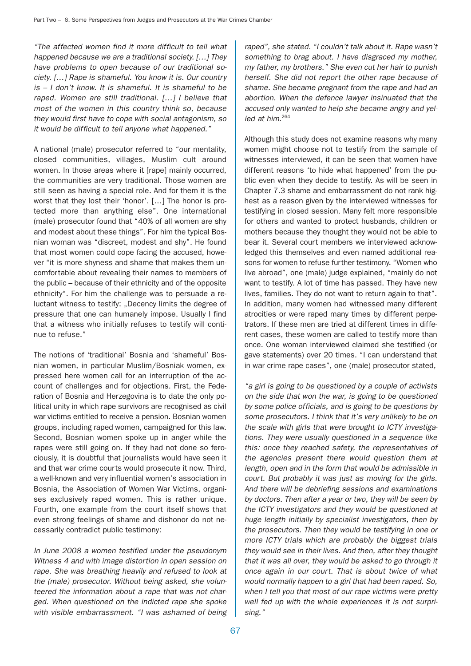"The affected women find it more difficult to tell what happened because we are a traditional society. […] They have problems to open because of our traditional society. […] Rape is shameful. You know it is. Our country is – I don't know. It is shameful. It is shameful to be raped. Women are still traditional. […] I believe that most of the women in this country think so, because they would first have to cope with social antagonism, so it would be difficult to tell anyone what happened."

A national (male) prosecutor referred to "our mentality, closed communities, villages, Muslim cult around women. In those areas where it [rape] mainly occurred, the communities are very traditional. Those women are still seen as having a special role. And for them it is the worst that they lost their 'honor'. […] The honor is protected more than anything else". One international (male) prosecutor found that "40% of all women are shy and modest about these things". For him the typical Bosnian woman was "discreet, modest and shy". He found that most women could cope facing the accused, however "it is more shyness and shame that makes them uncomfortable about revealing their names to members of the public – because of their ethnicity and of the opposite ethnicity". For him the challenge was to persuade a reluctant witness to testify: "Decency limits the degree of pressure that one can humanely impose. Usually I find that a witness who initially refuses to testify will continue to refuse."

The notions of 'traditional' Bosnia and 'shameful' Bosnian women, in particular Muslim/Bosniak women, expressed here women call for an interruption of the account of challenges and for objections. First, the Federation of Bosnia and Herzegovina is to date the only political unity in which rape survivors are recognised as civil war victims entitled to receive a pension. Bosnian women groups, including raped women, campaigned for this law. Second, Bosnian women spoke up in anger while the rapes were still going on. If they had not done so ferociously, it is doubtful that journalists would have seen it and that war crime courts would prosecute it now. Third, a well-known and very influential women's association in Bosnia, the Association of Women War Victims, organises exclusively raped women. This is rather unique. Fourth, one example from the court itself shows that even strong feelings of shame and dishonor do not necessarily contradict public testimony:

In June 2008 a women testified under the pseudonym Witness 4 and with image distortion in open session on rape. She was breathing heavily and refused to look at the (male) prosecutor. Without being asked, she volunteered the information about a rape that was not charged. When questioned on the indicted rape she spoke with visible embarrassment. "I was ashamed of being raped", she stated. "I couldn't talk about it. Rape wasn't something to brag about. I have disgraced my mother, my father, my brothers." She even cut her hair to punish herself. She did not report the other rape because of shame. She became pregnant from the rape and had an abortion. When the defence lawyer insinuated that the accused only wanted to help she became angry and yelled at him.<sup>264</sup>

Although this study does not examine reasons why many women might choose not to testify from the sample of witnesses interviewed, it can be seen that women have different reasons 'to hide what happened' from the public even when they decide to testify. As will be seen in Chapter 7.3 shame and embarrassment do not rank highest as a reason given by the interviewed witnesses for testifying in closed session. Many felt more responsible for others and wanted to protect husbands, children or mothers because they thought they would not be able to bear it. Several court members we interviewed acknowledged this themselves and even named additional reasons for women to refuse further testimony. "Women who live abroad", one (male) judge explained, "mainly do not want to testify. A lot of time has passed. They have new lives, families. They do not want to return again to that". In addition, many women had witnessed many different atrocities or were raped many times by different perpetrators. If these men are tried at different times in different cases, these women are called to testify more than once. One woman interviewed claimed she testified (or gave statements) over 20 times. "I can understand that in war crime rape cases", one (male) prosecutor stated,

"a girl is going to be questioned by a couple of activists on the side that won the war, is going to be questioned by some police officials, and is going to be questions by some prosecutors. I think that it's very unlikely to be on the scale with girls that were brought to ICTY investigations. They were usually questioned in a sequence like this: once they reached safety, the representatives of the agencies present there would question them at length, open and in the form that would be admissible in court. But probably it was just as moving for the girls. And there will be debriefing sessions and examinations by doctors. Then after a year or two, they will be seen by the ICTY investigators and they would be questioned at huge length initially by specialist investigators, then by the prosecutors. Then they would be testifying in one or more ICTY trials which are probably the biggest trials they would see in their lives. And then, after they thought that it was all over, they would be asked to go through it once again in our court. That is about twice of what would normally happen to a girl that had been raped. So, when I tell you that most of our rape victims were pretty well fed up with the whole experiences it is not surprising."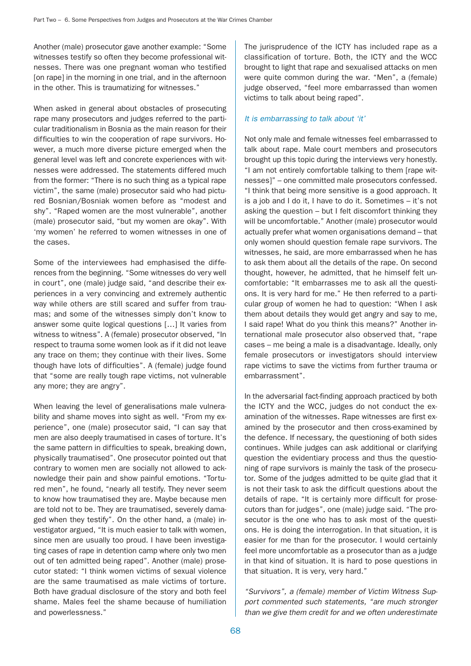Another (male) prosecutor gave another example: "Some witnesses testify so often they become professional witnesses. There was one pregnant woman who testified [on rape] in the morning in one trial, and in the afternoon in the other. This is traumatizing for witnesses."

When asked in general about obstacles of prosecuting rape many prosecutors and judges referred to the particular traditionalism in Bosnia as the main reason for their difficulties to win the cooperation of rape survivors. However, a much more diverse picture emerged when the general level was left and concrete experiences with witnesses were addressed. The statements differed much from the former: "There is no such thing as a typical rape victim", the same (male) prosecutor said who had pictured Bosnian/Bosniak women before as "modest and shy". "Raped women are the most vulnerable", another (male) prosecutor said, "but my women are okay". With 'my women' he referred to women witnesses in one of the cases.

Some of the interviewees had emphasised the differences from the beginning. "Some witnesses do very well in court", one (male) judge said, "and describe their experiences in a very convincing and extremely authentic way while others are still scared and suffer from traumas; and some of the witnesses simply don't know to answer some quite logical questions […] It varies from witness to witness". A (female) prosecutor observed, "In respect to trauma some women look as if it did not leave any trace on them; they continue with their lives. Some though have lots of difficulties". A (female) judge found that "some are really tough rape victims, not vulnerable any more; they are angry".

When leaving the level of generalisations male vulnerability and shame moves into sight as well. "From my experience", one (male) prosecutor said, "I can say that men are also deeply traumatised in cases of torture. It's the same pattern in difficulties to speak, breaking down, physically traumatised". One prosecutor pointed out that contrary to women men are socially not allowed to acknowledge their pain and show painful emotions. "Tortured men", he found, "nearly all testify. They never seem to know how traumatised they are. Maybe because men are told not to be. They are traumatised, severely damaged when they testify". On the other hand, a (male) investigator argued, "It is much easier to talk with women, since men are usually too proud. I have been investigating cases of rape in detention camp where only two men out of ten admitted being raped". Another (male) prosecutor stated: "I think women victims of sexual violence are the same traumatised as male victims of torture. Both have gradual disclosure of the story and both feel shame. Males feel the shame because of humiliation and powerlessness."

The jurisprudence of the ICTY has included rape as a classification of torture. Both, the ICTY and the WCC brought to light that rape and sexualised attacks on men were quite common during the war. "Men", a (female) judge observed, "feel more embarrassed than women victims to talk about being raped".

#### It is embarrassing to talk about 'it'

Not only male and female witnesses feel embarrassed to talk about rape. Male court members and prosecutors brought up this topic during the interviews very honestly. "I am not entirely comfortable talking to them [rape witnesses]" – one committed male prosecutors confessed. "I think that being more sensitive is a good approach. It is a job and I do it, I have to do it. Sometimes – it's not asking the question – but I felt discomfort thinking they will be uncomfortable." Another (male) prosecutor would actually prefer what women organisations demand – that only women should question female rape survivors. The witnesses, he said, are more embarrassed when he has to ask them about all the details of the rape. On second thought, however, he admitted, that he himself felt uncomfortable: "It embarrasses me to ask all the questions. It is very hard for me." He then referred to a particular group of women he had to question: "When I ask them about details they would get angry and say to me, I said rape! What do you think this means?" Another international male prosecutor also observed that, "rape cases – me being a male is a disadvantage. Ideally, only female prosecutors or investigators should interview rape victims to save the victims from further trauma or embarrassment".

In the adversarial fact-finding approach practiced by both the ICTY and the WCC, judges do not conduct the examination of the witnesses. Rape witnesses are first examined by the prosecutor and then cross-examined by the defence. If necessary, the questioning of both sides continues. While judges can ask additional or clarifying question the evidentiary process and thus the questioning of rape survivors is mainly the task of the prosecutor. Some of the judges admitted to be quite glad that it is not their task to ask the difficult questions about the details of rape. "It is certainly more difficult for prosecutors than for judges", one (male) judge said. "The prosecutor is the one who has to ask most of the questions. He is doing the interrogation. In that situation, it is easier for me than for the prosecutor. I would certainly feel more uncomfortable as a prosecutor than as a judge in that kind of situation. It is hard to pose questions in that situation. It is very, very hard."

"Survivors", a (female) member of Victim Witness Support commented such statements, "are much stronger than we give them credit for and we often underestimate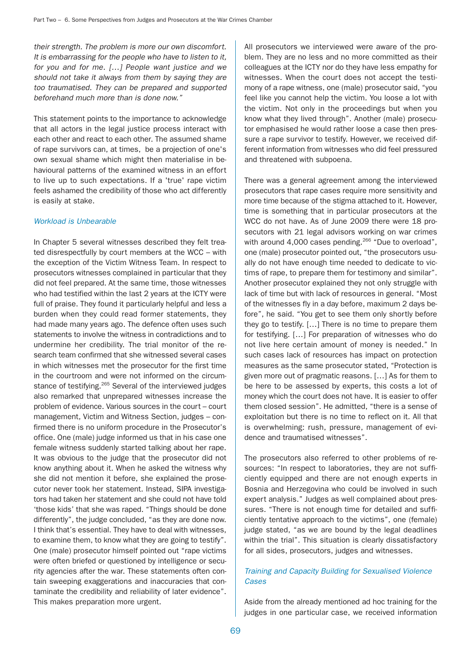their strength. The problem is more our own discomfort. It is embarrassing for the people who have to listen to it, for you and for me. […] People want justice and we should not take it always from them by saying they are too traumatised. They can be prepared and supported beforehand much more than is done now."

This statement points to the importance to acknowledge that all actors in the legal justice process interact with each other and react to each other. The assumed shame of rape survivors can, at times, be a projection of one's own sexual shame which might then materialise in behavioural patterns of the examined witness in an effort to live up to such expectations. If a 'true' rape victim feels ashamed the credibility of those who act differently is easily at stake.

#### Workload is Unbearable

In Chapter 5 several witnesses described they felt treated disrespectfully by court members at the WCC – with the exception of the Victim Witness Team. In respect to prosecutors witnesses complained in particular that they did not feel prepared. At the same time, those witnesses who had testified within the last 2 years at the ICTY were full of praise. They found it particularly helpful and less a burden when they could read former statements, they had made many years ago. The defence often uses such statements to involve the witness in contradictions and to undermine her credibility. The trial monitor of the research team confirmed that she witnessed several cases in which witnesses met the prosecutor for the first time in the courtroom and were not informed on the circumstance of testifying.<sup>265</sup> Several of the interviewed judges also remarked that unprepared witnesses increase the problem of evidence. Various sources in the court – court management, Victim and Witness Section, judges – confirmed there is no uniform procedure in the Prosecutor's office. One (male) judge informed us that in his case one female witness suddenly started talking about her rape. It was obvious to the judge that the prosecutor did not know anything about it. When he asked the witness why she did not mention it before, she explained the prosecutor never took her statement. Instead, SIPA investigators had taken her statement and she could not have told 'those kids' that she was raped. "Things should be done differently", the judge concluded, "as they are done now. I think that's essential. They have to deal with witnesses, to examine them, to know what they are going to testify". One (male) prosecutor himself pointed out "rape victims were often briefed or questioned by intelligence or security agencies after the war. These statements often contain sweeping exaggerations and inaccuracies that contaminate the credibility and reliability of later evidence". This makes preparation more urgent.

All prosecutors we interviewed were aware of the problem. They are no less and no more committed as their colleagues at the ICTY nor do they have less empathy for witnesses. When the court does not accept the testimony of a rape witness, one (male) prosecutor said, "you feel like you cannot help the victim. You loose a lot with the victim. Not only in the proceedings but when you know what they lived through". Another (male) prosecutor emphasised he would rather loose a case then pressure a rape survivor to testify. However, we received different information from witnesses who did feel pressured and threatened with subpoena.

There was a general agreement among the interviewed prosecutors that rape cases require more sensitivity and more time because of the stigma attached to it. However, time is something that in particular prosecutors at the WCC do not have. As of June 2009 there were 18 prosecutors with 21 legal advisors working on war crimes with around 4,000 cases pending.<sup>266</sup> "Due to overload", one (male) prosecutor pointed out, "the prosecutors usually do not have enough time needed to dedicate to victims of rape, to prepare them for testimony and similar". Another prosecutor explained they not only struggle with lack of time but with lack of resources in general. "Most of the witnesses fly in a day before, maximum 2 days before", he said. "You get to see them only shortly before they go to testify. […] There is no time to prepare them for testifying. […] For preparation of witnesses who do not live here certain amount of money is needed." In such cases lack of resources has impact on protection measures as the same prosecutor stated, "Protection is given more out of pragmatic reasons. […] As for them to be here to be assessed by experts, this costs a lot of money which the court does not have. It is easier to offer them closed session". He admitted, "there is a sense of exploitation but there is no time to reflect on it. All that is overwhelming: rush, pressure, management of evidence and traumatised witnesses".

The prosecutors also referred to other problems of resources: "In respect to laboratories, they are not sufficiently equipped and there are not enough experts in Bosnia and Herzegovina who could be involved in such expert analysis." Judges as well complained about pressures. "There is not enough time for detailed and sufficiently tentative approach to the victims", one (female) judge stated, "as we are bound by the legal deadlines within the trial". This situation is clearly dissatisfactory for all sides, prosecutors, judges and witnesses.

## Training and Capacity Building for Sexualised Violence Cases

Aside from the already mentioned ad hoc training for the judges in one particular case, we received information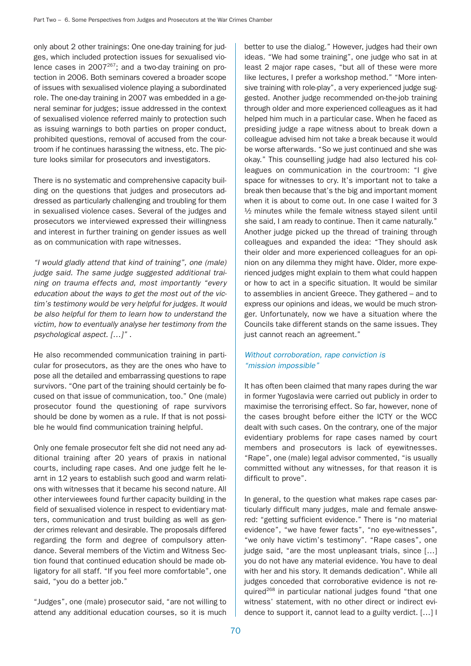only about 2 other trainings: One one-day training for judges, which included protection issues for sexualised violence cases in  $2007^{267}$ ; and a two-day training on protection in 2006. Both seminars covered a broader scope of issues with sexualised violence playing a subordinated role. The one-day training in 2007 was embedded in a general seminar for judges; issue addressed in the context of sexualised violence referred mainly to protection such as issuing warnings to both parties on proper conduct, prohibited questions, removal of accused from the courtroom if he continues harassing the witness, etc. The picture looks similar for prosecutors and investigators.

There is no systematic and comprehensive capacity building on the questions that judges and prosecutors addressed as particularly challenging and troubling for them in sexualised violence cases. Several of the judges and prosecutors we interviewed expressed their willingness and interest in further training on gender issues as well as on communication with rape witnesses.

"I would gladly attend that kind of training", one (male) judge said. The same judge suggested additional training on trauma effects and, most importantly "every education about the ways to get the most out of the victim's testimony would be very helpful for judges. It would be also helpful for them to learn how to understand the victim, how to eventually analyse her testimony from the psychological aspect. […]" .

He also recommended communication training in particular for prosecutors, as they are the ones who have to pose all the detailed and embarrassing questions to rape survivors. "One part of the training should certainly be focused on that issue of communication, too." One (male) prosecutor found the questioning of rape survivors should be done by women as a rule. If that is not possible he would find communication training helpful.

Only one female prosecutor felt she did not need any additional training after 20 years of praxis in national courts, including rape cases. And one judge felt he learnt in 12 years to establish such good and warm relations with witnesses that it became his second nature. All other interviewees found further capacity building in the field of sexualised violence in respect to evidentiary matters, communication and trust building as well as gender crimes relevant and desirable. The proposals differed regarding the form and degree of compulsory attendance. Several members of the Victim and Witness Section found that continued education should be made obligatory for all staff. "If you feel more comfortable", one said, "you do a better job."

"Judges", one (male) prosecutor said, "are not willing to attend any additional education courses, so it is much

better to use the dialog." However, judges had their own ideas. "We had some training", one judge who sat in at least 2 major rape cases, "but all of these were more like lectures, I prefer a workshop method." "More intensive training with role-play", a very experienced judge suggested. Another judge recommended on-the-job training through older and more experienced colleagues as it had helped him much in a particular case. When he faced as presiding judge a rape witness about to break down a colleague advised him not take a break because it would be worse afterwards. "So we just continued and she was okay." This counselling judge had also lectured his colleagues on communication in the courtroom: "I give space for witnesses to cry. It's important not to take a break then because that's the big and important moment when it is about to come out. In one case I waited for 3 ½ minutes while the female witness stayed silent until she said, I am ready to continue. Then it came naturally." Another judge picked up the thread of training through colleagues and expanded the idea: "They should ask their older and more experienced colleagues for an opinion on any dilemma they might have. Older, more experienced judges might explain to them what could happen or how to act in a specific situation. It would be similar to assemblies in ancient Greece. They gathered – and to express our opinions and ideas, we would be much stronger. Unfortunately, now we have a situation where the Councils take different stands on the same issues. They just cannot reach an agreement."

# Without corroboration, rape conviction is "mission impossible"

It has often been claimed that many rapes during the war in former Yugoslavia were carried out publicly in order to maximise the terrorising effect. So far, however, none of the cases brought before either the ICTY or the WCC dealt with such cases. On the contrary, one of the major evidentiary problems for rape cases named by court members and prosecutors is lack of eyewitnesses. "Rape", one (male) legal advisor commented, "is usually committed without any witnesses, for that reason it is difficult to prove".

In general, to the question what makes rape cases particularly difficult many judges, male and female answered: "getting sufficient evidence." There is "no material evidence", "we have fewer facts", "no eye-witnesses", "we only have victim's testimony". "Rape cases", one judge said, "are the most unpleasant trials, since [...] you do not have any material evidence. You have to deal with her and his story. It demands dedication". While all judges conceded that corroborative evidence is not required<sup>268</sup> in particular national judges found "that one witness' statement, with no other direct or indirect evidence to support it, cannot lead to a guilty verdict. […] I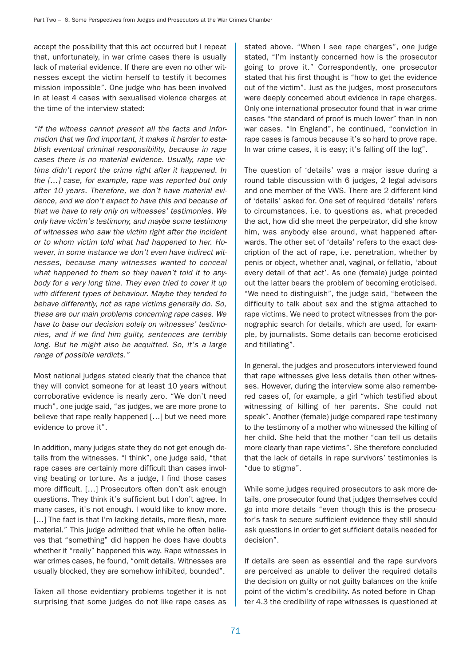accept the possibility that this act occurred but I repeat that, unfortunately, in war crime cases there is usually lack of material evidence. If there are even no other witnesses except the victim herself to testify it becomes mission impossible". One judge who has been involved in at least 4 cases with sexualised violence charges at the time of the interview stated:

"If the witness cannot present all the facts and information that we find important, it makes it harder to establish eventual criminal responsibility, because in rape cases there is no material evidence. Usually, rape victims didn't report the crime right after it happened. In the […] case, for example, rape was reported but only after 10 years. Therefore, we don't have material evidence, and we don't expect to have this and because of that we have to rely only on witnesses' testimonies. We only have victim's testimony, and maybe some testimony of witnesses who saw the victim right after the incident or to whom victim told what had happened to her. However, in some instance we don't even have indirect witnesses, because many witnesses wanted to conceal what happened to them so they haven't told it to anybody for a very long time. They even tried to cover it up with different types of behaviour. Maybe they tended to behave differently, not as rape victims generally do. So, these are our main problems concerning rape cases. We have to base our decision solely on witnesses' testimonies, and if we find him guilty, sentences are terribly long. But he might also be acquitted. So, it's a large range of possible verdicts."

Most national judges stated clearly that the chance that they will convict someone for at least 10 years without corroborative evidence is nearly zero. "We don't need much", one judge said, "as judges, we are more prone to believe that rape really happened […] but we need more evidence to prove it".

In addition, many judges state they do not get enough details from the witnesses. "I think", one judge said, "that rape cases are certainly more difficult than cases involving beating or torture. As a judge, I find those cases more difficult. […] Prosecutors often don't ask enough questions. They think it's sufficient but I don't agree. In many cases, it's not enough. I would like to know more. [...] The fact is that I'm lacking details, more flesh, more material." This judge admitted that while he often believes that "something" did happen he does have doubts whether it "really" happened this way. Rape witnesses in war crimes cases, he found, "omit details. Witnesses are usually blocked, they are somehow inhibited, bounded".

Taken all those evidentiary problems together it is not surprising that some judges do not like rape cases as

stated above. "When I see rape charges", one judge stated, "I'm instantly concerned how is the prosecutor going to prove it." Correspondently, one prosecutor stated that his first thought is "how to get the evidence out of the victim". Just as the judges, most prosecutors were deeply concerned about evidence in rape charges. Only one international prosecutor found that in war crime cases "the standard of proof is much lower" than in non war cases. "In England", he continued, "conviction in rape cases is famous because it's so hard to prove rape. In war crime cases, it is easy; it's falling off the log".

The question of 'details' was a major issue during a round table discussion with 6 judges, 2 legal advisors and one member of the VWS. There are 2 different kind of 'details' asked for. One set of required 'details' refers to circumstances, i.e. to questions as, what preceded the act, how did she meet the perpetrator, did she know him, was anybody else around, what happened afterwards. The other set of 'details' refers to the exact description of the act of rape, i.e. penetration, whether by penis or object, whether anal, vaginal, or fellatio, 'about every detail of that act'. As one (female) judge pointed out the latter bears the problem of becoming eroticised. "We need to distinguish", the judge said, "between the difficulty to talk about sex and the stigma attached to rape victims. We need to protect witnesses from the pornographic search for details, which are used, for example, by journalists. Some details can become eroticised and titillating".

In general, the judges and prosecutors interviewed found that rape witnesses give less details then other witnesses. However, during the interview some also remembered cases of, for example, a girl "which testified about witnessing of killing of her parents. She could not speak". Another (female) judge compared rape testimony to the testimony of a mother who witnessed the killing of her child. She held that the mother "can tell us details more clearly than rape victims". She therefore concluded that the lack of details in rape survivors' testimonies is "due to stigma".

While some judges required prosecutors to ask more details, one prosecutor found that judges themselves could go into more details "even though this is the prosecutor's task to secure sufficient evidence they still should ask questions in order to get sufficient details needed for decision".

If details are seen as essential and the rape survivors are perceived as unable to deliver the required details the decision on guilty or not guilty balances on the knife point of the victim's credibility. As noted before in Chapter 4.3 the credibility of rape witnesses is questioned at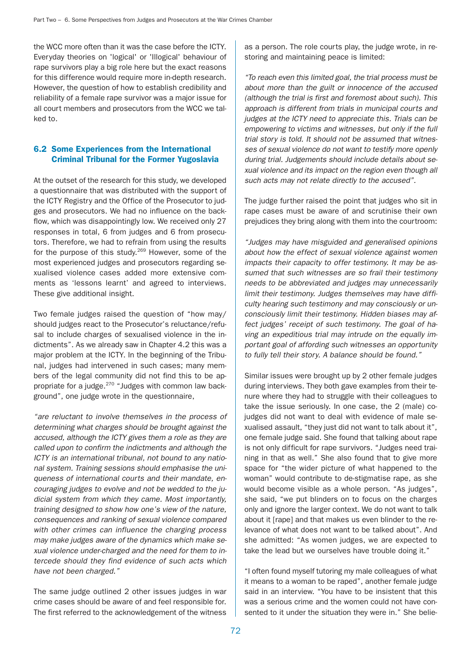the WCC more often than it was the case before the ICTY. Everyday theories on 'logical' or 'Illogical' behaviour of rape survivors play a big role here but the exact reasons for this difference would require more in-depth research. However, the question of how to establish credibility and reliability of a female rape survivor was a major issue for all court members and prosecutors from the WCC we talked to.

## 6.2 Some Experiences from the International Criminal Tribunal for the Former Yugoslavia

At the outset of the research for this study, we developed a questionnaire that was distributed with the support of the ICTY Registry and the Office of the Prosecutor to judges and prosecutors. We had no influence on the backflow, which was disappointingly low. We received only 27 responses in total, 6 from judges and 6 from prosecutors. Therefore, we had to refrain from using the results for the purpose of this study.<sup>269</sup> However, some of the most experienced judges and prosecutors regarding sexualised violence cases added more extensive comments as 'lessons learnt' and agreed to interviews. These give additional insight.

Two female judges raised the question of "how may/ should judges react to the Prosecutor's reluctance/refusal to include charges of sexualised violence in the indictments". As we already saw in Chapter 4.2 this was a major problem at the ICTY. In the beginning of the Tribunal, judges had intervened in such cases; many members of the legal community did not find this to be appropriate for a judge.270 "Judges with common law background", one judge wrote in the questionnaire,

"are reluctant to involve themselves in the process of determining what charges should be brought against the accused, although the ICTY gives them a role as they are called upon to confirm the indictments and although the ICTY is an international tribunal, not bound to any national system. Training sessions should emphasise the uniqueness of international courts and their mandate, encouraging judges to evolve and not be wedded to the judicial system from which they came. Most importantly, training designed to show how one's view of the nature, consequences and ranking of sexual violence compared with other crimes can influence the charging process may make judges aware of the dynamics which make sexual violence under-charged and the need for them to intercede should they find evidence of such acts which have not been charged."

The same judge outlined 2 other issues judges in war crime cases should be aware of and feel responsible for. The first referred to the acknowledgement of the witness as a person. The role courts play, the judge wrote, in restoring and maintaining peace is limited:

"To reach even this limited goal, the trial process must be about more than the guilt or innocence of the accused (although the trial is first and foremost about such). This approach is different from trials in municipal courts and judges at the ICTY need to appreciate this. Trials can be empowering to victims and witnesses, but only if the full trial story is told. It should not be assumed that witnesses of sexual violence do not want to testify more openly during trial. Judgements should include details about sexual violence and its impact on the region even though all such acts may not relate directly to the accused".

The judge further raised the point that judges who sit in rape cases must be aware of and scrutinise their own prejudices they bring along with them into the courtroom:

"Judges may have misguided and generalised opinions about how the effect of sexual violence against women impacts their capacity to offer testimony. It may be assumed that such witnesses are so frail their testimony needs to be abbreviated and judges may unnecessarily limit their testimony. Judges themselves may have difficulty hearing such testimony and may consciously or unconsciously limit their testimony. Hidden biases may affect judges' receipt of such testimony. The goal of having an expeditious trial may intrude on the equally important goal of affording such witnesses an opportunity to fully tell their story. A balance should be found."

Similar issues were brought up by 2 other female judges during interviews. They both gave examples from their tenure where they had to struggle with their colleagues to take the issue seriously. In one case, the 2 (male) cojudges did not want to deal with evidence of male sexualised assault, "they just did not want to talk about it", one female judge said. She found that talking about rape is not only difficult for rape survivors. "Judges need training in that as well." She also found that to give more space for "the wider picture of what happened to the woman" would contribute to de-stigmatise rape, as she would become visible as a whole person. "As judges", she said, "we put blinders on to focus on the charges only and ignore the larger context. We do not want to talk about it [rape] and that makes us even blinder to the relevance of what does not want to be talked about". And she admitted: "As women judges, we are expected to take the lead but we ourselves have trouble doing it."

"I often found myself tutoring my male colleagues of what it means to a woman to be raped", another female judge said in an interview. "You have to be insistent that this was a serious crime and the women could not have consented to it under the situation they were in." She belie-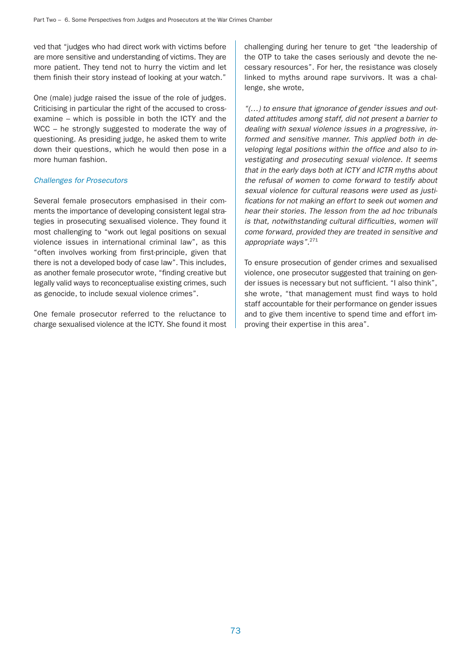ved that "judges who had direct work with victims before are more sensitive and understanding of victims. They are more patient. They tend not to hurry the victim and let them finish their story instead of looking at your watch."

One (male) judge raised the issue of the role of judges. Criticising in particular the right of the accused to crossexamine – which is possible in both the ICTY and the WCC – he strongly suggested to moderate the way of questioning. As presiding judge, he asked them to write down their questions, which he would then pose in a more human fashion.

## Challenges for Prosecutors

Several female prosecutors emphasised in their comments the importance of developing consistent legal strategies in prosecuting sexualised violence. They found it most challenging to "work out legal positions on sexual violence issues in international criminal law", as this "often involves working from first-principle, given that there is not a developed body of case law". This includes, as another female prosecutor wrote, "finding creative but legally valid ways to reconceptualise existing crimes, such as genocide, to include sexual violence crimes".

One female prosecutor referred to the reluctance to charge sexualised violence at the ICTY. She found it most

challenging during her tenure to get "the leadership of the OTP to take the cases seriously and devote the necessary resources". For her, the resistance was closely linked to myths around rape survivors. It was a challenge, she wrote,

"(…) to ensure that ignorance of gender issues and outdated attitudes among staff, did not present a barrier to dealing with sexual violence issues in a progressive, informed and sensitive manner. This applied both in developing legal positions within the office and also to investigating and prosecuting sexual violence. It seems that in the early days both at ICTY and ICTR myths about the refusal of women to come forward to testify about sexual violence for cultural reasons were used as justifications for not making an effort to seek out women and hear their stories. The lesson from the ad hoc tribunals is that, notwithstanding cultural difficulties, women will come forward, provided they are treated in sensitive and appropriate ways".<sup>271</sup>

To ensure prosecution of gender crimes and sexualised violence, one prosecutor suggested that training on gender issues is necessary but not sufficient. "I also think", she wrote, "that management must find ways to hold staff accountable for their performance on gender issues and to give them incentive to spend time and effort improving their expertise in this area".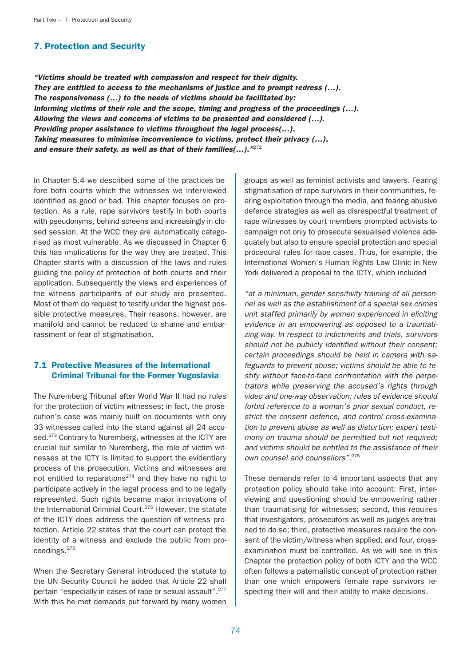# 7. Protection and Security

"Victims should be treated with compassion and respect for their dignity. They are entitled to access to the mechanisms of justice and to prompt redress (…). The responsiveness (…) to the needs of victims should be facilitated by: Informing victims of their role and the scope, timing and progress of the proceedings (…). Allowing the views and concerns of victims to be presented and considered (…). Providing proper assistance to victims throughout the legal process(…). Taking measures to minimise inconvenience to victims, protect their privacy (…). and ensure their safety, as well as that of their families(...).  $m272$ 

In Chapter 5.4 we described some of the practices before both courts which the witnesses we interviewed identified as good or bad. This chapter focuses on protection. As a rule, rape survivors testify in both courts with pseudonyms, behind screens and increasingly in closed session. At the WCC they are automatically categorised as most vulnerable. As we discussed in Chapter 6 this has implications for the way they are treated. This Chapter starts with a discussion of the laws and rules guiding the policy of protection of both courts and their application. Subsequently the views and experiences of the witness participants of our study are presented. Most of them do request to testify under the highest possible protective measures. Their reasons, however, are manifold and cannot be reduced to shame and embarrassment or fear of stigmatisation.

# 7.1 Protective Measures of the International Criminal Tribunal for the Former Yugoslavia

The Nuremberg Tribunal after World War II had no rules for the protection of victim witnesses; in fact, the prosecution's case was mainly built on documents with only 33 witnesses called into the stand against all 24 accused.<sup>273</sup> Contrary to Nuremberg, witnesses at the ICTY are crucial but similar to Nuremberg, the role of victim witnesses at the ICTY is limited to support the evidentiary process of the prosecution. Victims and witnesses are not entitled to reparations $274$  and they have no right to participate actively in the legal process and to be legally represented. Such rights became major innovations of the International Criminal Court.<sup>275</sup> However, the statute of the ICTY does address the question of witness protection. Article 22 states that the court can protect the identity of a witness and exclude the public from proceedings.276

When the Secretary General introduced the statute to the UN Security Council he added that Article 22 shall pertain "especially in cases of rape or sexual assault".277 With this he met demands put forward by many women

groups as well as feminist activists and lawyers. Fearing stigmatisation of rape survivors in their communities, fearing exploitation through the media, and fearing abusive defence strategies as well as disrespectful treatment of rape witnesses by court members prompted activists to campaign not only to prosecute sexualised violence adequately but also to ensure special protection and special procedural rules for rape cases. Thus, for example, the International Women's Human Rights Law Clinic in New York delivered a proposal to the ICTY, which included

"at a minimum, gender sensitivity training of all personnel as well as the establishment of a special sex crimes unit staffed primarily by women experienced in eliciting evidence in an empowering as opposed to a traumatizing way. In respect to indictments and trials, survivors should not be publicly identified without their consent; certain proceedings should be held in camera with safeguards to prevent abuse; victims should be able to testify without face-to-face confrontation with the perpetrators while preserving the accused's rights through video and one-way observation; rules of evidence should forbid reference to a woman's prior sexual conduct, restrict the consent defence, and control cross-examination to prevent abuse as well as distortion; expert testimony on trauma should be permitted but not required; and victims should be entitled to the assistance of their own counsel and counsellors".<sup>278</sup>

These demands refer to 4 important aspects that any protection policy should take into account: First, interviewing and questioning should be empowering rather than traumatising for witnesses; second, this requires that investigators, prosecutors as well as judges are trained to do so; third, protective measures require the consent of the victim/witness when applied; and four, crossexamination must be controlled. As we will see in this Chapter the protection policy of both ICTY and the WCC often follows a paternalistic concept of protection rather than one which empowers female rape survivors respecting their will and their ability to make decisions.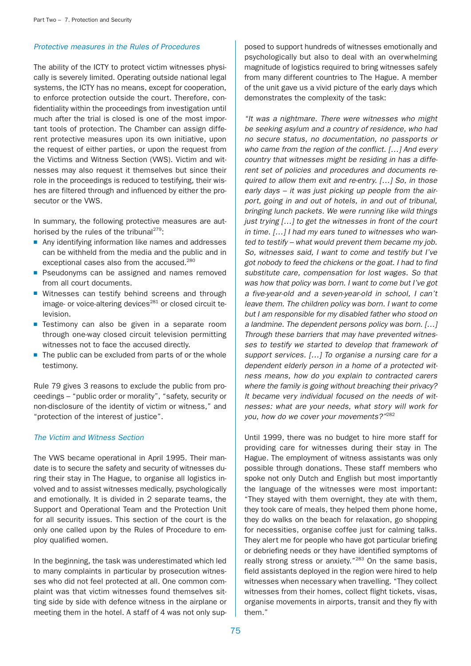## Protective measures in the Rules of Procedures

The ability of the ICTY to protect victim witnesses physically is severely limited. Operating outside national legal systems, the ICTY has no means, except for cooperation, to enforce protection outside the court. Therefore, confidentiality within the proceedings from investigation until much after the trial is closed is one of the most important tools of protection. The Chamber can assign different protective measures upon its own initiative, upon the request of either parties, or upon the request from the Victims and Witness Section (VWS). Victim and witnesses may also request it themselves but since their role in the proceedings is reduced to testifying, their wishes are filtered through and influenced by either the prosecutor or the VWS.

In summary, the following protective measures are authorised by the rules of the tribunal $^{279}$ :

- Any identifying information like names and addresses can be withheld from the media and the public and in exceptional cases also from the accused.<sup>280</sup>
- Pseudonyms can be assigned and names removed from all court documents.
- Witnesses can testify behind screens and through image- or voice-altering devices<sup>281</sup> or closed circuit television.
- Testimony can also be given in a separate room through one-way closed circuit television permitting witnesses not to face the accused directly.
- The public can be excluded from parts of or the whole testimony.

Rule 79 gives 3 reasons to exclude the public from proceedings – "public order or morality", "safety, security or non-disclosure of the identity of victim or witness," and "protection of the interest of justice".

### The Victim and Witness Section

The VWS became operational in April 1995. Their mandate is to secure the safety and security of witnesses during their stay in The Hague, to organise all logistics involved and to assist witnesses medically, psychologically and emotionally. It is divided in 2 separate teams, the Support and Operational Team and the Protection Unit for all security issues. This section of the court is the only one called upon by the Rules of Procedure to employ qualified women.

In the beginning, the task was underestimated which led to many complaints in particular by prosecution witnesses who did not feel protected at all. One common complaint was that victim witnesses found themselves sitting side by side with defence witness in the airplane or meeting them in the hotel. A staff of 4 was not only sup-

posed to support hundreds of witnesses emotionally and psychologically but also to deal with an overwhelming magnitude of logistics required to bring witnesses safely from many different countries to The Hague. A member of the unit gave us a vivid picture of the early days which demonstrates the complexity of the task:

"It was a nightmare. There were witnesses who might be seeking asylum and a country of residence, who had no secure status, no documentation, no passports or who came from the region of the conflict. [...] And every country that witnesses might be residing in has a different set of policies and procedures and documents required to allow them exit and re-entry. […] So, in those early days – it was just picking up people from the airport, going in and out of hotels, in and out of tribunal, bringing lunch packets. We were running like wild things just trying […] to get the witnesses in front of the court in time. […] I had my ears tuned to witnesses who wanted to testify – what would prevent them became my job. So, witnesses said, I want to come and testify but I've got nobody to feed the chickens or the goat. I had to find substitute care, compensation for lost wages. So that was how that policy was born. I want to come but I've got a five-year-old and a seven-year-old in school, I can't leave them. The children policy was born. I want to come but I am responsible for my disabled father who stood on a landmine. The dependent persons policy was born. […] Through these barriers that may have prevented witnesses to testify we started to develop that framework of support services. [...] To organise a nursing care for a dependent elderly person in a home of a protected witness means, how do you explain to contracted carers where the family is going without breaching their privacy? It became very individual focused on the needs of witnesses: what are your needs, what story will work for you, how do we cover your movements?"<sup>282</sup>

Until 1999, there was no budget to hire more staff for providing care for witnesses during their stay in The Hague. The employment of witness assistants was only possible through donations. These staff members who spoke not only Dutch and English but most importantly the language of the witnesses were most important: "They stayed with them overnight, they ate with them, they took care of meals, they helped them phone home, they do walks on the beach for relaxation, go shopping for necessities, organise coffee just for calming talks. They alert me for people who have got particular briefing or debriefing needs or they have identified symptoms of really strong stress or anxiety."<sup>283</sup> On the same basis, field assistants deployed in the region were hired to help witnesses when necessary when travelling. "They collect witnesses from their homes, collect flight tickets, visas, organise movements in airports, transit and they fly with them."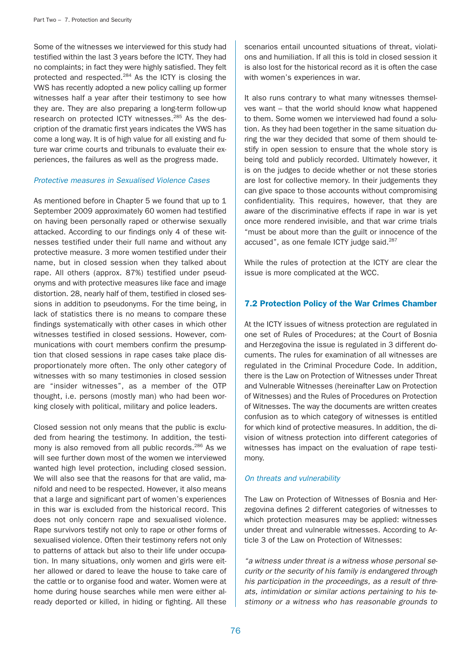Some of the witnesses we interviewed for this study had testified within the last 3 years before the ICTY. They had no complaints; in fact they were highly satisfied. They felt protected and respected.284 As the ICTY is closing the VWS has recently adopted a new policy calling up former witnesses half a year after their testimony to see how they are. They are also preparing a long-term follow-up research on protected ICTY witnesses.<sup>285</sup> As the description of the dramatic first years indicates the VWS has come a long way. It is of high value for all existing and future war crime courts and tribunals to evaluate their experiences, the failures as well as the progress made.

### Protective measures in Sexualised Violence Cases

As mentioned before in Chapter 5 we found that up to 1 September 2009 approximately 60 women had testified on having been personally raped or otherwise sexually attacked. According to our findings only 4 of these witnesses testified under their full name and without any protective measure. 3 more women testified under their name, but in closed session when they talked about rape. All others (approx. 87%) testified under pseudonyms and with protective measures like face and image distortion. 28, nearly half of them, testified in closed sessions in addition to pseudonyms. For the time being, in lack of statistics there is no means to compare these findings systematically with other cases in which other witnesses testified in closed sessions. However, communications with court members confirm the presumption that closed sessions in rape cases take place disproportionately more often. The only other category of witnesses with so many testimonies in closed session are "insider witnesses", as a member of the OTP thought, i.e. persons (mostly man) who had been working closely with political, military and police leaders.

Closed session not only means that the public is excluded from hearing the testimony. In addition, the testimony is also removed from all public records.<sup>286</sup> As we will see further down most of the women we interviewed wanted high level protection, including closed session. We will also see that the reasons for that are valid, manifold and need to be respected. However, it also means that a large and significant part of women's experiences in this war is excluded from the historical record. This does not only concern rape and sexualised violence. Rape survivors testify not only to rape or other forms of sexualised violence. Often their testimony refers not only to patterns of attack but also to their life under occupation. In many situations, only women and girls were either allowed or dared to leave the house to take care of the cattle or to organise food and water. Women were at home during house searches while men were either already deported or killed, in hiding or fighting. All these

scenarios entail uncounted situations of threat, violations and humiliation. If all this is told in closed session it is also lost for the historical record as it is often the case with women's experiences in war.

It also runs contrary to what many witnesses themselves want – that the world should know what happened to them. Some women we interviewed had found a solution. As they had been together in the same situation during the war they decided that some of them should testify in open session to ensure that the whole story is being told and publicly recorded. Ultimately however, it is on the judges to decide whether or not these stories are lost for collective memory. In their judgements they can give space to those accounts without compromising confidentiality. This requires, however, that they are aware of the discriminative effects if rape in war is yet once more rendered invisible, and that war crime trials "must be about more than the guilt or innocence of the accused", as one female ICTY judge said.<sup>287</sup>

While the rules of protection at the ICTY are clear the issue is more complicated at the WCC.

# 7.2 Protection Policy of the War Crimes Chamber

At the ICTY issues of witness protection are regulated in one set of Rules of Procedures; at the Court of Bosnia and Herzegovina the issue is regulated in 3 different documents. The rules for examination of all witnesses are regulated in the Criminal Procedure Code. In addition, there is the Law on Protection of Witnesses under Threat and Vulnerable Witnesses (hereinafter Law on Protection of Witnesses) and the Rules of Procedures on Protection of Witnesses. The way the documents are written creates confusion as to which category of witnesses is entitled for which kind of protective measures. In addition, the division of witness protection into different categories of witnesses has impact on the evaluation of rape testimony.

## On threats and vulnerability

The Law on Protection of Witnesses of Bosnia and Herzegovina defines 2 different categories of witnesses to which protection measures may be applied: witnesses under threat and vulnerable witnesses. According to Article 3 of the Law on Protection of Witnesses:

"a witness under threat is a witness whose personal security or the security of his family is endangered through his participation in the proceedings, as a result of threats, intimidation or similar actions pertaining to his testimony or a witness who has reasonable grounds to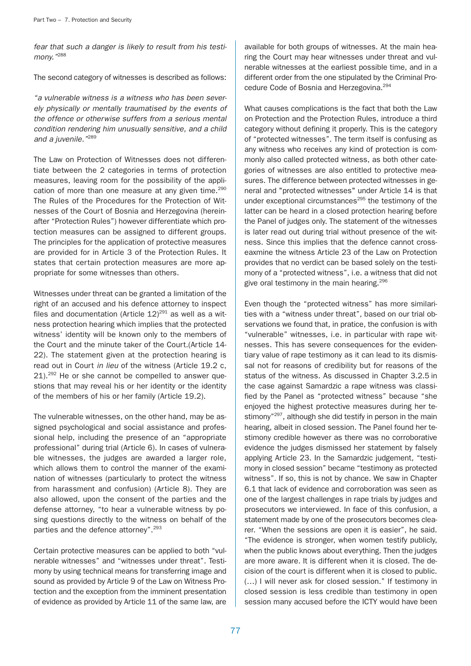fear that such a danger is likely to result from his testimony."<sup>288</sup>

The second category of witnesses is described as follows:

"a vulnerable witness is a witness who has been severely physically or mentally traumatised by the events of the offence or otherwise suffers from a serious mental condition rendering him unusually sensitive, and a child and a juvenile."<sup>289</sup>

The Law on Protection of Witnesses does not differentiate between the 2 categories in terms of protection measures, leaving room for the possibility of the application of more than one measure at any given time.<sup>290</sup> The Rules of the Procedures for the Protection of Witnesses of the Court of Bosnia and Herzegovina (hereinafter "Protection Rules") however differentiate which protection measures can be assigned to different groups. The principles for the application of protective measures are provided for in Article 3 of the Protection Rules. It states that certain protection measures are more appropriate for some witnesses than others.

Witnesses under threat can be granted a limitation of the right of an accused and his defence attorney to inspect files and documentation (Article  $12)^{291}$  as well as a witness protection hearing which implies that the protected witness' identity will be known only to the members of the Court and the minute taker of the Court.(Article 14- 22). The statement given at the protection hearing is read out in Court in lieu of the witness (Article 19.2 c, 21).<sup>292</sup> He or she cannot be compelled to answer questions that may reveal his or her identity or the identity of the members of his or her family (Article 19.2).

The vulnerable witnesses, on the other hand, may be assigned psychological and social assistance and professional help, including the presence of an "appropriate professional" during trial (Article 6). In cases of vulnerable witnesses, the judges are awarded a larger role, which allows them to control the manner of the examination of witnesses (particularly to protect the witness from harassment and confusion) (Article 8). They are also allowed, upon the consent of the parties and the defense attorney, "to hear a vulnerable witness by posing questions directly to the witness on behalf of the parties and the defence attorney".<sup>293</sup>

Certain protective measures can be applied to both "vulnerable witnesses" and "witnesses under threat". Testimony by using technical means for transferring image and sound as provided by Article 9 of the Law on Witness Protection and the exception from the imminent presentation of evidence as provided by Article 11 of the same law, are available for both groups of witnesses. At the main hearing the Court may hear witnesses under threat and vulnerable witnesses at the earliest possible time, and in a different order from the one stipulated by the Criminal Procedure Code of Bosnia and Herzegovina.<sup>294</sup>

What causes complications is the fact that both the Law on Protection and the Protection Rules, introduce a third category without defining it properly. This is the category of "protected witnesses". The term itself is confusing as any witness who receives any kind of protection is commonly also called protected witness, as both other categories of witnesses are also entitled to protective measures. The difference between protected witnesses in general and "protected witnesses" under Article 14 is that under exceptional circumstances<sup>295</sup> the testimony of the latter can be heard in a closed protection hearing before the Panel of judges only. The statement of the witnesses is later read out during trial without presence of the witness. Since this implies that the defence cannot crosseaxmine the witness Article 23 of the Law on Protection provides that no verdict can be based solely on the testimony of a "protected witness", i.e. a witness that did not give oral testimony in the main hearing. $296$ 

Even though the "protected witness" has more similarities with a "witness under threat", based on our trial observations we found that, in pratice, the confusion is with "vulnerable" witnesses, i.e. in particular with rape witnesses. This has severe consequences for the evidentiary value of rape testimony as it can lead to its dismissal not for reasons of credibility but for reasons of the status of the witness. As discussed in Chapter 3.2.5 in the case against Samardzic a rape witness was classified by the Panel as "protected witness" because "she enjoyed the highest protective measures during her testimony"<sup>297</sup>, although she did testify in person in the main hearing, albeit in closed session. The Panel found her testimony credible however as there was no corroborative evidence the judges dismissed her statement by falsely applying Article 23. In the Samardzic judgement, "testimony in closed session" became "testimony as protected witness". If so, this is not by chance. We saw in Chapter 6.1 that lack of evidence and corroboration was seen as one of the largest challenges in rape trials by judges and prosecutors we interviewed. In face of this confusion, a statement made by one of the prosecutors becomes clearer. "When the sessions are open it is easier", he said. "The evidence is stronger, when women testify publicly, when the public knows about everything. Then the judges are more aware. It is different when it is closed. The decision of the court is different when it is closed to public. (…) I will never ask for closed session." If testimony in closed session is less credible than testimony in open session many accused before the ICTY would have been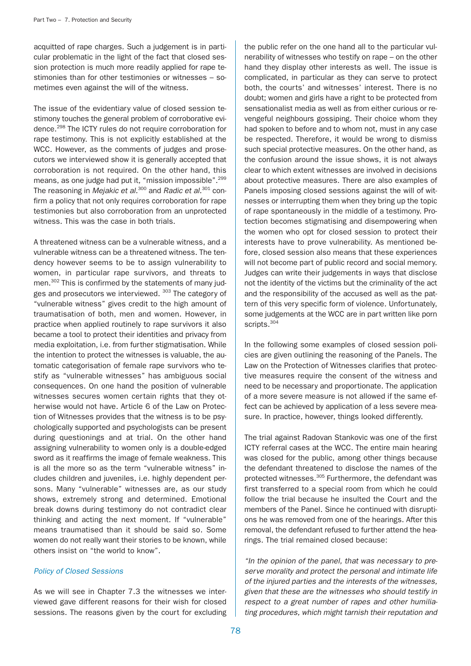acquitted of rape charges. Such a judgement is in particular problematic in the light of the fact that closed session protection is much more readily applied for rape testimonies than for other testimonies or witnesses – sometimes even against the will of the witness.

The issue of the evidentiary value of closed session testimony touches the general problem of corroborative evidence.298 The ICTY rules do not require corroboration for rape testimony. This is not explicitly established at the WCC. However, as the comments of judges and prosecutors we interviewed show it is generally accepted that corroboration is not required. On the other hand, this means, as one judge had put it, "mission impossible".<sup>299</sup> The reasoning in Mejakic et al. $300$  and Radic et al. $301$  confirm a policy that not only requires corroboration for rape testimonies but also corroboration from an unprotected witness. This was the case in both trials.

A threatened witness can be a vulnerable witness, and a vulnerable witness can be a threatened witness. The tendency however seems to be to assign vulnerability to women, in particular rape survivors, and threats to men.<sup>302</sup> This is confirmed by the statements of many judges and prosecutors we interviewed. 303 The category of "vulnerable witness" gives credit to the high amount of traumatisation of both, men and women. However, in practice when applied routinely to rape survivors it also became a tool to protect their identities and privacy from media exploitation, i.e. from further stigmatisation. While the intention to protect the witnesses is valuable, the automatic categorisation of female rape survivors who testify as "vulnerable witnesses" has ambiguous social consequences. On one hand the position of vulnerable witnesses secures women certain rights that they otherwise would not have. Article 6 of the Law on Protection of Witnesses provides that the witness is to be psychologically supported and psychologists can be present during questionings and at trial. On the other hand assigning vulnerability to women only is a double-edged sword as it reaffirms the image of female weakness. This is all the more so as the term "vulnerable witness" includes children and juveniles, i.e. highly dependent persons. Many "vulnerable" witnesses are, as our study shows, extremely strong and determined. Emotional break downs during testimony do not contradict clear thinking and acting the next moment. If "vulnerable" means traumatised than it should be said so. Some women do not really want their stories to be known, while others insist on "the world to know".

### Policy of Closed Sessions

As we will see in Chapter 7.3 the witnesses we interviewed gave different reasons for their wish for closed sessions. The reasons given by the court for excluding

the public refer on the one hand all to the particular vulnerability of witnesses who testify on rape – on the other hand they display other interests as well. The issue is complicated, in particular as they can serve to protect both, the courts' and witnesses' interest. There is no doubt; women and girls have a right to be protected from sensationalist media as well as from either curious or revengeful neighbours gossiping. Their choice whom they had spoken to before and to whom not, must in any case be respected. Therefore, it would be wrong to dismiss such special protective measures. On the other hand, as the confusion around the issue shows, it is not always clear to which extent witnesses are involved in decisions about protective measures. There are also examples of Panels imposing closed sessions against the will of witnesses or interrupting them when they bring up the topic of rape spontaneously in the middle of a testimony. Protection becomes stigmatising and disempowering when the women who opt for closed session to protect their interests have to prove vulnerability. As mentioned before, closed session also means that these experiences will not become part of public record and social memory. Judges can write their judgements in ways that disclose not the identity of the victims but the criminality of the act and the responsibility of the accused as well as the pattern of this very specific form of violence. Unfortunately, some judgements at the WCC are in part written like porn scripts.<sup>304</sup>

In the following some examples of closed session policies are given outlining the reasoning of the Panels. The Law on the Protection of Witnesses clarifies that protective measures require the consent of the witness and need to be necessary and proportionate. The application of a more severe measure is not allowed if the same effect can be achieved by application of a less severe measure. In practice, however, things looked differently.

The trial against Radovan Stankovic was one of the first ICTY referral cases at the WCC. The entire main hearing was closed for the public, among other things because the defendant threatened to disclose the names of the protected witnesses.<sup>305</sup> Furthermore, the defendant was first transferred to a special room from which he could follow the trial because he insulted the Court and the members of the Panel. Since he continued with disruptions he was removed from one of the hearings. After this removal, the defendant refused to further attend the hearings. The trial remained closed because:

"In the opinion of the panel, that was necessary to preserve morality and protect the personal and intimate life of the injured parties and the interests of the witnesses, given that these are the witnesses who should testify in respect to a great number of rapes and other humiliating procedures, which might tarnish their reputation and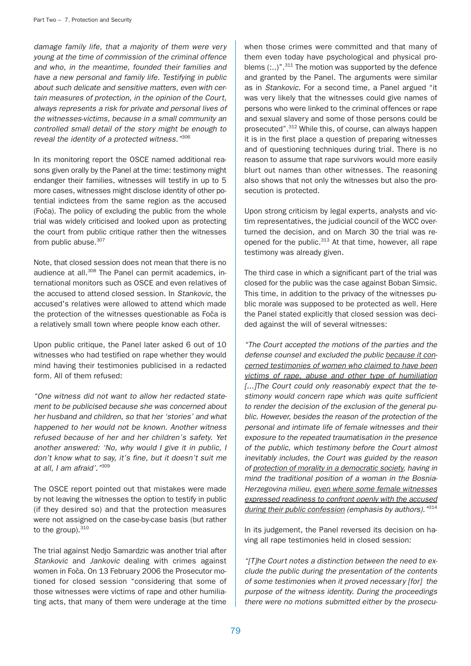damage family life, that a majority of them were very young at the time of commission of the criminal offence and who, in the meantime, founded their families and have a new personal and family life. Testifying in public about such delicate and sensitive matters, even with certain measures of protection, in the opinion of the Court, always represents a risk for private and personal lives of the witnesses-victims, because in a small community an controlled small detail of the story might be enough to reveal the identity of a protected witness."306

In its monitoring report the OSCE named additional reasons given orally by the Panel at the time: testimony might endanger their families, witnesses will testify in up to 5 more cases, witnesses might disclose identity of other potential indictees from the same region as the accused (Foča). The policy of excluding the public from the whole trial was widely criticised and looked upon as protecting the court from public critique rather then the witnesses from public abuse.<sup>307</sup>

Note, that closed session does not mean that there is no audience at all.<sup>308</sup> The Panel can permit academics, international monitors such as OSCE and even relatives of the accused to attend closed session. In Stankovic, the accused's relatives were allowed to attend which made the protection of the witnesses questionable as Foča is a relatively small town where people know each other.

Upon public critique, the Panel later asked 6 out of 10 witnesses who had testified on rape whether they would mind having their testimonies publicised in a redacted form. All of them refused:

"One witness did not want to allow her redacted statement to be publicised because she was concerned about her husband and children, so that her 'stories' and what happened to her would not be known. Another witness refused because of her and her children's safety. Yet another answered: 'No, why would I give it in public, I don't know what to say, it's fine, but it doesn't suit me at all, I am afraid'. "309

The OSCE report pointed out that mistakes were made by not leaving the witnesses the option to testify in public (if they desired so) and that the protection measures were not assigned on the case-by-case basis (but rather to the group). 310

The trial against Nedjo Samardzic was another trial after Stankovic and Jankovic dealing with crimes against women in Foča. On 13 February 2006 the Prosecutor motioned for closed session "considering that some of those witnesses were victims of rape and other humiliating acts, that many of them were underage at the time

when those crimes were committed and that many of them even today have psychological and physical problems  $(...)$ ".<sup>311</sup> The motion was supported by the defence and granted by the Panel. The arguments were similar as in Stankovic. For a second time, a Panel argued "it was very likely that the witnesses could give names of persons who were linked to the criminal offences or rape and sexual slavery and some of those persons could be prosecuted".<sup>312</sup> While this, of course, can always happen it is in the first place a question of preparing witnesses and of questioning techniques during trial. There is no reason to assume that rape survivors would more easily blurt out names than other witnesses. The reasoning also shows that not only the witnesses but also the prosecution is protected.

Upon strong criticism by legal experts, analysts and victim representatives, the judicial council of the WCC overturned the decision, and on March 30 the trial was reopened for the public.<sup>313</sup> At that time, however, all rape testimony was already given.

The third case in which a significant part of the trial was closed for the public was the case against Boban Simsic. This time, in addition to the privacy of the witnesses public morale was supposed to be protected as well. Here the Panel stated explicitly that closed session was decided against the will of several witnesses:

"The Court accepted the motions of the parties and the defense counsel and excluded the public because it concerned testimonies of women who claimed to have been victims of rape, abuse and other type of humiliation [...]The Court could only reasonably expect that the testimony would concern rape which was quite sufficient to render the decision of the exclusion of the general public. However, besides the reason of the protection of the personal and intimate life of female witnesses and their exposure to the repeated traumatisation in the presence of the public, which testimony before the Court almost inevitably includes, the Court was guided by the reason of protection of morality in a democratic society, having in mind the traditional position of a woman in the Bosnia-Herzegovina milieu, even where some female witnesses expressed readiness to confront openly with the accused during their public confession (emphasis by authors). "314

In its judgement, the Panel reversed its decision on having all rape testimonies held in closed session:

"[T]he Court notes a distinction between the need to exclude the public during the presentation of the contents of some testimonies when it proved necessary [for] the purpose of the witness identity. During the proceedings there were no motions submitted either by the prosecu-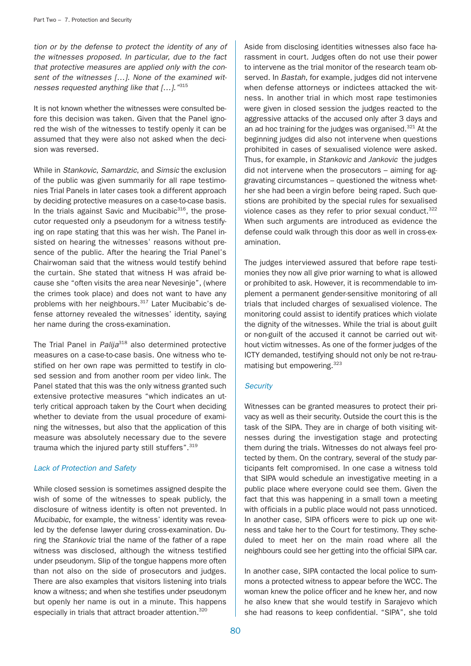tion or by the defense to protect the identity of any of the witnesses proposed. In particular, due to the fact that protective measures are applied only with the consent of the witnesses [...]. None of the examined witnesses requested anything like that [...]. "315

It is not known whether the witnesses were consulted before this decision was taken. Given that the Panel ignored the wish of the witnesses to testify openly it can be assumed that they were also not asked when the decision was reversed.

While in Stankovic, Samardzic, and Simsic the exclusion of the public was given summarily for all rape testimonies Trial Panels in later cases took a different approach by deciding protective measures on a case-to-case basis. In the trials against Savic and Mucibabic<sup>316</sup>, the prosecutor requested only a pseudonym for a witness testifying on rape stating that this was her wish. The Panel insisted on hearing the witnesses' reasons without presence of the public. After the hearing the Trial Panel's Chairwoman said that the witness would testify behind the curtain. She stated that witness H was afraid because she "often visits the area near Nevesinje", (where the crimes took place) and does not want to have any problems with her neighbours.<sup>317</sup> Later Mucibabic's defense attorney revealed the witnesses' identity, saying her name during the cross-examination.

The Trial Panel in Palija<sup>318</sup> also determined protective measures on a case-to-case basis. One witness who testified on her own rape was permitted to testify in closed session and from another room per video link. The Panel stated that this was the only witness granted such extensive protective measures "which indicates an utterly critical approach taken by the Court when deciding whether to deviate from the usual procedure of examining the witnesses, but also that the application of this measure was absolutely necessary due to the severe trauma which the injured party still stuffers".<sup>319</sup>

### Lack of Protection and Safety

While closed session is sometimes assigned despite the wish of some of the witnesses to speak publicly, the disclosure of witness identity is often not prevented. In Mucibabic, for example, the witness' identity was revealed by the defense lawyer during cross-examination. During the Stankovic trial the name of the father of a rape witness was disclosed, although the witness testified under pseudonym. Slip of the tongue happens more often than not also on the side of prosecutors and judges. There are also examples that visitors listening into trials know a witness; and when she testifies under pseudonym but openly her name is out in a minute. This happens especially in trials that attract broader attention.<sup>320</sup>

Aside from disclosing identities witnesses also face harassment in court. Judges often do not use their power to intervene as the trial monitor of the research team observed. In Bastah, for example, judges did not intervene when defense attorneys or indictees attacked the witness. In another trial in which most rape testimonies were given in closed session the judges reacted to the aggressive attacks of the accused only after 3 days and an ad hoc training for the judges was organised. $321$  At the beginning judges did also not intervene when questions prohibited in cases of sexualised violence were asked. Thus, for example, in Stankovic and Jankovic the judges did not intervene when the prosecutors – aiming for aggravating circumstances – questioned the witness whether she had been a virgin before being raped. Such questions are prohibited by the special rules for sexualised violence cases as they refer to prior sexual conduct.<sup>322</sup> When such arguments are introduced as evidence the defense could walk through this door as well in cross-examination.

The judges interviewed assured that before rape testimonies they now all give prior warning to what is allowed or prohibited to ask. However, it is recommendable to implement a permanent gender-sensitive monitoring of all trials that included charges of sexualised violence. The monitoring could assist to identify pratices which violate the dignity of the witnesses. While the trial is about guilt or non-guilt of the accused it cannot be carried out without victim witnesses. As one of the former judges of the ICTY demanded, testifying should not only be not re-traumatising but empowering.323

## **Security**

Witnesses can be granted measures to protect their privacy as well as their security. Outside the court this is the task of the SIPA. They are in charge of both visiting witnesses during the investigation stage and protecting them during the trials. Witnesses do not always feel protected by them. On the contrary, several of the study participants felt compromised. In one case a witness told that SIPA would schedule an investigative meeting in a public place where everyone could see them. Given the fact that this was happening in a small town a meeting with officials in a public place would not pass unnoticed. In another case, SIPA officers were to pick up one witness and take her to the Court for testimony. They scheduled to meet her on the main road where all the neighbours could see her getting into the official SIPA car.

In another case, SIPA contacted the local police to summons a protected witness to appear before the WCC. The woman knew the police officer and he knew her, and now he also knew that she would testify in Sarajevo which she had reasons to keep confidential. "SIPA", she told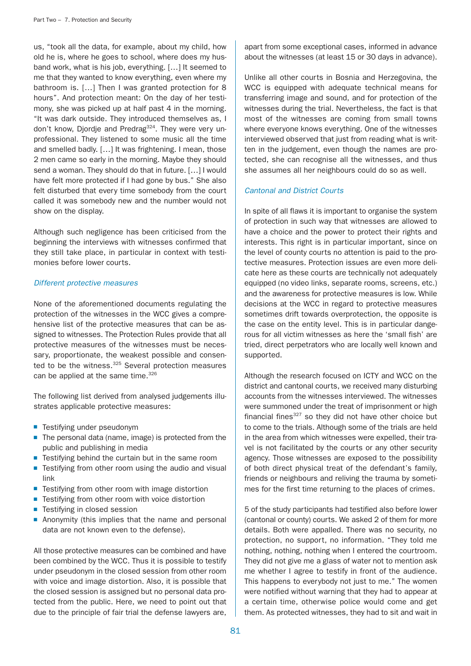us, "took all the data, for example, about my child, how old he is, where he goes to school, where does my husband work, what is his job, everything. […] It seemed to me that they wanted to know everything, even where my bathroom is. […] Then I was granted protection for 8 hours". And protection meant: On the day of her testimony, she was picked up at half past 4 in the morning. "It was dark outside. They introduced themselves as, I don't know, Djordje and Predrag<sup>324</sup>. They were very unprofessional. They listened to some music all the time and smelled badly. […] It was frightening. I mean, those 2 men came so early in the morning. Maybe they should send a woman. They should do that in future. […] I would have felt more protected if I had gone by bus." She also felt disturbed that every time somebody from the court called it was somebody new and the number would not show on the display.

Although such negligence has been criticised from the beginning the interviews with witnesses confirmed that they still take place, in particular in context with testimonies before lower courts.

### Different protective measures

None of the aforementioned documents regulating the protection of the witnesses in the WCC gives a comprehensive list of the protective measures that can be assigned to witnesses. The Protection Rules provide that all protective measures of the witnesses must be necessary, proportionate, the weakest possible and consented to be the witness.<sup>325</sup> Several protection measures can be applied at the same time.<sup>326</sup>

The following list derived from analysed judgements illustrates applicable protective measures:

- Testifying under pseudonym
- The personal data (name, image) is protected from the public and publishing in media
- Testifying behind the curtain but in the same room
- Testifying from other room using the audio and visual link
- Testifying from other room with image distortion
- Testifying from other room with voice distortion
- Testifying in closed session
- Anonymity (this implies that the name and personal data are not known even to the defense).

All those protective measures can be combined and have been combined by the WCC. Thus it is possible to testify under pseudonym in the closed session from other room with voice and image distortion. Also, it is possible that the closed session is assigned but no personal data protected from the public. Here, we need to point out that due to the principle of fair trial the defense lawyers are, apart from some exceptional cases, informed in advance about the witnesses (at least 15 or 30 days in advance).

Unlike all other courts in Bosnia and Herzegovina, the WCC is equipped with adequate technical means for transferring image and sound, and for protection of the witnesses during the trial. Nevertheless, the fact is that most of the witnesses are coming from small towns where everyone knows everything. One of the witnesses interviewed observed that just from reading what is written in the judgement, even though the names are protected, she can recognise all the witnesses, and thus she assumes all her neighbours could do so as well.

### Cantonal and District Courts

In spite of all flaws it is important to organise the system of protection in such way that witnesses are allowed to have a choice and the power to protect their rights and interests. This right is in particular important, since on the level of county courts no attention is paid to the protective measures. Protection issues are even more delicate here as these courts are technically not adequately equipped (no video links, separate rooms, screens, etc.) and the awareness for protective measures is low. While decisions at the WCC in regard to protective measures sometimes drift towards overprotection, the opposite is the case on the entity level. This is in particular dangerous for all victim witnesses as here the 'small fish' are tried, direct perpetrators who are locally well known and supported.

Although the research focused on ICTY and WCC on the district and cantonal courts, we received many disturbing accounts from the witnesses interviewed. The witnesses were summoned under the treat of imprisonment or high financial fines $327$  so they did not have other choice but to come to the trials. Although some of the trials are held in the area from which witnesses were expelled, their travel is not facilitated by the courts or any other security agency. Those witnesses are exposed to the possibility of both direct physical treat of the defendant's family, friends or neighbours and reliving the trauma by sometimes for the first time returning to the places of crimes.

5 of the study participants had testified also before lower (cantonal or county) courts. We asked 2 of them for more details. Both were appalled. There was no security, no protection, no support, no information. "They told me nothing, nothing, nothing when I entered the courtroom. They did not give me a glass of water not to mention ask me whether I agree to testify in front of the audience. This happens to everybody not just to me." The women were notified without warning that they had to appear at a certain time, otherwise police would come and get them. As protected witnesses, they had to sit and wait in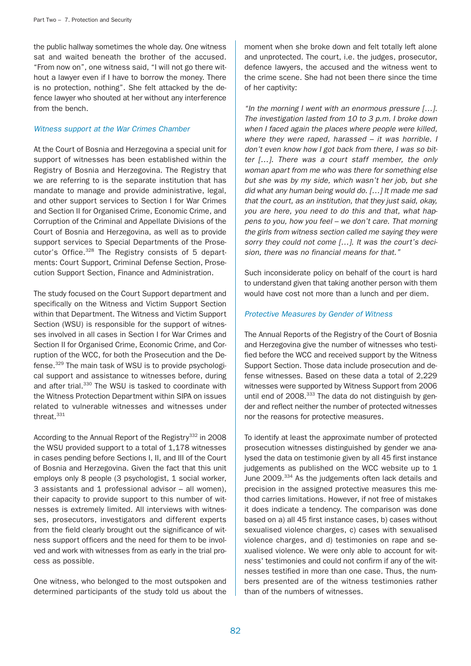the public hallway sometimes the whole day. One witness sat and waited beneath the brother of the accused. "From now on", one witness said, "I will not go there without a lawyer even if I have to borrow the money. There is no protection, nothing". She felt attacked by the defence lawyer who shouted at her without any interference from the bench.

### Witness support at the War Crimes Chamber

At the Court of Bosnia and Herzegovina a special unit for support of witnesses has been established within the Registry of Bosnia and Herzegovina. The Registry that we are referring to is the separate institution that has mandate to manage and provide administrative, legal, and other support services to Section I for War Crimes and Section II for Organised Crime, Economic Crime, and Corruption of the Criminal and Appellate Divisions of the Court of Bosnia and Herzegovina, as well as to provide support services to Special Departments of the Prosecutor's Office.<sup>328</sup> The Registry consists of 5 departments: Court Support, Criminal Defense Section, Prosecution Support Section, Finance and Administration.

The study focused on the Court Support department and specifically on the Witness and Victim Support Section within that Department. The Witness and Victim Support Section (WSU) is responsible for the support of witnesses involved in all cases in Section I for War Crimes and Section II for Organised Crime, Economic Crime, and Corruption of the WCC, for both the Prosecution and the Defense.329 The main task of WSU is to provide psychological support and assistance to witnesses before, during and after trial.<sup>330</sup> The WSU is tasked to coordinate with the Witness Protection Department within SIPA on issues related to vulnerable witnesses and witnesses under threat.331

According to the Annual Report of the Registry $332$  in 2008 the WSU provided support to a total of 1,178 witnesses in cases pending before Sections I, II, and III of the Court of Bosnia and Herzegovina. Given the fact that this unit employs only 8 people (3 psychologist, 1 social worker, 3 assistants and 1 professional advisor – all women), their capacity to provide support to this number of witnesses is extremely limited. All interviews with witnesses, prosecutors, investigators and different experts from the field clearly brought out the significance of witness support officers and the need for them to be involved and work with witnesses from as early in the trial process as possible.

One witness, who belonged to the most outspoken and determined participants of the study told us about the

moment when she broke down and felt totally left alone and unprotected. The court, i.e. the judges, prosecutor, defence lawyers, the accused and the witness went to the crime scene. She had not been there since the time of her captivity:

"In the morning I went with an enormous pressure […]. The investigation lasted from 10 to 3 p.m. I broke down when I faced again the places where people were killed, where they were raped, harassed – it was horrible. I don't even know how I got back from there, I was so bitter […]. There was a court staff member, the only woman apart from me who was there for something else but she was by my side, which wasn't her job, but she did what any human being would do. […] It made me sad that the court, as an institution, that they just said, okay, you are here, you need to do this and that, what happens to you, how you feel – we don't care. That morning the girls from witness section called me saying they were sorry they could not come [...]. It was the court's decision, there was no financial means for that."

Such inconsiderate policy on behalf of the court is hard to understand given that taking another person with them would have cost not more than a lunch and per diem.

## Protective Measures by Gender of Witness

The Annual Reports of the Registry of the Court of Bosnia and Herzegovina give the number of witnesses who testified before the WCC and received support by the Witness Support Section. Those data include prosecution and defense witnesses. Based on these data a total of 2,229 witnesses were supported by Witness Support from 2006 until end of 2008.<sup>333</sup> The data do not distinguish by gender and reflect neither the number of protected witnesses nor the reasons for protective measures.

To identify at least the approximate number of protected prosecution witnesses distinguished by gender we analysed the data on testimonie given by all 45 first instance judgements as published on the WCC website up to 1 June 2009.<sup>334</sup> As the judgements often lack details and precision in the assigned protective measures this method carries limitations. However, if not free of mistakes it does indicate a tendency. The comparison was done based on a) all 45 first instance cases, b) cases without sexualised violence charges, c) cases with sexualised violence charges, and d) testimonies on rape and sexualised violence. We were only able to account for witness' testimonies and could not confirm if any of the witnesses testified in more than one case. Thus, the numbers presented are of the witness testimonies rather than of the numbers of witnesses.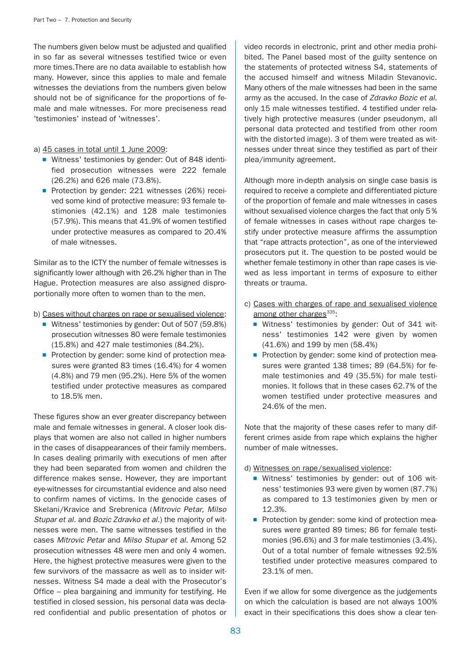The numbers given below must be adjusted and qualified in so far as several witnesses testified twice or even more times.There are no data available to establish how many. However, since this applies to male and female witnesses the deviations from the numbers given below should not be of significance for the proportions of female and male witnesses. For more preciseness read 'testimonies' instead of 'witnesses'.

### a) 45 cases in total until 1 June 2009:

- Witness' testimonies by gender: Out of 848 identified prosecution witnesses were 222 female (26.2%) and 626 male (73.8%).
- Protection by gender: 221 witnesses (26%) received some kind of protective measure: 93 female testimonies (42.1%) and 128 male testimonies (57.9%). This means that 41.9% of women testified under protective measures as compared to 20.4% of male witnesses.

Similar as to the ICTY the number of female witnesses is significantly lower although with 26.2% higher than in The Hague. Protection measures are also assigned disproportionally more often to women than to the men.

b) Cases without charges on rape or sexualised violence:

- Witness' testimonies by gender: Out of 507 (59.8%) prosecution witnesses 80 were female testimonies (15.8%) and 427 male testimonies (84.2%).
- Protection by gender: some kind of protection measures were granted 83 times (16.4%) for 4 women (4.8%) and 79 men (95.2%). Here 5% of the women testified under protective measures as compared to 18.5% men.

These figures show an ever greater discrepancy between male and female witnesses in general. A closer look displays that women are also not called in higher numbers in the cases of disappearances of their family members. In cases dealing primarily with executions of men after they had been separated from women and children the difference makes sense. However, they are important eye-witnesses for circumstantial evidence and also need to confirm names of victims. In the genocide cases of Skelani/Kravice and Srebrenica (Mitrovic Petar, Milso Stupar et al. and Bozic Zdravko et al.) the majority of witnesses were men. The same witnesses testified in the cases Mitrovic Petar and Milso Stupar et al. Among 52 prosecution witnesses 48 were men and only 4 women. Here, the highest protective measures were given to the few survivors of the massacre as well as to insider witnesses. Witness S4 made a deal with the Prosecutor's Office – plea bargaining and immunity for testifying. He testified in closed session, his personal data was declared confidential and public presentation of photos or

video records in electronic, print and other media prohibited. The Panel based most of the guilty sentence on the statements of protected witness S4, statements of the accused himself and witness Miladin Stevanovic. Many others of the male witnesses had been in the same army as the accused. In the case of Zdravko Bozic et al. only 15 male witnesses testified. 4 testified under relatively high protective measures (under pseudonym, all personal data protected and testified from other room with the distorted image). 3 of them were treated as witnesses under threat since they testified as part of their plea/immunity agreement.

Although more in-depth analysis on single case basis is required to receive a complete and differentiated picture of the proportion of female and male witnesses in cases without sexualised violence charges the fact that only 5% of female witnesses in cases without rape charges testify under protective measure affirms the assumption that "rape attracts protection", as one of the interviewed prosecutors put it. The question to be posted would be whether female testimony in other than rape cases is viewed as less important in terms of exposure to either threats or trauma.

- c) Cases with charges of rape and sexualised violence among other charges $^{335}$ :
	- Witness' testimonies by gender: Out of 341 witness' testimonies 142 were given by women (41.6%) and 199 by men (58.4%)
	- Protection by gender: some kind of protection measures were granted 138 times; 89 (64.5%) for female testimonies and 49 (35.5%) for male testimonies. It follows that in these cases 62.7% of the women testified under protective measures and 24.6% of the men.

Note that the majority of these cases refer to many different crimes aside from rape which explains the higher number of male witnesses.

## d) Witnesses on rape/sexualised violence:

- Witness' testimonies by gender: out of 106 witness' testimonies 93 were given by women (87.7%) as compared to 13 testimonies given by men or 12.3%.
- Protection by gender: some kind of protection measures were granted 89 times; 86 for female testimonies (96.6%) and 3 for male testimonies (3.4%). Out of a total number of female witnesses 92.5% testified under protective measures compared to 23.1% of men.

Even if we allow for some divergence as the judgements on which the calculation is based are not always 100% exact in their specifications this does show a clear ten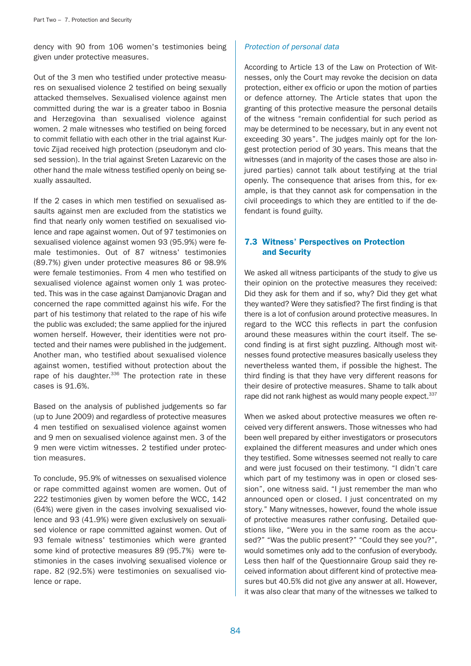dency with 90 from 106 women's testimonies being given under protective measures.

Out of the 3 men who testified under protective measures on sexualised violence 2 testified on being sexually attacked themselves. Sexualised violence against men committed during the war is a greater taboo in Bosnia and Herzegovina than sexualised violence against women. 2 male witnesses who testified on being forced to commit fellatio with each other in the trial against Kurtovic Zijad received high protection (pseudonym and closed session). In the trial against Sreten Lazarevic on the other hand the male witness testified openly on being sexually assaulted.

If the 2 cases in which men testified on sexualised assaults against men are excluded from the statistics we find that nearly only women testified on sexualised violence and rape against women. Out of 97 testimonies on sexualised violence against women 93 (95.9%) were female testimonies. Out of 87 witness' testimonies (89.7%) given under protective measures 86 or 98.9% were female testimonies. From 4 men who testified on sexualised violence against women only 1 was protected. This was in the case against Damjanovic Dragan and concerned the rape committed against his wife. For the part of his testimony that related to the rape of his wife the public was excluded; the same applied for the injured women herself. However, their identities were not protected and their names were published in the judgement. Another man, who testified about sexualised violence against women, testified without protection about the rape of his daughter. $336$  The protection rate in these cases is 91.6%.

Based on the analysis of published judgements so far (up to June 2009) and regardless of protective measures 4 men testified on sexualised violence against women and 9 men on sexualised violence against men. 3 of the 9 men were victim witnesses. 2 testified under protection measures.

To conclude, 95.9% of witnesses on sexualised violence or rape committed against women are women. Out of 222 testimonies given by women before the WCC, 142 (64%) were given in the cases involving sexualised violence and 93 (41.9%) were given exclusively on sexualised violence or rape committed against women. Out of 93 female witness' testimonies which were granted some kind of protective measures 89 (95.7%) were testimonies in the cases involving sexualised violence or rape. 82 (92.5%) were testimonies on sexualised violence or rape.

### Protection of personal data

According to Article 13 of the Law on Protection of Witnesses, only the Court may revoke the decision on data protection, either ex officio or upon the motion of parties or defence attorney. The Article states that upon the granting of this protective measure the personal details of the witness "remain confidential for such period as may be determined to be necessary, but in any event not exceeding 30 years". The judges mainly opt for the longest protection period of 30 years. This means that the witnesses (and in majority of the cases those are also injured parties) cannot talk about testifying at the trial openly. The consequence that arises from this, for example, is that they cannot ask for compensation in the civil proceedings to which they are entitled to if the defendant is found guilty.

# 7.3 Witness' Perspectives on Protection and Security

We asked all witness participants of the study to give us their opinion on the protective measures they received: Did they ask for them and if so, why? Did they get what they wanted? Were they satisfied? The first finding is that there is a lot of confusion around protective measures. In regard to the WCC this reflects in part the confusion around these measures within the court itself. The second finding is at first sight puzzling. Although most witnesses found protective measures basically useless they nevertheless wanted them, if possible the highest. The third finding is that they have very different reasons for their desire of protective measures. Shame to talk about rape did not rank highest as would many people expect.<sup>337</sup>

When we asked about protective measures we often received very different answers. Those witnesses who had been well prepared by either investigators or prosecutors explained the different measures and under which ones they testified. Some witnesses seemed not really to care and were just focused on their testimony. "I didn't care which part of my testimony was in open or closed session", one witness said. "I just remember the man who announced open or closed. I just concentrated on my story." Many witnesses, however, found the whole issue of protective measures rather confusing. Detailed questions like, "Were you in the same room as the accused?" "Was the public present?" "Could they see you?", would sometimes only add to the confusion of everybody. Less then half of the Questionnaire Group said they received information about different kind of protective measures but 40.5% did not give any answer at all. However, it was also clear that many of the witnesses we talked to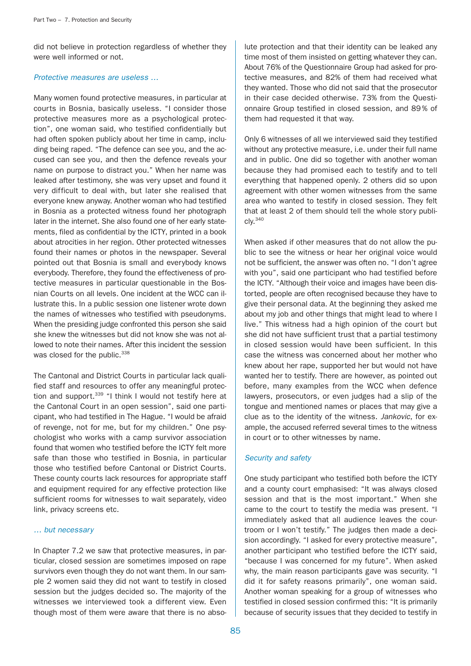did not believe in protection regardless of whether they were well informed or not.

### Protective measures are useless …

Many women found protective measures, in particular at courts in Bosnia, basically useless. "I consider those protective measures more as a psychological protection", one woman said, who testified confidentially but had often spoken publicly about her time in camp, including being raped. "The defence can see you, and the accused can see you, and then the defence reveals your name on purpose to distract you." When her name was leaked after testimony, she was very upset and found it very difficult to deal with, but later she realised that everyone knew anyway. Another woman who had testified in Bosnia as a protected witness found her photograph later in the internet. She also found one of her early statements, filed as confidential by the ICTY, printed in a book about atrocities in her region. Other protected witnesses found their names or photos in the newspaper. Several pointed out that Bosnia is small and everybody knows everybody. Therefore, they found the effectiveness of protective measures in particular questionable in the Bosnian Courts on all levels. One incident at the WCC can illustrate this. In a public session one listener wrote down the names of witnesses who testified with pseudonyms. When the presiding judge confronted this person she said she knew the witnesses but did not know she was not allowed to note their names. After this incident the session was closed for the public.<sup>338</sup>

The Cantonal and District Courts in particular lack qualified staff and resources to offer any meaningful protection and support.<sup>339</sup> "I think I would not testify here at the Cantonal Court in an open session", said one participant, who had testified in The Hague. "I would be afraid of revenge, not for me, but for my children." One psychologist who works with a camp survivor association found that women who testified before the ICTY felt more safe than those who testified in Bosnia, in particular those who testified before Cantonal or District Courts. These county courts lack resources for appropriate staff and equipment required for any effective protection like sufficient rooms for witnesses to wait separately, video link, privacy screens etc.

#### … but necessary

In Chapter 7.2 we saw that protective measures, in particular, closed session are sometimes imposed on rape survivors even though they do not want them. In our sample 2 women said they did not want to testify in closed session but the judges decided so. The majority of the witnesses we interviewed took a different view. Even though most of them were aware that there is no abso-

lute protection and that their identity can be leaked any time most of them insisted on getting whatever they can. About 76% of the Questionnaire Group had asked for protective measures, and 82% of them had received what they wanted. Those who did not said that the prosecutor in their case decided otherwise. 73% from the Questionnaire Group testified in closed session, and 89 % of them had requested it that way.

Only 6 witnesses of all we interviewed said they testified without any protective measure, i.e. under their full name and in public. One did so together with another woman because they had promised each to testify and to tell everything that happened openly. 2 others did so upon agreement with other women witnesses from the same area who wanted to testify in closed session. They felt that at least 2 of them should tell the whole story publi $c$ ly. $340$ 

When asked if other measures that do not allow the public to see the witness or hear her original voice would not be sufficient, the answer was often no. "I don't agree with you", said one participant who had testified before the ICTY. "Although their voice and images have been distorted, people are often recognised because they have to give their personal data. At the beginning they asked me about my job and other things that might lead to where I live." This witness had a high opinion of the court but she did not have sufficient trust that a partial testimony in closed session would have been sufficient. In this case the witness was concerned about her mother who knew about her rape, supported her but would not have wanted her to testify. There are however, as pointed out before, many examples from the WCC when defence lawyers, prosecutors, or even judges had a slip of the tongue and mentioned names or places that may give a clue as to the identity of the witness. Jankovic, for example, the accused referred several times to the witness in court or to other witnesses by name.

### Security and safety

One study participant who testified both before the ICTY and a county court emphasised: "It was always closed session and that is the most important." When she came to the court to testify the media was present. "I immediately asked that all audience leaves the courtroom or I won't testify." The judges then made a decision accordingly. "I asked for every protective measure", another participant who testified before the ICTY said, "because I was concerned for my future". When asked why, the main reason participants gave was security. "I did it for safety reasons primarily", one woman said. Another woman speaking for a group of witnesses who testified in closed session confirmed this: "It is primarily because of security issues that they decided to testify in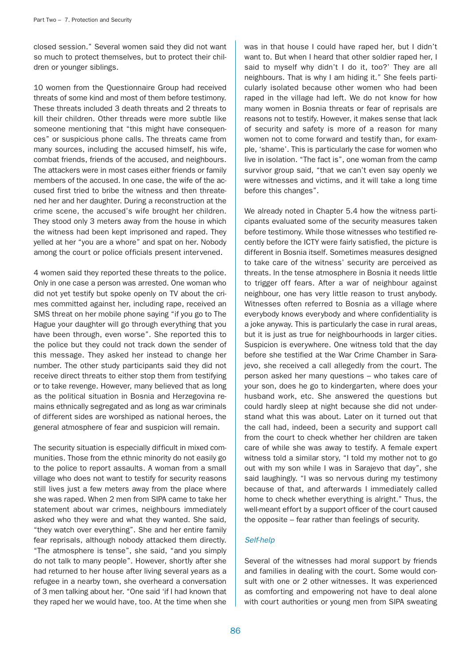closed session." Several women said they did not want so much to protect themselves, but to protect their children or younger siblings.

10 women from the Questionnaire Group had received threats of some kind and most of them before testimony. These threats included 3 death threats and 2 threats to kill their children. Other threads were more subtle like someone mentioning that "this might have consequences" or suspicious phone calls. The threats came from many sources, including the accused himself, his wife, combat friends, friends of the accused, and neighbours. The attackers were in most cases either friends or family members of the accused. In one case, the wife of the accused first tried to bribe the witness and then threatened her and her daughter. During a reconstruction at the crime scene, the accused's wife brought her children. They stood only 3 meters away from the house in which the witness had been kept imprisoned and raped. They yelled at her "you are a whore" and spat on her. Nobody among the court or police officials present intervened.

4 women said they reported these threats to the police. Only in one case a person was arrested. One woman who did not yet testify but spoke openly on TV about the crimes committed against her, including rape, received an SMS threat on her mobile phone saying "if you go to The Hague your daughter will go through everything that you have been through, even worse". She reported this to the police but they could not track down the sender of this message. They asked her instead to change her number. The other study participants said they did not receive direct threats to either stop them from testifying or to take revenge. However, many believed that as long as the political situation in Bosnia and Herzegovina remains ethnically segregated and as long as war criminals of different sides are worshiped as national heroes, the general atmosphere of fear and suspicion will remain.

The security situation is especially difficult in mixed communities. Those from the ethnic minority do not easily go to the police to report assaults. A woman from a small village who does not want to testify for security reasons still lives just a few meters away from the place where she was raped. When 2 men from SIPA came to take her statement about war crimes, neighbours immediately asked who they were and what they wanted. She said, "they watch over everything". She and her entire family fear reprisals, although nobody attacked them directly. "The atmosphere is tense", she said, "and you simply do not talk to many people". However, shortly after she had returned to her house after living several years as a refugee in a nearby town, she overheard a conversation of 3 men talking about her. "One said 'if I had known that they raped her we would have, too. At the time when she

was in that house I could have raped her, but I didn't want to. But when I heard that other soldier raped her, I said to myself why didn't I do it, too?' They are all neighbours. That is why I am hiding it." She feels particularly isolated because other women who had been raped in the village had left. We do not know for how many women in Bosnia threats or fear of reprisals are reasons not to testify. However, it makes sense that lack of security and safety is more of a reason for many women not to come forward and testify than, for example, 'shame'. This is particularly the case for women who live in isolation. "The fact is", one woman from the camp survivor group said, "that we can't even say openly we were witnesses and victims, and it will take a long time before this changes".

We already noted in Chapter 5.4 how the witness participants evaluated some of the security measures taken before testimony. While those witnesses who testified recently before the ICTY were fairly satisfied, the picture is different in Bosnia itself. Sometimes measures designed to take care of the witness' security are perceived as threats. In the tense atmosphere in Bosnia it needs little to trigger off fears. After a war of neighbour against neighbour, one has very little reason to trust anybody. Witnesses often referred to Bosnia as a village where everybody knows everybody and where confidentiality is a joke anyway. This is particularly the case in rural areas, but it is just as true for neighbourhoods in larger cities. Suspicion is everywhere. One witness told that the day before she testified at the War Crime Chamber in Sarajevo, she received a call allegedly from the court. The person asked her many questions – who takes care of your son, does he go to kindergarten, where does your husband work, etc. She answered the questions but could hardly sleep at night because she did not understand what this was about. Later on it turned out that the call had, indeed, been a security and support call from the court to check whether her children are taken care of while she was away to testify. A female expert witness told a similar story, "I told my mother not to go out with my son while I was in Sarajevo that day", she said laughingly. "I was so nervous during my testimony because of that, and afterwards I immediately called home to check whether everything is alright." Thus, the well-meant effort by a support officer of the court caused the opposite – fear rather than feelings of security.

### Self-help

Several of the witnesses had moral support by friends and families in dealing with the court. Some would consult with one or 2 other witnesses. It was experienced as comforting and empowering not have to deal alone with court authorities or young men from SIPA sweating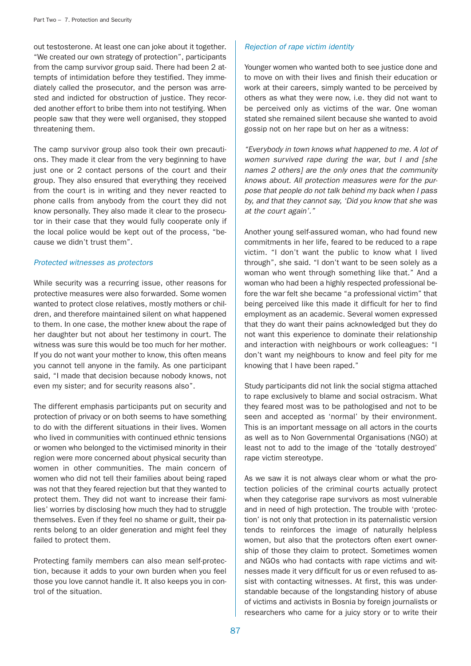out testosterone. At least one can joke about it together. "We created our own strategy of protection", participants from the camp survivor group said. There had been 2 attempts of intimidation before they testified. They immediately called the prosecutor, and the person was arrested and indicted for obstruction of justice. They recorded another effort to bribe them into not testifying. When people saw that they were well organised, they stopped threatening them.

The camp survivor group also took their own precautions. They made it clear from the very beginning to have just one or 2 contact persons of the court and their group. They also ensured that everything they received from the court is in writing and they never reacted to phone calls from anybody from the court they did not know personally. They also made it clear to the prosecutor in their case that they would fully cooperate only if the local police would be kept out of the process, "because we didn't trust them".

### Protected witnesses as protectors

While security was a recurring issue, other reasons for protective measures were also forwarded. Some women wanted to protect close relatives, mostly mothers or children, and therefore maintained silent on what happened to them. In one case, the mother knew about the rape of her daughter but not about her testimony in court. The witness was sure this would be too much for her mother. If you do not want your mother to know, this often means you cannot tell anyone in the family. As one participant said, "I made that decision because nobody knows, not even my sister; and for security reasons also".

The different emphasis participants put on security and protection of privacy or on both seems to have something to do with the different situations in their lives. Women who lived in communities with continued ethnic tensions or women who belonged to the victimised minority in their region were more concerned about physical security than women in other communities. The main concern of women who did not tell their families about being raped was not that they feared rejection but that they wanted to protect them. They did not want to increase their families' worries by disclosing how much they had to struggle themselves. Even if they feel no shame or guilt, their parents belong to an older generation and might feel they failed to protect them.

Protecting family members can also mean self-protection, because it adds to your own burden when you feel those you love cannot handle it. It also keeps you in control of the situation.

### Rejection of rape victim identity

Younger women who wanted both to see justice done and to move on with their lives and finish their education or work at their careers, simply wanted to be perceived by others as what they were now, i.e. they did not want to be perceived only as victims of the war. One woman stated she remained silent because she wanted to avoid gossip not on her rape but on her as a witness:

"Everybody in town knows what happened to me. A lot of women survived rape during the war, but I and [she names 2 others] are the only ones that the community knows about. All protection measures were for the purpose that people do not talk behind my back when I pass by, and that they cannot say, 'Did you know that she was at the court again'."

Another young self-assured woman, who had found new commitments in her life, feared to be reduced to a rape victim. "I don't want the public to know what I lived through", she said. "I don't want to be seen solely as a woman who went through something like that." And a woman who had been a highly respected professional before the war felt she became "a professional victim" that being perceived like this made it difficult for her to find employment as an academic. Several women expressed that they do want their pains acknowledged but they do not want this experience to dominate their relationship and interaction with neighbours or work colleagues: "I don't want my neighbours to know and feel pity for me knowing that I have been raped."

Study participants did not link the social stigma attached to rape exclusively to blame and social ostracism. What they feared most was to be pathologised and not to be seen and accepted as 'normal' by their environment. This is an important message on all actors in the courts as well as to Non Governmental Organisations (NGO) at least not to add to the image of the 'totally destroyed' rape victim stereotype.

As we saw it is not always clear whom or what the protection policies of the criminal courts actually protect when they categorise rape survivors as most vulnerable and in need of high protection. The trouble with 'protection' is not only that protection in its paternalistic version tends to reinforces the image of naturally helpless women, but also that the protectors often exert ownership of those they claim to protect. Sometimes women and NGOs who had contacts with rape victims and witnesses made it very difficult for us or even refused to assist with contacting witnesses. At first, this was understandable because of the longstanding history of abuse of victims and activists in Bosnia by foreign journalists or researchers who came for a juicy story or to write their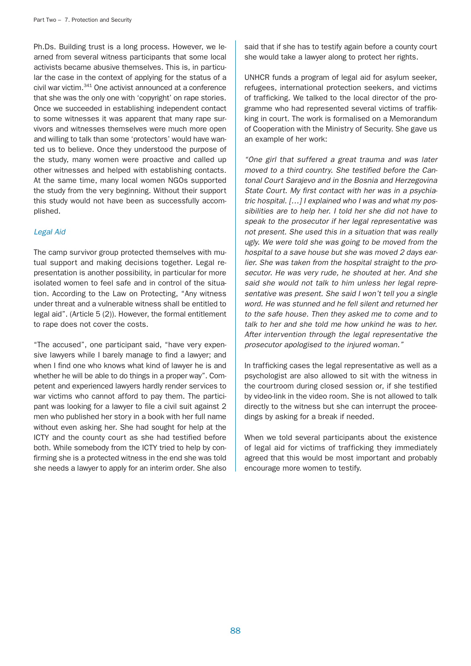Ph.Ds. Building trust is a long process. However, we learned from several witness participants that some local activists became abusive themselves. This is, in particular the case in the context of applying for the status of a civil war victim.341 One activist announced at a conference that she was the only one with 'copyright' on rape stories. Once we succeeded in establishing independent contact to some witnesses it was apparent that many rape survivors and witnesses themselves were much more open and willing to talk than some 'protectors' would have wanted us to believe. Once they understood the purpose of the study, many women were proactive and called up other witnesses and helped with establishing contacts. At the same time, many local women NGOs supported the study from the very beginning. Without their support this study would not have been as successfully accomplished.

### Legal Aid

The camp survivor group protected themselves with mutual support and making decisions together. Legal representation is another possibility, in particular for more isolated women to feel safe and in control of the situation. According to the Law on Protecting, "Any witness under threat and a vulnerable witness shall be entitled to legal aid". (Article 5 (2)). However, the formal entitlement to rape does not cover the costs.

"The accused", one participant said, "have very expensive lawyers while I barely manage to find a lawyer; and when I find one who knows what kind of lawyer he is and whether he will be able to do things in a proper way". Competent and experienced lawyers hardly render services to war victims who cannot afford to pay them. The participant was looking for a lawyer to file a civil suit against 2 men who published her story in a book with her full name without even asking her. She had sought for help at the ICTY and the county court as she had testified before both. While somebody from the ICTY tried to help by confirming she is a protected witness in the end she was told she needs a lawyer to apply for an interim order. She also

said that if she has to testify again before a county court she would take a lawyer along to protect her rights.

UNHCR funds a program of legal aid for asylum seeker, refugees, international protection seekers, and victims of trafficking. We talked to the local director of the programme who had represented several victims of traffikking in court. The work is formalised on a Memorandum of Cooperation with the Ministry of Security. She gave us an example of her work:

"One girl that suffered a great trauma and was later moved to a third country. She testified before the Cantonal Court Sarajevo and in the Bosnia and Herzegovina State Court. My first contact with her was in a psychiatric hospital. […] I explained who I was and what my possibilities are to help her. I told her she did not have to speak to the prosecutor if her legal representative was not present. She used this in a situation that was really ugly. We were told she was going to be moved from the hospital to a save house but she was moved 2 days earlier. She was taken from the hospital straight to the prosecutor. He was very rude, he shouted at her. And she said she would not talk to him unless her legal representative was present. She said I won't tell you a single word. He was stunned and he fell silent and returned her to the safe house. Then they asked me to come and to talk to her and she told me how unkind he was to her. After intervention through the legal representative the prosecutor apologised to the injured woman."

In trafficking cases the legal representative as well as a psychologist are also allowed to sit with the witness in the courtroom during closed session or, if she testified by video-link in the video room. She is not allowed to talk directly to the witness but she can interrupt the proceedings by asking for a break if needed.

When we told several participants about the existence of legal aid for victims of trafficking they immediately agreed that this would be most important and probably encourage more women to testify.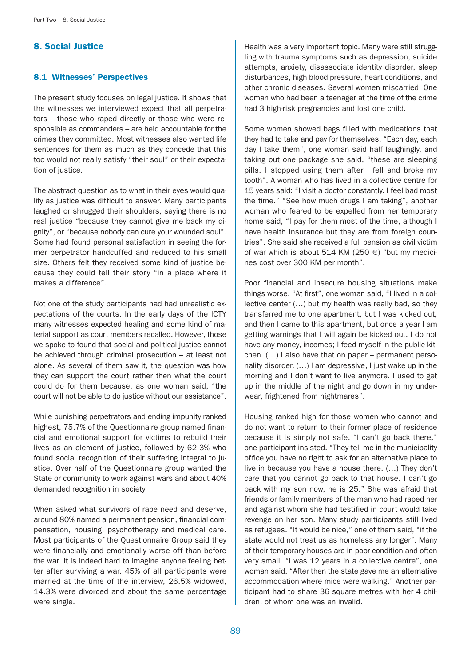# 8. Social Justice

# 8.1 Witnesses' Perspectives

The present study focuses on legal justice. It shows that the witnesses we interviewed expect that all perpetrators – those who raped directly or those who were responsible as commanders – are held accountable for the crimes they committed. Most witnesses also wanted life sentences for them as much as they concede that this too would not really satisfy "their soul" or their expectation of justice.

The abstract question as to what in their eyes would qualify as justice was difficult to answer. Many participants laughed or shrugged their shoulders, saying there is no real justice "because they cannot give me back my dignity", or "because nobody can cure your wounded soul". Some had found personal satisfaction in seeing the former perpetrator handcuffed and reduced to his small size. Others felt they received some kind of justice because they could tell their story "in a place where it makes a difference".

Not one of the study participants had had unrealistic expectations of the courts. In the early days of the ICTY many witnesses expected healing and some kind of material support as court members recalled. However, those we spoke to found that social and political justice cannot be achieved through criminal prosecution – at least not alone. As several of them saw it, the question was how they can support the court rather then what the court could do for them because, as one woman said, "the court will not be able to do justice without our assistance".

While punishing perpetrators and ending impunity ranked highest, 75.7% of the Questionnaire group named financial and emotional support for victims to rebuild their lives as an element of justice, followed by 62.3% who found social recognition of their suffering integral to justice. Over half of the Questionnaire group wanted the State or community to work against wars and about 40% demanded recognition in society.

When asked what survivors of rape need and deserve, around 80% named a permanent pension, financial compensation, housing, psychotherapy and medical care. Most participants of the Questionnaire Group said they were financially and emotionally worse off than before the war. It is indeed hard to imagine anyone feeling better after surviving a war. 45% of all participants were married at the time of the interview, 26.5% widowed, 14.3% were divorced and about the same percentage were single.

Health was a very important topic. Many were still struggling with trauma symptoms such as depression, suicide attempts, anxiety, disassociate identity disorder, sleep disturbances, high blood pressure, heart conditions, and other chronic diseases. Several women miscarried. One woman who had been a teenager at the time of the crime had 3 high-risk pregnancies and lost one child.

Some women showed bags filled with medications that they had to take and pay for themselves. "Each day, each day I take them", one woman said half laughingly, and taking out one package she said, "these are sleeping pills. I stopped using them after I fell and broke my tooth". A woman who has lived in a collective centre for 15 years said: "I visit a doctor constantly. I feel bad most the time." "See how much drugs I am taking", another woman who feared to be expelled from her temporary home said, "I pay for them most of the time, although I have health insurance but they are from foreign countries". She said she received a full pension as civil victim of war which is about 514 KM (250  $\epsilon$ ) "but my medicines cost over 300 KM per month".

Poor financial and insecure housing situations make things worse. "At first", one woman said, "I lived in a collective center (…) but my health was really bad, so they transferred me to one apartment, but I was kicked out, and then I came to this apartment, but once a year I am getting warnings that I will again be kicked out. I do not have any money, incomes; I feed myself in the public kitchen. (…) I also have that on paper – permanent personality disorder. (…) I am depressive, I just wake up in the morning and I don't want to live anymore. I used to get up in the middle of the night and go down in my underwear, frightened from nightmares".

Housing ranked high for those women who cannot and do not want to return to their former place of residence because it is simply not safe. "I can't go back there," one participant insisted. "They tell me in the municipality office you have no right to ask for an alternative place to live in because you have a house there. (…) They don't care that you cannot go back to that house. I can't go back with my son now, he is 25." She was afraid that friends or family members of the man who had raped her and against whom she had testified in court would take revenge on her son. Many study participants still lived as refugees. "It would be nice," one of them said, "if the state would not treat us as homeless any longer". Many of their temporary houses are in poor condition and often very small. "I was 12 years in a collective centre", one woman said. "After then the state gave me an alternative accommodation where mice were walking." Another participant had to share 36 square metres with her 4 children, of whom one was an invalid.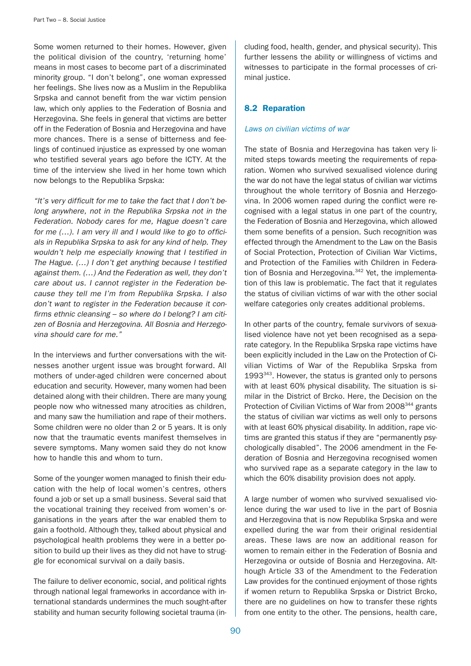Some women returned to their homes. However, given the political division of the country, 'returning home' means in most cases to become part of a discriminated minority group. "I don't belong", one woman expressed her feelings. She lives now as a Muslim in the Republika Srpska and cannot benefit from the war victim pension law, which only applies to the Federation of Bosnia and Herzegovina. She feels in general that victims are better off in the Federation of Bosnia and Herzegovina and have more chances. There is a sense of bitterness and feelings of continued injustice as expressed by one woman who testified several years ago before the ICTY. At the time of the interview she lived in her home town which now belongs to the Republika Srpska:

"It's very difficult for me to take the fact that I don't belong anywhere, not in the Republika Srpska not in the Federation. Nobody cares for me, Hague doesn't care for me  $(...)$ . I am very ill and I would like to go to officials in Republika Srpska to ask for any kind of help. They wouldn't help me especially knowing that I testified in The Hague. (…) I don't get anything because I testified against them. (…) And the Federation as well, they don't care about us. I cannot register in the Federation because they tell me I'm from Republika Srpska. I also don't want to register in the Federation because it confirms ethnic cleansing – so where do I belong? I am citizen of Bosnia and Herzegovina. All Bosnia and Herzegovina should care for me."

In the interviews and further conversations with the witnesses another urgent issue was brought forward. All mothers of under-aged children were concerned about education and security. However, many women had been detained along with their children. There are many young people now who witnessed many atrocities as children, and many saw the humiliation and rape of their mothers. Some children were no older than 2 or 5 years. It is only now that the traumatic events manifest themselves in severe symptoms. Many women said they do not know how to handle this and whom to turn.

Some of the younger women managed to finish their education with the help of local women's centres, others found a job or set up a small business. Several said that the vocational training they received from women's organisations in the years after the war enabled them to gain a foothold. Although they, talked about physical and psychological health problems they were in a better position to build up their lives as they did not have to struggle for economical survival on a daily basis.

The failure to deliver economic, social, and political rights through national legal frameworks in accordance with international standards undermines the much sought-after stability and human security following societal trauma (in-

cluding food, health, gender, and physical security). This further lessens the ability or willingness of victims and witnesses to participate in the formal processes of criminal justice.

# 8.2 Reparation

### Laws on civilian victims of war

The state of Bosnia and Herzegovina has taken very limited steps towards meeting the requirements of reparation. Women who survived sexualised violence during the war do not have the legal status of civilian war victims throughout the whole territory of Bosnia and Herzegovina. In 2006 women raped during the conflict were recognised with a legal status in one part of the country, the Federation of Bosnia and Herzegovina, which allowed them some benefits of a pension. Such recognition was effected through the Amendment to the Law on the Basis of Social Protection, Protection of Civilian War Victims, and Protection of the Families with Children in Federation of Bosnia and Herzegovina.<sup>342</sup> Yet, the implementation of this law is problematic. The fact that it regulates the status of civilian victims of war with the other social welfare categories only creates additional problems.

In other parts of the country, female survivors of sexualised violence have not yet been recognised as a separate category. In the Republika Srpska rape victims have been explicitly included in the Law on the Protection of Civilian Victims of War of the Republika Srpska from  $1993^{343}$ . However, the status is granted only to persons with at least 60% physical disability. The situation is similar in the District of Brcko. Here, the Decision on the Protection of Civilian Victims of War from 2008<sup>344</sup> grants the status of civilian war victims as well only to persons with at least 60% physical disability. In addition, rape victims are granted this status if they are "permanently psychologically disabled". The 2006 amendment in the Federation of Bosnia and Herzegovina recognised women who survived rape as a separate category in the law to which the 60% disability provision does not apply.

A large number of women who survived sexualised violence during the war used to live in the part of Bosnia and Herzegovina that is now Republika Srpska and were expelled during the war from their original residential areas. These laws are now an additional reason for women to remain either in the Federation of Bosnia and Herzegovina or outside of Bosnia and Herzegovina. Although Article 33 of the Amendment to the Federation Law provides for the continued enjoyment of those rights if women return to Republika Srpska or District Brcko, there are no guidelines on how to transfer these rights from one entity to the other. The pensions, health care,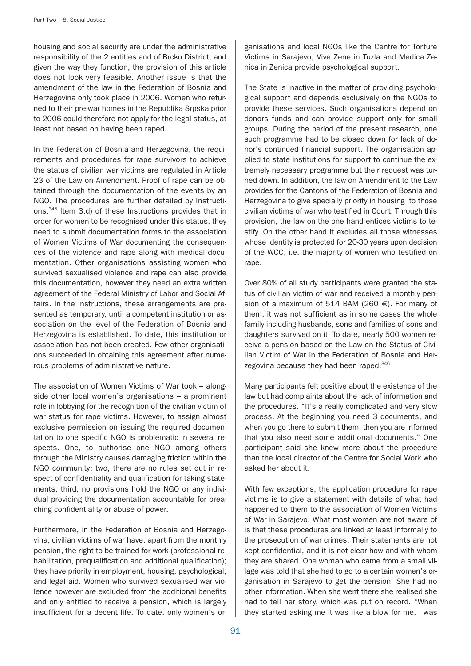housing and social security are under the administrative responsibility of the 2 entities and of Brcko District, and given the way they function, the provision of this article does not look very feasible. Another issue is that the amendment of the law in the Federation of Bosnia and Herzegovina only took place in 2006. Women who returned to their pre-war homes in the Republika Srpska prior to 2006 could therefore not apply for the legal status, at least not based on having been raped.

In the Federation of Bosnia and Herzegovina, the requirements and procedures for rape survivors to achieve the status of civilian war victims are regulated in Article 23 of the Law on Amendment. Proof of rape can be obtained through the documentation of the events by an NGO. The procedures are further detailed by Instructions.345 Item 3.d) of these Instructions provides that in order for women to be recognised under this status, they need to submit documentation forms to the association of Women Victims of War documenting the consequences of the violence and rape along with medical documentation. Other organisations assisting women who survived sexualised violence and rape can also provide this documentation, however they need an extra written agreement of the Federal Ministry of Labor and Social Affairs. In the Instructions, these arrangements are presented as temporary, until a competent institution or association on the level of the Federation of Bosnia and Herzegovina is established. To date, this institution or association has not been created. Few other organisations succeeded in obtaining this agreement after numerous problems of administrative nature.

The association of Women Victims of War took – alongside other local women's organisations – a prominent role in lobbying for the recognition of the civilian victim of war status for rape victims. However, to assign almost exclusive permission on issuing the required documentation to one specific NGO is problematic in several respects. One, to authorise one NGO among others through the Ministry causes damaging friction within the NGO community; two, there are no rules set out in respect of confidentiality and qualification for taking statements; third, no provisions hold the NGO or any individual providing the documentation accountable for breaching confidentiality or abuse of power.

Furthermore, in the Federation of Bosnia and Herzegovina, civilian victims of war have, apart from the monthly pension, the right to be trained for work (professional rehabilitation, prequalification and additional qualification); they have priority in employment, housing, psychological, and legal aid. Women who survived sexualised war violence however are excluded from the additional benefits and only entitled to receive a pension, which is largely insufficient for a decent life. To date, only women's or-

ganisations and local NGOs like the Centre for Torture Victims in Sarajevo, Vive Zene in Tuzla and Medica Zenica in Zenica provide psychological support.

The State is inactive in the matter of providing psychological support and depends exclusively on the NGOs to provide these services. Such organisations depend on donors funds and can provide support only for small groups. During the period of the present research, one such programme had to be closed down for lack of donor's continued financial support. The organisation applied to state institutions for support to continue the extremely necessary programme but their request was turned down. In addition, the law on Amendment to the Law provides for the Cantons of the Federation of Bosnia and Herzegovina to give specially priority in housing to those civilian victims of war who testified in Court. Through this provision, the law on the one hand entices victims to testify. On the other hand it excludes all those witnesses whose identity is protected for 20-30 years upon decision of the WCC, i.e. the majority of women who testified on rape.

Over 80% of all study participants were granted the status of civilian victim of war and received a monthly pension of a maximum of 514 BAM (260  $\in$ ). For many of them, it was not sufficient as in some cases the whole family including husbands, sons and families of sons and daughters survived on it. To date, nearly 500 women receive a pension based on the Law on the Status of Civilian Victim of War in the Federation of Bosnia and Herzegovina because they had been raped.<sup>346</sup>

Many participants felt positive about the existence of the law but had complaints about the lack of information and the procedures. "It's a really complicated and very slow process. At the beginning you need 3 documents, and when you go there to submit them, then you are informed that you also need some additional documents." One participant said she knew more about the procedure than the local director of the Centre for Social Work who asked her about it.

With few exceptions, the application procedure for rape victims is to give a statement with details of what had happened to them to the association of Women Victims of War in Sarajevo. What most women are not aware of is that these procedures are linked at least informally to the prosecution of war crimes. Their statements are not kept confidential, and it is not clear how and with whom they are shared. One woman who came from a small village was told that she had to go to a certain women's organisation in Sarajevo to get the pension. She had no other information. When she went there she realised she had to tell her story, which was put on record. "When they started asking me it was like a blow for me. I was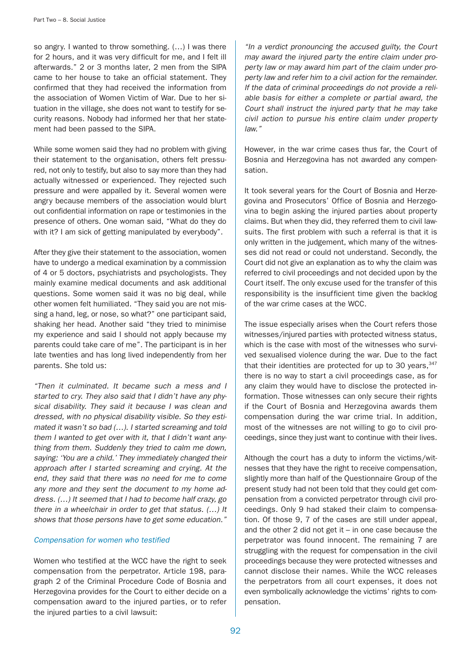so angry. I wanted to throw something. (…) I was there for 2 hours, and it was very difficult for me, and I felt ill afterwards." 2 or 3 months later, 2 men from the SIPA came to her house to take an official statement. They confirmed that they had received the information from the association of Women Victim of War. Due to her situation in the village, she does not want to testify for security reasons. Nobody had informed her that her statement had been passed to the SIPA.

While some women said they had no problem with giving their statement to the organisation, others felt pressured, not only to testify, but also to say more than they had actually witnessed or experienced. They rejected such pressure and were appalled by it. Several women were angry because members of the association would blurt out confidential information on rape or testimonies in the presence of others. One woman said, "What do they do with it? I am sick of getting manipulated by everybody".

After they give their statement to the association, women have to undergo a medical examination by a commission of 4 or 5 doctors, psychiatrists and psychologists. They mainly examine medical documents and ask additional questions. Some women said it was no big deal, while other women felt humiliated. "They said you are not missing a hand, leg, or nose, so what?" one participant said, shaking her head. Another said "they tried to minimise my experience and said I should not apply because my parents could take care of me". The participant is in her late twenties and has long lived independently from her parents. She told us:

"Then it culminated. It became such a mess and I started to cry. They also said that I didn't have any physical disability. They said it because I was clean and dressed, with no physical disability visible. So they estimated it wasn't so bad (…). I started screaming and told them I wanted to get over with it, that I didn't want anything from them. Suddenly they tried to calm me down, saying: 'You are a child.' They immediately changed their approach after I started screaming and crying. At the end, they said that there was no need for me to come any more and they sent the document to my home address. (…) It seemed that I had to become half crazy, go there in a wheelchair in order to get that status. (…) It shows that those persons have to get some education."

### Compensation for women who testified

Women who testified at the WCC have the right to seek compensation from the perpetrator. Article 198, paragraph 2 of the Criminal Procedure Code of Bosnia and Herzegovina provides for the Court to either decide on a compensation award to the injured parties, or to refer the injured parties to a civil lawsuit:

"In a verdict pronouncing the accused guilty, the Court may award the injured party the entire claim under property law or may award him part of the claim under property law and refer him to a civil action for the remainder. If the data of criminal proceedings do not provide a reliable basis for either a complete or partial award, the Court shall instruct the injured party that he may take civil action to pursue his entire claim under property law."

However, in the war crime cases thus far, the Court of Bosnia and Herzegovina has not awarded any compensation.

It took several years for the Court of Bosnia and Herzegovina and Prosecutors' Office of Bosnia and Herzegovina to begin asking the injured parties about property claims. But when they did, they referred them to civil lawsuits. The first problem with such a referral is that it is only written in the judgement, which many of the witnesses did not read or could not understand. Secondly, the Court did not give an explanation as to why the claim was referred to civil proceedings and not decided upon by the Court itself. The only excuse used for the transfer of this responsibility is the insufficient time given the backlog of the war crime cases at the WCC.

The issue especially arises when the Court refers those witnesses/injured parties with protected witness status, which is the case with most of the witnesses who survived sexualised violence during the war. Due to the fact that their identities are protected for up to 30 years,  $347$ there is no way to start a civil proceedings case, as for any claim they would have to disclose the protected information. Those witnesses can only secure their rights if the Court of Bosnia and Herzegovina awards them compensation during the war crime trial. In addition, most of the witnesses are not willing to go to civil proceedings, since they just want to continue with their lives.

Although the court has a duty to inform the victims/witnesses that they have the right to receive compensation, slightly more than half of the Questionnaire Group of the present study had not been told that they could get compensation from a convicted perpetrator through civil proceedings. Only 9 had staked their claim to compensation. Of those 9, 7 of the cases are still under appeal, and the other 2 did not get it  $-$  in one case because the perpetrator was found innocent. The remaining 7 are struggling with the request for compensation in the civil proceedings because they were protected witnesses and cannot disclose their names. While the WCC releases the perpetrators from all court expenses, it does not even symbolically acknowledge the victims' rights to compensation.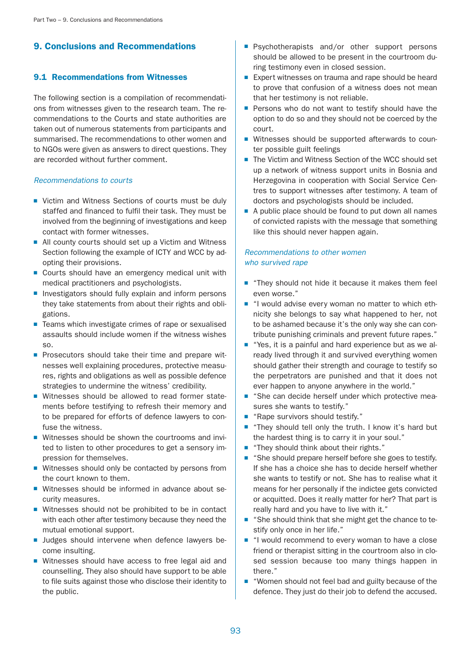# 9. Conclusions and Recommendations

# 9.1 Recommendations from Witnesses

The following section is a compilation of recommendations from witnesses given to the research team. The recommendations to the Courts and state authorities are taken out of numerous statements from participants and summarised. The recommendations to other women and to NGOs were given as answers to direct questions. They are recorded without further comment.

### Recommendations to courts

- Victim and Witness Sections of courts must be duly staffed and financed to fulfil their task. They must be involved from the beginning of investigations and keep contact with former witnesses.
- All county courts should set up a Victim and Witness Section following the example of ICTY and WCC by adopting their provisions.
- Courts should have an emergency medical unit with medical practitioners and psychologists.
- Investigators should fully explain and inform persons they take statements from about their rights and obligations.
- Teams which investigate crimes of rape or sexualised assaults should include women if the witness wishes so.
- Prosecutors should take their time and prepare witnesses well explaining procedures, protective measures, rights and obligations as well as possible defence strategies to undermine the witness' credibility.
- Witnesses should be allowed to read former statements before testifying to refresh their memory and to be prepared for efforts of defence lawyers to confuse the witness.
- Witnesses should be shown the courtrooms and invited to listen to other procedures to get a sensory impression for themselves.
- Witnesses should only be contacted by persons from the court known to them.
- Witnesses should be informed in advance about security measures.
- Witnesses should not be prohibited to be in contact with each other after testimony because they need the mutual emotional support.
- Judges should intervene when defence lawyers become insulting.
- Witnesses should have access to free legal aid and counselling. They also should have support to be able to file suits against those who disclose their identity to the public.
- Psychotherapists and/or other support persons should be allowed to be present in the courtroom during testimony even in closed session.
- Expert witnesses on trauma and rape should be heard to prove that confusion of a witness does not mean that her testimony is not reliable.
- Persons who do not want to testify should have the option to do so and they should not be coerced by the court.
- Witnesses should be supported afterwards to counter possible guilt feelings
- The Victim and Witness Section of the WCC should set up a network of witness support units in Bosnia and Herzegovina in cooperation with Social Service Centres to support witnesses after testimony. A team of doctors and psychologists should be included.
- A public place should be found to put down all names of convicted rapists with the message that something like this should never happen again.

# Recommendations to other women who survived rape

- "They should not hide it because it makes them feel even worse."
- "I would advise every woman no matter to which ethnicity she belongs to say what happened to her, not to be ashamed because it's the only way she can contribute punishing criminals and prevent future rapes."
- "Yes, it is a painful and hard experience but as we already lived through it and survived everything women should gather their strength and courage to testify so the perpetrators are punished and that it does not ever happen to anyone anywhere in the world."
- "She can decide herself under which protective measures she wants to testify."
- "Rape survivors should testify."
- "They should tell only the truth. I know it's hard but the hardest thing is to carry it in your soul."
- "They should think about their rights."
- "She should prepare herself before she goes to testify. If she has a choice she has to decide herself whether she wants to testify or not. She has to realise what it means for her personally if the indictee gets convicted or acquitted. Does it really matter for her? That part is really hard and you have to live with it."
- "She should think that she might get the chance to testify only once in her life."
- "I would recommend to every woman to have a close friend or therapist sitting in the courtroom also in closed session because too many things happen in there."
- "Women should not feel bad and guilty because of the defence. They just do their job to defend the accused.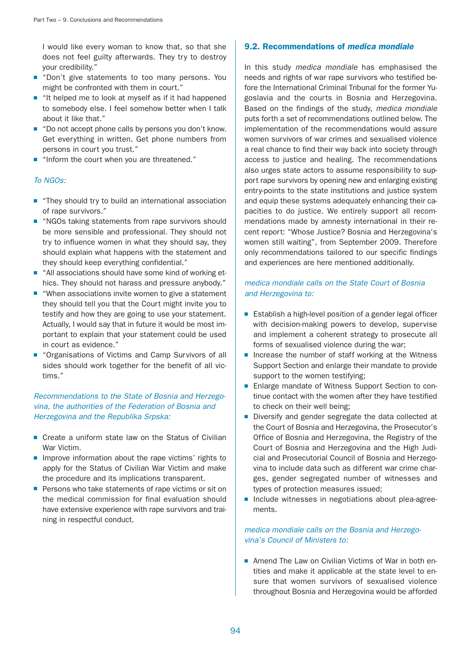I would like every woman to know that, so that she does not feel guilty afterwards. They try to destroy your credibility."

- "Don't give statements to too many persons. You might be confronted with them in court."
- "It helped me to look at myself as if it had happened to somebody else. I feel somehow better when I talk about it like that."
- "Do not accept phone calls by persons you don't know. Get everything in written. Get phone numbers from persons in court you trust."
- "Inform the court when you are threatened."

## To NGOs:

- "They should try to build an international association of rape survivors."
- "NGOs taking statements from rape survivors should be more sensible and professional. They should not try to influence women in what they should say, they should explain what happens with the statement and they should keep everything confidential."
- "All associations should have some kind of working ethics. They should not harass and pressure anybody."
- "When associations invite women to give a statement they should tell you that the Court might invite you to testify and how they are going to use your statement. Actually, I would say that in future it would be most important to explain that your statement could be used in court as evidence."
- "Organisations of Victims and Camp Survivors of all sides should work together for the benefit of all victims."

# Recommendations to the State of Bosnia and Herzegovina, the authorities of the Federation of Bosnia and Herzegovina and the Republika Srpska:

- Create a uniform state law on the Status of Civilian War Victim.
- Improve information about the rape victims' rights to apply for the Status of Civilian War Victim and make the procedure and its implications transparent.
- Persons who take statements of rape victims or sit on the medical commission for final evaluation should have extensive experience with rape survivors and training in respectful conduct.

## 9.2. Recommendations of medica mondiale

In this study *medica mondiale* has emphasised the needs and rights of war rape survivors who testified before the International Criminal Tribunal for the former Yugoslavia and the courts in Bosnia and Herzegovina. Based on the findings of the study, medica mondiale puts forth a set of recommendations outlined below. The implementation of the recommendations would assure women survivors of war crimes and sexualised violence a real chance to find their way back into society through access to justice and healing. The recommendations also urges state actors to assume responsibility to support rape survivors by opening new and enlarging existing entry-points to the state institutions and justice system and equip these systems adequately enhancing their capacities to do justice. We entirely support all recommendations made by amnesty international in their recent report: "Whose Justice? Bosnia and Herzegovina's women still waiting", from September 2009. Therefore only recommendations tailored to our specific findings and experiences are here mentioned additionally.

# medica mondiale calls on the State Court of Bosnia and Herzegovina to:

- Establish a high-level position of a gender legal officer with decision-making powers to develop, supervise and implement a coherent strategy to prosecute all forms of sexualised violence during the war;
- Increase the number of staff working at the Witness Support Section and enlarge their mandate to provide support to the women testifying;
- Enlarge mandate of Witness Support Section to continue contact with the women after they have testified to check on their well being;
- Diversify and gender segregate the data collected at the Court of Bosnia and Herzegovina, the Prosecutor's Office of Bosnia and Herzegovina, the Registry of the Court of Bosnia and Herzegovina and the High Judicial and Prosecutorial Council of Bosnia and Herzegovina to include data such as different war crime charges, gender segregated number of witnesses and types of protection measures issued;
- Include witnesses in negotiations about plea-agreements.

## medica mondiale calls on the Bosnia and Herzegovina's Council of Ministers to:

■ Amend The Law on Civilian Victims of War in both entities and make it applicable at the state level to ensure that women survivors of sexualised violence throughout Bosnia and Herzegovina would be afforded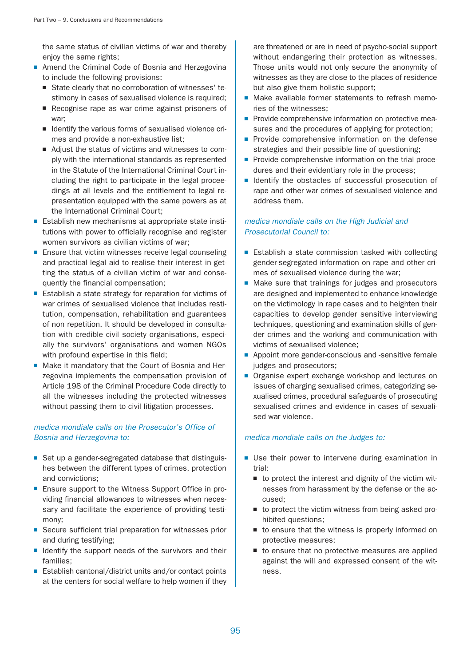the same status of civilian victims of war and thereby enjoy the same rights;

- Amend the Criminal Code of Bosnia and Herzegovina to include the following provisions:
	- State clearly that no corroboration of witnesses' testimony in cases of sexualised violence is required;
	- Recognise rape as war crime against prisoners of war;
	- Identify the various forms of sexualised violence crimes and provide a non-exhaustive list;
	- Adjust the status of victims and witnesses to comply with the international standards as represented in the Statute of the International Criminal Court including the right to participate in the legal proceedings at all levels and the entitlement to legal representation equipped with the same powers as at the International Criminal Court;
- Establish new mechanisms at appropriate state institutions with power to officially recognise and register women survivors as civilian victims of war;
- Ensure that victim witnesses receive legal counseling and practical legal aid to realise their interest in getting the status of a civilian victim of war and consequently the financial compensation;
- Establish a state strategy for reparation for victims of war crimes of sexualised violence that includes restitution, compensation, rehabilitation and guarantees of non repetition. It should be developed in consultation with credible civil society organisations, especially the survivors' organisations and women NGOs with profound expertise in this field;
- Make it mandatory that the Court of Bosnia and Herzegovina implements the compensation provision of Article 198 of the Criminal Procedure Code directly to all the witnesses including the protected witnesses without passing them to civil litigation processes.

## medica mondiale calls on the Prosecutor's Office of Bosnia and Herzegovina to:

- Set up a gender-segregated database that distinguishes between the different types of crimes, protection and convictions;
- Ensure support to the Witness Support Office in providing financial allowances to witnesses when necessary and facilitate the experience of providing testimony;
- Secure sufficient trial preparation for witnesses prior and during testifying;
- Identify the support needs of the survivors and their families;
- Establish cantonal/district units and/or contact points at the centers for social welfare to help women if they

are threatened or are in need of psycho-social support without endangering their protection as witnesses. Those units would not only secure the anonymity of witnesses as they are close to the places of residence but also give them holistic support;

- Make available former statements to refresh memories of the witnesses;
- Provide comprehensive information on protective measures and the procedures of applying for protection;
- Provide comprehensive information on the defense strategies and their possible line of questioning;
- Provide comprehensive information on the trial procedures and their evidentiary role in the process;
- Identify the obstacles of successful prosecution of rape and other war crimes of sexualised violence and address them.

## medica mondiale calls on the High Judicial and Prosecutorial Council to:

- Establish a state commission tasked with collecting gender-segregated information on rape and other crimes of sexualised violence during the war;
- Make sure that trainings for judges and prosecutors are designed and implemented to enhance knowledge on the victimology in rape cases and to heighten their capacities to develop gender sensitive interviewing techniques, questioning and examination skills of gender crimes and the working and communication with victims of sexualised violence;
- Appoint more gender-conscious and -sensitive female judges and prosecutors;
- Organise expert exchange workshop and lectures on issues of charging sexualised crimes, categorizing sexualised crimes, procedural safeguards of prosecuting sexualised crimes and evidence in cases of sexualised war violence.

## medica mondiale calls on the Judges to:

- Use their power to intervene during examination in trial:
	- to protect the interest and dignity of the victim witnesses from harassment by the defense or the accused;
	- to protect the victim witness from being asked prohibited questions;
	- to ensure that the witness is properly informed on protective measures;
	- to ensure that no protective measures are applied against the will and expressed consent of the witness.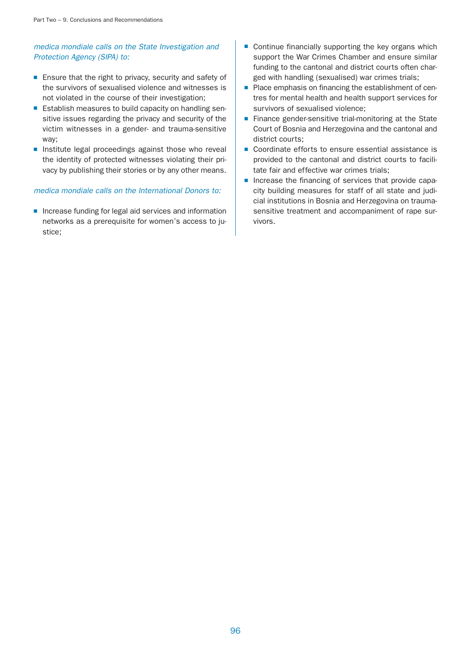# medica mondiale calls on the State Investigation and Protection Agency (SIPA) to:

- Ensure that the right to privacy, security and safety of the survivors of sexualised violence and witnesses is not violated in the course of their investigation;
- Establish measures to build capacity on handling sensitive issues regarding the privacy and security of the victim witnesses in a gender- and trauma-sensitive way;
- Institute legal proceedings against those who reveal the identity of protected witnesses violating their privacy by publishing their stories or by any other means.

### medica mondiale calls on the International Donors to:

■ Increase funding for legal aid services and information networks as a prerequisite for women's access to justice;

- Continue financially supporting the key organs which support the War Crimes Chamber and ensure similar funding to the cantonal and district courts often charged with handling (sexualised) war crimes trials;
- Place emphasis on financing the establishment of centres for mental health and health support services for survivors of sexualised violence;
- Finance gender-sensitive trial-monitoring at the State Court of Bosnia and Herzegovina and the cantonal and district courts;
- Coordinate efforts to ensure essential assistance is provided to the cantonal and district courts to facilitate fair and effective war crimes trials;
- Increase the financing of services that provide capacity building measures for staff of all state and judicial institutions in Bosnia and Herzegovina on traumasensitive treatment and accompaniment of rape survivors.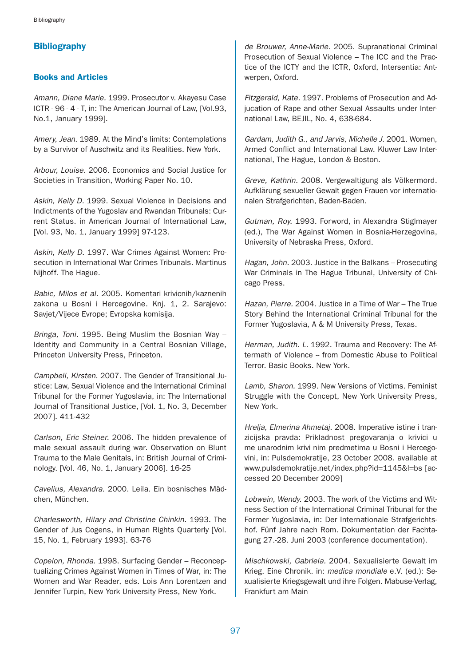# **Bibliography**

### Books and Articles

Amann, Diane Marie. 1999. Prosecutor v. Akayesu Case ICTR - 96 - 4 - T, in: The American Journal of Law, [Vol.93, No.1, January 1999].

Amery, Jean. 1989. At the Mind's limits: Contemplations by a Survivor of Auschwitz and its Realities. New York.

Arbour, Louise. 2006. Economics and Social Justice for Societies in Transition, Working Paper No. 10.

Askin, Kelly D. 1999. Sexual Violence in Decisions and Indictments of the Yugoslav and Rwandan Tribunals: Current Status. in American Journal of International Law, [Vol. 93, No. 1, January 1999] 97-123.

Askin, Kelly D. 1997. War Crimes Against Women: Prosecution in International War Crimes Tribunals. Martinus Nijhoff. The Hague.

Babic, Milos et al. 2005. Komentari krivicnih/kaznenih zakona u Bosni i Hercegovine. Knj. 1, 2. Sarajevo: Savjet/Vijece Evrope; Evropska komisija.

Bringa, Toni. 1995. Being Muslim the Bosnian Way – Identity and Community in a Central Bosnian Village, Princeton University Press, Princeton.

Campbell, Kirsten. 2007. The Gender of Transitional Justice: Law, Sexual Violence and the International Criminal Tribunal for the Former Yugoslavia, in: The International Journal of Transitional Justice, [Vol. 1, No. 3, December 2007]. 411-432

Carlson, Eric Steiner. 2006. The hidden prevalence of male sexual assault during war. Observation on Blunt Trauma to the Male Genitals, in: British Journal of Criminology. [Vol. 46, No. 1, January 2006]. 16-25

Cavelius, Alexandra. 2000. Leila. Ein bosnisches Mädchen, München.

Charlesworth, Hilary and Christine Chinkin. 1993. The Gender of Jus Cogens, in Human Rights Quarterly [Vol. 15, No. 1, February 1993]. 63-76

Copelon, Rhonda. 1998. Surfacing Gender – Reconceptualizing Crimes Against Women in Times of War, in: The Women and War Reader, eds. Lois Ann Lorentzen and Jennifer Turpin, New York University Press, New York.

de Brouwer, Anne-Marie. 2005. Supranational Criminal Prosecution of Sexual Violence – The ICC and the Practice of the ICTY and the ICTR, Oxford, Intersentia: Antwerpen, Oxford.

Fitzgerald, Kate. 1997. Problems of Prosecution and Adjucation of Rape and other Sexual Assaults under International Law, BEJIL, No. 4, 638-684.

Gardam, Judith G., and Jarvis, Michelle J. 2001. Women, Armed Conflict and International Law. Kluwer Law International, The Hague, London & Boston.

Greve, Kathrin. 2008. Vergewaltigung als Völkermord. Aufklärung sexueller Gewalt gegen Frauen vor internationalen Strafgerichten, Baden-Baden.

Gutman, Roy. 1993. Forword, in Alexandra Stiglmayer (ed.), The War Against Women in Bosnia-Herzegovina, University of Nebraska Press, Oxford.

Hagan, John. 2003. Justice in the Balkans – Prosecuting War Criminals in The Hague Tribunal, University of Chicago Press.

Hazan, Pierre. 2004. Justice in a Time of War – The True Story Behind the International Criminal Tribunal for the Former Yugoslavia, A & M University Press, Texas.

Herman, Judith. L. 1992. Trauma and Recovery: The Aftermath of Violence -- from Domestic Abuse to Political Terror. Basic Books. New York.

Lamb, Sharon. 1999. New Versions of Victims. Feminist Struggle with the Concept, New York University Press, New York.

Hrelja, Elmerina Ahmetaj. 2008. Imperative istine i tranzicijska pravda: Prikladnost pregovaranja o krivici u me unarodnim krivi nim predmetima u Bosni i Hercegovini, in: Pulsdemokratije, 23 October 2008. available at www.pulsdemokratije.net/index.php?id=1145&l=bs [accessed 20 December 2009]

Lobwein, Wendy. 2003. The work of the Victims and Witness Section of the International Criminal Tribunal for the Former Yugoslavia, in: Der Internationale Strafgerichtshof. Fünf Jahre nach Rom. Dokumentation der Fachtagung 27.-28. Juni 2003 (conference documentation).

Mischkowski, Gabriela. 2004. Sexualisierte Gewalt im Krieg. Eine Chronik. in: medica mondiale e.V. (ed.): Sexualisierte Kriegsgewalt und ihre Folgen. Mabuse-Verlag, Frankfurt am Main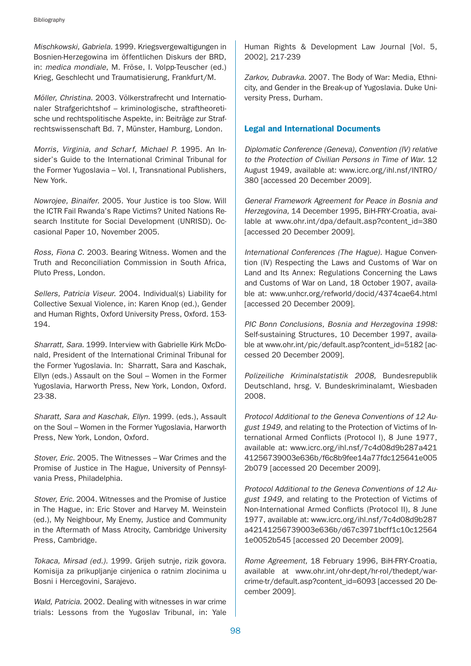Mischkowski, Gabriela. 1999. Kriegsvergewaltigungen in Bosnien-Herzegowina im öffentlichen Diskurs der BRD, in: medica mondiale, M. Fröse, I. Volpp-Teuscher (ed.) Krieg, Geschlecht und Traumatisierung, Frankfurt/M.

Möller, Christina. 2003. Völkerstrafrecht und Internationaler Strafgerichtshof – kriminologische, straftheoretische und rechtspolitische Aspekte, in: Beiträge zur Strafrechtswissenschaft Bd. 7, Münster, Hamburg, London.

Morris, Virginia, and Scharf, Michael P. 1995. An Insider's Guide to the International Criminal Tribunal for the Former Yugoslavia – Vol. I, Transnational Publishers, New York.

Nowrojee, Binaifer. 2005. Your Justice is too Slow. Will the ICTR Fail Rwanda's Rape Victims? United Nations Research Institute for Social Development (UNRISD). Occasional Paper 10, November 2005.

Ross, Fiona C. 2003. Bearing Witness. Women and the Truth and Reconciliation Commission in South Africa, Pluto Press, London.

Sellers, Patricia Viseur. 2004. Individual(s) Liability for Collective Sexual Violence, in: Karen Knop (ed.), Gender and Human Rights, Oxford University Press, Oxford. 153- 194.

Sharratt, Sara. 1999. Interview with Gabrielle Kirk McDonald, President of the International Criminal Tribunal for the Former Yugoslavia. In: Sharratt, Sara and Kaschak, Ellyn (eds.) Assault on the Soul – Women in the Former Yugoslavia, Harworth Press, New York, London, Oxford. 23-38.

Sharatt, Sara and Kaschak, Ellyn. 1999. (eds.), Assault on the Soul – Women in the Former Yugoslavia, Harworth Press, New York, London, Oxford.

Stover, Eric. 2005. The Witnesses – War Crimes and the Promise of Justice in The Hague, University of Pennsylvania Press, Philadelphia.

Stover, Eric. 2004. Witnesses and the Promise of Justice in The Hague, in: Eric Stover and Harvey M. Weinstein (ed.), My Neighbour, My Enemy, Justice and Community in the Aftermath of Mass Atrocity, Cambridge University Press, Cambridge.

Tokaca, Mirsad (ed.). 1999. Grijeh sutnje, rizik govora. Komisija za prikupljanje cinjenica o ratnim zlocinima u Bosni i Hercegovini, Sarajevo.

Wald, Patricia. 2002. Dealing with witnesses in war crime trials: Lessons from the Yugoslav Tribunal, in: Yale Human Rights & Development Law Journal [Vol. 5, 2002], 217-239

Zarkov, Dubravka. 2007. The Body of War: Media, Ethnicity, and Gender in the Break-up of Yugoslavia. Duke University Press, Durham.

# Legal and International Documents

Diplomatic Conference (Geneva), Convention (IV) relative to the Protection of Civilian Persons in Time of War. 12 August 1949, available at: www.icrc.org/ihl.nsf/INTRO/ 380 [accessed 20 December 2009].

General Framework Agreement for Peace in Bosnia and Herzegovina, 14 December 1995, BiH-FRY-Croatia, available at www.ohr.int/dpa/default.asp?content\_id=380 [accessed 20 December 2009].

International Conferences (The Hague). Hague Convention (IV) Respecting the Laws and Customs of War on Land and Its Annex: Regulations Concerning the Laws and Customs of War on Land, 18 October 1907, available at: www.unhcr.org/refworld/docid/4374cae64.html [accessed 20 December 2009].

PIC Bonn Conclusions, Bosnia and Herzegovina 1998: Self-sustaining Structures, 10 December 1997, available at www.ohr.int/pic/default.asp?content\_id=5182 [accessed 20 December 2009].

Polizeiliche Kriminalstatistik 2008, Bundesrepublik Deutschland, hrsg. V. Bundeskriminalamt, Wiesbaden 2008.

Protocol Additional to the Geneva Conventions of 12 August 1949, and relating to the Protection of Victims of International Armed Conflicts (Protocol I), 8 June 1977, available at: www.icrc.org/ihl.nsf/7c4d08d9b287a421 41256739003e636b/f6c8b9fee14a77fdc125641e005 2b079 [accessed 20 December 2009].

Protocol Additional to the Geneva Conventions of 12 August 1949, and relating to the Protection of Victims of Non-International Armed Conflicts (Protocol II), 8 June 1977, available at: www.icrc.org/ihl.nsf/7c4d08d9b287 a42141256739003e636b/d67c3971bcff1c10c12564 1e0052b545 [accessed 20 December 2009].

Rome Agreement, 18 February 1996, BiH-FRY-Croatia, available at www.ohr.int/ohr-dept/hr-rol/thedept/warcrime-tr/default.asp?content\_id=6093 [accessed 20 December 2009].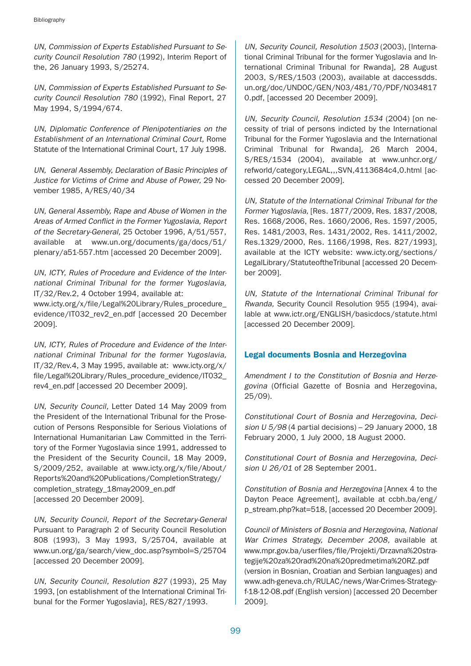UN, Commission of Experts Established Pursuant to Security Council Resolution 780 (1992), Interim Report of the, 26 January 1993, S/25274.

UN, Commission of Experts Established Pursuant to Security Council Resolution 780 (1992), Final Report, 27 May 1994, S/1994/674.

UN, Diplomatic Conference of Plenipotentiaries on the Establishment of an International Criminal Court, Rome Statute of the International Criminal Court, 17 July 1998.

UN, General Assembly, Declaration of Basic Principles of Justice for Victims of Crime and Abuse of Power, 29 November 1985, A/RES/40/34

UN, General Assembly, Rape and Abuse of Women in the Areas of Armed Conflict in the Former Yugoslavia, Report of the Secretary-General, 25 October 1996, A/51/557, available at www.un.org/documents/ga/docs/51/ plenary/a51-557.htm [accessed 20 December 2009].

UN, ICTY, Rules of Procedure and Evidence of the International Criminal Tribunal for the former Yugoslavia, IT/32/Rev.2, 4 October 1994, available at: www.icty.org/x/file/Legal%20Library/Rules\_procedure\_ evidence/IT032\_rev2\_en.pdf [accessed 20 December 2009].

UN, ICTY, Rules of Procedure and Evidence of the International Criminal Tribunal for the former Yugoslavia, IT/32/Rev.4, 3 May 1995, available at: www.icty.org/x/ file/Legal%20Library/Rules\_procedure\_evidence/IT032\_ rev4\_en.pdf [accessed 20 December 2009].

UN, Security Council, Letter Dated 14 May 2009 from the President of the International Tribunal for the Prosecution of Persons Responsible for Serious Violations of International Humanitarian Law Committed in the Territory of the Former Yugoslavia since 1991, addressed to the President of the Security Council, 18 May 2009, S/2009/252, available at www.icty.org/x/file/About/ Reports%20and%20Publications/CompletionStrategy/ completion\_strategy\_18may2009\_en.pdf [accessed 20 December 2009].

UN, Security Council, Report of the Secretary-General Pursuant to Paragraph 2 of Security Council Resolution 808 (1993), 3 May 1993, S/25704, available at www.un.org/ga/search/view\_doc.asp?symbol=S/25704 [accessed 20 December 2009].

UN, Security Council, Resolution 827 (1993), 25 May 1993, [on establishment of the International Criminal Tribunal for the Former Yugoslavia], RES/827/1993.

UN, Security Council, Resolution 1503 (2003), [International Criminal Tribunal for the former Yugoslavia and International Criminal Tribunal for Rwanda], 28 August 2003, S/RES/1503 (2003), available at daccessdds. un.org/doc/UNDOC/GEN/N03/481/70/PDF/N034817 0.pdf, [accessed 20 December 2009].

UN, Security Council, Resolution 1534 (2004) [on necessity of trial of persons indicted by the International Tribunal for the Former Yugoslavia and the International Criminal Tribunal for Rwanda], 26 March 2004, S/RES/1534 (2004), available at www.unhcr.org/ refworld/category,LEGAL,,,SVN,4113684c4,0.html [accessed 20 December 2009].

UN, Statute of the International Criminal Tribunal for the Former Yugoslavia, [Res. 1877/2009, Res. 1837/2008, Res. 1668/2006, Res. 1660/2006, Res. 1597/2005, Res. 1481/2003, Res. 1431/2002, Res. 1411/2002, Res.1329/2000, Res. 1166/1998, Res. 827/1993], available at the ICTY website: www.icty.org/sections/ LegalLibrary/StatuteoftheTribunal [accessed 20 December 2009].

UN, Statute of the International Criminal Tribunal for Rwanda, Security Council Resolution 955 (1994), available at www.ictr.org/ENGLISH/basicdocs/statute.html [accessed 20 December 2009].

# Legal documents Bosnia and Herzegovina

Amendment I to the Constitution of Bosnia and Herzegovina (Official Gazette of Bosnia and Herzegovina, 25/09).

Constitutional Court of Bosnia and Herzegovina, Decision  $U$  5/98 (4 partial decisions) – 29 January 2000, 18 February 2000, 1 July 2000, 18 August 2000.

Constitutional Court of Bosnia and Herzegovina, Decision U 26/01 of 28 September 2001.

Constitution of Bosnia and Herzegovina [Annex 4 to the Dayton Peace Agreement], available at ccbh.ba/eng/ p\_stream.php?kat=518, [accessed 20 December 2009].

Council of Ministers of Bosnia and Herzegovina, National War Crimes Strategy, December 2008, available at www.mpr.gov.ba/userfiles/file/Projekti/Drzavna%20strategije%20za%20rad%20na%20predmetima%20RZ.pdf (version in Bosnian, Croatian and Serbian languages) and www.adh-geneva.ch/RULAC/news/War-Crimes-Strategyf-18-12-08.pdf (English version) [accessed 20 December 2009].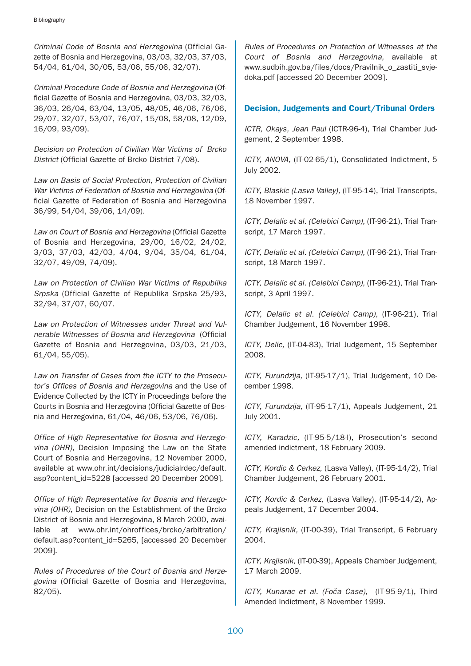Criminal Code of Bosnia and Herzegovina (Official Gazette of Bosnia and Herzegovina, 03/03, 32/03, 37/03, 54/04, 61/04, 30/05, 53/06, 55/06, 32/07).

Criminal Procedure Code of Bosnia and Herzegovina (Official Gazette of Bosnia and Herzegovina, 03/03, 32/03, 36/03, 26/04, 63/04, 13/05, 48/05, 46/06, 76/06, 29/07, 32/07, 53/07, 76/07, 15/08, 58/08, 12/09, 16/09, 93/09).

Decision on Protection of Civilian War Victims of Brcko District (Official Gazette of Brcko District 7/08).

Law on Basis of Social Protection, Protection of Civilian War Victims of Federation of Bosnia and Herzegovina (Official Gazette of Federation of Bosnia and Herzegovina 36/99, 54/04, 39/06, 14/09).

Law on Court of Bosnia and Herzegovina (Official Gazette of Bosnia and Herzegovina, 29/00, 16/02, 24/02, 3/03, 37/03, 42/03, 4/04, 9/04, 35/04, 61/04, 32/07, 49/09, 74/09).

Law on Protection of Civilian War Victims of Republika Srpska (Official Gazette of Republika Srpska 25/93, 32/94, 37/07, 60/07.

Law on Protection of Witnesses under Threat and Vulnerable Witnesses of Bosnia and Herzegovina (Official Gazette of Bosnia and Herzegovina, 03/03, 21/03, 61/04, 55/05).

Law on Transfer of Cases from the ICTY to the Prosecutor's Offices of Bosnia and Herzegovina and the Use of Evidence Collected by the ICTY in Proceedings before the Courts in Bosnia and Herzegovina (Official Gazette of Bosnia and Herzegovina, 61/04, 46/06, 53/06, 76/06).

Office of High Representative for Bosnia and Herzegovina (OHR), Decision Imposing the Law on the State Court of Bosnia and Herzegovina, 12 November 2000, available at www.ohr.int/decisions/judicialrdec/default. asp?content\_id=5228 [accessed 20 December 2009].

Office of High Representative for Bosnia and Herzegovina (OHR), Decision on the Establishment of the Brcko District of Bosnia and Herzegovina, 8 March 2000, available at www.ohr.int/ohroffices/brcko/arbitration/ default.asp?content\_id=5265, [accessed 20 December 2009].

Rules of Procedures of the Court of Bosnia and Herzegovina (Official Gazette of Bosnia and Herzegovina, 82/05).

Rules of Procedures on Protection of Witnesses at the Court of Bosnia and Herzegovina, available at www.sudbih.gov.ba/files/docs/Pravilnik\_o\_zastiti\_svjedoka.pdf [accessed 20 December 2009].

## Decision, Judgements and Court/Tribunal Orders

ICTR, Okays, Jean Paul (ICTR-96-4), Trial Chamber Judgement, 2 September 1998.

ICTY, ANOVA, (IT-02-65/1), Consolidated Indictment, 5 July 2002.

ICTY, Blaskic (Lasva Valley), (IT-95-14), Trial Transcripts, 18 November 1997.

ICTY, Delalic et al. (Celebici Camp), (IT-96-21), Trial Transcript, 17 March 1997.

ICTY, Delalic et al. (Celebici Camp), (IT-96-21), Trial Transcript, 18 March 1997.

ICTY, Delalic et al. (Celebici Camp), (IT-96-21), Trial Transcript, 3 April 1997.

ICTY, Delalic et al. (Celebici Camp), (IT-96-21), Trial Chamber Judgement, 16 November 1998.

ICTY, Delic, (IT-04-83), Trial Judgement, 15 September 2008.

ICTY, Furundzija, (IT-95-17/1), Trial Judgement, 10 December 1998.

ICTY, Furundzija, (IT-95-17/1), Appeals Judgement, 21 July 2001.

ICTY, Karadzic, (IT-95-5/18-I), Prosecution's second amended indictment, 18 February 2009.

ICTY, Kordic & Cerkez, (Lasva Valley), (IT-95-14/2), Trial Chamber Judgement, 26 February 2001.

ICTY, Kordic & Cerkez, (Lasva Valley), (IT-95-14/2), Appeals Judgement, 17 December 2004.

ICTY, Krajisnik, (IT-00-39), Trial Transcript, 6 February 2004.

ICTY, Krajisnik, (IT-00-39), Appeals Chamber Judgement, 17 March 2009.

ICTY, Kunarac et al. (Foča Case), (IT-95-9/1), Third Amended Indictment, 8 November 1999.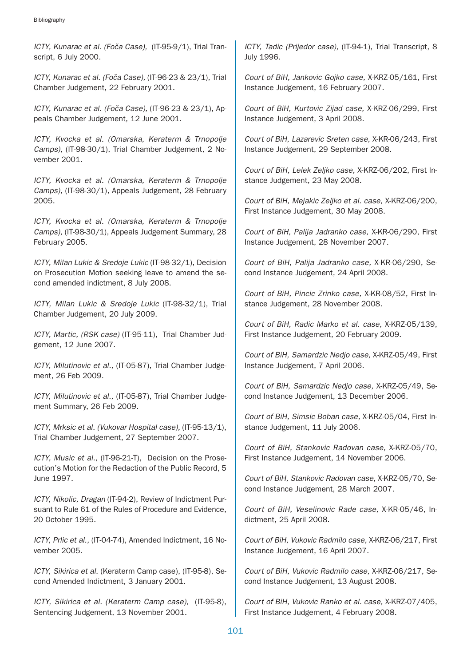ICTY, Kunarac et al. (Foča Case), (IT-95-9/1), Trial Transcript, 6 July 2000.

ICTY, Kunarac et al. (Foča Case), (IT-96-23 & 23/1), Trial Chamber Judgement, 22 February 2001.

ICTY, Kunarac et al. (Foča Case), (IT-96-23 & 23/1), Appeals Chamber Judgement, 12 June 2001.

ICTY, Kvocka et al. (Omarska, Keraterm & Trnopolje Camps), (IT-98-30/1), Trial Chamber Judgement, 2 November 2001.

ICTY, Kvocka et al. (Omarska, Keraterm & Trnopolje Camps), (IT-98-30/1), Appeals Judgement, 28 February 2005.

ICTY, Kvocka et al. (Omarska, Keraterm & Trnopolje Camps), (IT-98-30/1), Appeals Judgement Summary, 28 February 2005.

ICTY, Milan Lukic & Sredoje Lukic (IT-98-32/1), Decision on Prosecution Motion seeking leave to amend the second amended indictment, 8 July 2008.

ICTY, Milan Lukic & Sredoje Lukic (IT-98-32/1), Trial Chamber Judgement, 20 July 2009.

ICTY, Martic, (RSK case) (IT-95-11), Trial Chamber Judgement, 12 June 2007.

ICTY, Milutinovic et al., (IT-05-87), Trial Chamber Judgement, 26 Feb 2009.

ICTY, Milutinovic et al., (IT-05-87), Trial Chamber Judgement Summary, 26 Feb 2009.

ICTY, Mrksic et al. (Vukovar Hospital case), (IT-95-13/1), Trial Chamber Judgement, 27 September 2007.

ICTY, Music et al., (IT-96-21-T), Decision on the Prosecution's Motion for the Redaction of the Public Record, 5 June 1997.

ICTY, Nikolic, Dragan (IT-94-2), Review of Indictment Pursuant to Rule 61 of the Rules of Procedure and Evidence, 20 October 1995.

ICTY, Prlic et al., (IT-04-74), Amended Indictment, 16 November 2005.

ICTY, Sikirica et al. (Keraterm Camp case), (IT-95-8), Second Amended Indictment, 3 January 2001.

ICTY, Sikirica et al. (Keraterm Camp case), (IT-95-8), Sentencing Judgement, 13 November 2001.

ICTY, Tadic (Prijedor case), (IT-94-1), Trial Transcript, 8 July 1996.

Court of BiH, Jankovic Gojko case, X-KRZ-05/161, First Instance Judgement, 16 February 2007.

Court of BiH, Kurtovic Zijad case, X-KRZ-06/299, First Instance Judgement, 3 April 2008.

Court of BiH, Lazarevic Sreten case, X-KR-06/243, First Instance Judgement, 29 September 2008.

Court of BiH, Lelek Zeljko case, X-KRZ-06/202, First Instance Judgement, 23 May 2008.

Court of BiH, Mejakic Zeljko et al. case, X-KRZ-06/200, First Instance Judgement, 30 May 2008.

Court of BiH, Palija Jadranko case, X-KR-06/290, First Instance Judgement, 28 November 2007.

Court of BiH, Palija Jadranko case, X-KR-06/290, Second Instance Judgement, 24 April 2008.

Court of BiH, Pincic Zrinko case, X-KR-08/52, First Instance Judgement, 28 November 2008.

Court of BiH, Radic Marko et al. case, X-KRZ-05/139, First Instance Judgement, 20 February 2009.

Court of BiH, Samardzic Nedjo case, X-KRZ-05/49, First Instance Judgement, 7 April 2006.

Court of BiH, Samardzic Nedjo case, X-KRZ-05/49, Second Instance Judgement, 13 December 2006.

Court of BiH, Simsic Boban case, X-KRZ-05/04, First Instance Judgement, 11 July 2006.

Court of BiH, Stankovic Radovan case, X-KRZ-05/70, First Instance Judgement, 14 November 2006.

Court of BiH, Stankovic Radovan case, X-KRZ-05/70, Second Instance Judgement, 28 March 2007.

Court of BiH, Veselinovic Rade case, X-KR-05/46, Indictment, 25 April 2008.

Court of BiH, Vukovic Radmilo case, X-KRZ-06/217, First Instance Judgement, 16 April 2007.

Court of BiH, Vukovic Radmilo case, X-KRZ-06/217, Second Instance Judgement, 13 August 2008.

Court of BiH, Vukovic Ranko et al. case, X-KRZ-07/405, First Instance Judgement, 4 February 2008.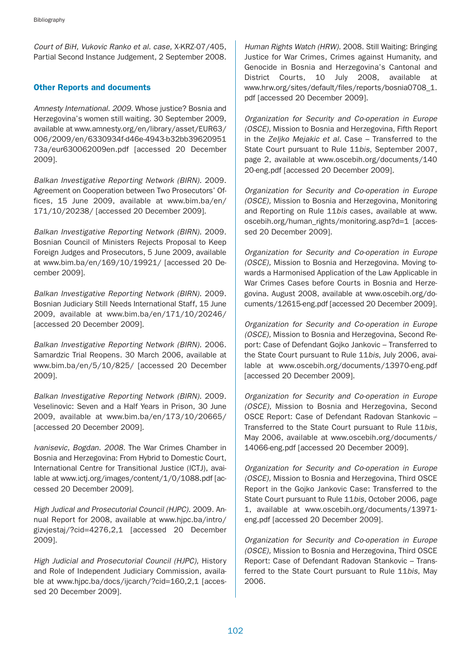Court of BiH, Vukovic Ranko et al. case, X-KRZ-07/405, Partial Second Instance Judgement, 2 September 2008.

### Other Reports and documents

Amnesty International. 2009. Whose justice? Bosnia and Herzegovina's women still waiting. 30 September 2009, available at www.amnesty.org/en/library/asset/EUR63/ 006/2009/en/6330934f-d46e-4943-b32bb39620951 73a/eur630062009en.pdf [accessed 20 December 2009].

Balkan Investigative Reporting Network (BIRN). 2009. Agreement on Cooperation between Two Prosecutors' Offices, 15 June 2009, available at www.bim.ba/en/ 171/10/20238/ [accessed 20 December 2009].

Balkan Investigative Reporting Network (BIRN). 2009. Bosnian Council of Ministers Rejects Proposal to Keep Foreign Judges and Prosecutors, 5 June 2009, available at www.bim.ba/en/169/10/19921/ [accessed 20 December 2009].

Balkan Investigative Reporting Network (BIRN). 2009. Bosnian Judiciary Still Needs International Staff, 15 June 2009, available at www.bim.ba/en/171/10/20246/ [accessed 20 December 2009].

Balkan Investigative Reporting Network (BIRN). 2006. Samardzic Trial Reopens. 30 March 2006, available at www.bim.ba/en/5/10/825/ [accessed 20 December 2009].

Balkan Investigative Reporting Network (BIRN). 2009. Veselinovic: Seven and a Half Years in Prison, 30 June 2009, available at www.bim.ba/en/173/10/20665/ [accessed 20 December 2009].

Ivanisevic, Bogdan. 2008. The War Crimes Chamber in Bosnia and Herzegovina: From Hybrid to Domestic Court, International Centre for Transitional Justice (ICTJ), available at www.ictj.org/images/content/1/0/1088.pdf [accessed 20 December 2009].

High Judical and Prosecutorial Council (HJPC). 2009. Annual Report for 2008, available at www.hjpc.ba/intro/ gizvjestaj/?cid=4276,2,1 [accessed 20 December 2009].

High Judicial and Prosecutorial Council (HJPC), History and Role of Independent Judiciary Commission, available at www.hjpc.ba/docs/ijcarch/?cid=160,2,1 [accessed 20 December 2009].

Human Rights Watch (HRW). 2008. Still Waiting: Bringing Justice for War Crimes, Crimes against Humanity, and Genocide in Bosnia and Herzegovina's Cantonal and District Courts, 10 July 2008, available at www.hrw.org/sites/default/files/reports/bosnia0708\_1. pdf [accessed 20 December 2009].

Organization for Security and Co-operation in Europe (OSCE), Mission to Bosnia and Herzegovina, Fifth Report in the Zeljko Mejakic et al. Case – Transferred to the State Court pursuant to Rule 11bis, September 2007, page 2, available at www.oscebih.org/documents/140 20-eng.pdf [accessed 20 December 2009].

Organization for Security and Co-operation in Europe (OSCE), Mission to Bosnia and Herzegovina, Monitoring and Reporting on Rule 11bis cases, available at www. oscebih.org/human\_rights/monitoring.asp?d=1 [accessed 20 December 2009].

Organization for Security and Co-operation in Europe (OSCE), Mission to Bosnia and Herzegovina. Moving towards a Harmonised Application of the Law Applicable in War Crimes Cases before Courts in Bosnia and Herzegovina. August 2008, available at www.oscebih.org/documents/12615-eng.pdf [accessed 20 December 2009].

Organization for Security and Co-operation in Europe (OSCE), Mission to Bosnia and Herzegovina, Second Report: Case of Defendant Gojko Jankovic – Transferred to the State Court pursuant to Rule 11bis, July 2006, available at www.oscebih.org/documents/13970-eng.pdf [accessed 20 December 2009].

Organization for Security and Co-operation in Europe (OSCE), Mission to Bosnia and Herzegovina, Second OSCE Report: Case of Defendant Radovan Stankovic – Transferred to the State Court pursuant to Rule 11bis, May 2006, available at www.oscebih.org/documents/ 14066-eng.pdf [accessed 20 December 2009].

Organization for Security and Co-operation in Europe (OSCE), Mission to Bosnia and Herzegovina, Third OSCE Report in the Gojko Jankovic Case: Transferred to the State Court pursuant to Rule 11bis, October 2006, page 1, available at www.oscebih.org/documents/13971 eng.pdf [accessed 20 December 2009].

Organization for Security and Co-operation in Europe (OSCE), Mission to Bosnia and Herzegovina, Third OSCE Report: Case of Defendant Radovan Stankovic – Transferred to the State Court pursuant to Rule 11bis, May 2006.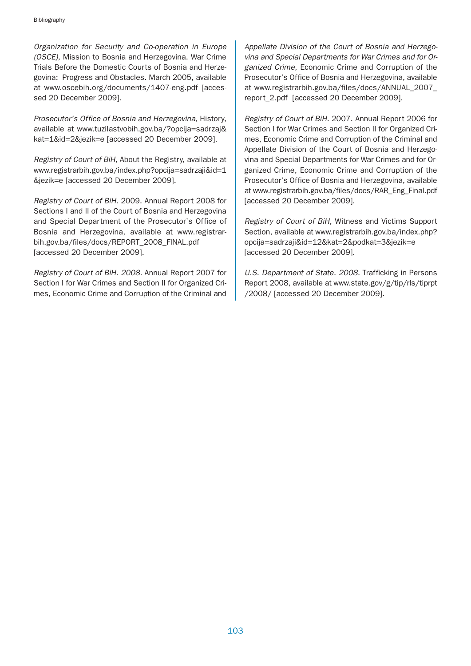Organization for Security and Co-operation in Europe (OSCE), Mission to Bosnia and Herzegovina. War Crime Trials Before the Domestic Courts of Bosnia and Herzegovina: Progress and Obstacles. March 2005, available at www.oscebih.org/documents/1407-eng.pdf [accessed 20 December 2009].

Prosecutor's Office of Bosnia and Herzegovina, History, available at www.tuzilastvobih.gov.ba/?opcija=sadrzaj& kat=1&id=2&jezik=e [accessed 20 December 2009].

Registry of Court of BiH, About the Registry, available at www.registrarbih.gov.ba/index.php?opcija=sadrzaji&id=1 &jezik=e [accessed 20 December 2009].

Registry of Court of BiH. 2009. Annual Report 2008 for Sections I and II of the Court of Bosnia and Herzegovina and Special Department of the Prosecutor's Office of Bosnia and Herzegovina, available at www.registrarbih.gov.ba/files/docs/REPORT\_2008\_FINAL.pdf [accessed 20 December 2009].

Registry of Court of BiH. 2008. Annual Report 2007 for Section I for War Crimes and Section II for Organized Crimes, Economic Crime and Corruption of the Criminal and Appellate Division of the Court of Bosnia and Herzegovina and Special Departments for War Crimes and for Organized Crime, Economic Crime and Corruption of the Prosecutor's Office of Bosnia and Herzegovina, available at www.registrarbih.gov.ba/files/docs/ANNUAL\_2007\_ report\_2.pdf [accessed 20 December 2009].

Registry of Court of BiH. 2007. Annual Report 2006 for Section I for War Crimes and Section II for Organized Crimes, Economic Crime and Corruption of the Criminal and Appellate Division of the Court of Bosnia and Herzegovina and Special Departments for War Crimes and for Organized Crime, Economic Crime and Corruption of the Prosecutor's Office of Bosnia and Herzegovina, available at www.registrarbih.gov.ba/files/docs/RAR\_Eng\_Final.pdf [accessed 20 December 2009].

Registry of Court of BiH, Witness and Victims Support Section, available at www.registrarbih.gov.ba/index.php? opcija=sadrzaji&id=12&kat=2&podkat=3&jezik=e [accessed 20 December 2009].

U.S. Department of State. 2008. Trafficking in Persons Report 2008, available at www.state.gov/g/tip/rls/tiprpt /2008/ [accessed 20 December 2009].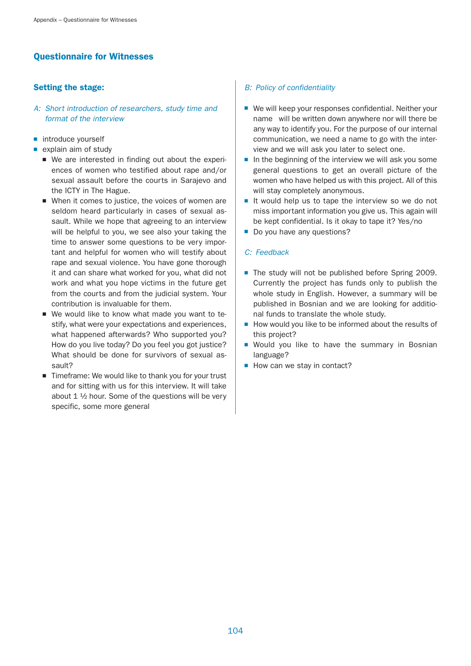# Questionnaire for Witnesses

# Setting the stage:

- A: Short introduction of researchers, study time and format of the interview
- introduce vourself
- explain aim of study
	- We are interested in finding out about the experiences of women who testified about rape and/or sexual assault before the courts in Sarajevo and the ICTY in The Hague.
	- When it comes to justice, the voices of women are seldom heard particularly in cases of sexual assault. While we hope that agreeing to an interview will be helpful to you, we see also your taking the time to answer some questions to be very important and helpful for women who will testify about rape and sexual violence. You have gone thorough it and can share what worked for you, what did not work and what you hope victims in the future get from the courts and from the judicial system. Your contribution is invaluable for them.
	- We would like to know what made you want to testify, what were your expectations and experiences, what happened afterwards? Who supported you? How do you live today? Do you feel you got justice? What should be done for survivors of sexual assault?
	- Timeframe: We would like to thank you for your trust and for sitting with us for this interview. It will take about 1 ½ hour. Some of the questions will be very specific, some more general

# B: Policy of confidentiality

- We will keep your responses confidential. Neither your name will be written down anywhere nor will there be any way to identify you. For the purpose of our internal communication, we need a name to go with the interview and we will ask you later to select one.
- In the beginning of the interview we will ask you some general questions to get an overall picture of the women who have helped us with this project. All of this will stay completely anonymous.
- It would help us to tape the interview so we do not miss important information you give us. This again will be kept confidential. Is it okay to tape it? Yes/no
- Do you have any questions?

### C: Feedback

- The study will not be published before Spring 2009. Currently the project has funds only to publish the whole study in English. However, a summary will be published in Bosnian and we are looking for additional funds to translate the whole study.
- How would you like to be informed about the results of this project?
- Would you like to have the summary in Bosnian language?
- How can we stay in contact?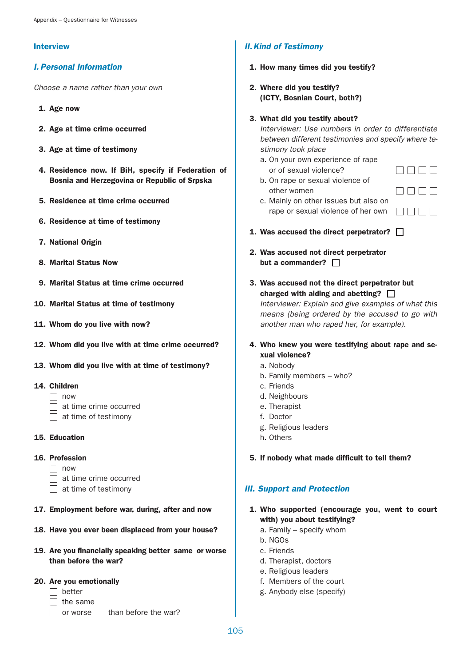## Interview

# I. Personal Information

Choose a name rather than your own

- 1. Age now
- 2. Age at time crime occurred
- 3. Age at time of testimony
- 4. Residence now. If BiH, specify if Federation of Bosnia and Herzegovina or Republic of Srpska
- 5. Residence at time crime occurred
- 6. Residence at time of testimony
- 7. National Origin
- 8. Marital Status Now
- 9. Marital Status at time crime occurred
- 10. Marital Status at time of testimony
- 11. Whom do you live with now?
- 12. Whom did you live with at time crime occurred?
- 13. Whom did you live with at time of testimony?
- 14. Children
	- $\Box$  now
	- $\Box$  at time crime occurred
	- $\Box$  at time of testimony
- 15. Education

### 16. Profession

- $\Box$  now
- at time crime occurred
- $\Box$  at time of testimony
- 17. Employment before war, during, after and now
- 18. Have you ever been displaced from your house?
- 19. Are you financially speaking better same or worse than before the war?

## 20. Are you emotionally

- $\Box$  better
- $\Box$  the same
- $\Box$  or worse than before the war?

# II.Kind of Testimony

- 1. How many times did you testify?
- 2. Where did you testify? (ICTY, Bosnian Court, both?)

### 3. What did you testify about?

Interviewer: Use numbers in order to differentiate between different testimonies and specify where testimony took place

- a. On your own experience of rape or of sexual violence?
- b. On rape or sexual violence of other women

 $\Box$  $\Box$  $\Box$  $\Box$ **DOOD** 

- c. Mainly on other issues but also on rape or sexual violence of her own  $\Box$   $\Box$   $\Box$
- 1. Was accused the direct perpetrator?  $\Box$
- 2. Was accused not direct perpetrator but a commander?  $\Box$
- 3. Was accused not the direct perpetrator but charged with aiding and abetting?  $\Box$

Interviewer: Explain and give examples of what this means (being ordered by the accused to go with another man who raped her, for example).

## 4. Who knew you were testifying about rape and sexual violence?

- a. Nobody
- b. Family members who?
- c. Friends
- d. Neighbours
- e. Therapist
- f. Doctor
- g. Religious leaders
- h. Others

### 5. If nobody what made difficult to tell them?

# III. Support and Protection

- 1. Who supported (encourage you, went to court with) you about testifying?
	- a. Family specify whom
	- b. NGOs
	- c. Friends
	- d. Therapist, doctors
	- e. Religious leaders
	- f. Members of the court
	- g. Anybody else (specify)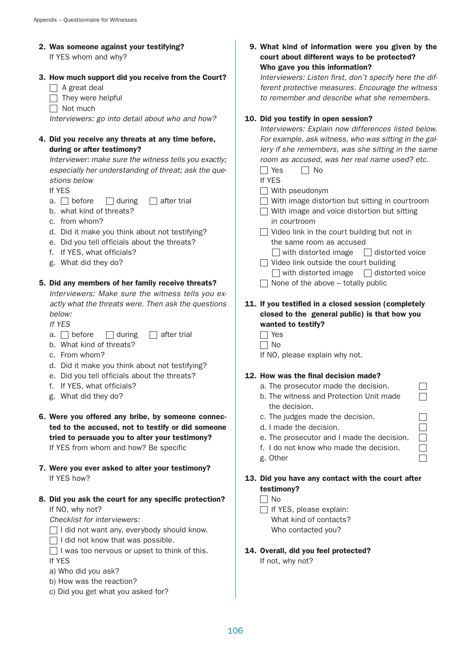- 2. Was someone against your testifying? If YES whom and why?
- 3. How much support did you receive from the Court?
	- $\Box$  A great deal
	- $\Box$  They were helpful
	- $\Box$  Not much

Interviewers: go into detail about who and how?

## 4. Did you receive any threats at any time before, during or after testimony?

Interviewer: make sure the witness tells you exactly; especially her understanding of threat; ask the questions below

If YES

- a.  $\Box$  before  $\Box$  during  $\Box$  after trial
- b. what kind of threats?
- c. from whom?
- d. Did it make you think about not testifying?
- e. Did you tell officials about the threats?
- f. If YES, what officials?
- g. What did they do?

### 5. Did any members of her family receive threats?

Interviewers: Make sure the witness tells you exactly what the threats were. Then ask the questions below:

If YES

- a.  $\Box$  before  $\Box$  during  $\Box$  after trial
- b. What kind of threats?
- c. From whom?
- d. Did it make you think about not testifying?
- e. Did you tell officials about the threats?
- f. If YES, what officials?
- g. What did they do?
- 6. Were you offered any bribe, by someone connected to the accused, not to testify or did someone tried to persuade you to alter your testimony? If YES from whom and how? Be specific
- 7. Were you ever asked to alter your testimony? If YES how?
- 8. Did you ask the court for any specific protection? If NO, why not?

Checklist for interviewers:

- I did not want any, everybody should know.
- $\Box$  I did not know that was possible.
- $\Box$  I was too nervous or upset to think of this.
- If YES
- a) Who did you ask?
- b) How was the reaction?
- c) Did you get what you asked for?

9. What kind of information were you given by the court about different ways to be protected? Who gave you this information?

Interviewers: Listen first, don't specify here the different protective measures. Encourage the witness to remember and describe what she remembers.

### 10. Did you testify in open session?

| Interviewers: Explain now differences listed below.   |
|-------------------------------------------------------|
| For example, ask witness, who was sitting in the gal- |
| lery if she remembers, was she sitting in the same    |
| room as accused, was her real name used? etc.         |
| No Res No                                             |

| $\sim$ |
|--------|
|        |
|        |

- $\Box$  With pseudonym
- $\Box$  With image distortion but sitting in courtroom
- □ With image and voice distortion but sitting in courtroom
- $\Box$  Video link in the court building but not in the same room as accused
- $\Box$  with distorted image  $\Box$  distorted voice  $\Box$  Video link outside the court building
- $\Box$  with distorted image  $\Box$  distorted voice  $\Box$  None of the above – totally public

## 11. If you testified in a closed session (completely closed to the general public) is that how you wanted to testify?

- $\Box$  Yes
- $\Box$  No
- If NO, please explain why not.

### 12. How was the final decision made?

- a. The prosecutor made the decision.
- b. The witness and Protection Unit made the decision.
- c. The judges made the decision.
- d. I made the decision.
- e. The prosecutor and I made the decision.
- f. I do not know who made the decision.
- g. Other

# 13. Did you have any contact with the court after testimony?

- $\Box$  No
- $\Box$  If YES, please explain: What kind of contacts? Who contacted you?
- 14. Overall, did you feel protected?

If not, why not?

П  $\Box$  $\Box$ 

> $\Box$  $\Box$  $\Box$  $\Box$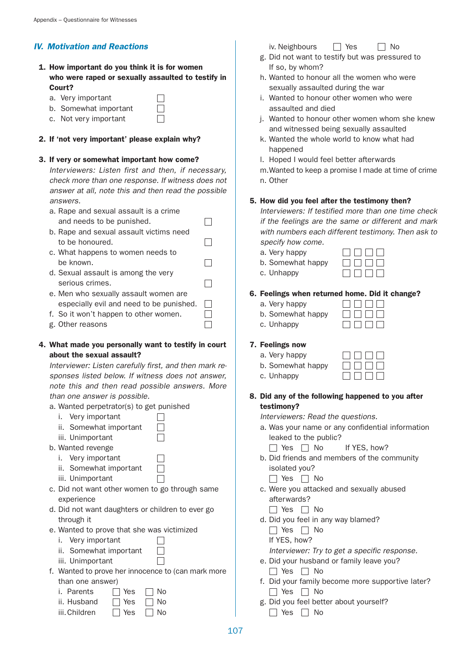# IV. Motivation and Reactions

1. How important do you think it is for women who were raped or sexually assaulted to testify in Court?

> $\Box$  $\Box$

> > $\Box$

 $\Box$ 

 $\Box$ 

 $\Box$ 

 $\Box$ 

 $\Box$ 

- a. Very important
- b. Somewhat important
- c. Not very important

### 2. If 'not very important' please explain why?

#### 3. If very or somewhat important how come?

Interviewers: Listen first and then, if necessary, check more than one response. If witness does not answer at all, note this and then read the possible answers.

| a. Rape and sexual assault is a crime |  |
|---------------------------------------|--|
| and needs to be punished.             |  |

- b. Rape and sexual assault victims need to be honoured.
- c. What happens to women needs to be known.
- d. Sexual assault is among the very serious crimes.
- e. Men who sexually assault women are especially evil and need to be punished.
- f. So it won't happen to other women.  $\Box$
- g. Other reasons

## 4. What made you personally want to testify in court about the sexual assault?

Interviewer: Listen carefully first, and then mark responses listed below. If witness does not answer, note this and then read possible answers. More than one answer is possible.

 $\Box$ 

 $\Box$ 

 $\Box$ 

- a. Wanted perpetrator(s) to get punished
	- i. Very important
	- ii. Somewhat important  $\Box$
	- iii. Unimportant
- b. Wanted revenge
	- i. Very important
	- ii. Somewhat important
	- iii. Unimportant
- c. Did not want other women to go through same experience
- d. Did not want daughters or children to ever go through it
- e. Wanted to prove that she was victimized
	- i. Very important
	- ii. Somewhat important  $\Box$  $\Box$
	- iii. Unimportant
- f. Wanted to prove her innocence to (can mark more than one answer)

| i. Parents   | $\Box$ Yes           | $\Box$ No            |
|--------------|----------------------|----------------------|
| ii. Husband  | $\Box$ Yes $\Box$ No |                      |
| iii Childron |                      | $\Box$ Voc $\Box$ No |

 $\Box$ iii.Children  $\Box$  Yes  $\Box$  No

- iv. Neighbours  $\Box$  Yes  $\Box$  No
- g. Did not want to testify but was pressured to If so, by whom?
- h. Wanted to honour all the women who were sexually assaulted during the war
- i. Wanted to honour other women who were assaulted and died
- j. Wanted to honour other women whom she knew and witnessed being sexually assaulted
- k. Wanted the whole world to know what had happened
- l. Hoped I would feel better afterwards
- m.Wanted to keep a promise I made at time of crime n. Other
- 5. How did you feel after the testimony then?

# Interviewers: If testified more than one time check if the feelings are the same or different and mark with numbers each different testimony. Then ask to specify how come.

- a. Very happy
- b. Somewhat happy
- c. Unhappy



 $\Box \Box \Box \Box$ 

 $\Box \Box \Box \Box$ 

## 6. Feelings when returned home. Did it change?

- a. Very happy
- b. Somewhat happy
- c. Unhappy

## 7. Feelings now

c. Unhappy

- a. Very happy
- b. Somewhat happy

### 8. Did any of the following happened to you after testimony?

Interviewers: Read the questions.

- a. Was your name or any confidential information leaked to the public?
	- $\Box$  Yes  $\Box$  No If YES, how?
- b. Did friends and members of the community isolated you?
	- $\Box$  Yes  $\Box$  No
- c. Were you attacked and sexually abused afterwards?
	- $\Box$  Yes  $\Box$  No
- d. Did you feel in any way blamed?
	- $\Box$  Yes  $\Box$  No
	- If YES, how?
	- Interviewer: Try to get a specific response.
- e. Did your husband or family leave you?  $\Box$  Yes  $\Box$  No
- f. Did your family become more supportive later?  $\Box$  Yes  $\Box$  No
- g. Did you feel better about yourself?
	- $\Box$  Yes  $\Box$  No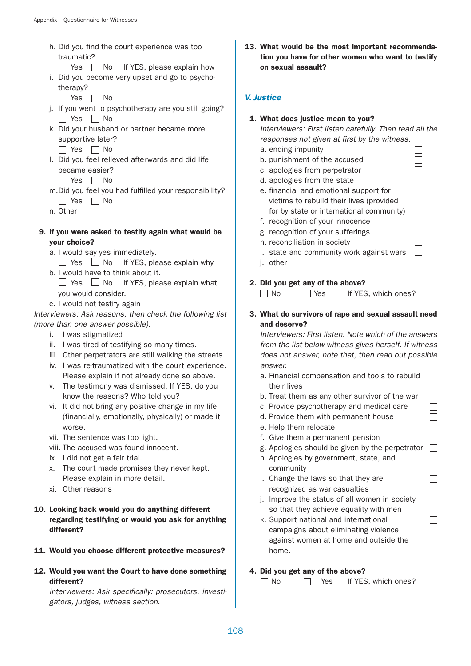- h. Did you find the court experience was too traumatic?
- $\Box$  Yes  $\Box$  No If YES, please explain how i. Did you become very upset and go to psycho
	- therapy?
	- $\Box$  Yes  $\Box$  No
- j. If you went to psychotherapy are you still going?  $\Box$  Yes  $\Box$  No
- k. Did your husband or partner became more supportive later?
	- $\Box$  Yes  $\Box$  No
- l. Did you feel relieved afterwards and did life became easier?
	- $\Box$  Yes  $\Box$  No
- m.Did you feel you had fulfilled your responsibility?
	- $\Box$  Yes  $\Box$  No
- n. Other
- 9. If you were asked to testify again what would be your choice?
	- a. I would say yes immediately.
	- $\Box$  Yes  $\Box$  No If YES, please explain why
	- b. I would have to think about it.  $\Box$  Yes  $\Box$  No If YES, please explain what
	- you would consider. c. I would not testify again
- Interviewers: Ask reasons, then check the following list (more than one answer possible).
	- i. I was stigmatized
	- ii. I was tired of testifying so many times.
	- iii. Other perpetrators are still walking the streets.
	- iv. I was re-traumatized with the court experience. Please explain if not already done so above.
	- v. The testimony was dismissed. If YES, do you know the reasons? Who told you?
	- vi. It did not bring any positive change in my life (financially, emotionally, physically) or made it worse.
	- vii. The sentence was too light.
	- viii. The accused was found innocent.
	- ix. I did not get a fair trial.
	- x. The court made promises they never kept. Please explain in more detail.
	- xi. Other reasons
- 10. Looking back would you do anything different regarding testifying or would you ask for anything different?
- 11. Would you choose different protective measures?
- 12. Would you want the Court to have done something different?

Interviewers: Ask specifically: prosecutors, investigators, judges, witness section.

13. What would be the most important recommendation you have for other women who want to testify on sexual assault?

# V. Justice

# 1. What does justice mean to you?

Interviewers: First listen carefully. Then read all the responses not given at first by the witness.

> $\Box$  $\Box$  $\Box$

 $\Box$ П  $\Box$ П

> $\Box$  $\Box$  $\Box$  $\Box$  $\Box$  $\Box$  $\Box$

 $\Box$ 

 $\Box$ 

 $\Box$ 

- a. ending impunity
- b. punishment of the accused
- c. apologies from perpetrator
- d. apologies from the state
- e. financial and emotional support for victims to rebuild their lives (provided for by state or international community)
- f. recognition of your innocence
- g. recognition of your sufferings
- h. reconciliation in society
- i. state and community work against wars
- j. other

# 2. Did you get any of the above?

 $\Box$  No  $\Box$  Yes If YES, which ones?

3. What do survivors of rape and sexual assault need and deserve?

Interviewers: First listen. Note which of the answers from the list below witness gives herself. If witness does not answer, note that, then read out possible answer.

- a. Financial compensation and tools to rebuild  $\Box$ their lives
- b. Treat them as any other survivor of the war
- c. Provide psychotherapy and medical care
- d. Provide them with permanent house
- e. Help them relocate
- f. Give them a permanent pension
- g. Apologies should be given by the perpetrator
- h. Apologies by government, state, and community
- i. Change the laws so that they are recognized as war casualties
- j. Improve the status of all women in society so that they achieve equality with men
- k. Support national and international campaigns about eliminating violence against women at home and outside the home.

# 4. Did you get any of the above?

 $\Box$  No  $\Box$  Yes If YES, which ones?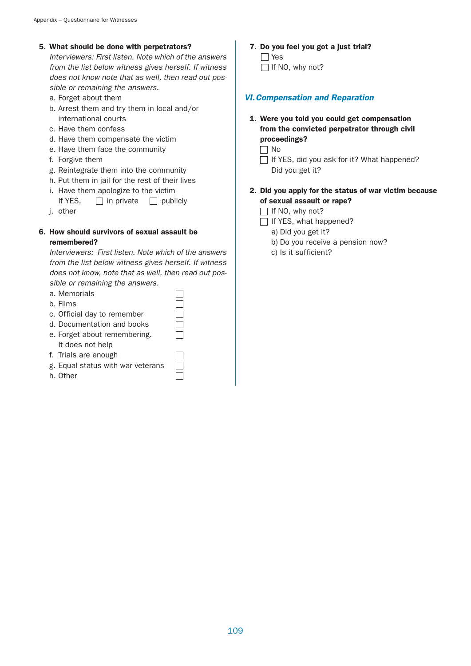# 5. What should be done with perpetrators?

Interviewers: First listen. Note which of the answers from the list below witness gives herself. If witness does not know note that as well, then read out possible or remaining the answers.

- a. Forget about them
- b. Arrest them and try them in local and/or international courts
- c. Have them confess
- d. Have them compensate the victim
- e. Have them face the community
- f. Forgive them
- g. Reintegrate them into the community
- h. Put them in jail for the rest of their lives
- i. Have them apologize to the victim

If YES,  $\Box$  in private  $\Box$  publicly

j. other

# 6. How should survivors of sexual assault be remembered?

Interviewers: First listen. Note which of the answers from the list below witness gives herself. If witness does not know, note that as well, then read out possible or remaining the answers.

 $\Box$ 

Г

- a. Memorials
- b. Films
- c. Official day to remember
- d. Documentation and books
- e. Forget about remembering. It does not help
- f. Trials are enough
- g. Equal status with war veterans
- h. Other

# 7. Do you feel you got a just trial?  $\Box$  Yes  $\Box$  If NO, why not?

# VI.Compensation and Reparation

- 1. Were you told you could get compensation from the convicted perpetrator through civil proceedings?
	- $\Box$  No
	- $\Box$  If YES, did you ask for it? What happened? Did you get it?
- 2. Did you apply for the status of war victim because of sexual assault or rape?
	- $\Box$  If NO, why not?
	- $\Box$  If YES, what happened?
		- a) Did you get it?
		- b) Do you receive a pension now?
		- c) Is it sufficient?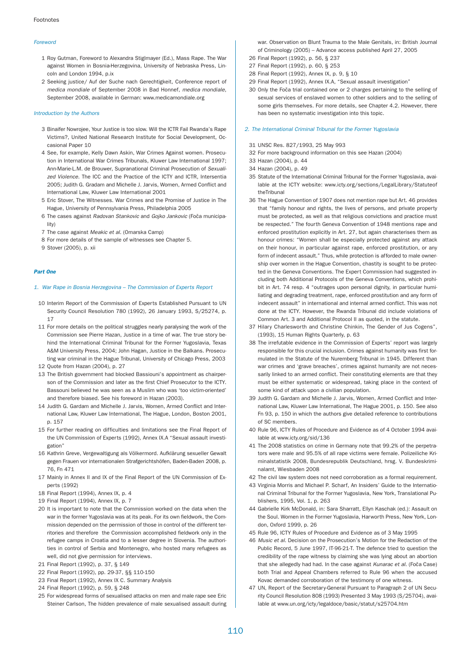#### Foreword

- 1 Roy Gutman, Foreword to Alexandra Stiglmayer (Ed.), Mass Rape. The War against Women in Bosnia-Herzegovina, University of Nebraska Press, Lincoln and London 1994, p.ix
- 2 Seeking justice/ Auf der Suche nach Gerechtigkeit, Conference report of medica mondiale of September 2008 in Bad Honnef, medica mondiale, September 2008, available in German: www.medicamondiale.org

#### Introduction by the Authors

- 3 Binaifer Nowrojee, Your Justice is too slow. Will the ICTR Fail Rwanda's Rape Victims?, United National Research Institute for Social Development, Occasional Paper 10
- 4 See, for example, Kelly Dawn Askin, War Crimes Against women. Prosecution in International War Crimes Tribunals, Kluwer Law International 1997; Ann-Marie-L.M. de Brouwer, Supranational Criminal Prosecution of Sexualized Violence. The ICC and the Practice of the ICTY and ICTR, Intersentia 2005; Judith G. Gradam and Michelle J. Jarvis, Women, Armed Conflict and International Law, Kluwer Law International 2001
- 5 Eric Stover, The Witnesses. War Crimes and the Promise of Justice in The Hague, University of Pennsylvania Press, Philadelphia 2005
- 6 The cases against Radovan Stankovic and Gojko Jankovic (Foča municipality)
- 7 The case against Meakic et al. (Omarska Camp)
- 8 For more details of the sample of witnesses see Chapter 5.
- 9 Stover (2005), p. xii

## Part One

#### 1. War Rape in Bosnia Herzegovina – The Commission of Experts Report

- 10 Interim Report of the Commission of Experts Established Pursuant to UN Security Council Resolution 780 (1992), 26 January 1993, S/25274, p. 17
- 11 For more details on the political struggles nearly paralysing the work of the Commission see Pierre Hazan, Justice in a time of war. The true story behind the International Criminal Tribunal for the Former Yugoslavia, Texas A&M University Press, 2004; John Hagan, Justice in the Balkans. Prosecuting war criminal in the Hague Tribunal, University of Chicago Press, 2003
- 12 Quote from Hazan (2004), p. 27
- 13 The British government had blocked Bassiouni's appointment as chairperson of the Commission and later as the first Chief Prosecutor to the ICTY. Bassouni believed he was seen as a Muslim who was 'too victim-oriented' and therefore biased. See his foreword in Hazan (2003).
- 14 Judith G. Gardam and Michelle J. Jarvis, Women, Armed Conflict and International Law, Kluwer Law International, The Hague, London, Boston 2001, p. 157
- 15 For further reading on difficulties and limitations see the Final Report of the UN Commission of Experts (1992), Annex IX.A "Sexual assault investigation"
- 16 Kathrin Greve, Vergewaltigung als Völkermord. Aufklärung sexueller Gewalt gegen Frauen vor internationalen Strafgerichtshöfen, Baden-Baden 2008, p. 76, Fn 471
- 17 Mainly in Annex II and IX of the Final Report of the UN Commission of Experts (1992)
- 18 Final Report (1994), Annex IX, p. 4
- 19 Final Report (1994), Annex IX, p. 7
- 20 It is important to note that the Commission worked on the data when the war in the former Yugoslavia was at its peak. For its own fieldwork, the Commission depended on the permission of those in control of the different territories and therefore the Commission accomplished fieldwork only in the refugee camps in Croatia and to a lesser degree in Slovenia. The authorities in control of Serbia and Montenegro, who hosted many refugees as well, did not give permission for interviews.
- 21 Final Report (1992), p. 37, § 149
- 22 Final Report (1992), pp. 29-37, §§ 110-150
- 23 Final Report (1992), Annex IX C. Summary Analysis
- 24 Final Report (1992), p. 59, § 248
- 25 For widespread forms of sexualised attacks on men and male rape see Eric Steiner Carlson, The hidden prevalence of male sexualised assault during

war. Observation on Blunt Trauma to the Male Genitals, in: British Journal of Criminology (2005) – Advance access published April 27, 2005

- 26 Final Report (1992), p. 56, § 237
- 27 Final Report (1992), p. 60, § 253
- 28 Final Report (1992), Annex IX, p. 9, § 10
- 29 Final Report (1992), Annex IX.A, "Sexual assault investigation"
- 30 Only the Foča trial contained one or 2 charges pertaining to the selling of sexual services of enslaved women to other soldiers and to the selling of some girls themselves. For more details, see Chapter 4.2. However, there has been no systematic investigation into this topic.

### 2. The International Criminal Tribunal for the Former Yugoslavia

- 31 UNSC Res. 827/1993, 25 May 993
- 32 For more background information on this see Hazan (2004)
- 33 Hazan (2004), p. 44
- 34 Hazan (2004), p. 49
- 35 Statute of the International Criminal Tribunal for the Former Yugoslavia, available at the ICTY website: www.icty.org/sections/LegalLibrary/Statuteof theTribunal
- 36 The Hague Convention of 1907 does not mention rape but Art. 46 provides that "family honour and rights, the lives of persons, and private property must be protected, as well as that religious convictions and practice must be respected." The fourth Geneva Convention of 1948 mentions rape and enforced prostitution explicitly in Art. 27, but again characterises them as honour crimes: "Women shall be especially protected against any attack on their honour, in particular against rape, enforced prostitution, or any form of indecent assault." Thus, while protection is afforded to male ownership over women in the Hague Convention, chastity is sought to be protected in the Geneva Conventions. The Expert Commission had suggested including both Additional Protocols of the Geneva Conventions, which prohibit in Art. 74 resp. 4 "outrages upon personal dignity, in particular humiliating and degrading treatment, rape, enforced prostitution and any form of indecent assault" in international and internal armed conflict. This was not done at the ICTY. However, the Rwanda Tribunal did include violations of Common Art. 3 and Additional Protocol II as quoted, in the statute.
- 37 Hilary Charlesworth and Christine Chinkin, The Gender of Jus Cogens", (1993), 15 Human Rights Quarterly, p. 63
- 38 The irrefutable evidence in the Commission of Experts' report was largely responsible for this crucial inclusion. Crimes against humanity was first formulated in the Statute of the Nuremberg Tribunal in 1945. Different than war crimes and 'grave breaches', crimes against humanity are not necessarily linked to an armed conflict. Their constituting elements are that they must be either systematic or widespread, taking place in the context of some kind of attack upon a civilian population.
- 39 Judith G. Gardam and Michelle J. Jarvis, Women, Armed Conflict and International Law, Kluwer Law International, The Hague 2001, p. 150. See also Fn 93, p. 150 in which the authors give detailed reference to contributions of SC members.
- 40 Rule 96, ICTY Rules of Procedure and Evidence as of 4 October 1994 available at www.icty.org/sid/136
- 41 The 2008 statistics on crime in Germany note that 99.2% of the perpetrators were male and 95.5% of all rape victims were female. Polizeiliche Kriminalstatistik 2008, Bundesrepublik Deutschland, hrsg. V. Bundeskriminalamt, Wiesbaden 2008
- 42 The civil law system does not need corroboration as a formal requirement.
- 43 Virginia Morris and Michael P. Scharf, An Insiders' Guide to the International Criminal Tribunal for the Former Yugoslavia, New York, Translational Publishers, 1995, Vol. 1, p. 263
- 44 Gabrielle Kirk McDonald, in: Sara Sharratt, Ellyn Kaschak (ed.): Assault on the Soul. Women in the Former Yugoslavia, Harworth Press, New York, London, Oxford 1999, p. 26
- 45 Rule 96, ICTY Rules of Procedure and Evidence as of 3 May 1995
- 46 Music et al. Decision on the Prosecution's Motion for the Redaction of the Public Record, 5 June 1997, IT-96-21-T. The defence tried to question the credibility of the rape witness by claiming she was lying about an abortion that she allegedly had had. In the case against Kunarac et al. (Foča Case) both Trial and Appeal Chambers referred to Rule 96 when the accused Kovac demanded corroboration of the testimony of one witness.
- 47 UN, Report of the Secretary-General Pursuant to Paragraph 2 of UN Security Council Resolution 808 (1993) Presented 3 May 1993 (S/25704), available at www.un.org/icty/legaldoce/basic/statut/s25704.htm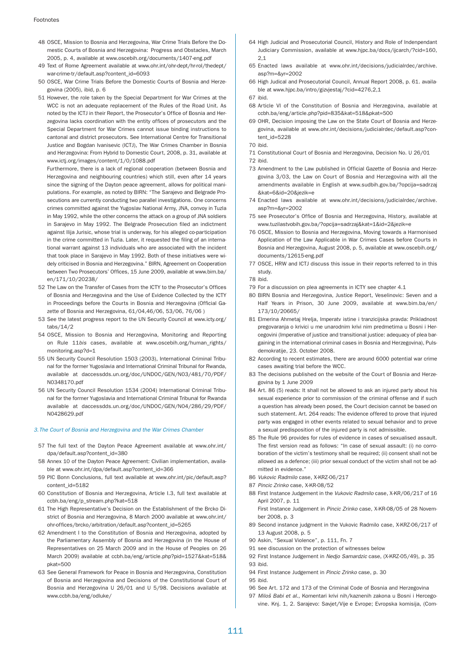- 48 OSCE, Mission to Bosnia and Herzegovina, War Crime Trials Before the Domestic Courts of Bosnia and Herzegovina: Progress and Obstacles, March 2005, p. 4, available at www.oscebih.org/documents/1407-eng.pdf
- 49 Text of Rome Agreement available at www.ohr.int/ohr-dept/hr-rol/thedept/ war-crime-tr/default.asp?content\_id=6093
- 50 OSCE, War Crime Trials Before the Domestic Courts of Bosnia and Herzegovina (2005), ibid, p. 6

51 However, the role taken by the Special Department for War Crimes at the WCC is not an adequate replacement of the Rules of the Road Unit. As noted by the ICTJ in their Report, the Prosecutor's Office of Bosnia and Herzegovina lacks coordination with the entity offices of prosecutors and the Special Department for War Crimes cannot issue binding instructions to cantonal and district prosecutors. See International Centre for Transitional Justice and Bogdan Ivanisevic (ICTJ), The War Crimes Chamber in Bosnia and Herzegovina: From Hybrid to Domestic Court, 2008, p. 31, available at www.ictj.org/images/content/1/0/1088.pdf

Furthermore, there is a lack of regional cooperation (between Bosnia and Herzegovina and neighbouring countries) which still, even after 14 years since the signing of the Dayton peace agreement, allows for political manipulations. For example, as noted by BIRN: "The Sarajevo and Belgrade Prosecutions are currently conducting two parallel investigations. One concerns crimes committed against the Yugoslav National Army, JNA, convoy in Tuzla in May 1992, while the other concerns the attack on a group of JNA soldiers in Sarajevo in May 1992. The Belgrade Prosecution filed an indictment against Ilija Jurisic, whose trial is underway, for his alleged co-participation in the crime committed in Tuzla. Later, it requested the filing of an international warrant against 13 individuals who are associated with the incident that took place in Sarajevo in May 1992. Both of these initiatives were widely criticised in Bosnia and Herzegovina." BIRN, Agreement on Cooperation between Two Prosecutors' Offices, 15 June 2009, available at www.bim.ba/ en/171/10/20238/

- 52 The Law on the Transfer of Cases from the ICTY to the Prosecutor's Offices of Bosnia and Herzegovina and the Use of Evidence Collected by the ICTY in Proceedings before the Courts in Bosnia and Herzegovina (Official Gazette of Bosnia and Herzegovina, 61/04,46/06, 53/06, 76/06 )
- 53 See the latest progress report to the UN Security Council at www.icty.org/ tabs/14/2
- 54 OSCE, Mission to Bosnia and Herzegovina, Monitoring and Reporting on Rule 11bis cases, available at www.oscebih.org/human\_rights/ monitoring.asp?d=1
- 55 UN Security Council Resolution 1503 (2003), International Criminal Tribunal for the former Yugoslavia and International Criminal Tribunal for Rwanda, available at daccessdds.un.org/doc/UNDOC/GEN/N03/481/70/PDF/ N0348170.pdf
- 56 UN Security Council Resolution 1534 (2004) International Criminal Tribunal for the former Yugoslavia and International Criminal Tribunal for Rwanda available at daccessdds.un.org/doc/UNDOC/GEN/N04/286/29/PDF/ N0428629.pdf

#### 3.The Court of Bosnia and Herzegovina and the War Crimes Chamber

- 57 The full text of the Dayton Peace Agreement available at www.ohr.int/ dpa/default.asp?content\_id=380
- 58 Annex 10 of the Dayton Peace Agreement: Civilian implementation, available at www.ohr.int/dpa/default.asp?content\_id=366
- 59 PIC Bonn Conclusions, full text available at www.ohr.int/pic/default.asp? content\_id=5182
- 60 Constitution of Bosnia and Herzegovina, Article I.3, full text available at ccbh.ba/eng/p\_stream.php?kat=518
- 61 The High Representative's Decision on the Establishment of the Brcko District of Bosnia and Herzegovina, 8 March 2000 available at www.ohr.int/ ohr-offices/brcko/arbitration/default.asp?content\_id=5265
- 62 Amendment I to the Constitution of Bosnia and Herzegovina, adopted by the Parliamentary Assembly of Bosnia and Herzegovina (in the House of Representatives on 25 March 2009 and in the House of Peoples on 26 March 2009) available at ccbh.ba/eng/article.php?pid=1527&kat=518&  $nkat=500$
- 63 See General Framework for Peace in Bosnia and Herzegovina, Constitution of Bosnia and Herzegovina and Decisions of the Constitutional Court of Bosnia and Herzegovina U 26/01 and U 5/98. Decisions available at www.ccbh.ba/eng/odluke/
- 64 High Judicial and Prosecutorial Council, History and Role of Indenpendant Judiciary Commission, available at www.hjpc.ba/docs/ijcarch/?cid=160, 2,1
- 65 Enacted laws available at www.ohr.int/decisions/judicialrdec/archive. asp?m=&yr=2002
- 66 High Judical and Prosecutorial Council, Annual Report 2008, p. 61. available at www.hjpc.ba/intro/gizvjestaj/?cid=4276,2,1

67 ibid.

- 68 Article VI of the Constitution of Bosnia and Herzegovina, available at ccbh.ba/eng/article.php?pid=835&kat=518&pkat=500
- 69 OHR, Decision imposing the Law on the State Court of Bosnia and Herzegovina, available at www.ohr.int/decisions/judicialrdec/default.asp?content\_id=5228
- 70 ibid.
- 71 Constitutional Court of Bosnia and Herzegovina, Decision No. U 26/01
- 72 ibid.
- 73 Amendment to the Law published in Official Gazette of Bosnia and Herzegovina 3/03, the Law on Court of Bosnia and Herzegovina with all the amendments available in English at www.sudbih.gov.ba/?opcija=sadrzaj &kat=6&id=20&jezik=e
- 74 Enacted laws available at www.ohr.int/decisions/judicialrdec/archive. asp?m=&yr=2002
- 75 see Prosecutor's Office of Bosnia and Herzegovina, History, available at www.tuzilastvobih.gov.ba/?opcija=sadrzaj&kat=1&id=2&jezik=e
- 76 OSCE, Mission to Bosnia and Herzegovina, Moving towards a Harmonised Application of the Law Applicable in War Crimes Cases before Courts in Bosnia and Herzegovina, August 2008, p. 5, available at www.oscebih.org/ documents/12615-eng.pdf
- 77 OSCE, HRW and ICTJ discuss this issue in their reports referred to in this study.
- 78 ibid.
- 79 For a discussion on plea agreements in ICTY see chapter 4.1
- 80 BIRN Bosnia and Herzegovina, Justice Report, Veselinovic: Seven and a Half Years in Prison, 30 June 2009, available at www.bim.ba/en/ 173/10/20665/
- 81 Elmerina Ahmetaj Hrelja, Imperatv istine i tranzicijska pravda: Prikladnost pregovaranja o krivici u me unarodnim krivi nim predmetima u Bosni i Hercegovini (Imperative of justice and transitional justice: adequacy of plea bargaining in the international criminal cases in Bosnia and Herzegovina), Pulsdemokratije, 23. October 2008.
- 82 According to recent estimates, there are around 6000 potential war crime cases awaiting trial before the WCC.
- 83 The decisions published on the website of the Court of Bosnia and Herzegovina by 1 June 2009
- 84 Art. 86 (5) reads: It shall not be allowed to ask an injured party about his sexual experience prior to commission of the criminal offense and if such a question has already been posed, the Court decision cannot be based on such statement. Art. 264 reads: The evidence offered to prove that injured party was engaged in other events related to sexual behavior and to prove a sexual predisposition of the injured party is not admissible.
- 85 The Rule 96 provides for rules of evidence in cases of sexualised assault. The first version read as follows: "In case of sexual assault: (i) no corroboration of the victim's testimony shall be required; (ii) consent shall not be allowed as a defence; (iii) prior sexual conduct of the victim shall not be admitted in evidence."
- 86 Vukovic Radmilo case, X-KRZ-06/217
- 87 Pincic Zrinko case, X-KR-08/52
- 88 First Instance Judgement in the *Vukovic Radmilo* case, X-KR/06/217 of 16 April 2007, p. 11

First Instance Judgement in Pincic Zrinko case, X-KR-08/05 of 28 November 2008, p. 3

- 89 Second instance judgment in the Vukovic Radmilo case, X-KRZ-06/217 of 13 August 2008, p. 5
- 90 Askin, "Sexual Violence", p. 111, Fn. 7
- 91 see discussion on the protection of witnesses below
- 92 First Instance Judgement in Nedjo Samardzic case, (X-KRZ-05/49), p. 35
- 93 ibid.
- 94 First Instance Judgement in Pincic Zrinko case, p. 30
- 95 ibid.
- 96 See Art. 172 and 173 of the Criminal Code of Bosnia and Herzegovina
- 97 Miloš Babi et al., Komentari krivi nih/kaznenih zakona u Bosni i Hercegovine. Knj. 1, 2. Sarajevo: Savjet/Vije e Evrope; Evropska komisija, (Com-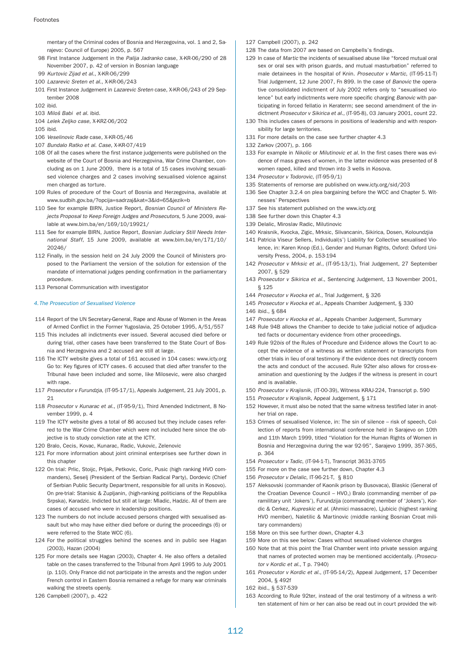mentary of the Criminal codes of Bosnia and Herzegovina, vol. 1 and 2, Sarajevo: Council of Europe) 2005, p. 567

- 98 First Instance Judgement in the Palija Jadranko case, X-KR-06/290 of 28 November 2007, p. 42 of version in Bosnian language
- 99 Kurtovic Zijad et al., X-KR-06/299
- 100 Lazarevic Sreten et al., X-KR-06/243
- 101 First Instance Judgement in Lazarevic Sreten case, X-KR-06/243 of 29 September 2008
- 102 ibid.
- 103 Miloš Babi et al. ibid.
- 104 Lelek Zeljko case, X-KRZ-06/202
- 105 ibid.
- 106 Veselinovic Rade case, X-KR-05/46
- 107 Bundalo Ratko et al. Case, X-KR-07/419
- 108 Of all the cases where the first instance judgements were published on the website of the Court of Bosnia and Herzegovina, War Crime Chamber, concluding as on 1 June 2009, there is a total of 15 cases involving sexualised violence charges and 2 cases involving sexualised violence against men charged as torture.
- 109 Rules of procedure of the Court of Bosnia and Herzegovina, available at www.sudbih.gov.ba/?opcija=sadrzaj&kat=3&id=65&jezik=b
- 110 See for example BIRN, Justice Report, Bosnian Council of Ministers Rejects Proposal to Keep Foreign Judges and Prosecutors, 5 June 2009, available at www.bim.ba/en/169/10/19921/
- 111 See for example BIRN, Justice Report, Bosnian Judiciary Still Needs International Staff, 15 June 2009, available at www.bim.ba/en/171/10/ 20246/
- 112 Finally, in the session held on 24 July 2009 the Council of Ministers proposed to the Parliament the version of the solution for extension of the mandate of international judges pending confirmation in the parliamentary procedure.
- 113 Personal Communication with investigator

#### 4.The Prosecution of Sexualised Violence

- 114 Report of the UN Secretary-General, Rape and Abuse of Women in the Areas of Armed Conflict in the Former Yugoslavia, 25 October 1995, A/51/557
- 115 This includes all indictments ever issued. Several accused died before or during trial, other cases have been transferred to the State Court of Bosnia and Herzegovina and 2 accused are still at large.
- 116 The ICTY website gives a total of 161 accused in 104 cases: www.icty.org Go to: Key figures of ICTY cases. 6 accused that died after transfer to the Tribunal have been included and some, like Milosevic, were also charged with rape.
- 117 Prosecutor v Furundzja, (IT-95-17/1), Appeals Judgement, 21 July 2001, p. 21
- 118 Prosecutor v Kunarac et al., (IT-95-9/1), Third Amended Indictment, 8 November 1999, p.  $\Lambda$
- 119 The ICTY website gives a total of 86 accused but they include cases referred to the War Crime Chamber which were not included here since the objective is to study conviction rate at the ICTY.
- 120 Bralo, Cecis, Kovac, Kunarac, Radic, Vukovic, Zelenovic
- 121 For more information about joint criminal enterprises see further down in this chapter
- 122 On trial: Prlic, Stoijc, Prljak, Petkovic, Coric, Pusic (high ranking HVO commanders), Seselj (President of the Serbian Radical Party), Dordevic (Chief of Serbian Public Security Department, responsible for all units in Kosovo). On pre-trial: Stanisic & Zupljanin, (high-ranking politicians of the Republika Srpska), Karadzic. Indicted but still at large: Mladic, Hadzic. All of them are cases of accused who were in leadership positions.
- 123 The numbers do not include accused persons charged with sexualised assault but who may have either died before or during the proceedings (6) or were referred to the State WCC (6).
- 124 For the political struggles behind the scenes and in public see Hagan (2003), Hazan (2004)
- 125 For more details see Hagan (2003), Chapter 4. He also offers a detailed table on the cases transferred to the Tribunal from April 1995 to July 2001 (p. 110). Only France did not participate in the arrests and the region under French control in Eastern Bosnia remained a refuge for many war criminals walking the streets openly.
- 126 Campbell (2007), p. 422

127 Campbell (2007), p. 242

- 128 The data from 2007 are based on Campbells's findings.
- 129 In case of Martic the incidents of sexualised abuse like "forced mutual oral sex or oral sex with prison guards, and mutual masturbation" referred to male detainees in the hospital of Knin. Prosecutor v Martic, (IT-95-11-T) Trial Judgement, 12 June 2007, Fn 899. In the case of Banovic the operative consolidated indictment of July 2002 refers only to "sexualised violence" but early indictments were more specific charging Banovic with participating in forced fellatio in Keraterm; see second amendment of the indictment Prosecutor v Sikirica et al., (IT-95-8), 03 January 2001, count 22.
- 130 This includes cases of persons in positions of leadership and with responsibility for large territories.
- 131 For more details on the case see further chapter 4.3
- 132 Zarkov (2007), p. 166
- 133 For example in Nikolic or Milutinovic et al. In the first cases there was evidence of mass graves of women, in the latter evidence was presented of 8 women raped, killed and thrown into 3 wells in Kosova.
- 134 Prosecutor v Todorovic, (IT-95-9/1)
- 135 Statements of remorse are published on www.icty.org/sid/203
- 136 See Chapter 3.2.4 on plea bargaining before the WCC and Chapter 5. Witnesses' Perspectives
- 137 See his statement published on the www.icty.org
- 138 See further down this Chapter 4.3
- 139 Delalic, Miroslav Radic, Milutinovic
- 140 Kraisnik, Kvocka, Zigic, Mrksic, Slivancanin, Sikirica, Dosen, Koloundzjia
- 141 Patricia Viseur Sellers, Individual(s') Liability for Collective sexualised Violence, in: Karen Knop (Ed.), Gender and Human Rights, Oxford: Oxford University Press, 2004, p. 153-194
- 142 Prosecutor v Mrksic et al., (IT-95-13/1), Trial Judgement, 27 September 2007, § 529
- 143 Prosecutor v Sikirica et al., Sentencing Judgement, 13 November 2001, § 125
- 144 Prosecutor v Kvocka et al., Trial Judgement, § 326
- 145 Prosecutor v Kvocka et al., Appeals Chamber Judgement, § 330
- 146 ibid., § 684
- 147 Prosecutor v Kvocka et al., Appeals Chamber Judgement, Summary
- 148 Rule 94B allows the Chamber to decide to take judicial notice of adjudicated facts or documentary evidence from other proceedings.
- 149 Rule 92bis of the Rules of Procedure and Evidence allows the Court to accept the evidence of a witness as written statement or transcripts from other trials in lieu of oral testimony if the evidence does not directly concern the acts and conduct of the accused. Rule 92ter also allows for cross-examination and questioning by the Judges if the witness is present in court and is available.
- 150 Prosecutor v Krajisnik, (IT-00-39), Witness KRAJ-224, Transcript p. 590
- 151 Prosecutor v Krajisnik, Appeal Judgement, § 171
- 152 However, it must also be noted that the same witness testified later in another trial on rape.
- 153 Crimes of sexualised Violence, in: The sin of silence risk of speech, Collection of reports from international conference held in Sarajevo on 10th and 11th March 1999, titled "Violation for the Human Rights of Women in Bosnia and Herzegovina during the war 92-95", Sarajevo 1999, 357-365, p. 364
- 154 Prosecutor v Tadic, (IT-94-1-T), Transcript 3631-3765
- 155 For more on the case see further down, Chapter 4.3
- 156 Prosecutor v Delalic, IT-96-21-T, § 810
- 157 Aleksovski (commander of Kaonik prison by Busovaca), Blaskic (General of the Croatian Devence Council – HVO,) Bralo (commanding member of paramilitary unit 'Jokers'), Furundzija (commanding member of 'Jokers'), Kordic & Cerkez, Kupreskic et al. (Ahmici massacre), Liubicic (highest ranking HVO member), Naletilic & Martinovic (middle ranking Bosnian Croat military commanders)
- 158 More on this see further down, Chapter 4.3
- 159 More on this see below: Cases without sexualised violence charges
- 160 Note that at this point the Trial Chamber went into private session arguing that names of protected women may be mentioned accidentally. (Prosecutor v Kordic et al., T p. 7940)
- 161 Prosecutor v Kordic et al., (IT-95-14/2), Appeal Judgement, 17 December 2004, § 492f
- 162 ibid., § 537-539
- 163 According to Rule 92ter, instead of the oral testimony of a witness a written statement of him or her can also be read out in court provided the wit-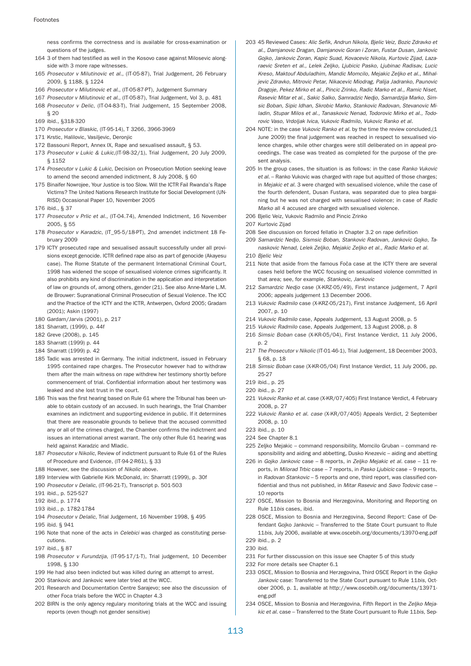ness confirms the correctness and is available for cross-examination or questions of the judges.

- 164 3 of them had testified as well in the Kosovo case against Milosevic alongside with 3 more rape witnesses.
- 165 Prosecutor v Milutinovic et al., (IT-05-87), Trial Judgement, 26 February 2009, § 1188, § 1224
- 166 Prosecutor v Milutinovic et al., (IT-05-87-PT), Judgement Summary
- 167 Prosecutor v Milutinovic et al., (IT-05-87), Trial Judgement, Vol 3, p. 481
- 168 Prosecutor v Delic, (IT-04-83-T), Trial Judgement, 15 September 2008,
- § 20 169 ibid., §318-320
- 170 Prosecutor v Blaskic, (IT-95-14), T 3266, 3966-3969
- 171 Krstic, Halilovic, Vasiljevic, Deronjic
- 172 Bassouni Report, Annex IX, Rape and sexualised assault, § 53.
- 173 Prosecutor v Lukic & Lukic,(IT-98-32/1), Trial Judgement, 20 July 2009, § 1152
- 174 Prosecutor v Lukic & Lukic, Decision on Prosecution Motion seeking leave to amend the second amended indictment, 8 July 2008, § 60
- 175 Binaifer Nowrojee, Your Justice is too Slow. Will the ICTR Fail Rwanda's Rape Victims? The United Nations Research Institute for Social Development (UN-RISD) Occasional Paper 10, November 2005
- 176 ibid., § 37
- 177 Prosecutor v Prlic et al., (IT-04.74), Amended Indictment, 16 November 2005, § 55
- 178 Prosecutor v Karadzic, (IT\_95-5/18-PT), 2nd amendet indictment 18 February 2009
- 179 ICTY prosecuted rape and sexualised assault successfully under all provisions except genocide. ICTR defined rape also as part of genocide (Akayesu case). The Rome Statute of the permanent International Criminal Court, 1998 has widened the scope of sexualised violence crimes significantly. It also prohibits any kind of discrimination in the application and interpretation of law on grounds of, among others, gender (21). See also Anne-Marie L.M. de Brouwer: Supranational Criminal Prosecution of Sexual Violence. The ICC and the Practice of the ICTY and the ICTR, Antwerpen, Oxford 2005; Gradam (2001); Askin (1997)
- 180 Gardam/Jarvis (2001), p. 217
- 181 Sharratt, (1999), p. 44f
- 182 Greve (2008), p. 145
- 183 Sharratt (1999) p. 44
- 184 Sharratt (1999) p. 42
- 185 Tadic was arrested in Germany. The initial indictment, issued in February 1995 contained rape charges. The Prosecutor however had to withdraw them after the main witness on rape withdrew her testimony shortly before commencement of trial. Confidential information about her testimony was leaked and she lost trust in the court.
- 186 This was the first hearing based on Rule 61 where the Tribunal has been unable to obtain custody of an accused. In such hearings, the Trial Chamber examines an indictment and supporting evidence in public. If it determines that there are reasonable grounds to believe that the accused committed any or all of the crimes charged, the Chamber confirms the indictment and issues an international arrest warrant. The only other Rule 61 hearing was held against Karadzic and Mladic.
- 187 Prosecutor v Nikolic, Review of indictment pursuant to Rule 61 of the Rules of Procedure and Evidence, (IT-94-2-R61), § 33
- 188 However, see the discussion of Nikolic above.
- 189 Interview with Gabrielle Kirk McDonald, in: Sharratt (1999), p. 30f
- 190 Prosecutor v Delalic, (IT-96-21-T), Transcript p. 501-503
- 191 ibid., p. 525-527
- 192 ibid., p. 1774
- 193 ibid., p. 1782-1784
- 194 Prosecutor v Delalic, Trial Judgement, 16 November 1998, § 495
- 195 ibid. § 941
- 196 Note that none of the acts in *Celebici* was charged as constituting persecutions.
- 197 ibid., § 87
- 198 Prosecutor v Furundzija, (IT-95-17/1-T), Trial judgement, 10 December 1998, § 130
- 199 He had also been indicted but was killed during an attempt to arrest.
- 200 Stankovic and Jankovic were later tried at the WCC.
- 201 Research and Documentation Centre Sarajevo; see also the discussion of other Foca trials before the WCC in Chapter 4.3
- 202 BIRN is the only agency regulary monitoring trials at the WCC and issuing reports (even though not gender sensitive)
- 203 45 Reviewed Cases: Alic Sefik, Andrun Nikola, Bjelic Veiz, Bozic Zdravko et al., Damjanovic Dragan, Damjanovic Goran i Zoran, Fustar Dusan, Jankovic Gojko, Jankovic Zoran, Kapic Suad, Kovacevic Nikola, Kurtovic Zijad, Lazaraevic Sreten et al., Lelek Zeljko, Ljubicic Pasko, Ljubinac Radisav, Lucic Kreso, Maktouf Abduladhim, Mandic Momcilo, Mejakic Zeljko et al., Mihaljevic Zdravko, Mitrovic Petar, Nikacevic Miodrag, Palija Jadranko, Paunovic Dragoje, Pekez Mirko et al., Pincic Zrinko, Radic Marko et al., Ramic Niset, Rasevic Mitar et al., Sakic Salko, Samradzic Nedjo, Samardzija Marko, Simsic Boban, Sipic Idhan, Skrobic Marko, Stankovic Radovan, Stevanovic Miladin, Stupar Milos et al., Tanaskovic Nenad, Todorovic Mirko et al., Todorovic Vaso, Vrdoljak Ivica, Vukovic Radmilo, Vukovic Ranko et al.
- 204 NOTE: in the case Vukovic Ranko et al. by the time the review concluded.(1 June 2009) the final judgement was reached in respect to sexualised violence charges, while other charges were still deliberated on in appeal proceedings. The case was treated as completed for the purpose of the present analysis.
- 205 In the group cases, the situation is as follows: in the case Ranko Vukovic et al. – Ranko Vukovic was charged with rape but aquitted of those charges; in Mejakic et al. 3 were charged with sexualised violence, while the case of the fourth defendent, Dusan Fustara, was separated due to plea bargaining but he was not charged with sexualised violence; in case of Radic Marko all 4 accused are charged with sexualised violence.
- 206 Bjelic Veiz, Vukovic Radmilo and Pincic Zrinko
- 207 Kurtovic Zijad
- 208 See discussion on forced fellatio in Chapter 3.2 on rape definition
- 209 Samardzic Nedjo, Sismsic Boban, Stankovic Radovan, Jankovic Gojko, Tanaskovic Nenad, Lelek Zeljko, Mejakic Zeljko et al., Radic Marko et al.
- 210 Bielic Veiz
- 211 Note that aside from the famous Foča case at the ICTY there are several cases held before the WCC focusing on sexualised violence committed in that area; see, for example, Stankovic, Jankovic
- 212 Samardzic Nedjo case (X-KRZ-05/49), First instance judgement, 7 April 2006; appeals judgement 13 December 2006.
- 213 Vukovic Radmilo case (X-KRZ-05/217), First instance Judgement, 16 April 2007, p. 10
- 214 Vukovic Radmilo case, Appeals Judgement, 13 August 2008, p. 5
- 215 Vukovic Radmilo case, Appeals Judgement, 13 August 2008, p. 8
- 216 Simsic Boban case (X-KR-05/04), First Instance Verdict, 11 July 2006, p. 2
- 217 The Prosecutor v Nikolic (IT-01-46-1), Trial Judgement, 18 December 2003, § 68, p. 18
- 218 Simsic Boban case (X-KR-05/04) First Instance Verdict, 11 July 2006, pp. 25-27
- 219 ibid., p. 25
- 220 ibid., p. 27
- 221 Vukovic Ranko et al. case (X-KR/07/405) First Instance Verdict, 4 February 2008, p. 27
- 222 Vukovic Ranko et al. case (X-KR/07/405) Appeals Verdict, 2 September 2008, p. 10
- 223 ibid., p. 10
- 224 See Chapter 8.1
- 225 Zeljko Mejakic command responsibility, Momcilo Gruban command responsibility and aiding and abbetting, Dusko Knezevic – aiding and abetting
- 226 in Gojko Jankovic case 8 reports, in Zeljko Mejakic et al. case 11 reports, in Milorad Trbic case – 7 reports, in Pasko Ljubicic case – 9 reports, in Radovan Stankovic - 5 reports and one, third report, was classified confidential and thus not published, in Mitar Rasevic and Savo Todovic case – 10 reports
- 227 OSCE, Mission to Bosnia and Herzegovina, Monitoring and Reporting on Rule 11bis cases, ibid.
- 228 OSCE, Mission to Bosnia and Herzegovina, Second Report: Case of Defendant Gojko Jankovic – Transferred to the State Court pursuant to Rule 11bis, July 2006, available at www.oscebih.org/documents/13970-eng.pdf 229 ibid., p. 2
- 230 ibid.
- 231 For further disscussion on this issue see Chapter 5 of this study
- 232 For more details see Chapter 6.1
- 233 OSCE, Mission to Bosnia and Herzegovina, Third OSCE Report in the Gojko Jankovic case: Transferred to the State Court pursuant to Rule 11bis, October 2006, p. 1, available at http://www.oscebih.org/documents/13971 eng.pdf
- 234 OSCE, Mission to Bosnia and Herzegovina, Fifth Report in the Zeljko Mejakic et al. case – Transferred to the State Court pursuant to Rule 11bis, Sep-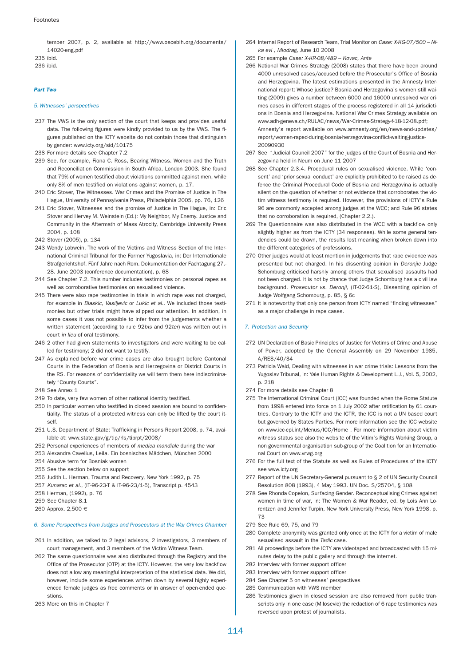tember 2007, p. 2, available at http://www.oscebih.org/documents/ 14020-eng.pdf 235 ibid.

236 ibid.

### Part Two

### 5.Witnesses' perspectives

- 237 The VWS is the only section of the court that keeps and provides useful data. The following figures were kindly provided to us by the VWS. The figures published on the ICTY website do not contain those that distinguish by gender: www.icty.org/sid/10175
- 238 For more details see Chapter 7.2
- 239 See, for example, Fiona C. Ross, Bearing Witness. Women and the Truth and Reconciliation Commission in South Africa, London 2003. She found that 79% of women testified about violations committed against men, while only 8% of men testified on violations against women, p. 17.
- 240 Eric Stover, The Witnesses. War Crimes and the Promise of Justice in The Hague, University of Pennsylvania Press, Philadelphia 2005, pp. 76, 126
- 241 Eric Stover, Witnesses and the promise of Justice in The Hague, in: Eric Stover and Hervey M. Weinstein (Ed.): My Neighbor, My Enemy. Justice and Community in the Aftermath of Mass Atrocity, Cambridge University Press 2004, p. 108
- 242 Stover (2005), p. 134
- 243 Wendy Lobwein, The work of the Victims and Witness Section of the International Criminal Tribunal for the Former Yugoslavia, in: Der Internationale Strafgerichtshof. Fünf Jahre nach Rom. Dokumentation der Fachtagung 27.- 28. June 2003 (conference documentation), p. 68
- 244 See Chapter 7.2. This number includes testimonies on personal rapes as well as corroborative testimonies on sexualised violence.
- 245 There were also rape testimonies in trials in which rape was not charged, for example in Blaskic, Vasiljevic or Lukic et al.. We included those testimonies but other trials might have slipped our attention. In addition, in some cases it was not possible to infer from the judgements whether a written statement (according to rule 92bis and 92ter) was written out in court in lieu of oral testimony.
- 246 2 other had given statements to investigators and were waiting to be called for testimony; 2 did not want to testify.
- 247 As explained before war crime cases are also brought before Cantonal Courts in the Federation of Bosnia and Herzegovina or District Courts in the RS. For reasons of confidentiality we will term them here indiscriminately "County Courts".
- 248 See Annex 1
- 249 To date, very few women of other national identity testified.
- 250 In particular women who testified in closed session are bound to confidentiality. The status of a protected witness can only be lifted by the court itself.
- 251 U.S. Department of State: Trafficking in Persons Report 2008, p. 74, available at: www.state.gov/g/tip/rls/tiprpt/2008/
- 252 Personal experiences of members of medica mondiale during the war
- 253 Alexandra Cavelius, Leila. Ein bosnisches Mädchen, München 2000
- 254 Abusive term for Bosniak women
- 255 See the section below on support
- 256 Judith L. Herman, Trauma and Recovery, New York 1992, p. 75
- 257 Kunarac et al., (IT-96-23-T & IT-96-23/1-5), Transcript p. 4543
- 258 Herman, (1992), p. 76
- 259 See Chapter 8.1
- 260 Approx. 2,500 €

## 6. Some Perspectives from Judges and Prosecutors at the War Crimes Chamber

- 261 In addition, we talked to 2 legal advisors, 2 investigators, 3 members of court management, and 3 members of the Victim Witness Team.
- 262 The same questionnaire was also distributed through the Registry and the Office of the Prosecutor (OTP) at the ICTY. However, the very low backflow does not allow any meaningful interpretation of the statistical data. We did, however, include some experiences written down by several highly experienced female judges as free comments or in answer of open-ended questions.
- 263 More on this in Chapter 7
- 264 Internal Report of Research Team, Trial Monitor on Case: X-KG-07/500 Nika evi , Miodrag, June 10 2008
- 265 For example Case: X-KR-08/489 Kovac, Ante
- 266 National War Crimes Strategy (2008) states that there have been around 4000 unresolved cases/accused before the Prosecutor's Office of Bosnia and Herzegovina. The latest estimations presented in the Amnesty International report: Whose justice? Bosnia and Herzegovina's women still waiting (2009) gives a number between 6000 and 16000 unresolved war crimes cases in different stages of the process registered in all 14 jurisdictions in Bosnia and Herzegovina. National War Crimes Strategy available on www.adh-geneva.ch/RULAC/news/War-Crimes-Strategy-f-18-12-08.pdf; Amnesty's report available on www.amnesty.org/en/news-and-updates/ report/women-raped-during-bosnia-herzegovina-conflict-waiting-justice-20090930
- 267 See "Judicial Council 2007" for the judges of the Court of Bosnia and Herzegovina held in Neum on June 11 2007
- 268 See Chapter 2.3.4. Procedural rules on sexualised violence. While 'consent' and 'prior sexual conduct' are explicitly prohibited to be raised as defence the Criminal Procedural Code of Bosnia and Herzegovina is actually silent on the question of whether or not evidence that corroborates the victim witness testimony is required. However, the provisions of ICTY's Rule 96 are commonly accepted among judges at the WCC; and Rule 96 states that no corroboration is required, (Chapter 2.2.).
- 269 The Questionnaire was also distributed in the WCC with a backflow only slightly higher as from the ICTY (34 responses). While some general tendencies could be drawn, the results lost meaning when broken down into the different categories of professions.
- 270 Other judges would at least mention in judgements that rape evidence was presented but not charged. In his dissenting opinion in Deronjic Judge Schomburg criticised harshly among others that sexualised assaults had not been charged. It is not by chance that Judge Schomburg has a civil law background. Prosecutor vs. Deronji, (IT-02-61-S), Dissenting opinion of Judge Wolfgang Schomburg, p. 85, § 6c
- 271 It is noteworthy that only one person from ICTY named "finding witnesses" as a major challenge in rape cases.

## 7. Protection and Security

- 272 UN Declaration of Basic Principles of Justice for Victims of Crime and Abuse of Power, adopted by the General Assembly on 29 November 1985, A/RES/40/34
- 273 Patricia Wald, Dealing with witnesses in war crime trials: Lessons from the Yugoslav Tribunal, in: Yale Human Rights & Development L.J., Vol. 5, 2002, p. 218
- 274 For more details see Chapter 8
- 275 The International Criminal Court (ICC) was founded when the Rome Statute from 1998 entered into force on 1 July 2002 after ratification by 61 countries. Contrary to the ICTY and the ICTR, the ICC is not a UN based court but governed by States Parties. For more information see the ICC website on www.icc-cpi.int/Menus/ICC/Home . For more information about victim witness status see also the website of the Vitim's Rights Working Group, a non governmental organisation sub-group of the Coalition for an International Court on www.vrwg.org
- 276 For the full text of the Statute as well as Rules of Procedures of the ICTY see www.icty.org
- 277 Report of the UN Secretary-General pursuant to § 2 of UN Security Council Resolution 808 (1993), 4 May 1993. UN Doc. S/25704, § 108
- 278 See Rhonda Copelon, Surfacing Gender. Reconceptualising Crimes against women in time of war, in: The Women & War Reader, ed. by Lois Ann Lorentzen and Jennifer Turpin, New York University Press, New York 1998, p. 73
- 279 See Rule 69, 75, and 79
- 280 Complete anonymity was granted only once at the ICTY for a victim of male sexualised assault in the Tadic case.
- 281 All proceedings before the ICTY are videotaped and broadcasted with 15 minutes delay to the public gallery and through the internet.
- 282 Interview with former support officer
- 283 Interview with former support officer
- 284 See Chapter 5 on witnesses' perspectives
- 285 Communication with VWS member
- 286 Testimonies given in closed session are also removed from public transcripts only in one case (Milosevic) the redaction of 6 rape testimonies was reversed upon protest of journalists.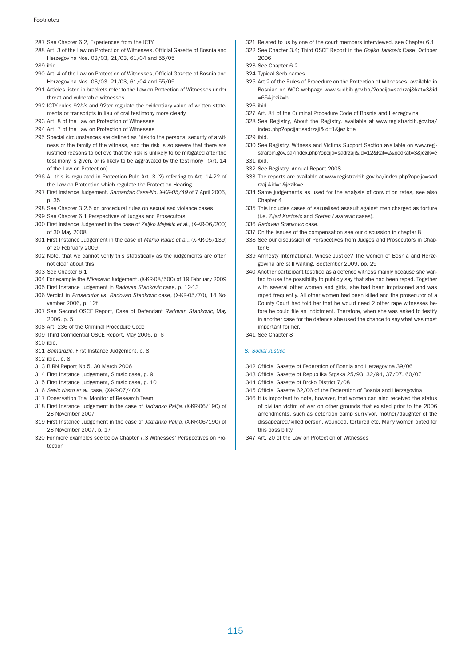- 287 See Chapter 6.2, Experiences from the ICTY
- 288 Art. 3 of the Law on Protection of Witnesses, Official Gazette of Bosnia and Herzegovina Nos. 03/03, 21/03, 61/04 and 55/05

289 ibid.

- 290 Art. 4 of the Law on Protection of Witnesses, Official Gazette of Bosnia and Herzegovina Nos. 03/03, 21/03, 61/04 and 55/05
- 291 Articles listed in brackets refer to the Law on Protection of Witnesses under threat and vulnerable witnesses
- 292 ICTY rules 92bis and 92ter regulate the evidentiary value of written statements or transcripts in lieu of oral testimony more clearly.
- 293 Art. 8 of the Law on Protection of Witnesses
- 294 Art. 7 of the Law on Protection of Witnesses
- 295 Special circumstances are defined as "risk to the personal security of a witness or the family of the witness, and the risk is so severe that there are justified reasons to believe that the risk is unlikely to be mitigated after the testimony is given, or is likely to be aggravated by the testimony" (Art. 14 of the Law on Protection).
- 296 All this is regulated in Protection Rule Art. 3 (2) referring to Art. 14-22 of the Law on Protection which regulate the Protection Hearing.
- 297 First Instance Judgement, Samardzic Case-No. X-KR-05/49 of 7 April 2006, p. 35
- 298 See Chapter 3.2.5 on procedural rules on sexualised violence cases.
- 299 See Chapter 6.1 Perspectives of Judges and Prosecutors.
- 300 First Instance Judgement in the case of Zeljko Mejakic et al., (X-KR-06/200) of 30 May 2008
- 301 First Instance Judgement in the case of Marko Radic et al., (X-KR-05/139) of 20 February 2009
- 302 Note, that we cannot verify this statistically as the judgements are often not clear about this.
- 303 See Chapter 6.1
- 304 For example the Nikacevic Judgement, (X-KR-08/500) of 19 February 2009
- 305 First Instance Judgement in Radovan Stankovic case, p. 12-13
- 306 Verdict in Prosecutor vs. Radovan Stankovic case, (X-KR-05/70), 14 November 2006, p. 12f
- 307 See Second OSCE Report, Case of Defendant Radovan Stankovic, May 2006, p. 5
- 308 Art. 236 of the Criminal Procedure Code
- 309 Third Confidential OSCE Report, May 2006, p. 6
- 310 ibid.
- 311 Samardzic, First Instance Judgement, p. 8
- 312 ibid., p. 8
- 313 BIRN Report No 5, 30 March 2006
- 314 First Instance Judgement, Simsic case, p. 9
- 315 First Instance Judgement, Simsic case, p. 10
- 316 Savic Krsto et al. case, (X-KR-07/400)
- 317 Observation Trial Monitor of Research Team
- 318 First Instance Judgement in the case of Jadranko Palija, (X-KR-06/190) of 28 November 2007
- 319 First Instance Judgement in the case of Jadranko Palija, (X-KR-06/190) of 28 November 2007, p. 17
- 320 For more examples see below Chapter 7.3 Witnesses' Perspectives on Protection
- 321 Related to us by one of the court members interviewed, see Chapter 6.1.
- 322 See Chapter 3.4; Third OSCE Report in the Goijko Jankovic Case, October
- 2006 323 See Chapter 6.2
- 324 Typical Serb names
- 325 Art 2 of the Rules of Procedure on the Protection of WItnesses, available in Bosnian on WCC webpage www.sudbih.gov.ba/?opcija=sadrzaj&kat=3&id =65&jezik=b
- 326 ibid.
- 327 Art. 81 of the Criminal Procedure Code of Bosnia and Herzegovina
- 328 See Registry, About the Registry, available at www.registrarbih.gov.ba/ index.php?opcija=sadrzaji&id=1&jezik=e
- 329 ibid.
- 330 See Registry, Witness and Victims Support Section available on www.registrarbih.gov.ba/index.php?opcija=sadrzaji&id=12&kat=2&podkat=3&jezik=e
- 331 ibid.
- 332 See Registry, Annual Report 2008
- 333 The reports are available at www.registrarbih.gov.ba/index.php?opcija=sad rzaji&id=1&jezik=e
- 334 Same judgements as used for the analysis of conviction rates, see also Chapter 4
- 335 This includes cases of sexualised assault against men charged as torture (i.e. Zijad Kurtovic and Sreten Lazarevic cases).
- 336 Radovan Stankovic case.
- 337 On the issues of the compensation see our discussion in chapter 8
- 338 See our discussion of Perspectives from Judges and Prosecutors in Chapter 6
- 339 Amnesty International, Whose Justice? The women of Bosnia and Herzegowina are still waiting, September 2009, pp. 29
- 340 Another participant testified as a defence witness mainly because she wanted to use the possibility to publicly say that she had been raped. Together with several other women and girls, she had been imprisoned and was raped frequently. All other women had been killed and the prosecutor of a County Court had told her that he would need 2 other rape witnesses before he could file an indictment. Therefore, when she was asked to testify in another case for the defence she used the chance to say what was most important for her.
- 341 See Chapter 8

## 8. Social Justice

- 342 Official Gazette of Federation of Bosnia and Herzegovina 39/06
- 343 Official Gazette of Republika Srpska 25/93, 32/94, 37/07, 60/07
- 344 Official Gazette of Brcko District 7/08
- 345 Official Gazette 62/06 of the Federation of Bosnia and Herzegovina
- 346 It is important to note, however, that women can also received the status of civilian victim of war on other grounds that existed prior to the 2006 amendments, such as detention camp surrvivor, mother/daughter of the dissapeared/killed person, wounded, tortured etc. Many women opted for this possibility.
- 347 Art. 20 of the Law on Protection of Witnesses